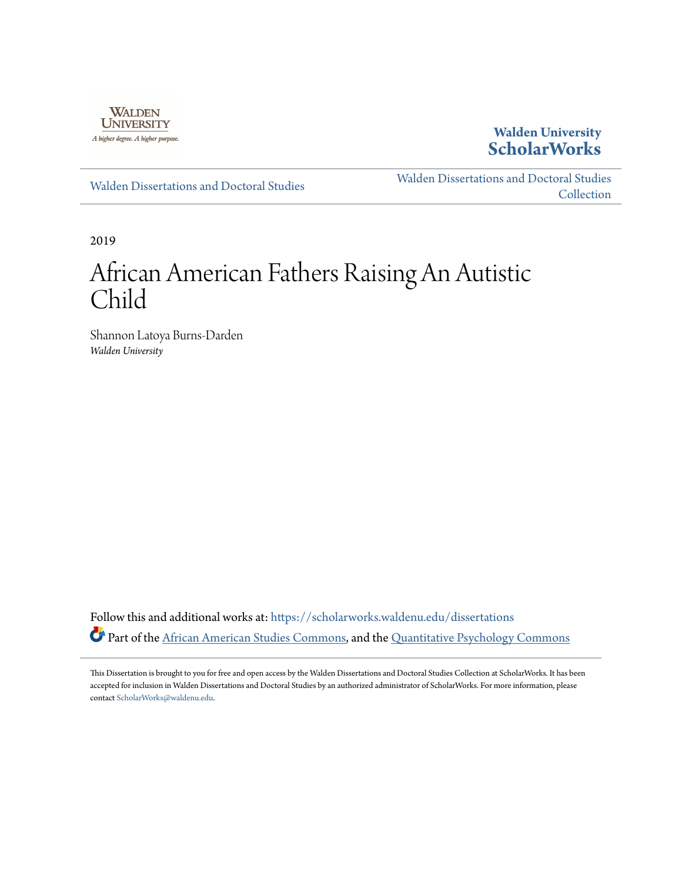

**Walden University [ScholarWorks](https://scholarworks.waldenu.edu?utm_source=scholarworks.waldenu.edu%2Fdissertations%2F6532&utm_medium=PDF&utm_campaign=PDFCoverPages)**

[Walden Dissertations and Doctoral Studies](https://scholarworks.waldenu.edu/dissertations?utm_source=scholarworks.waldenu.edu%2Fdissertations%2F6532&utm_medium=PDF&utm_campaign=PDFCoverPages)

[Walden Dissertations and Doctoral Studies](https://scholarworks.waldenu.edu/dissanddoc?utm_source=scholarworks.waldenu.edu%2Fdissertations%2F6532&utm_medium=PDF&utm_campaign=PDFCoverPages) **[Collection](https://scholarworks.waldenu.edu/dissanddoc?utm_source=scholarworks.waldenu.edu%2Fdissertations%2F6532&utm_medium=PDF&utm_campaign=PDFCoverPages)** 

2019

# African American Fathers Raising An Autistic Child

Shannon Latoya Burns-Darden *Walden University*

Follow this and additional works at: [https://scholarworks.waldenu.edu/dissertations](https://scholarworks.waldenu.edu/dissertations?utm_source=scholarworks.waldenu.edu%2Fdissertations%2F6532&utm_medium=PDF&utm_campaign=PDFCoverPages) Part of the [African American Studies Commons,](http://network.bepress.com/hgg/discipline/567?utm_source=scholarworks.waldenu.edu%2Fdissertations%2F6532&utm_medium=PDF&utm_campaign=PDFCoverPages) and the [Quantitative Psychology Commons](http://network.bepress.com/hgg/discipline/1041?utm_source=scholarworks.waldenu.edu%2Fdissertations%2F6532&utm_medium=PDF&utm_campaign=PDFCoverPages)

This Dissertation is brought to you for free and open access by the Walden Dissertations and Doctoral Studies Collection at ScholarWorks. It has been accepted for inclusion in Walden Dissertations and Doctoral Studies by an authorized administrator of ScholarWorks. For more information, please contact [ScholarWorks@waldenu.edu](mailto:ScholarWorks@waldenu.edu).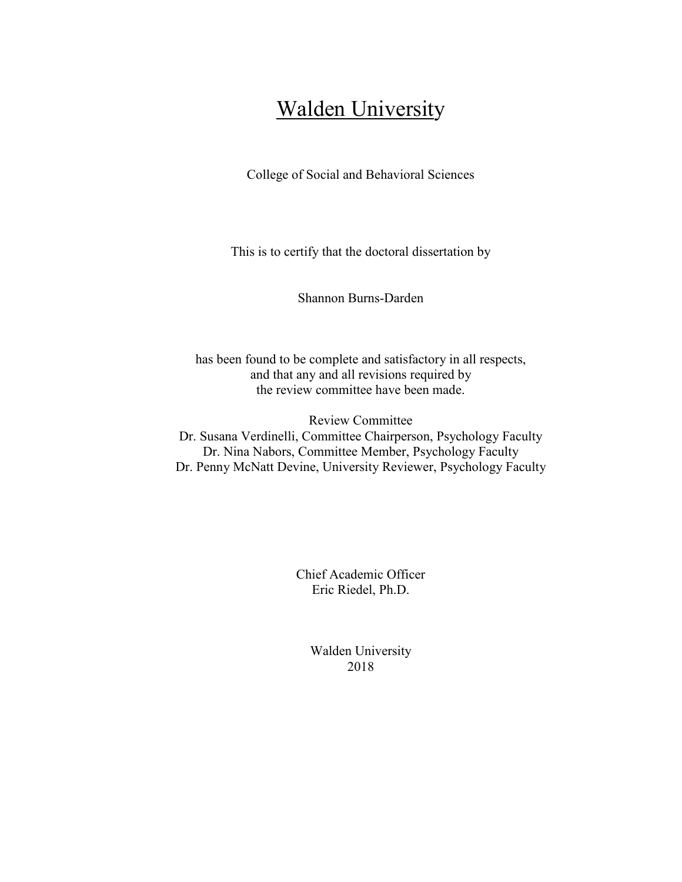## **Walden University**

College of Social and Behavioral Sciences

This is to certify that the doctoral dissertation by

Shannon Burns-Darden

has been found to be complete and satisfactory in all respects, and that any and all revisions required by the review committee have been made.

Review Committee Dr. Susana Verdinelli, Committee Chairperson, Psychology Faculty Dr. Nina Nabors, Committee Member, Psychology Faculty Dr. Penny McNatt Devine, University Reviewer, Psychology Faculty

> Chief Academic Officer Eric Riedel, Ph.D.

> > Walden University 2018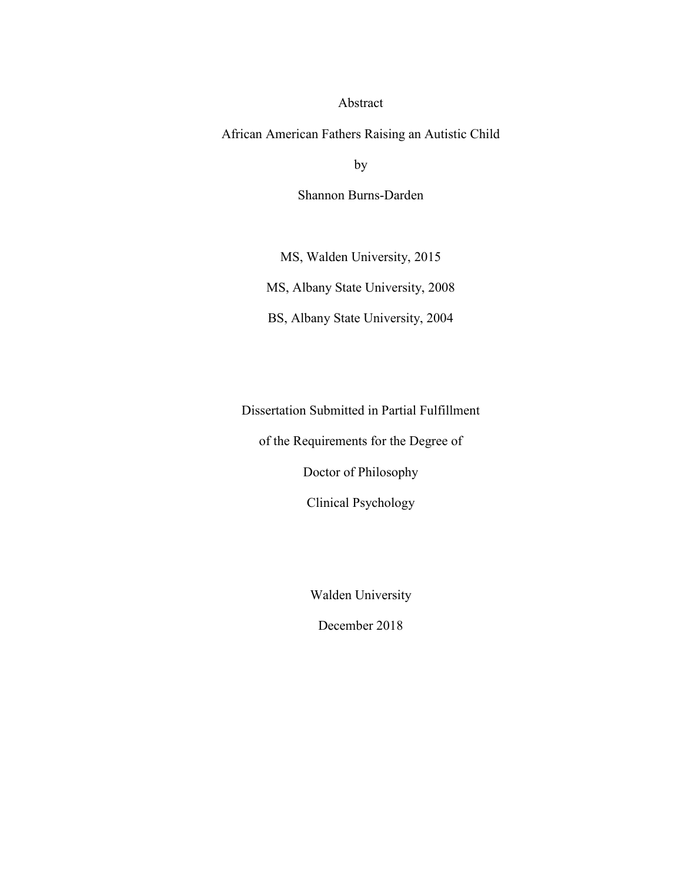#### Abstract

African American Fathers Raising an Autistic Child

by

Shannon Burns-Darden

MS, Walden University, 2015

MS, Albany State University, 2008

BS, Albany State University, 2004

Dissertation Submitted in Partial Fulfillment

of the Requirements for the Degree of

Doctor of Philosophy

Clinical Psychology

Walden University

December 2018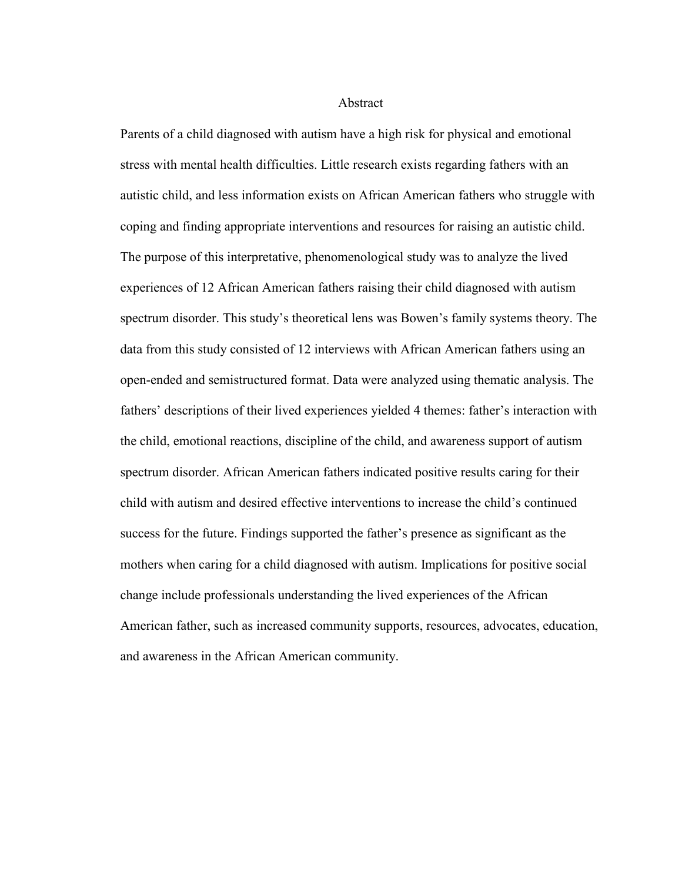**Abstract** 

Parents of a child diagnosed with autism have a high risk for physical and emotional stress with mental health difficulties. Little research exists regarding fathers with an autistic child, and less information exists on African American fathers who struggle with coping and finding appropriate interventions and resources for raising an autistic child. The purpose of this interpretative, phenomenological study was to analyze the lived experiences of 12 African American fathers raising their child diagnosed with autism spectrum disorder. This study's theoretical lens was Bowen's family systems theory. The data from this study consisted of 12 interviews with African American fathers using an open-ended and semistructured format. Data were analyzed using thematic analysis. The fathers' descriptions of their lived experiences yielded 4 themes: father's interaction with the child, emotional reactions, discipline of the child, and awareness support of autism spectrum disorder. African American fathers indicated positive results caring for their child with autism and desired effective interventions to increase the child's continued success for the future. Findings supported the father's presence as significant as the mothers when caring for a child diagnosed with autism. Implications for positive social change include professionals understanding the lived experiences of the African American father, such as increased community supports, resources, advocates, education, and awareness in the African American community.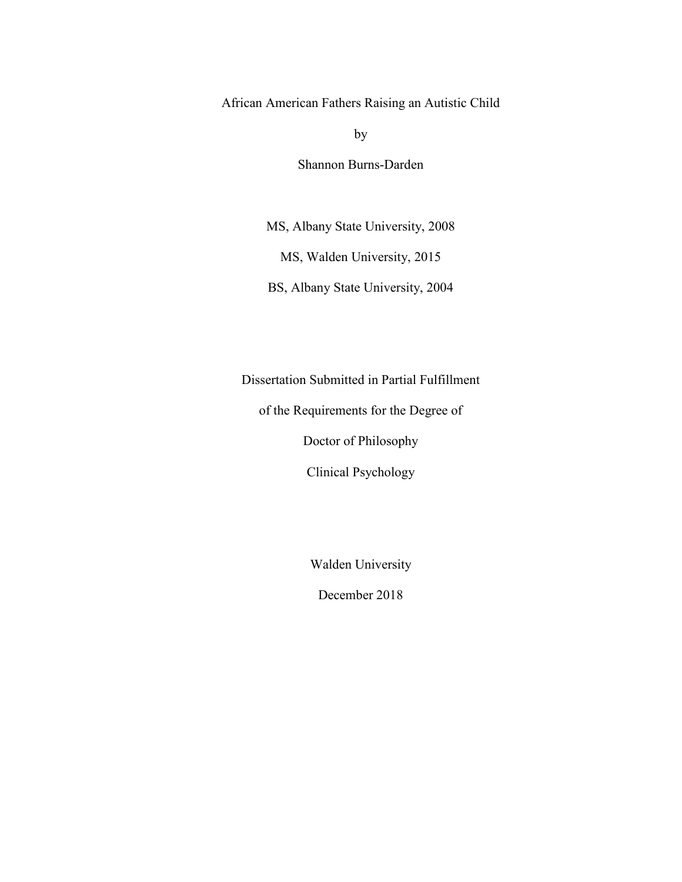African American Fathers Raising an Autistic Child

by

Shannon Burns-Darden

MS, Albany State University, 2008

MS, Walden University, 2015

BS, Albany State University, 2004

Dissertation Submitted in Partial Fulfillment

of the Requirements for the Degree of

Doctor of Philosophy

Clinical Psychology

Walden University

December 2018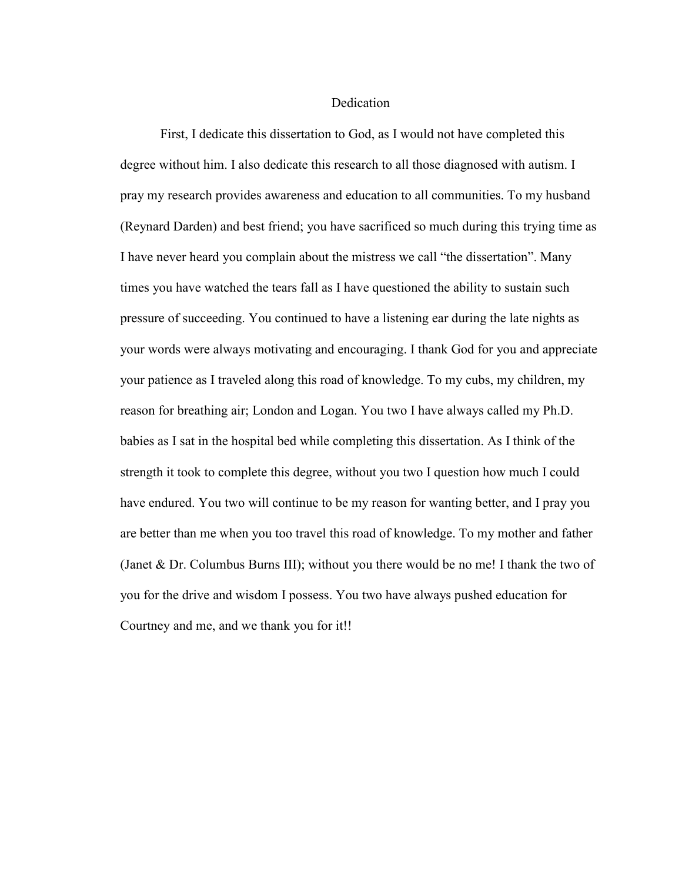#### Dedication

First, I dedicate this dissertation to God, as I would not have completed this degree without him. I also dedicate this research to all those diagnosed with autism. I pray my research provides awareness and education to all communities. To my husband (Reynard Darden) and best friend; you have sacrificed so much during this trying time as I have never heard you complain about the mistress we call "the dissertation". Many times you have watched the tears fall as I have questioned the ability to sustain such pressure of succeeding. You continued to have a listening ear during the late nights as your words were always motivating and encouraging. I thank God for you and appreciate your patience as I traveled along this road of knowledge. To my cubs, my children, my reason for breathing air; London and Logan. You two I have always called my Ph.D. babies as I sat in the hospital bed while completing this dissertation. As I think of the strength it took to complete this degree, without you two I question how much I could have endured. You two will continue to be my reason for wanting better, and I pray you are better than me when you too travel this road of knowledge. To my mother and father (Janet & Dr. Columbus Burns III); without you there would be no me! I thank the two of you for the drive and wisdom I possess. You two have always pushed education for Courtney and me, and we thank you for it!!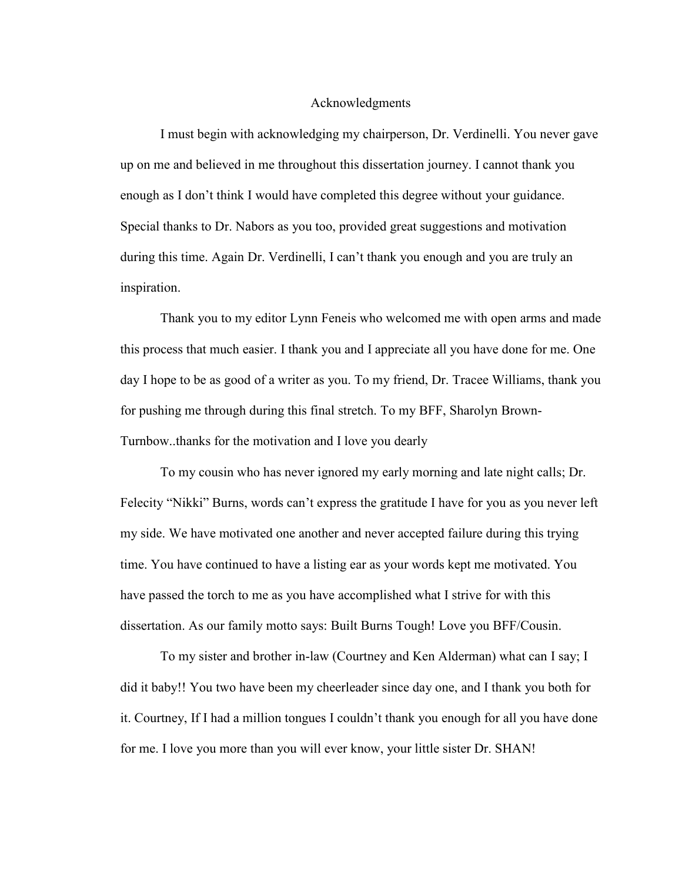#### Acknowledgments

I must begin with acknowledging my chairperson, Dr. Verdinelli. You never gave up on me and believed in me throughout this dissertation journey. I cannot thank you enough as I don't think I would have completed this degree without your guidance. Special thanks to Dr. Nabors as you too, provided great suggestions and motivation during this time. Again Dr. Verdinelli, I can't thank you enough and you are truly an inspiration.

Thank you to my editor Lynn Feneis who welcomed me with open arms and made this process that much easier. I thank you and I appreciate all you have done for me. One day I hope to be as good of a writer as you. To my friend, Dr. Tracee Williams, thank you for pushing me through during this final stretch. To my BFF, Sharolyn Brown-Turnbow..thanks for the motivation and I love you dearly

To my cousin who has never ignored my early morning and late night calls; Dr. Felecity "Nikki" Burns, words can't express the gratitude I have for you as you never left my side. We have motivated one another and never accepted failure during this trying time. You have continued to have a listing ear as your words kept me motivated. You have passed the torch to me as you have accomplished what I strive for with this dissertation. As our family motto says: Built Burns Tough! Love you BFF/Cousin.

To my sister and brother in-law (Courtney and Ken Alderman) what can I say; I did it baby!! You two have been my cheerleader since day one, and I thank you both for it. Courtney, If I had a million tongues I couldn't thank you enough for all you have done for me. I love you more than you will ever know, your little sister Dr. SHAN!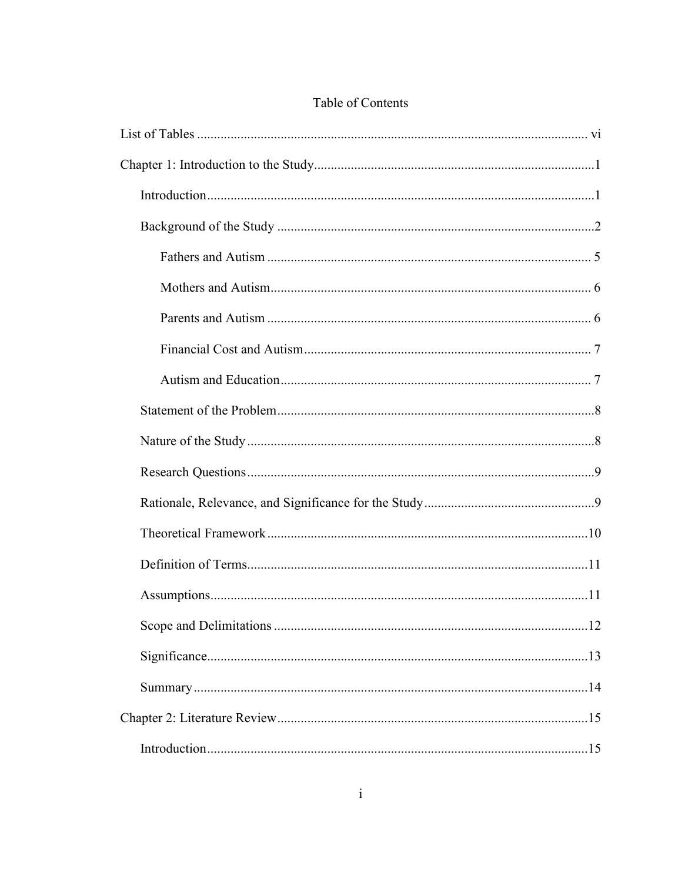## Table of Contents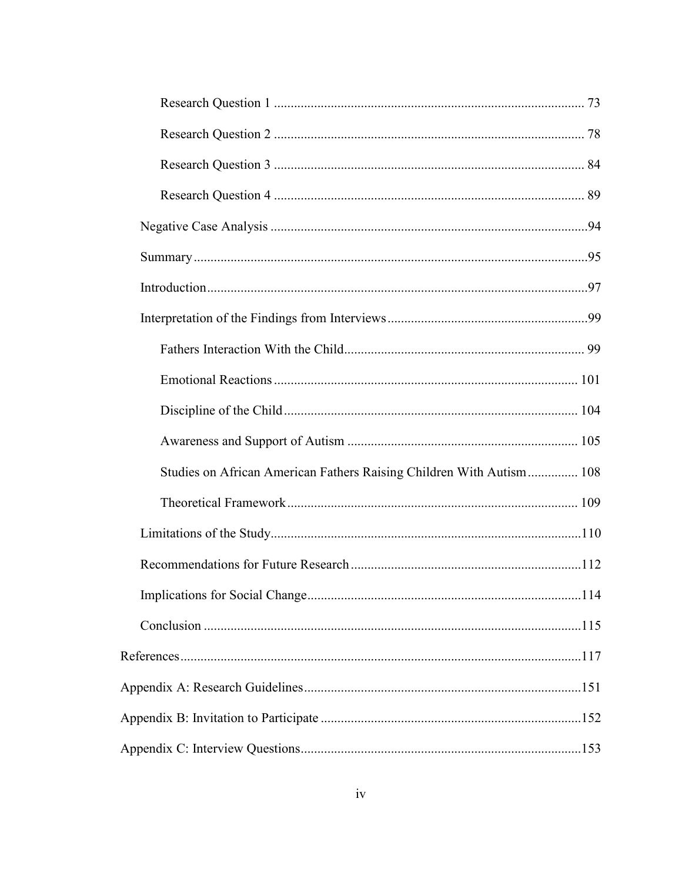| Studies on African American Fathers Raising Children With Autism 108 |  |
|----------------------------------------------------------------------|--|
|                                                                      |  |
|                                                                      |  |
|                                                                      |  |
|                                                                      |  |
|                                                                      |  |
|                                                                      |  |
|                                                                      |  |
|                                                                      |  |
|                                                                      |  |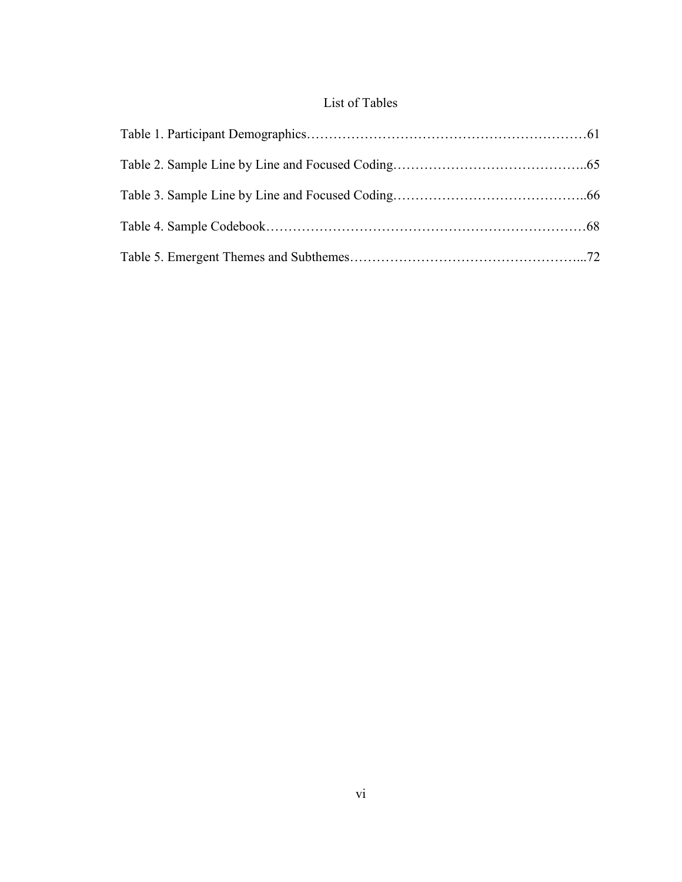## List of Tables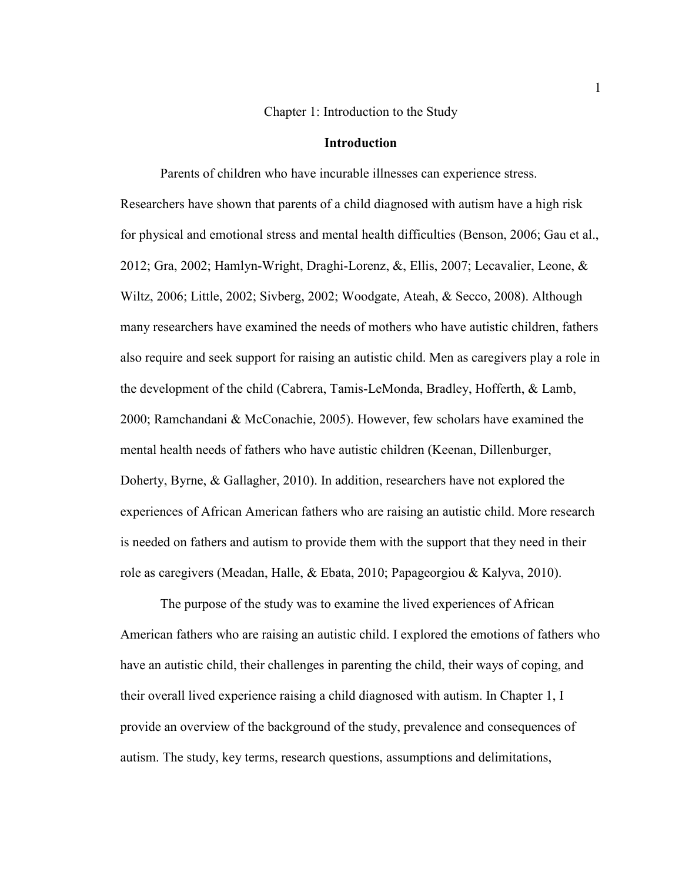Chapter 1: Introduction to the Study

#### **Introduction**

Parents of children who have incurable illnesses can experience stress. Researchers have shown that parents of a child diagnosed with autism have a high risk for physical and emotional stress and mental health difficulties (Benson, 2006; Gau et al., 2012; Gra, 2002; Hamlyn-Wright, Draghi-Lorenz, &, Ellis, 2007; Lecavalier, Leone, & Wiltz, 2006; Little, 2002; Sivberg, 2002; Woodgate, Ateah, & Secco, 2008). Although many researchers have examined the needs of mothers who have autistic children, fathers also require and seek support for raising an autistic child. Men as caregivers play a role in the development of the child (Cabrera, Tamis-LeMonda, Bradley, Hofferth, & Lamb, 2000; Ramchandani & McConachie, 2005). However, few scholars have examined the mental health needs of fathers who have autistic children (Keenan, Dillenburger, Doherty, Byrne, & Gallagher, 2010). In addition, researchers have not explored the experiences of African American fathers who are raising an autistic child. More research is needed on fathers and autism to provide them with the support that they need in their role as caregivers (Meadan, Halle, & Ebata, 2010; Papageorgiou & Kalyva, 2010).

The purpose of the study was to examine the lived experiences of African American fathers who are raising an autistic child. I explored the emotions of fathers who have an autistic child, their challenges in parenting the child, their ways of coping, and their overall lived experience raising a child diagnosed with autism. In Chapter 1, I provide an overview of the background of the study, prevalence and consequences of autism. The study, key terms, research questions, assumptions and delimitations,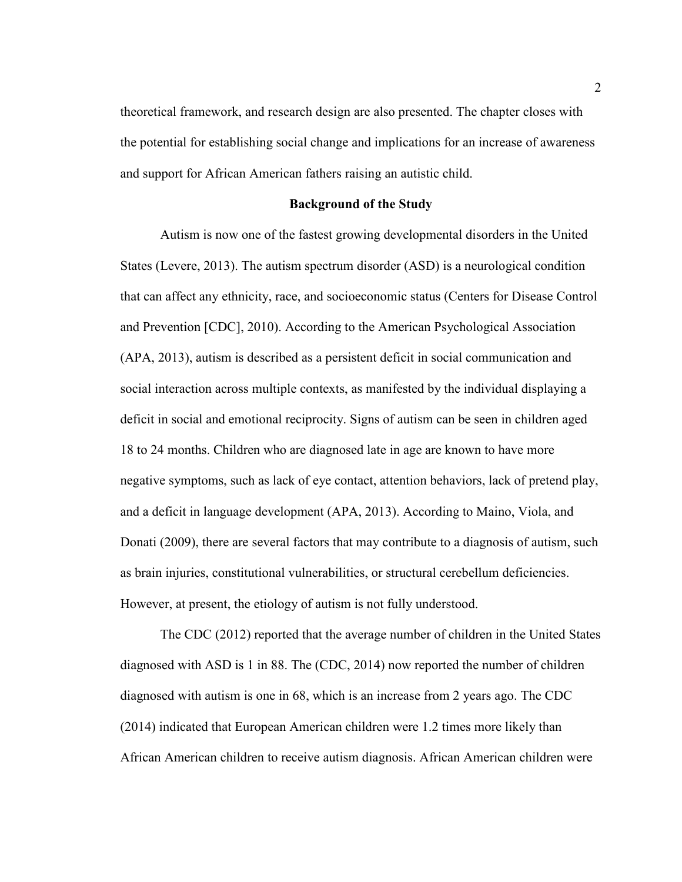theoretical framework, and research design are also presented. The chapter closes with the potential for establishing social change and implications for an increase of awareness and support for African American fathers raising an autistic child.

#### **Background of the Study**

Autism is now one of the fastest growing developmental disorders in the United States (Levere, 2013). The autism spectrum disorder (ASD) is a neurological condition that can affect any ethnicity, race, and socioeconomic status (Centers for Disease Control and Prevention [CDC], 2010). According to the American Psychological Association (APA, 2013), autism is described as a persistent deficit in social communication and social interaction across multiple contexts, as manifested by the individual displaying a deficit in social and emotional reciprocity. Signs of autism can be seen in children aged 18 to 24 months. Children who are diagnosed late in age are known to have more negative symptoms, such as lack of eye contact, attention behaviors, lack of pretend play, and a deficit in language development (APA, 2013). According to Maino, Viola, and Donati (2009), there are several factors that may contribute to a diagnosis of autism, such as brain injuries, constitutional vulnerabilities, or structural cerebellum deficiencies. However, at present, the etiology of autism is not fully understood.

The CDC (2012) reported that the average number of children in the United States diagnosed with ASD is 1 in 88. The (CDC, 2014) now reported the number of children diagnosed with autism is one in 68, which is an increase from 2 years ago. The CDC (2014) indicated that European American children were 1.2 times more likely than African American children to receive autism diagnosis. African American children were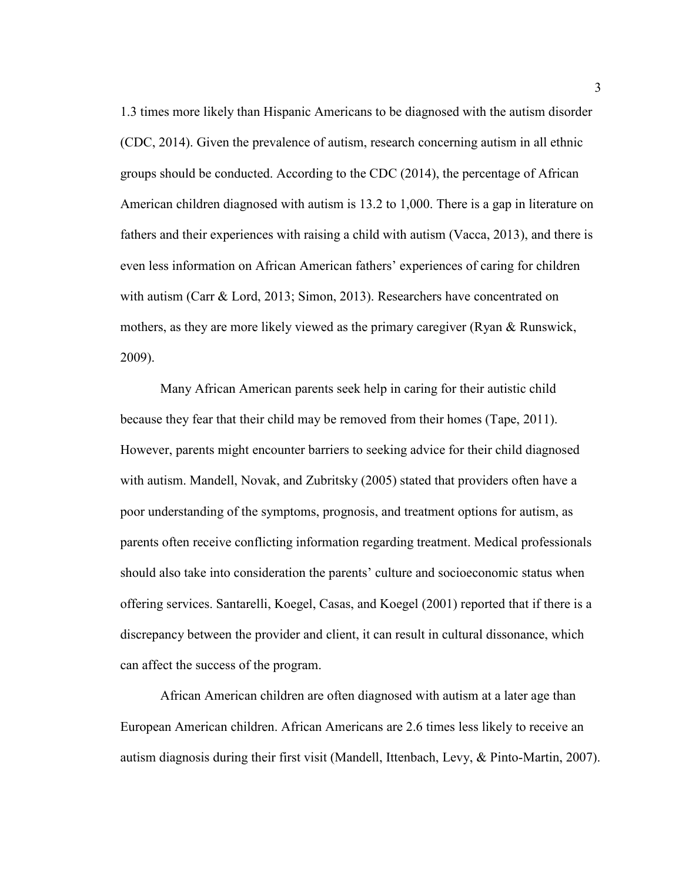1.3 times more likely than Hispanic Americans to be diagnosed with the autism disorder (CDC, 2014). Given the prevalence of autism, research concerning autism in all ethnic groups should be conducted. According to the CDC (2014), the percentage of African American children diagnosed with autism is 13.2 to 1,000. There is a gap in literature on fathers and their experiences with raising a child with autism (Vacca, 2013), and there is even less information on African American fathers' experiences of caring for children with autism (Carr & Lord, 2013; Simon, 2013). Researchers have concentrated on mothers, as they are more likely viewed as the primary caregiver (Ryan & Runswick, 2009).

Many African American parents seek help in caring for their autistic child because they fear that their child may be removed from their homes (Tape, 2011). However, parents might encounter barriers to seeking advice for their child diagnosed with autism. Mandell, Novak, and Zubritsky (2005) stated that providers often have a poor understanding of the symptoms, prognosis, and treatment options for autism, as parents often receive conflicting information regarding treatment. Medical professionals should also take into consideration the parents' culture and socioeconomic status when offering services. Santarelli, Koegel, Casas, and Koegel (2001) reported that if there is a discrepancy between the provider and client, it can result in cultural dissonance, which can affect the success of the program.

African American children are often diagnosed with autism at a later age than European American children. African Americans are 2.6 times less likely to receive an autism diagnosis during their first visit (Mandell, Ittenbach, Levy, & Pinto-Martin, 2007).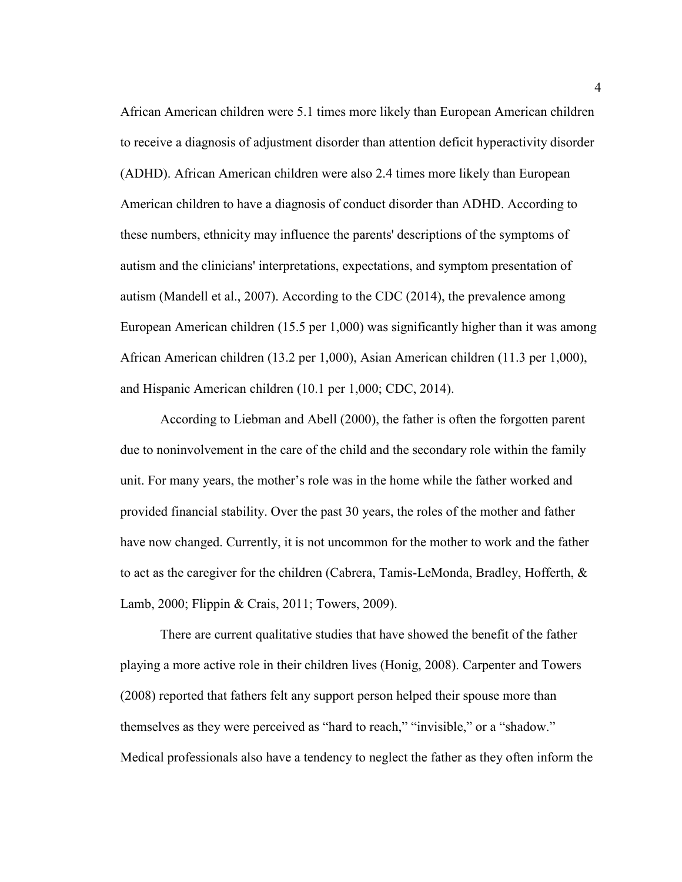African American children were 5.1 times more likely than European American children to receive a diagnosis of adjustment disorder than attention deficit hyperactivity disorder (ADHD). African American children were also 2.4 times more likely than European American children to have a diagnosis of conduct disorder than ADHD. According to these numbers, ethnicity may influence the parents' descriptions of the symptoms of autism and the clinicians' interpretations, expectations, and symptom presentation of autism (Mandell et al., 2007). According to the CDC (2014), the prevalence among European American children (15.5 per 1,000) was significantly higher than it was among African American children (13.2 per 1,000), Asian American children (11.3 per 1,000), and Hispanic American children (10.1 per 1,000; CDC, 2014).

According to Liebman and Abell (2000), the father is often the forgotten parent due to noninvolvement in the care of the child and the secondary role within the family unit. For many years, the mother's role was in the home while the father worked and provided financial stability. Over the past 30 years, the roles of the mother and father have now changed. Currently, it is not uncommon for the mother to work and the father to act as the caregiver for the children (Cabrera, Tamis-LeMonda, Bradley, Hofferth, & Lamb, 2000; Flippin & Crais, 2011; Towers, 2009).

There are current qualitative studies that have showed the benefit of the father playing a more active role in their children lives (Honig, 2008). Carpenter and Towers (2008) reported that fathers felt any support person helped their spouse more than themselves as they were perceived as "hard to reach," "invisible," or a "shadow." Medical professionals also have a tendency to neglect the father as they often inform the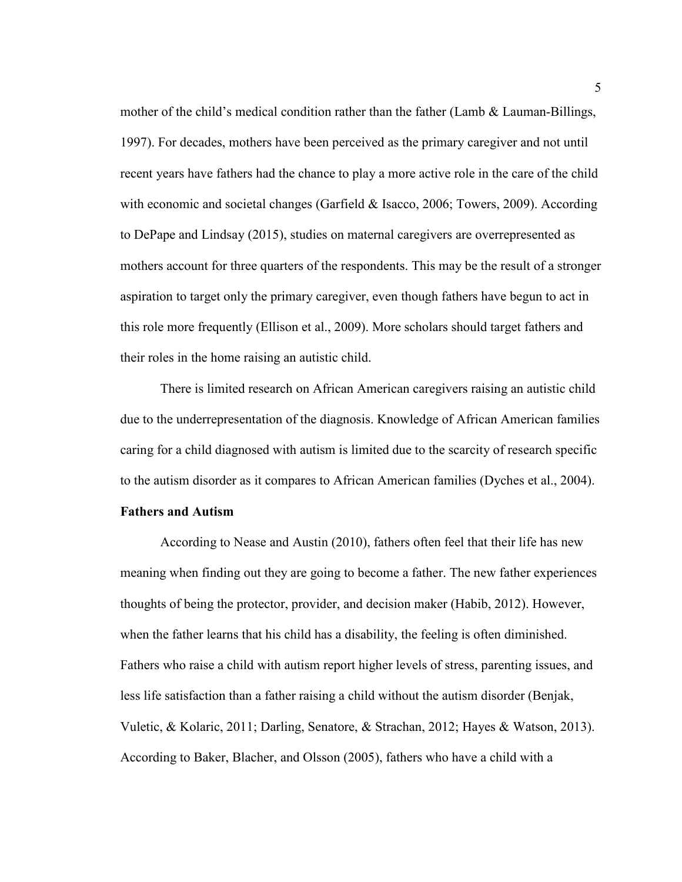mother of the child's medical condition rather than the father (Lamb  $\&$  Lauman-Billings, 1997). For decades, mothers have been perceived as the primary caregiver and not until recent years have fathers had the chance to play a more active role in the care of the child with economic and societal changes (Garfield & Isacco, 2006; Towers, 2009). According to DePape and Lindsay (2015), studies on maternal caregivers are overrepresented as mothers account for three quarters of the respondents. This may be the result of a stronger aspiration to target only the primary caregiver, even though fathers have begun to act in this role more frequently (Ellison et al., 2009). More scholars should target fathers and their roles in the home raising an autistic child.

There is limited research on African American caregivers raising an autistic child due to the underrepresentation of the diagnosis. Knowledge of African American families caring for a child diagnosed with autism is limited due to the scarcity of research specific to the autism disorder as it compares to African American families (Dyches et al., 2004).

#### **Fathers and Autism**

 According to Nease and Austin (2010), fathers often feel that their life has new meaning when finding out they are going to become a father. The new father experiences thoughts of being the protector, provider, and decision maker (Habib, 2012). However, when the father learns that his child has a disability, the feeling is often diminished. Fathers who raise a child with autism report higher levels of stress, parenting issues, and less life satisfaction than a father raising a child without the autism disorder (Benjak, Vuletic, & Kolaric, 2011; Darling, Senatore, & Strachan, 2012; Hayes & Watson, 2013). According to Baker, Blacher, and Olsson (2005), fathers who have a child with a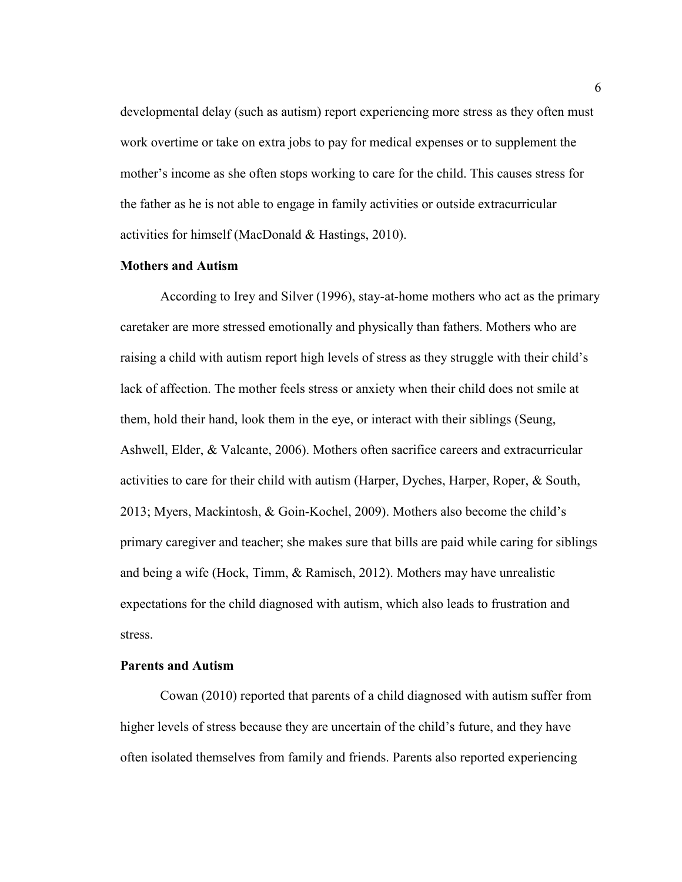developmental delay (such as autism) report experiencing more stress as they often must work overtime or take on extra jobs to pay for medical expenses or to supplement the mother's income as she often stops working to care for the child. This causes stress for the father as he is not able to engage in family activities or outside extracurricular activities for himself (MacDonald & Hastings, 2010).

#### **Mothers and Autism**

 According to Irey and Silver (1996), stay-at-home mothers who act as the primary caretaker are more stressed emotionally and physically than fathers. Mothers who are raising a child with autism report high levels of stress as they struggle with their child's lack of affection. The mother feels stress or anxiety when their child does not smile at them, hold their hand, look them in the eye, or interact with their siblings (Seung, Ashwell, Elder, & Valcante, 2006). Mothers often sacrifice careers and extracurricular activities to care for their child with autism (Harper, Dyches, Harper, Roper, & South, 2013; Myers, Mackintosh, & Goin-Kochel, 2009). Mothers also become the child's primary caregiver and teacher; she makes sure that bills are paid while caring for siblings and being a wife (Hock, Timm, & Ramisch, 2012). Mothers may have unrealistic expectations for the child diagnosed with autism, which also leads to frustration and stress.

#### **Parents and Autism**

 Cowan (2010) reported that parents of a child diagnosed with autism suffer from higher levels of stress because they are uncertain of the child's future, and they have often isolated themselves from family and friends. Parents also reported experiencing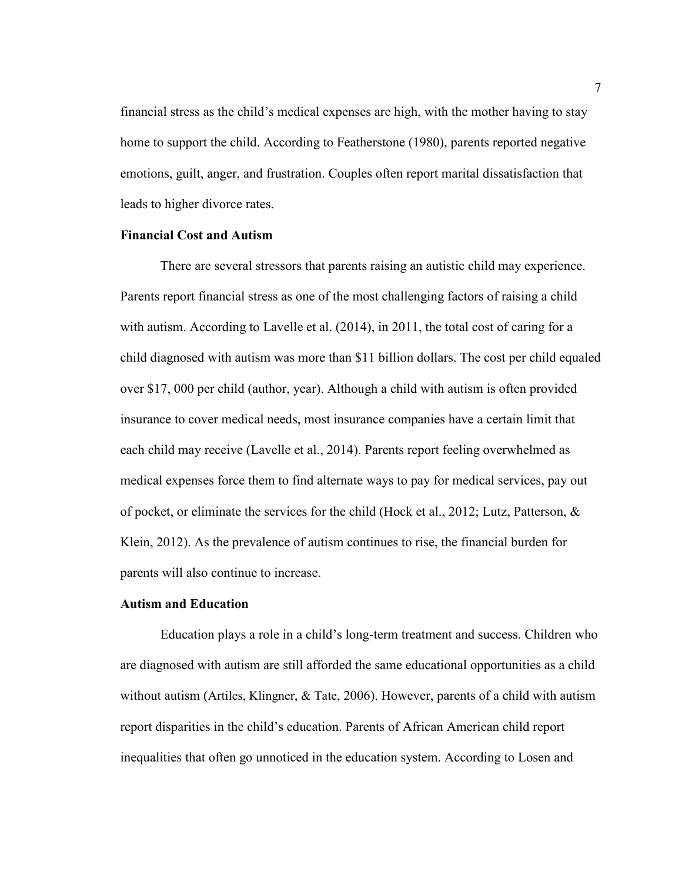financial stress as the child's medical expenses are high, with the mother having to stay home to support the child. According to Featherstone (1980), parents reported negative emotions, guilt, anger, and frustration. Couples often report marital dissatisfaction that leads to higher divorce rates.

#### **Financial Cost and Autism**

There are several stressors that parents raising an autistic child may experience. Parents report financial stress as one of the most challenging factors of raising a child with autism. According to Lavelle et al. (2014), in 2011, the total cost of caring for a child diagnosed with autism was more than \$11 billion dollars. The cost per child equaled over \$17, 000 per child (author, year). Although a child with autism is often provided insurance to cover medical needs, most insurance companies have a certain limit that each child may receive (Lavelle et al., 2014). Parents report feeling overwhelmed as medical expenses force them to find alternate ways to pay for medical services, pay out of pocket, or eliminate the services for the child (Hock et al., 2012; Lutz, Patterson,  $\&$ Klein, 2012). As the prevalence of autism continues to rise, the financial burden for parents will also continue to increase.

#### **Autism and Education**

Education plays a role in a child's long-term treatment and success. Children who are diagnosed with autism are still afforded the same educational opportunities as a child without autism (Artiles, Klingner, & Tate, 2006). However, parents of a child with autism report disparities in the child's education. Parents of African American child report inequalities that often go unnoticed in the education system. According to Losen and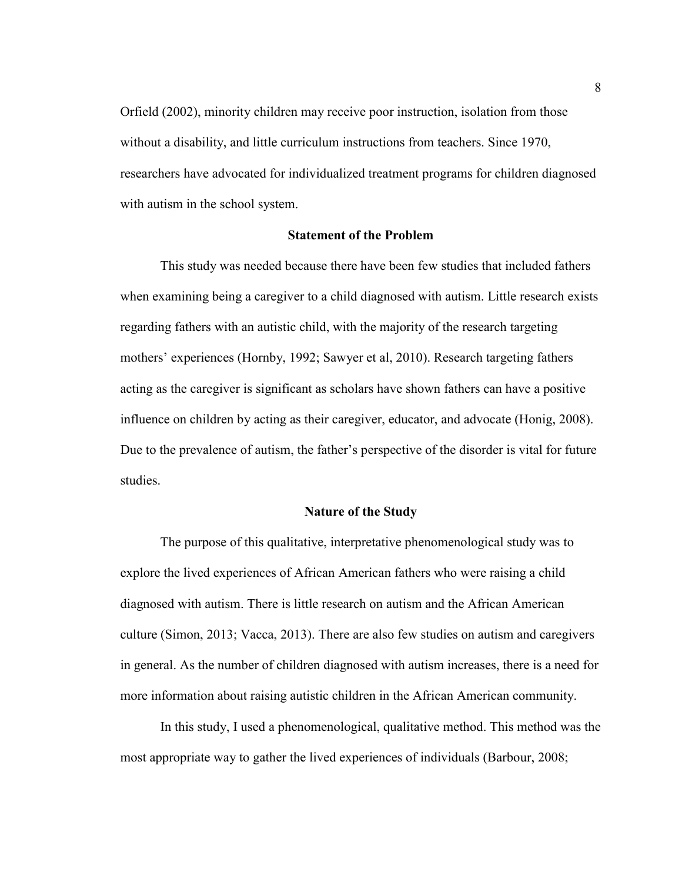Orfield (2002), minority children may receive poor instruction, isolation from those without a disability, and little curriculum instructions from teachers. Since 1970, researchers have advocated for individualized treatment programs for children diagnosed with autism in the school system.

#### **Statement of the Problem**

This study was needed because there have been few studies that included fathers when examining being a caregiver to a child diagnosed with autism. Little research exists regarding fathers with an autistic child, with the majority of the research targeting mothers' experiences (Hornby, 1992; Sawyer et al, 2010). Research targeting fathers acting as the caregiver is significant as scholars have shown fathers can have a positive influence on children by acting as their caregiver, educator, and advocate (Honig, 2008). Due to the prevalence of autism, the father's perspective of the disorder is vital for future studies.

#### **Nature of the Study**

The purpose of this qualitative, interpretative phenomenological study was to explore the lived experiences of African American fathers who were raising a child diagnosed with autism. There is little research on autism and the African American culture (Simon, 2013; Vacca, 2013). There are also few studies on autism and caregivers in general. As the number of children diagnosed with autism increases, there is a need for more information about raising autistic children in the African American community.

In this study, I used a phenomenological, qualitative method. This method was the most appropriate way to gather the lived experiences of individuals (Barbour, 2008;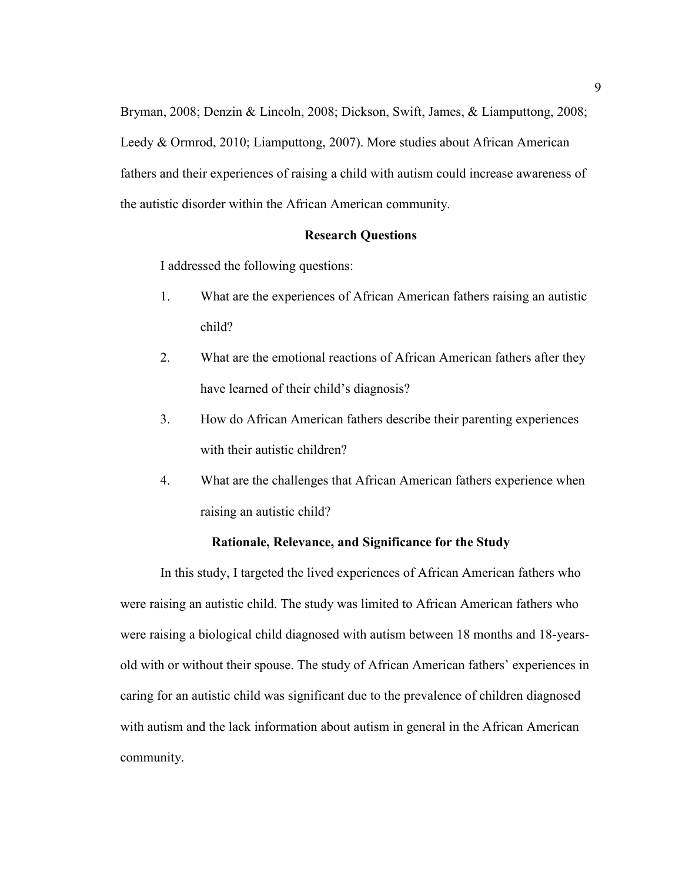Bryman, 2008; Denzin & Lincoln, 2008; Dickson, Swift, James, & Liamputtong, 2008; Leedy & Ormrod, 2010; Liamputtong, 2007). More studies about African American fathers and their experiences of raising a child with autism could increase awareness of the autistic disorder within the African American community.

#### **Research Questions**

I addressed the following questions:

- 1. What are the experiences of African American fathers raising an autistic child?
- 2. What are the emotional reactions of African American fathers after they have learned of their child's diagnosis?
- 3. How do African American fathers describe their parenting experiences with their autistic children?
- 4. What are the challenges that African American fathers experience when raising an autistic child?

#### **Rationale, Relevance, and Significance for the Study**

In this study, I targeted the lived experiences of African American fathers who were raising an autistic child. The study was limited to African American fathers who were raising a biological child diagnosed with autism between 18 months and 18-yearsold with or without their spouse. The study of African American fathers' experiences in caring for an autistic child was significant due to the prevalence of children diagnosed with autism and the lack information about autism in general in the African American community.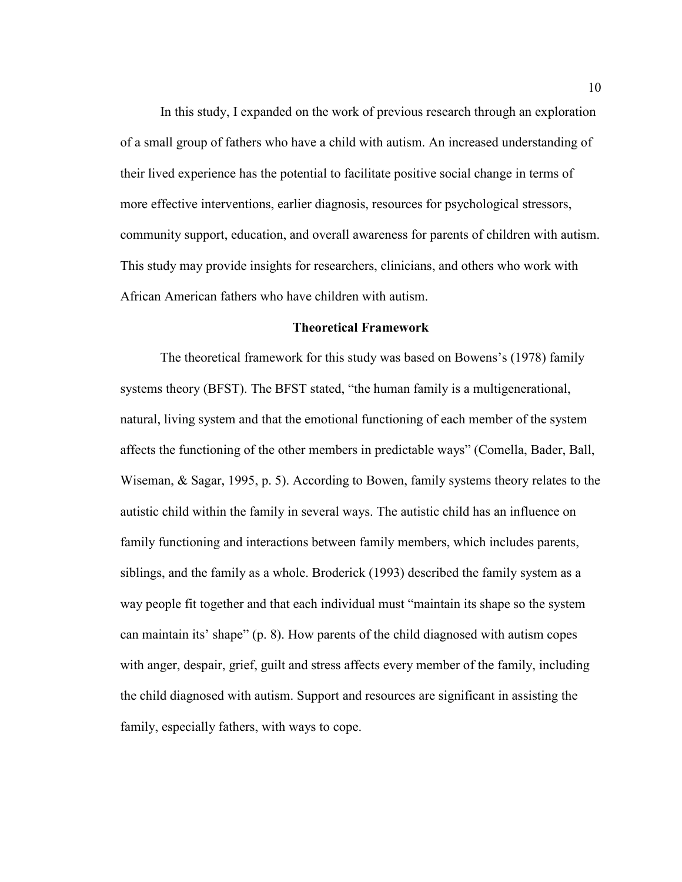In this study, I expanded on the work of previous research through an exploration of a small group of fathers who have a child with autism. An increased understanding of their lived experience has the potential to facilitate positive social change in terms of more effective interventions, earlier diagnosis, resources for psychological stressors, community support, education, and overall awareness for parents of children with autism. This study may provide insights for researchers, clinicians, and others who work with African American fathers who have children with autism.

#### **Theoretical Framework**

The theoretical framework for this study was based on Bowens's (1978) family systems theory (BFST). The BFST stated, "the human family is a multigenerational, natural, living system and that the emotional functioning of each member of the system affects the functioning of the other members in predictable ways" (Comella, Bader, Ball, Wiseman, & Sagar, 1995, p. 5). According to Bowen, family systems theory relates to the autistic child within the family in several ways. The autistic child has an influence on family functioning and interactions between family members, which includes parents, siblings, and the family as a whole. Broderick (1993) described the family system as a way people fit together and that each individual must "maintain its shape so the system can maintain its' shape" (p. 8). How parents of the child diagnosed with autism copes with anger, despair, grief, guilt and stress affects every member of the family, including the child diagnosed with autism. Support and resources are significant in assisting the family, especially fathers, with ways to cope.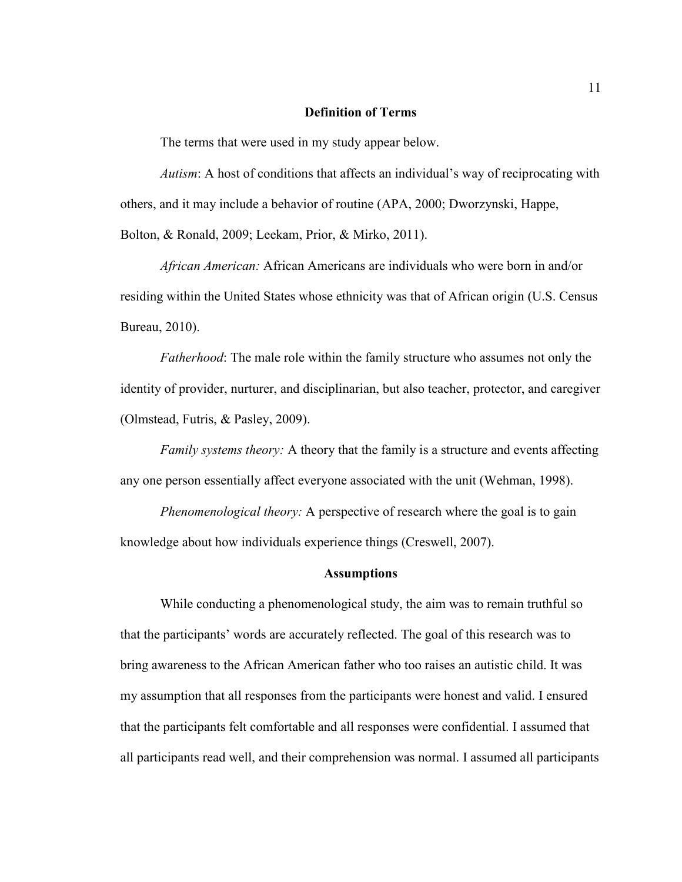#### **Definition of Terms**

The terms that were used in my study appear below.

*Autism*: A host of conditions that affects an individual's way of reciprocating with others, and it may include a behavior of routine (APA, 2000; Dworzynski, Happe, Bolton, & Ronald, 2009; Leekam, Prior, & Mirko, 2011).

*African American:* African Americans are individuals who were born in and/or residing within the United States whose ethnicity was that of African origin (U.S. Census Bureau, 2010).

*Fatherhood*: The male role within the family structure who assumes not only the identity of provider, nurturer, and disciplinarian, but also teacher, protector, and caregiver (Olmstead, Futris, & Pasley, 2009).

*Family systems theory:* A theory that the family is a structure and events affecting any one person essentially affect everyone associated with the unit (Wehman, 1998).

*Phenomenological theory:* A perspective of research where the goal is to gain knowledge about how individuals experience things (Creswell, 2007).

#### **Assumptions**

While conducting a phenomenological study, the aim was to remain truthful so that the participants' words are accurately reflected. The goal of this research was to bring awareness to the African American father who too raises an autistic child. It was my assumption that all responses from the participants were honest and valid. I ensured that the participants felt comfortable and all responses were confidential. I assumed that all participants read well, and their comprehension was normal. I assumed all participants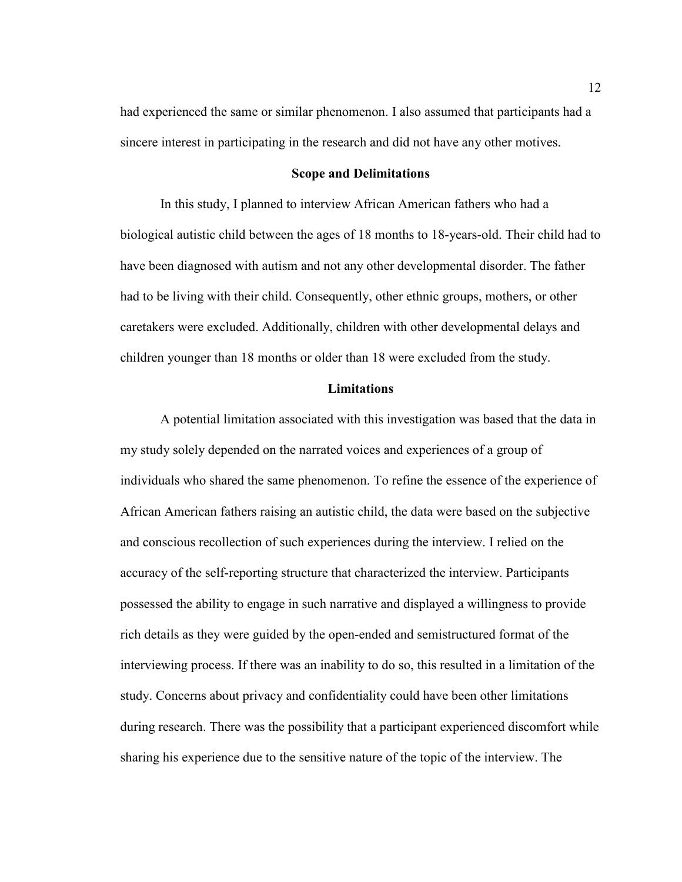had experienced the same or similar phenomenon. I also assumed that participants had a sincere interest in participating in the research and did not have any other motives.

#### **Scope and Delimitations**

In this study, I planned to interview African American fathers who had a biological autistic child between the ages of 18 months to 18-years-old. Their child had to have been diagnosed with autism and not any other developmental disorder. The father had to be living with their child. Consequently, other ethnic groups, mothers, or other caretakers were excluded. Additionally, children with other developmental delays and children younger than 18 months or older than 18 were excluded from the study.

#### **Limitations**

A potential limitation associated with this investigation was based that the data in my study solely depended on the narrated voices and experiences of a group of individuals who shared the same phenomenon. To refine the essence of the experience of African American fathers raising an autistic child, the data were based on the subjective and conscious recollection of such experiences during the interview. I relied on the accuracy of the self-reporting structure that characterized the interview. Participants possessed the ability to engage in such narrative and displayed a willingness to provide rich details as they were guided by the open-ended and semistructured format of the interviewing process. If there was an inability to do so, this resulted in a limitation of the study. Concerns about privacy and confidentiality could have been other limitations during research. There was the possibility that a participant experienced discomfort while sharing his experience due to the sensitive nature of the topic of the interview. The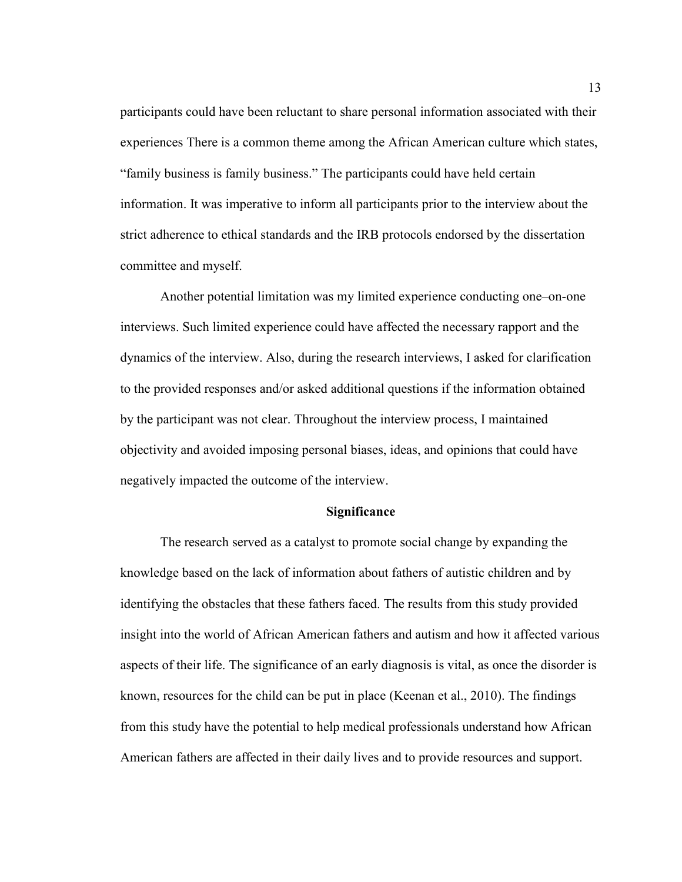participants could have been reluctant to share personal information associated with their experiences There is a common theme among the African American culture which states, "family business is family business." The participants could have held certain information. It was imperative to inform all participants prior to the interview about the strict adherence to ethical standards and the IRB protocols endorsed by the dissertation committee and myself.

Another potential limitation was my limited experience conducting one–on-one interviews. Such limited experience could have affected the necessary rapport and the dynamics of the interview. Also, during the research interviews, I asked for clarification to the provided responses and/or asked additional questions if the information obtained by the participant was not clear. Throughout the interview process, I maintained objectivity and avoided imposing personal biases, ideas, and opinions that could have negatively impacted the outcome of the interview.

#### **Significance**

The research served as a catalyst to promote social change by expanding the knowledge based on the lack of information about fathers of autistic children and by identifying the obstacles that these fathers faced. The results from this study provided insight into the world of African American fathers and autism and how it affected various aspects of their life. The significance of an early diagnosis is vital, as once the disorder is known, resources for the child can be put in place (Keenan et al., 2010). The findings from this study have the potential to help medical professionals understand how African American fathers are affected in their daily lives and to provide resources and support.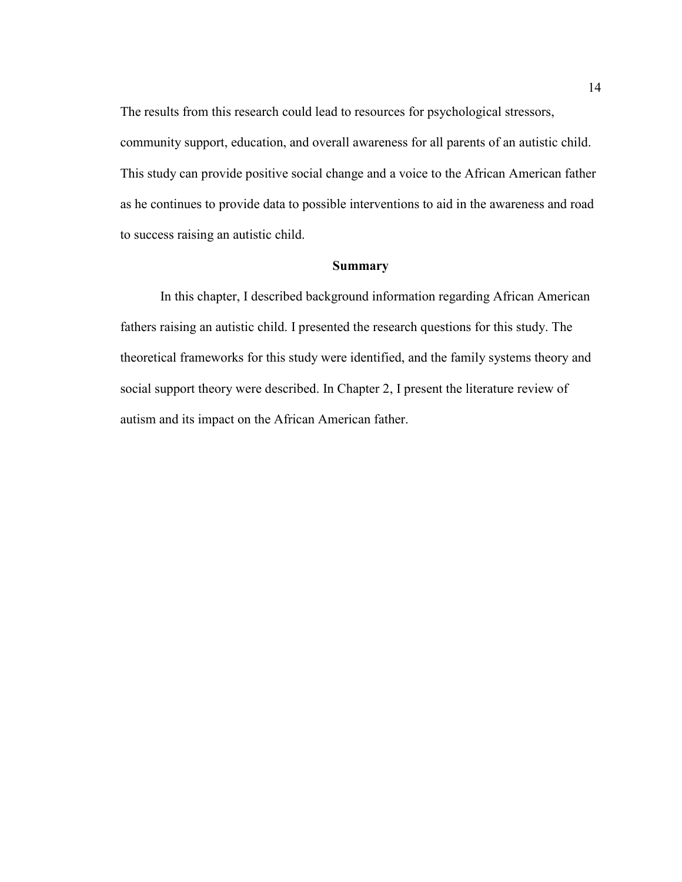The results from this research could lead to resources for psychological stressors, community support, education, and overall awareness for all parents of an autistic child. This study can provide positive social change and a voice to the African American father as he continues to provide data to possible interventions to aid in the awareness and road to success raising an autistic child.

#### **Summary**

In this chapter, I described background information regarding African American fathers raising an autistic child. I presented the research questions for this study. The theoretical frameworks for this study were identified, and the family systems theory and social support theory were described. In Chapter 2, I present the literature review of autism and its impact on the African American father.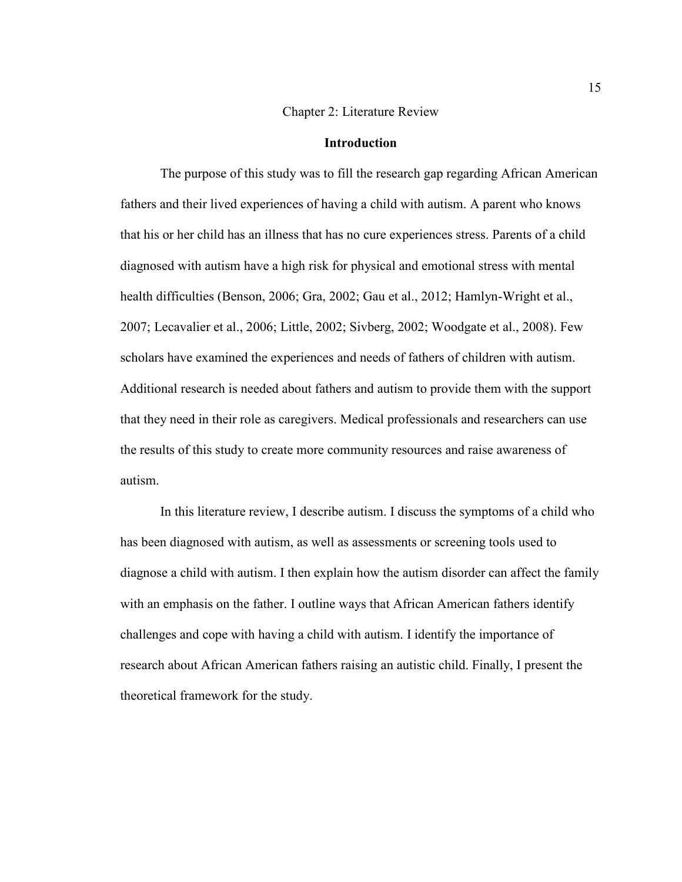#### Chapter 2: Literature Review

#### **Introduction**

The purpose of this study was to fill the research gap regarding African American fathers and their lived experiences of having a child with autism. A parent who knows that his or her child has an illness that has no cure experiences stress. Parents of a child diagnosed with autism have a high risk for physical and emotional stress with mental health difficulties (Benson, 2006; Gra, 2002; Gau et al., 2012; Hamlyn-Wright et al., 2007; Lecavalier et al., 2006; Little, 2002; Sivberg, 2002; Woodgate et al., 2008). Few scholars have examined the experiences and needs of fathers of children with autism. Additional research is needed about fathers and autism to provide them with the support that they need in their role as caregivers. Medical professionals and researchers can use the results of this study to create more community resources and raise awareness of autism.

In this literature review, I describe autism. I discuss the symptoms of a child who has been diagnosed with autism, as well as assessments or screening tools used to diagnose a child with autism. I then explain how the autism disorder can affect the family with an emphasis on the father. I outline ways that African American fathers identify challenges and cope with having a child with autism. I identify the importance of research about African American fathers raising an autistic child. Finally, I present the theoretical framework for the study.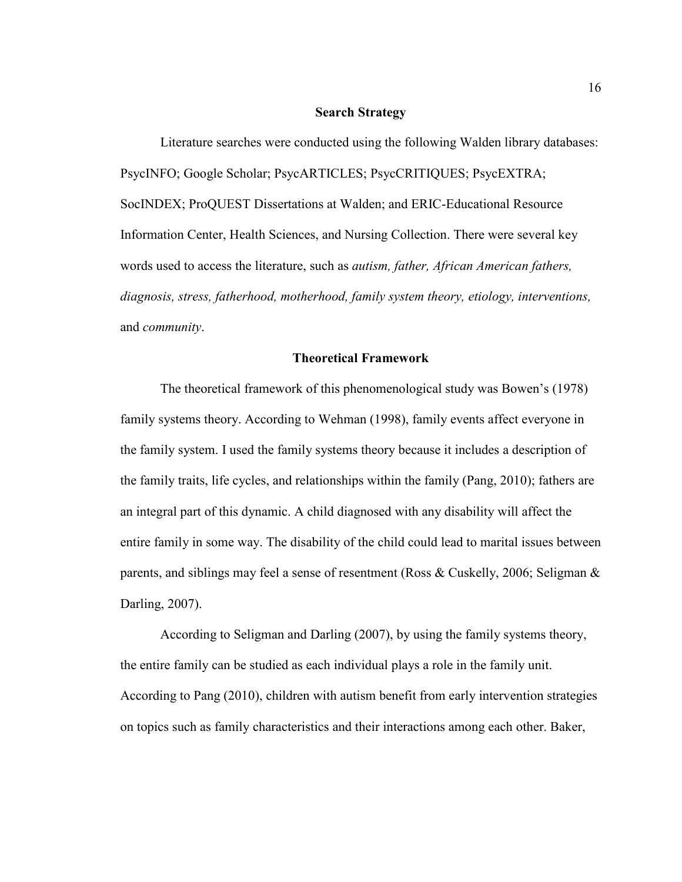#### **Search Strategy**

Literature searches were conducted using the following Walden library databases: PsycINFO; Google Scholar; PsycARTICLES; PsycCRITIQUES; PsycEXTRA; SocINDEX; ProQUEST Dissertations at Walden; and ERIC-Educational Resource Information Center, Health Sciences, and Nursing Collection. There were several key words used to access the literature, such as *autism, father, African American fathers, diagnosis, stress, fatherhood, motherhood, family system theory, etiology, interventions,*  and *community*.

#### **Theoretical Framework**

The theoretical framework of this phenomenological study was Bowen's (1978) family systems theory. According to Wehman (1998), family events affect everyone in the family system. I used the family systems theory because it includes a description of the family traits, life cycles, and relationships within the family (Pang, 2010); fathers are an integral part of this dynamic. A child diagnosed with any disability will affect the entire family in some way. The disability of the child could lead to marital issues between parents, and siblings may feel a sense of resentment (Ross & Cuskelly, 2006; Seligman & Darling, 2007).

According to Seligman and Darling (2007), by using the family systems theory, the entire family can be studied as each individual plays a role in the family unit. According to Pang (2010), children with autism benefit from early intervention strategies on topics such as family characteristics and their interactions among each other. Baker,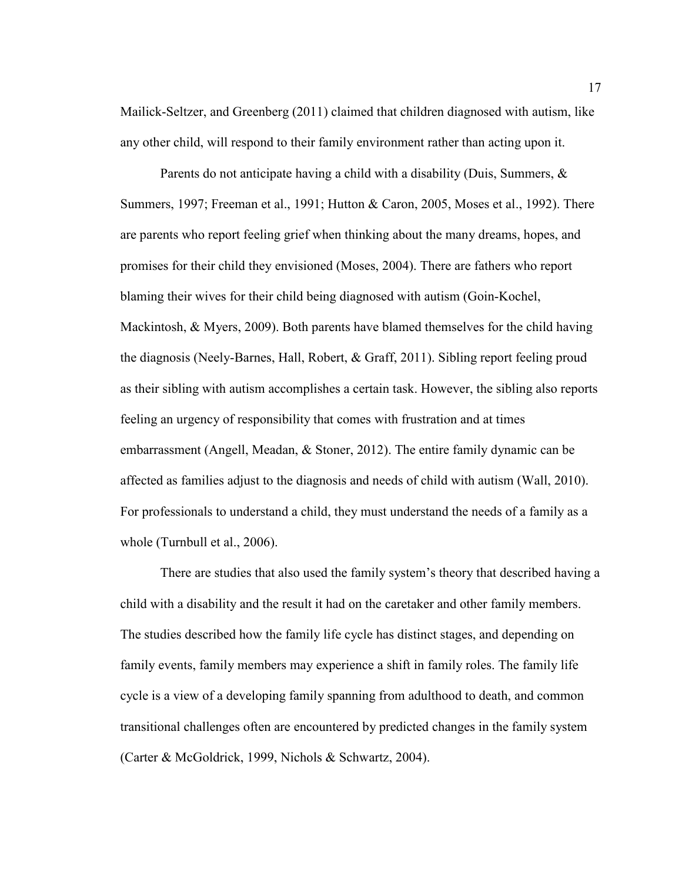Mailick-Seltzer, and Greenberg (2011) claimed that children diagnosed with autism, like any other child, will respond to their family environment rather than acting upon it.

Parents do not anticipate having a child with a disability (Duis, Summers, & Summers, 1997; Freeman et al., 1991; Hutton & Caron, 2005, Moses et al., 1992). There are parents who report feeling grief when thinking about the many dreams, hopes, and promises for their child they envisioned (Moses, 2004). There are fathers who report blaming their wives for their child being diagnosed with autism (Goin-Kochel, Mackintosh, & Myers, 2009). Both parents have blamed themselves for the child having the diagnosis (Neely-Barnes, Hall, Robert, & Graff, 2011). Sibling report feeling proud as their sibling with autism accomplishes a certain task. However, the sibling also reports feeling an urgency of responsibility that comes with frustration and at times embarrassment (Angell, Meadan, & Stoner, 2012). The entire family dynamic can be affected as families adjust to the diagnosis and needs of child with autism (Wall, 2010). For professionals to understand a child, they must understand the needs of a family as a whole (Turnbull et al., 2006).

There are studies that also used the family system's theory that described having a child with a disability and the result it had on the caretaker and other family members. The studies described how the family life cycle has distinct stages, and depending on family events, family members may experience a shift in family roles. The family life cycle is a view of a developing family spanning from adulthood to death, and common transitional challenges often are encountered by predicted changes in the family system (Carter & McGoldrick, 1999, Nichols & Schwartz, 2004).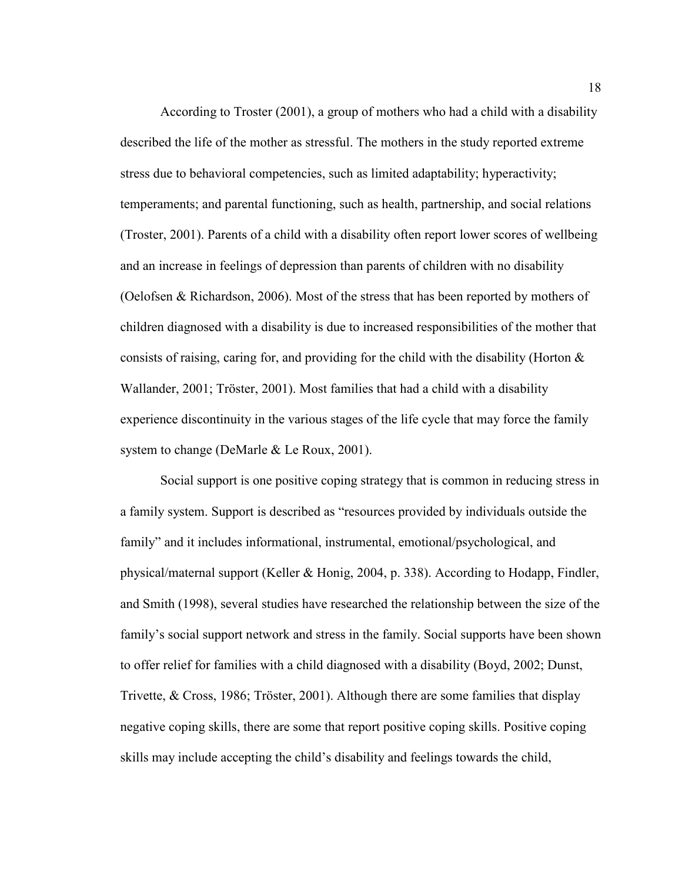According to Troster (2001), a group of mothers who had a child with a disability described the life of the mother as stressful. The mothers in the study reported extreme stress due to behavioral competencies, such as limited adaptability; hyperactivity; temperaments; and parental functioning, such as health, partnership, and social relations (Troster, 2001). Parents of a child with a disability often report lower scores of wellbeing and an increase in feelings of depression than parents of children with no disability (Oelofsen & Richardson, 2006). Most of the stress that has been reported by mothers of children diagnosed with a disability is due to increased responsibilities of the mother that consists of raising, caring for, and providing for the child with the disability (Horton  $\&$ Wallander, 2001; Tröster, 2001). Most families that had a child with a disability experience discontinuity in the various stages of the life cycle that may force the family system to change (DeMarle & Le Roux, 2001).

Social support is one positive coping strategy that is common in reducing stress in a family system. Support is described as "resources provided by individuals outside the family" and it includes informational, instrumental, emotional/psychological, and physical/maternal support (Keller & Honig, 2004, p. 338). According to Hodapp, Findler, and Smith (1998), several studies have researched the relationship between the size of the family's social support network and stress in the family. Social supports have been shown to offer relief for families with a child diagnosed with a disability (Boyd, 2002; Dunst, Trivette, & Cross, 1986; Tröster, 2001). Although there are some families that display negative coping skills, there are some that report positive coping skills. Positive coping skills may include accepting the child's disability and feelings towards the child,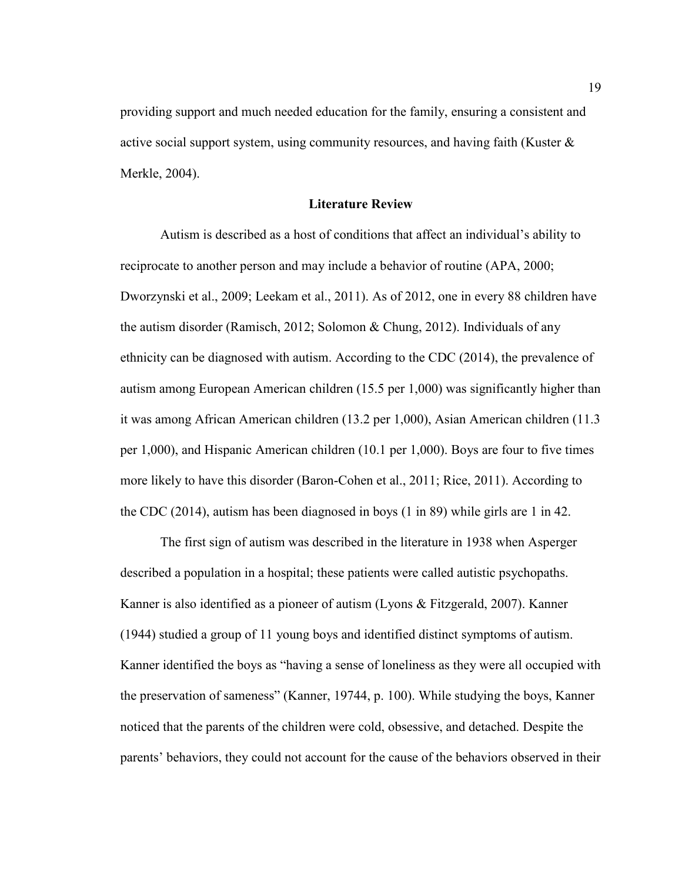providing support and much needed education for the family, ensuring a consistent and active social support system, using community resources, and having faith (Kuster & Merkle, 2004).

#### **Literature Review**

Autism is described as a host of conditions that affect an individual's ability to reciprocate to another person and may include a behavior of routine (APA, 2000; Dworzynski et al., 2009; Leekam et al., 2011). As of 2012, one in every 88 children have the autism disorder (Ramisch, 2012; Solomon & Chung, 2012). Individuals of any ethnicity can be diagnosed with autism. According to the CDC (2014), the prevalence of autism among European American children (15.5 per 1,000) was significantly higher than it was among African American children (13.2 per 1,000), Asian American children (11.3 per 1,000), and Hispanic American children (10.1 per 1,000). Boys are four to five times more likely to have this disorder (Baron-Cohen et al., 2011; Rice, 2011). According to the CDC (2014), autism has been diagnosed in boys (1 in 89) while girls are 1 in 42.

The first sign of autism was described in the literature in 1938 when Asperger described a population in a hospital; these patients were called autistic psychopaths. Kanner is also identified as a pioneer of autism (Lyons & Fitzgerald, 2007). Kanner (1944) studied a group of 11 young boys and identified distinct symptoms of autism. Kanner identified the boys as "having a sense of loneliness as they were all occupied with the preservation of sameness" (Kanner, 19744, p. 100). While studying the boys, Kanner noticed that the parents of the children were cold, obsessive, and detached. Despite the parents' behaviors, they could not account for the cause of the behaviors observed in their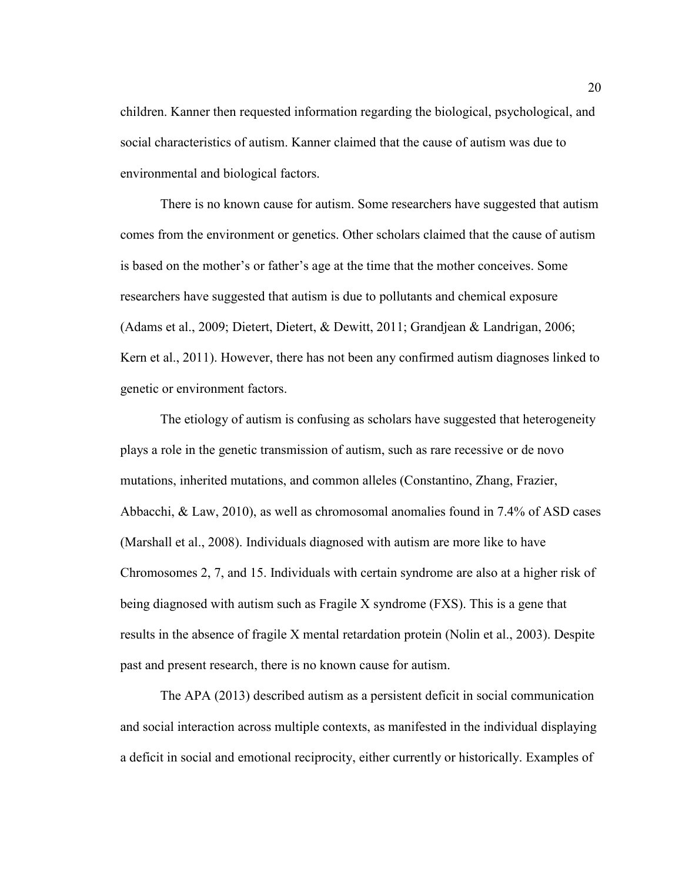children. Kanner then requested information regarding the biological, psychological, and social characteristics of autism. Kanner claimed that the cause of autism was due to environmental and biological factors.

There is no known cause for autism. Some researchers have suggested that autism comes from the environment or genetics. Other scholars claimed that the cause of autism is based on the mother's or father's age at the time that the mother conceives. Some researchers have suggested that autism is due to pollutants and chemical exposure (Adams et al., 2009; Dietert, Dietert, & Dewitt, 2011; Grandjean & Landrigan, 2006; Kern et al., 2011). However, there has not been any confirmed autism diagnoses linked to genetic or environment factors.

The etiology of autism is confusing as scholars have suggested that heterogeneity plays a role in the genetic transmission of autism, such as rare recessive or de novo mutations, inherited mutations, and common alleles (Constantino, Zhang, Frazier, Abbacchi, & Law, 2010), as well as chromosomal anomalies found in 7.4% of ASD cases (Marshall et al., 2008). Individuals diagnosed with autism are more like to have Chromosomes 2, 7, and 15. Individuals with certain syndrome are also at a higher risk of being diagnosed with autism such as Fragile X syndrome (FXS). This is a gene that results in the absence of fragile X mental retardation protein (Nolin et al., 2003). Despite past and present research, there is no known cause for autism.

The APA (2013) described autism as a persistent deficit in social communication and social interaction across multiple contexts, as manifested in the individual displaying a deficit in social and emotional reciprocity, either currently or historically. Examples of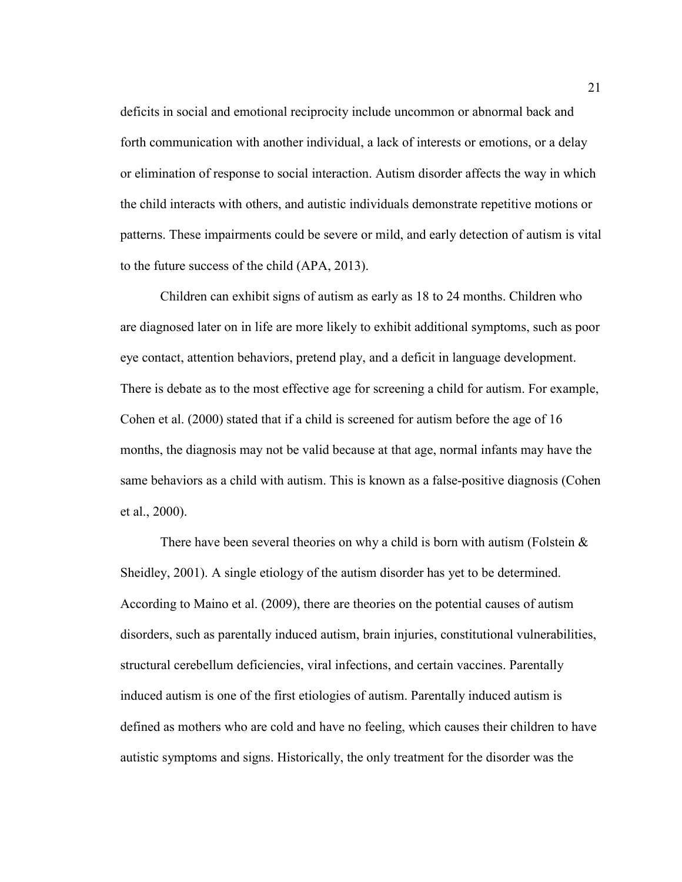deficits in social and emotional reciprocity include uncommon or abnormal back and forth communication with another individual, a lack of interests or emotions, or a delay or elimination of response to social interaction. Autism disorder affects the way in which the child interacts with others, and autistic individuals demonstrate repetitive motions or patterns. These impairments could be severe or mild, and early detection of autism is vital to the future success of the child (APA, 2013).

Children can exhibit signs of autism as early as 18 to 24 months. Children who are diagnosed later on in life are more likely to exhibit additional symptoms, such as poor eye contact, attention behaviors, pretend play, and a deficit in language development. There is debate as to the most effective age for screening a child for autism. For example, Cohen et al. (2000) stated that if a child is screened for autism before the age of 16 months, the diagnosis may not be valid because at that age, normal infants may have the same behaviors as a child with autism. This is known as a false-positive diagnosis (Cohen et al., 2000).

There have been several theories on why a child is born with autism (Folstein  $\&$ Sheidley, 2001). A single etiology of the autism disorder has yet to be determined. According to Maino et al. (2009), there are theories on the potential causes of autism disorders, such as parentally induced autism, brain injuries, constitutional vulnerabilities, structural cerebellum deficiencies, viral infections, and certain vaccines. Parentally induced autism is one of the first etiologies of autism. Parentally induced autism is defined as mothers who are cold and have no feeling, which causes their children to have autistic symptoms and signs. Historically, the only treatment for the disorder was the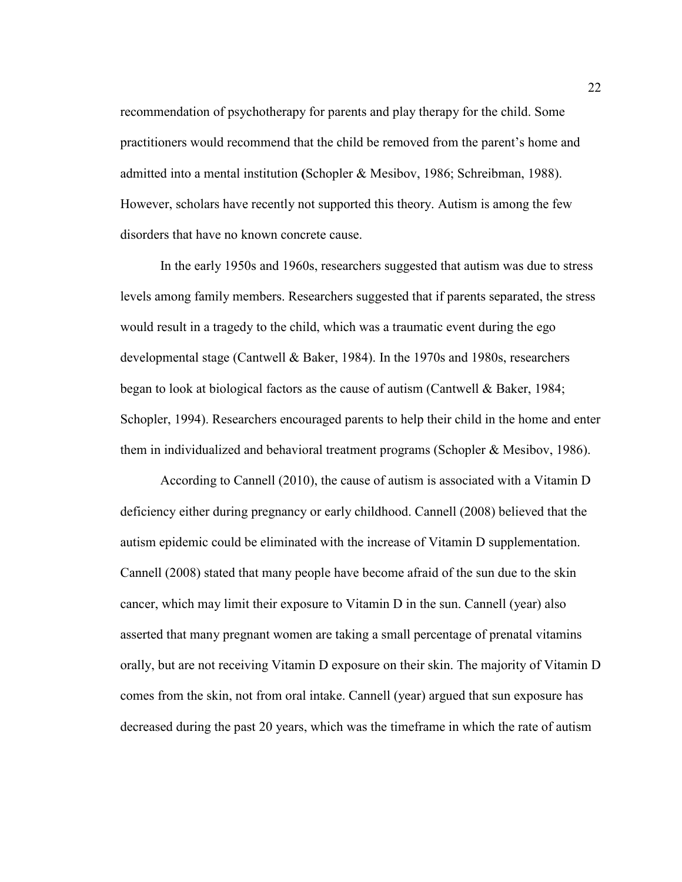recommendation of psychotherapy for parents and play therapy for the child. Some practitioners would recommend that the child be removed from the parent's home and admitted into a mental institution **(**Schopler & Mesibov, 1986; Schreibman, 1988). However, scholars have recently not supported this theory. Autism is among the few disorders that have no known concrete cause.

In the early 1950s and 1960s, researchers suggested that autism was due to stress levels among family members. Researchers suggested that if parents separated, the stress would result in a tragedy to the child, which was a traumatic event during the ego developmental stage (Cantwell & Baker, 1984). In the 1970s and 1980s, researchers began to look at biological factors as the cause of autism (Cantwell & Baker, 1984; Schopler, 1994). Researchers encouraged parents to help their child in the home and enter them in individualized and behavioral treatment programs (Schopler & Mesibov, 1986).

According to Cannell (2010), the cause of autism is associated with a Vitamin D deficiency either during pregnancy or early childhood. Cannell (2008) believed that the autism epidemic could be eliminated with the increase of Vitamin D supplementation. Cannell (2008) stated that many people have become afraid of the sun due to the skin cancer, which may limit their exposure to Vitamin D in the sun. Cannell (year) also asserted that many pregnant women are taking a small percentage of prenatal vitamins orally, but are not receiving Vitamin D exposure on their skin. The majority of Vitamin D comes from the skin, not from oral intake. Cannell (year) argued that sun exposure has decreased during the past 20 years, which was the timeframe in which the rate of autism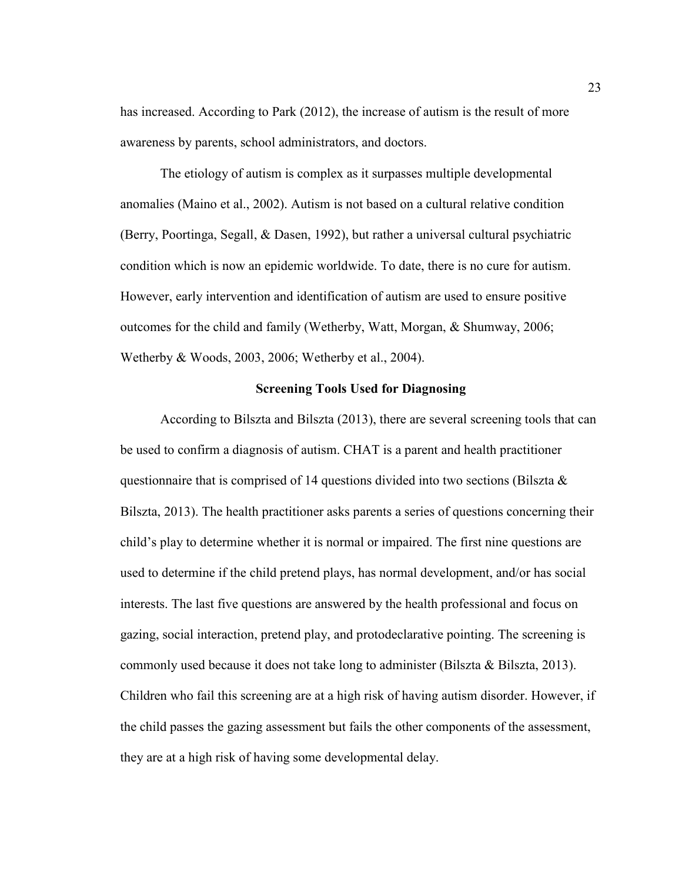has increased. According to Park (2012), the increase of autism is the result of more awareness by parents, school administrators, and doctors.

The etiology of autism is complex as it surpasses multiple developmental anomalies (Maino et al., 2002). Autism is not based on a cultural relative condition (Berry, Poortinga, Segall, & Dasen, 1992), but rather a universal cultural psychiatric condition which is now an epidemic worldwide. To date, there is no cure for autism. However, early intervention and identification of autism are used to ensure positive outcomes for the child and family (Wetherby, Watt, Morgan, & Shumway, 2006; Wetherby & Woods, 2003, 2006; Wetherby et al., 2004).

#### **Screening Tools Used for Diagnosing**

According to Bilszta and Bilszta (2013), there are several screening tools that can be used to confirm a diagnosis of autism. CHAT is a parent and health practitioner questionnaire that is comprised of 14 questions divided into two sections (Bilszta  $\&$ Bilszta, 2013). The health practitioner asks parents a series of questions concerning their child's play to determine whether it is normal or impaired. The first nine questions are used to determine if the child pretend plays, has normal development, and/or has social interests. The last five questions are answered by the health professional and focus on gazing, social interaction, pretend play, and protodeclarative pointing. The screening is commonly used because it does not take long to administer (Bilszta & Bilszta, 2013). Children who fail this screening are at a high risk of having autism disorder. However, if the child passes the gazing assessment but fails the other components of the assessment, they are at a high risk of having some developmental delay.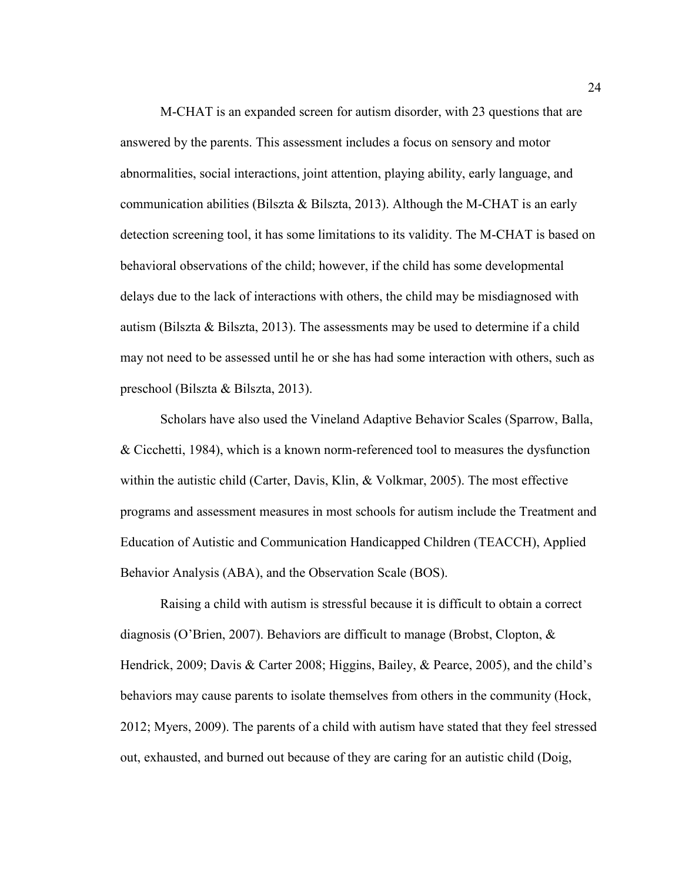M-CHAT is an expanded screen for autism disorder, with 23 questions that are answered by the parents. This assessment includes a focus on sensory and motor abnormalities, social interactions, joint attention, playing ability, early language, and communication abilities (Bilszta & Bilszta, 2013). Although the M-CHAT is an early detection screening tool, it has some limitations to its validity. The M-CHAT is based on behavioral observations of the child; however, if the child has some developmental delays due to the lack of interactions with others, the child may be misdiagnosed with autism (Bilszta & Bilszta, 2013). The assessments may be used to determine if a child may not need to be assessed until he or she has had some interaction with others, such as preschool (Bilszta & Bilszta, 2013).

Scholars have also used the Vineland Adaptive Behavior Scales (Sparrow, Balla, & Cicchetti, 1984), which is a known norm-referenced tool to measures the dysfunction within the autistic child (Carter, Davis, Klin, & Volkmar, 2005). The most effective programs and assessment measures in most schools for autism include the Treatment and Education of Autistic and Communication Handicapped Children (TEACCH), Applied Behavior Analysis (ABA), and the Observation Scale (BOS).

Raising a child with autism is stressful because it is difficult to obtain a correct diagnosis (O'Brien, 2007). Behaviors are difficult to manage (Brobst, Clopton, & Hendrick, 2009; Davis & Carter 2008; Higgins, Bailey, & Pearce, 2005), and the child's behaviors may cause parents to isolate themselves from others in the community (Hock, 2012; Myers, 2009). The parents of a child with autism have stated that they feel stressed out, exhausted, and burned out because of they are caring for an autistic child (Doig,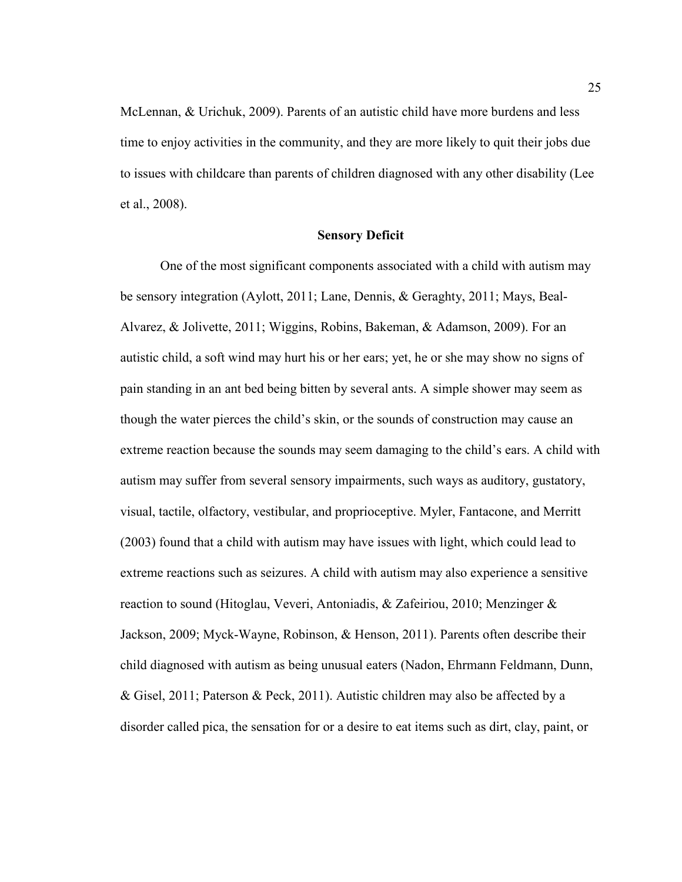McLennan, & Urichuk, 2009). Parents of an autistic child have more burdens and less time to enjoy activities in the community, and they are more likely to quit their jobs due to issues with childcare than parents of children diagnosed with any other disability (Lee et al., 2008).

#### **Sensory Deficit**

One of the most significant components associated with a child with autism may be sensory integration (Aylott, 2011; Lane, Dennis, & Geraghty, 2011; Mays, Beal-Alvarez, & Jolivette, 2011; Wiggins, Robins, Bakeman, & Adamson, 2009). For an autistic child, a soft wind may hurt his or her ears; yet, he or she may show no signs of pain standing in an ant bed being bitten by several ants. A simple shower may seem as though the water pierces the child's skin, or the sounds of construction may cause an extreme reaction because the sounds may seem damaging to the child's ears. A child with autism may suffer from several sensory impairments, such ways as auditory, gustatory, visual, tactile, olfactory, vestibular, and proprioceptive. Myler, Fantacone, and Merritt (2003) found that a child with autism may have issues with light, which could lead to extreme reactions such as seizures. A child with autism may also experience a sensitive reaction to sound (Hitoglau, Veveri, Antoniadis, & Zafeiriou, 2010; Menzinger & Jackson, 2009; Myck-Wayne, Robinson, & Henson, 2011). Parents often describe their child diagnosed with autism as being unusual eaters (Nadon, Ehrmann Feldmann, Dunn, & Gisel, 2011; Paterson & Peck, 2011). Autistic children may also be affected by a disorder called pica, the sensation for or a desire to eat items such as dirt, clay, paint, or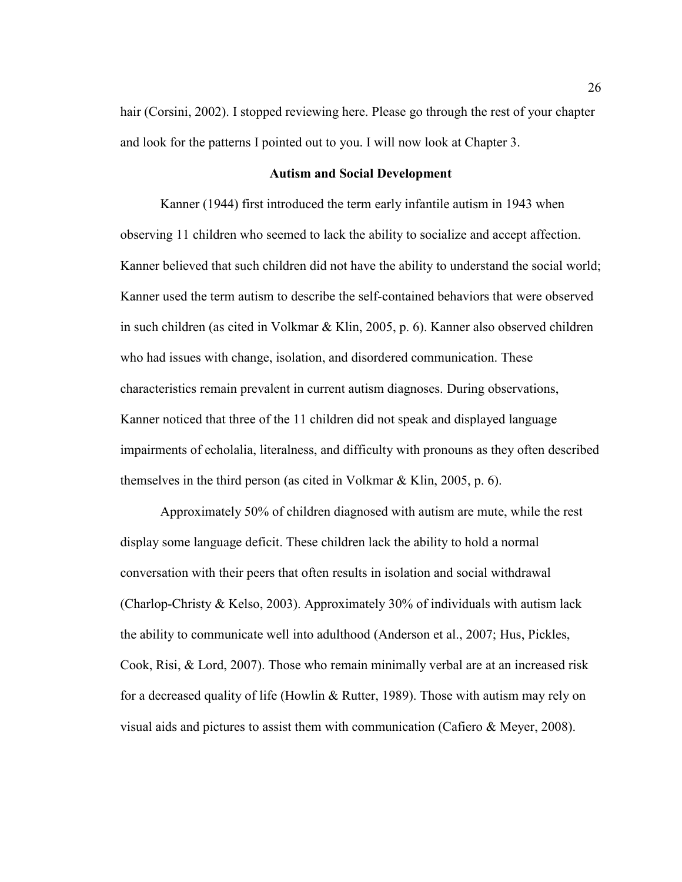hair (Corsini, 2002). I stopped reviewing here. Please go through the rest of your chapter and look for the patterns I pointed out to you. I will now look at Chapter 3.

### **Autism and Social Development**

Kanner (1944) first introduced the term early infantile autism in 1943 when observing 11 children who seemed to lack the ability to socialize and accept affection. Kanner believed that such children did not have the ability to understand the social world; Kanner used the term autism to describe the self-contained behaviors that were observed in such children (as cited in Volkmar & Klin, 2005, p. 6). Kanner also observed children who had issues with change, isolation, and disordered communication. These characteristics remain prevalent in current autism diagnoses. During observations, Kanner noticed that three of the 11 children did not speak and displayed language impairments of echolalia, literalness, and difficulty with pronouns as they often described themselves in the third person (as cited in Volkmar & Klin, 2005, p. 6).

Approximately 50% of children diagnosed with autism are mute, while the rest display some language deficit. These children lack the ability to hold a normal conversation with their peers that often results in isolation and social withdrawal (Charlop-Christy & Kelso, 2003). Approximately 30% of individuals with autism lack the ability to communicate well into adulthood (Anderson et al., 2007; Hus, Pickles, Cook, Risi, & Lord, 2007). Those who remain minimally verbal are at an increased risk for a decreased quality of life (Howlin & Rutter, 1989). Those with autism may rely on visual aids and pictures to assist them with communication (Cafiero & Meyer, 2008).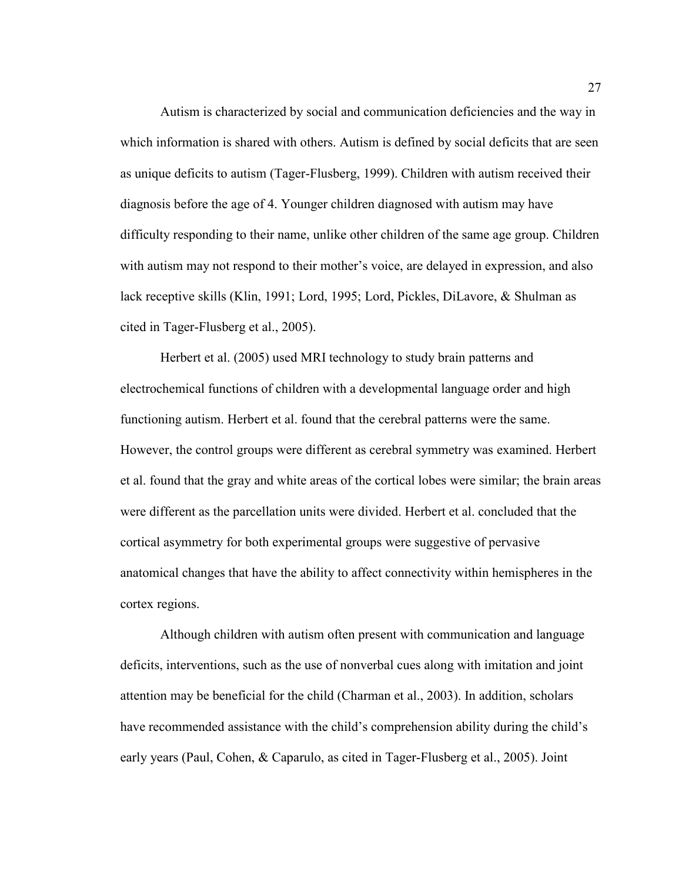Autism is characterized by social and communication deficiencies and the way in which information is shared with others. Autism is defined by social deficits that are seen as unique deficits to autism (Tager-Flusberg, 1999). Children with autism received their diagnosis before the age of 4. Younger children diagnosed with autism may have difficulty responding to their name, unlike other children of the same age group. Children with autism may not respond to their mother's voice, are delayed in expression, and also lack receptive skills (Klin, 1991; Lord, 1995; Lord, Pickles, DiLavore, & Shulman as cited in Tager-Flusberg et al., 2005).

Herbert et al. (2005) used MRI technology to study brain patterns and electrochemical functions of children with a developmental language order and high functioning autism. Herbert et al. found that the cerebral patterns were the same. However, the control groups were different as cerebral symmetry was examined. Herbert et al. found that the gray and white areas of the cortical lobes were similar; the brain areas were different as the parcellation units were divided. Herbert et al. concluded that the cortical asymmetry for both experimental groups were suggestive of pervasive anatomical changes that have the ability to affect connectivity within hemispheres in the cortex regions.

Although children with autism often present with communication and language deficits, interventions, such as the use of nonverbal cues along with imitation and joint attention may be beneficial for the child (Charman et al., 2003). In addition, scholars have recommended assistance with the child's comprehension ability during the child's early years (Paul, Cohen, & Caparulo, as cited in Tager-Flusberg et al., 2005). Joint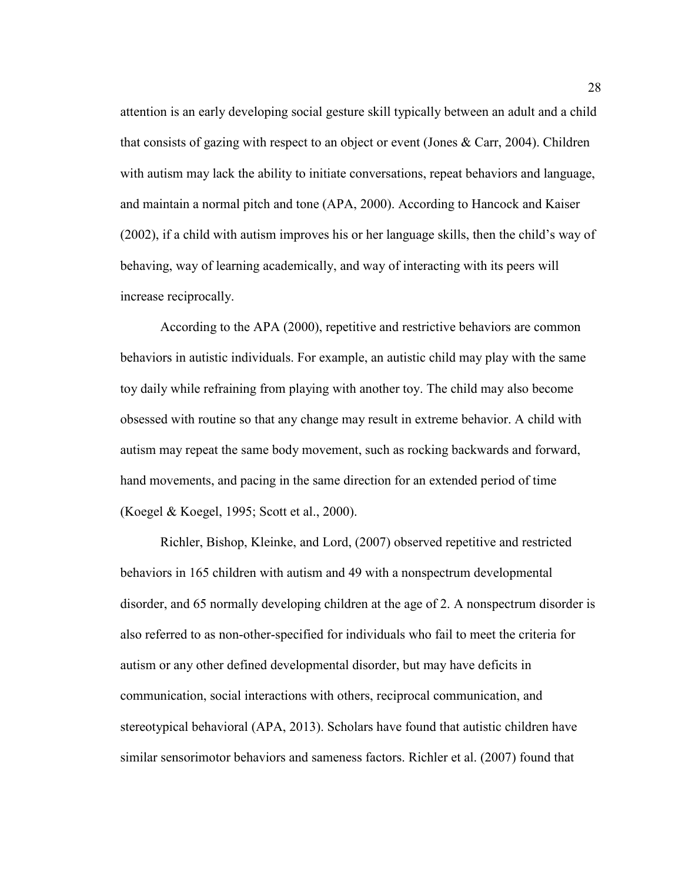attention is an early developing social gesture skill typically between an adult and a child that consists of gazing with respect to an object or event (Jones & Carr, 2004). Children with autism may lack the ability to initiate conversations, repeat behaviors and language, and maintain a normal pitch and tone (APA, 2000). According to Hancock and Kaiser (2002), if a child with autism improves his or her language skills, then the child's way of behaving, way of learning academically, and way of interacting with its peers will increase reciprocally.

According to the APA (2000), repetitive and restrictive behaviors are common behaviors in autistic individuals. For example, an autistic child may play with the same toy daily while refraining from playing with another toy. The child may also become obsessed with routine so that any change may result in extreme behavior. A child with autism may repeat the same body movement, such as rocking backwards and forward, hand movements, and pacing in the same direction for an extended period of time (Koegel & Koegel, 1995; Scott et al., 2000).

Richler, Bishop, Kleinke, and Lord, (2007) observed repetitive and restricted behaviors in 165 children with autism and 49 with a nonspectrum developmental disorder, and 65 normally developing children at the age of 2. A nonspectrum disorder is also referred to as non-other-specified for individuals who fail to meet the criteria for autism or any other defined developmental disorder, but may have deficits in communication, social interactions with others, reciprocal communication, and stereotypical behavioral (APA, 2013). Scholars have found that autistic children have similar sensorimotor behaviors and sameness factors. Richler et al. (2007) found that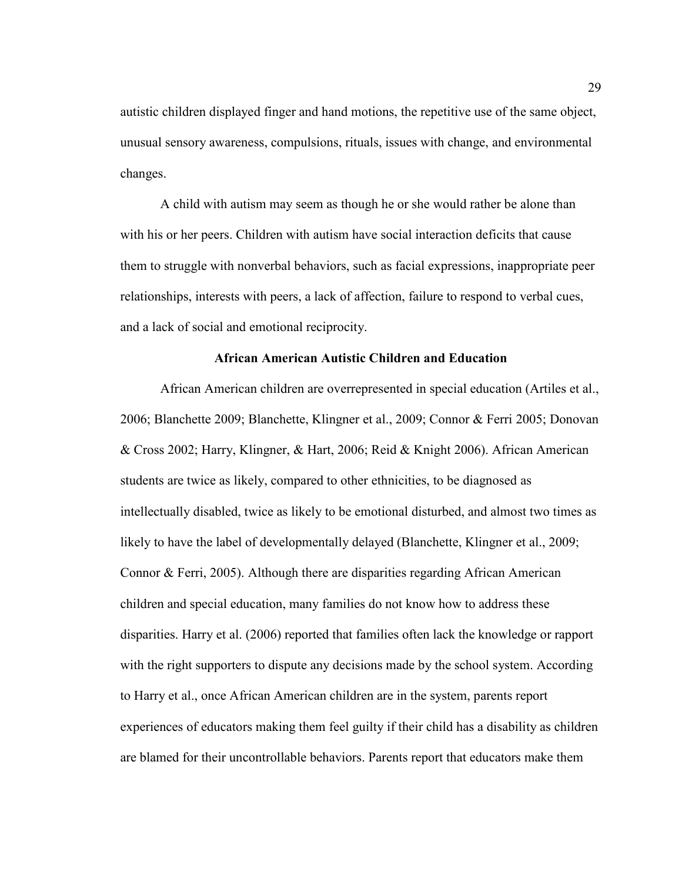autistic children displayed finger and hand motions, the repetitive use of the same object, unusual sensory awareness, compulsions, rituals, issues with change, and environmental changes.

A child with autism may seem as though he or she would rather be alone than with his or her peers. Children with autism have social interaction deficits that cause them to struggle with nonverbal behaviors, such as facial expressions, inappropriate peer relationships, interests with peers, a lack of affection, failure to respond to verbal cues, and a lack of social and emotional reciprocity.

## **African American Autistic Children and Education**

African American children are overrepresented in special education (Artiles et al., 2006; Blanchette 2009; Blanchette, Klingner et al., 2009; Connor & Ferri 2005; Donovan & Cross 2002; Harry, Klingner, & Hart, 2006; Reid & Knight 2006). African American students are twice as likely, compared to other ethnicities, to be diagnosed as intellectually disabled, twice as likely to be emotional disturbed, and almost two times as likely to have the label of developmentally delayed (Blanchette, Klingner et al., 2009; Connor & Ferri, 2005). Although there are disparities regarding African American children and special education, many families do not know how to address these disparities. Harry et al. (2006) reported that families often lack the knowledge or rapport with the right supporters to dispute any decisions made by the school system. According to Harry et al., once African American children are in the system, parents report experiences of educators making them feel guilty if their child has a disability as children are blamed for their uncontrollable behaviors. Parents report that educators make them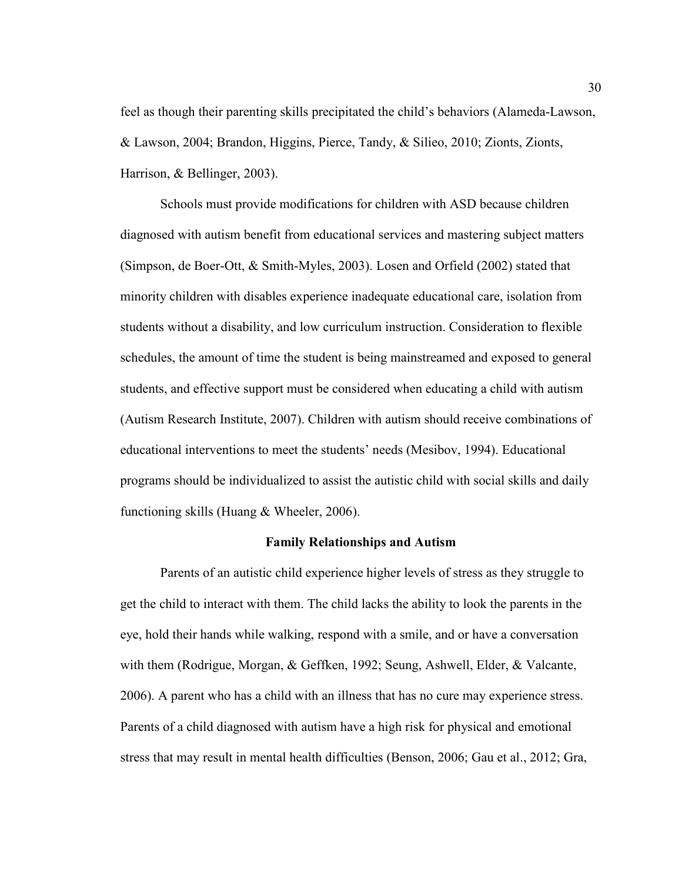feel as though their parenting skills precipitated the child's behaviors (Alameda-Lawson, & Lawson, 2004; Brandon, Higgins, Pierce, Tandy, & Silieo, 2010; Zionts, Zionts, Harrison, & Bellinger, 2003).

Schools must provide modifications for children with ASD because children diagnosed with autism benefit from educational services and mastering subject matters (Simpson, de Boer-Ott, & Smith-Myles, 2003). Losen and Orfield (2002) stated that minority children with disables experience inadequate educational care, isolation from students without a disability, and low curriculum instruction. Consideration to flexible schedules, the amount of time the student is being mainstreamed and exposed to general students, and effective support must be considered when educating a child with autism (Autism Research Institute, 2007). Children with autism should receive combinations of educational interventions to meet the students' needs (Mesibov, 1994). Educational programs should be individualized to assist the autistic child with social skills and daily functioning skills (Huang & Wheeler, 2006).

## **Family Relationships and Autism**

Parents of an autistic child experience higher levels of stress as they struggle to get the child to interact with them. The child lacks the ability to look the parents in the eye, hold their hands while walking, respond with a smile, and or have a conversation with them (Rodrigue, Morgan, & Geffken, 1992; Seung, Ashwell, Elder, & Valcante, 2006). A parent who has a child with an illness that has no cure may experience stress. Parents of a child diagnosed with autism have a high risk for physical and emotional stress that may result in mental health difficulties (Benson, 2006; Gau et al., 2012; Gra,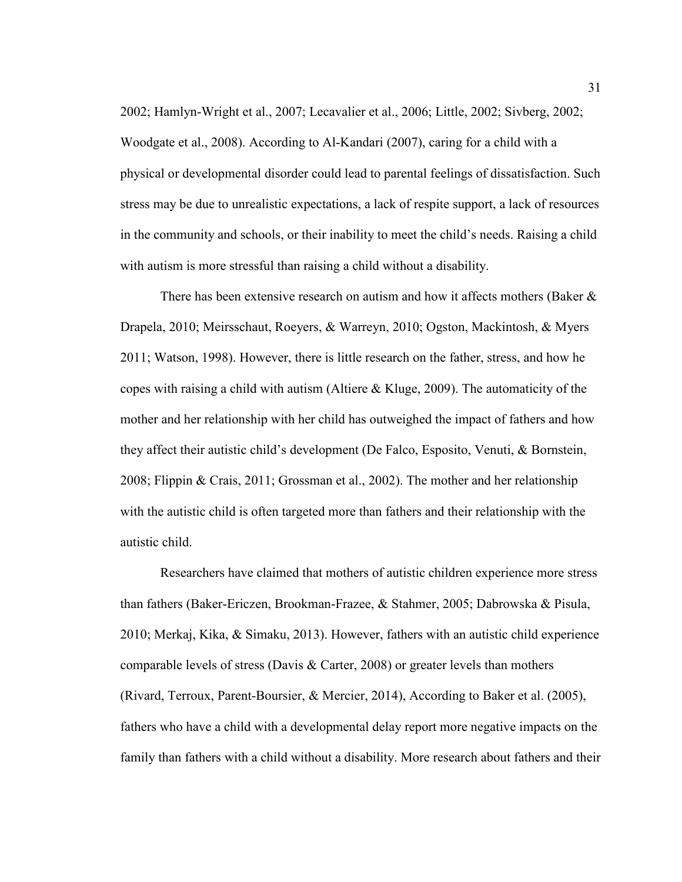2002; Hamlyn-Wright et al., 2007; Lecavalier et al., 2006; Little, 2002; Sivberg, 2002; Woodgate et al., 2008). According to Al-Kandari (2007), caring for a child with a physical or developmental disorder could lead to parental feelings of dissatisfaction. Such stress may be due to unrealistic expectations, a lack of respite support, a lack of resources in the community and schools, or their inability to meet the child's needs. Raising a child with autism is more stressful than raising a child without a disability.

There has been extensive research on autism and how it affects mothers (Baker  $\&$ Drapela, 2010; Meirsschaut, Roeyers, & Warreyn, 2010; Ogston, Mackintosh, & Myers 2011; Watson, 1998). However, there is little research on the father, stress, and how he copes with raising a child with autism (Altiere & Kluge, 2009). The automaticity of the mother and her relationship with her child has outweighed the impact of fathers and how they affect their autistic child's development (De Falco, Esposito, Venuti, & Bornstein, 2008; Flippin & Crais, 2011; Grossman et al., 2002). The mother and her relationship with the autistic child is often targeted more than fathers and their relationship with the autistic child.

Researchers have claimed that mothers of autistic children experience more stress than fathers (Baker-Ericzen, Brookman-Frazee, & Stahmer, 2005; Dabrowska & Pisula, 2010; Merkaj, Kika, & Simaku, 2013). However, fathers with an autistic child experience comparable levels of stress (Davis  $\&$  Carter, 2008) or greater levels than mothers (Rivard, Terroux, Parent-Boursier, & Mercier, 2014), According to Baker et al. (2005), fathers who have a child with a developmental delay report more negative impacts on the family than fathers with a child without a disability. More research about fathers and their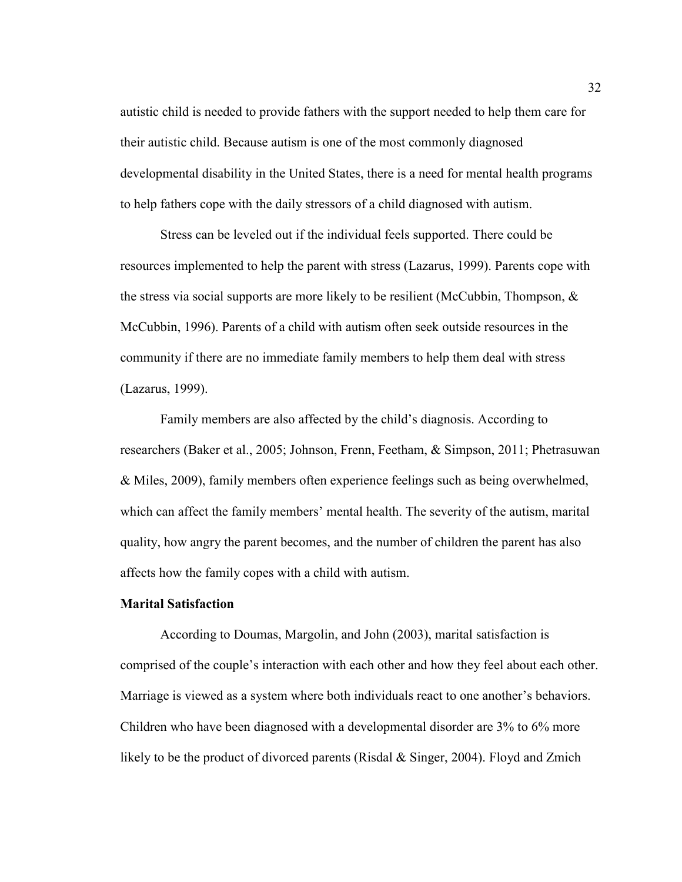autistic child is needed to provide fathers with the support needed to help them care for their autistic child. Because autism is one of the most commonly diagnosed developmental disability in the United States, there is a need for mental health programs to help fathers cope with the daily stressors of a child diagnosed with autism.

Stress can be leveled out if the individual feels supported. There could be resources implemented to help the parent with stress (Lazarus, 1999). Parents cope with the stress via social supports are more likely to be resilient (McCubbin, Thompson,  $\&$ McCubbin, 1996). Parents of a child with autism often seek outside resources in the community if there are no immediate family members to help them deal with stress (Lazarus, 1999).

Family members are also affected by the child's diagnosis. According to researchers (Baker et al., 2005; Johnson, Frenn, Feetham, & Simpson, 2011; Phetrasuwan & Miles, 2009), family members often experience feelings such as being overwhelmed, which can affect the family members' mental health. The severity of the autism, marital quality, how angry the parent becomes, and the number of children the parent has also affects how the family copes with a child with autism.

#### **Marital Satisfaction**

According to Doumas, Margolin, and John (2003), marital satisfaction is comprised of the couple's interaction with each other and how they feel about each other. Marriage is viewed as a system where both individuals react to one another's behaviors. Children who have been diagnosed with a developmental disorder are 3% to 6% more likely to be the product of divorced parents (Risdal & Singer, 2004). Floyd and Zmich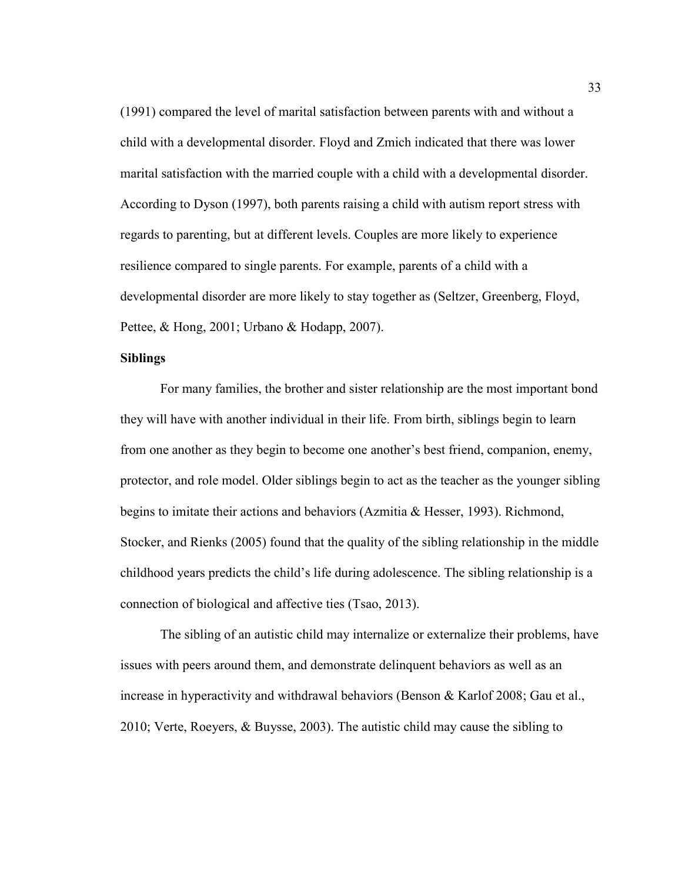(1991) compared the level of marital satisfaction between parents with and without a child with a developmental disorder. Floyd and Zmich indicated that there was lower marital satisfaction with the married couple with a child with a developmental disorder. According to Dyson (1997), both parents raising a child with autism report stress with regards to parenting, but at different levels. Couples are more likely to experience resilience compared to single parents. For example, parents of a child with a developmental disorder are more likely to stay together as (Seltzer, Greenberg, Floyd, Pettee, & Hong, 2001; Urbano & Hodapp, 2007).

#### **Siblings**

For many families, the brother and sister relationship are the most important bond they will have with another individual in their life. From birth, siblings begin to learn from one another as they begin to become one another's best friend, companion, enemy, protector, and role model. Older siblings begin to act as the teacher as the younger sibling begins to imitate their actions and behaviors (Azmitia & Hesser, 1993). Richmond, Stocker, and Rienks (2005) found that the quality of the sibling relationship in the middle childhood years predicts the child's life during adolescence. The sibling relationship is a connection of biological and affective ties (Tsao, 2013).

The sibling of an autistic child may internalize or externalize their problems, have issues with peers around them, and demonstrate delinquent behaviors as well as an increase in hyperactivity and withdrawal behaviors (Benson & Karlof 2008; Gau et al., 2010; Verte, Roeyers, & Buysse, 2003). The autistic child may cause the sibling to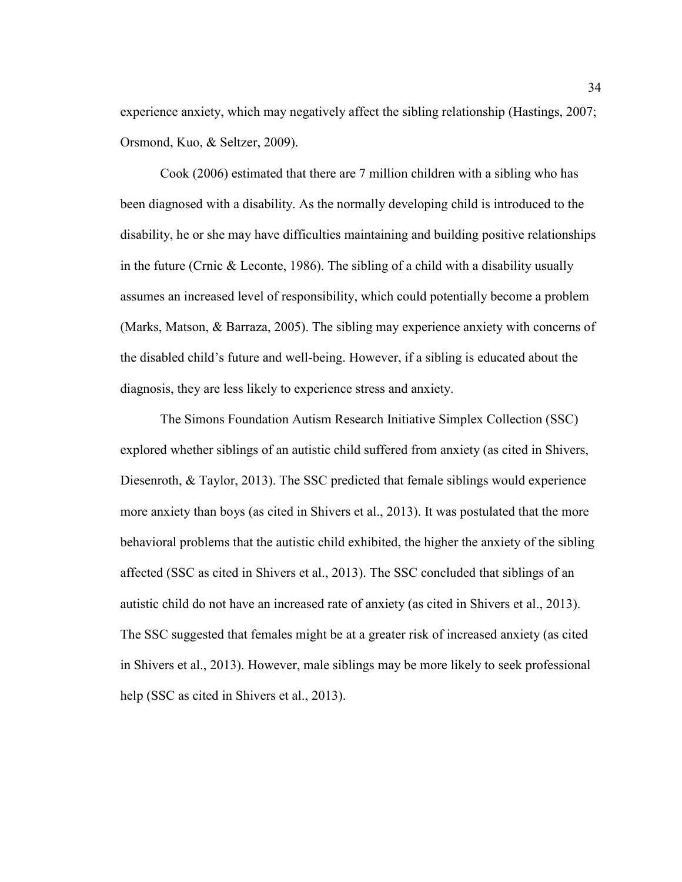experience anxiety, which may negatively affect the sibling relationship (Hastings, 2007; Orsmond, Kuo, & Seltzer, 2009).

Cook (2006) estimated that there are 7 million children with a sibling who has been diagnosed with a disability. As the normally developing child is introduced to the disability, he or she may have difficulties maintaining and building positive relationships in the future (Crnic & Leconte, 1986). The sibling of a child with a disability usually assumes an increased level of responsibility, which could potentially become a problem (Marks, Matson, & Barraza, 2005). The sibling may experience anxiety with concerns of the disabled child's future and well-being. However, if a sibling is educated about the diagnosis, they are less likely to experience stress and anxiety.

 The Simons Foundation Autism Research Initiative Simplex Collection (SSC) explored whether siblings of an autistic child suffered from anxiety (as cited in Shivers, Diesenroth, & Taylor, 2013). The SSC predicted that female siblings would experience more anxiety than boys (as cited in Shivers et al., 2013). It was postulated that the more behavioral problems that the autistic child exhibited, the higher the anxiety of the sibling affected (SSC as cited in Shivers et al., 2013). The SSC concluded that siblings of an autistic child do not have an increased rate of anxiety (as cited in Shivers et al., 2013). The SSC suggested that females might be at a greater risk of increased anxiety (as cited in Shivers et al., 2013). However, male siblings may be more likely to seek professional help (SSC as cited in Shivers et al., 2013).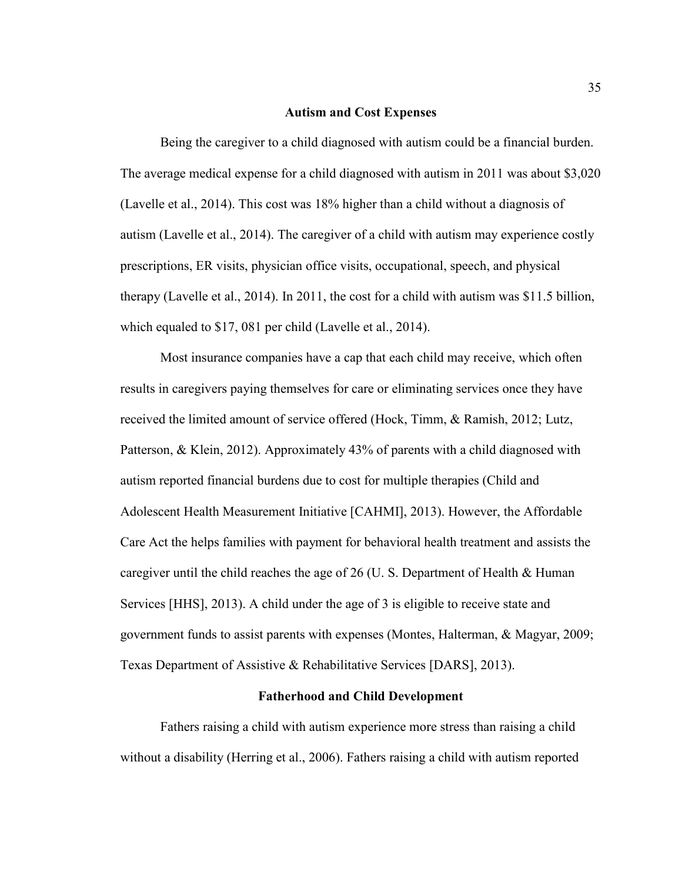#### **Autism and Cost Expenses**

 Being the caregiver to a child diagnosed with autism could be a financial burden. The average medical expense for a child diagnosed with autism in 2011 was about \$3,020 (Lavelle et al., 2014). This cost was 18% higher than a child without a diagnosis of autism (Lavelle et al., 2014). The caregiver of a child with autism may experience costly prescriptions, ER visits, physician office visits, occupational, speech, and physical therapy (Lavelle et al., 2014). In 2011, the cost for a child with autism was \$11.5 billion, which equaled to \$17, 081 per child (Lavelle et al., 2014).

 Most insurance companies have a cap that each child may receive, which often results in caregivers paying themselves for care or eliminating services once they have received the limited amount of service offered (Hock, Timm, & Ramish, 2012; Lutz, Patterson, & Klein, 2012). Approximately 43% of parents with a child diagnosed with autism reported financial burdens due to cost for multiple therapies (Child and Adolescent Health Measurement Initiative [CAHMI], 2013). However, the Affordable Care Act the helps families with payment for behavioral health treatment and assists the caregiver until the child reaches the age of 26 (U. S. Department of Health & Human Services [HHS], 2013). A child under the age of 3 is eligible to receive state and government funds to assist parents with expenses (Montes, Halterman, & Magyar, 2009; Texas Department of Assistive & Rehabilitative Services [DARS], 2013).

#### **Fatherhood and Child Development**

Fathers raising a child with autism experience more stress than raising a child without a disability (Herring et al., 2006). Fathers raising a child with autism reported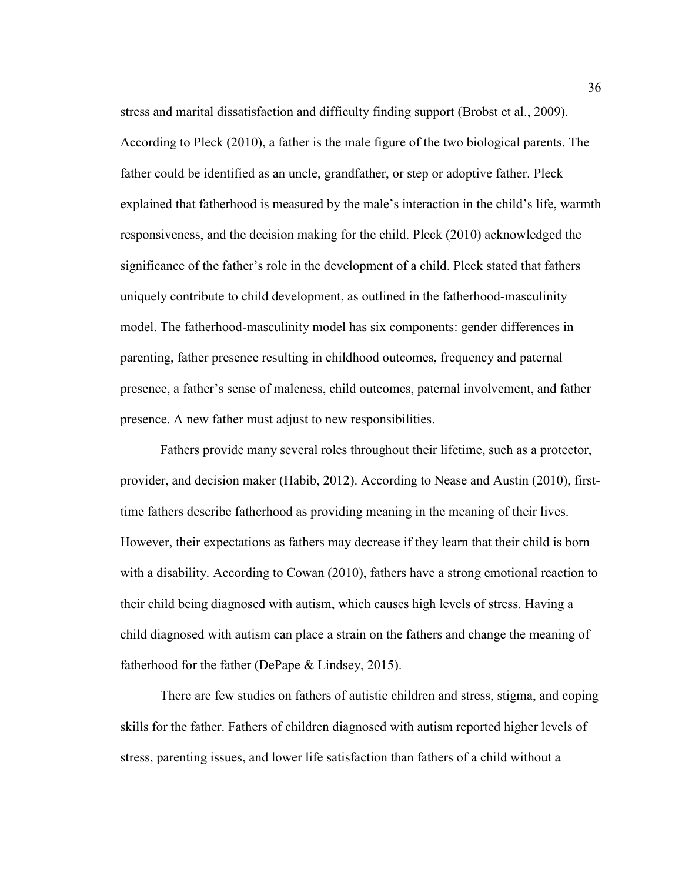stress and marital dissatisfaction and difficulty finding support (Brobst et al., 2009). According to Pleck (2010), a father is the male figure of the two biological parents. The father could be identified as an uncle, grandfather, or step or adoptive father. Pleck explained that fatherhood is measured by the male's interaction in the child's life, warmth responsiveness, and the decision making for the child. Pleck (2010) acknowledged the significance of the father's role in the development of a child. Pleck stated that fathers uniquely contribute to child development, as outlined in the fatherhood-masculinity model. The fatherhood-masculinity model has six components: gender differences in parenting, father presence resulting in childhood outcomes, frequency and paternal presence, a father's sense of maleness, child outcomes, paternal involvement, and father presence. A new father must adjust to new responsibilities.

Fathers provide many several roles throughout their lifetime, such as a protector, provider, and decision maker (Habib, 2012). According to Nease and Austin (2010), firsttime fathers describe fatherhood as providing meaning in the meaning of their lives. However, their expectations as fathers may decrease if they learn that their child is born with a disability. According to Cowan (2010), fathers have a strong emotional reaction to their child being diagnosed with autism, which causes high levels of stress. Having a child diagnosed with autism can place a strain on the fathers and change the meaning of fatherhood for the father (DePape & Lindsey, 2015).

 There are few studies on fathers of autistic children and stress, stigma, and coping skills for the father. Fathers of children diagnosed with autism reported higher levels of stress, parenting issues, and lower life satisfaction than fathers of a child without a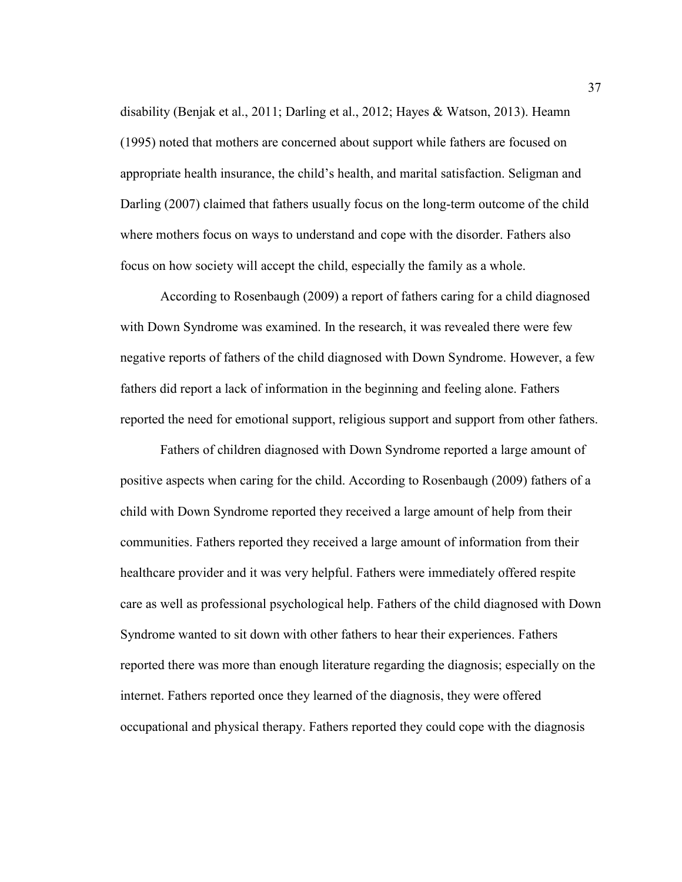disability (Benjak et al., 2011; Darling et al., 2012; Hayes & Watson, 2013). Heamn (1995) noted that mothers are concerned about support while fathers are focused on appropriate health insurance, the child's health, and marital satisfaction. Seligman and Darling (2007) claimed that fathers usually focus on the long-term outcome of the child where mothers focus on ways to understand and cope with the disorder. Fathers also focus on how society will accept the child, especially the family as a whole.

 According to Rosenbaugh (2009) a report of fathers caring for a child diagnosed with Down Syndrome was examined. In the research, it was revealed there were few negative reports of fathers of the child diagnosed with Down Syndrome. However, a few fathers did report a lack of information in the beginning and feeling alone. Fathers reported the need for emotional support, religious support and support from other fathers.

Fathers of children diagnosed with Down Syndrome reported a large amount of positive aspects when caring for the child. According to Rosenbaugh (2009) fathers of a child with Down Syndrome reported they received a large amount of help from their communities. Fathers reported they received a large amount of information from their healthcare provider and it was very helpful. Fathers were immediately offered respite care as well as professional psychological help. Fathers of the child diagnosed with Down Syndrome wanted to sit down with other fathers to hear their experiences. Fathers reported there was more than enough literature regarding the diagnosis; especially on the internet. Fathers reported once they learned of the diagnosis, they were offered occupational and physical therapy. Fathers reported they could cope with the diagnosis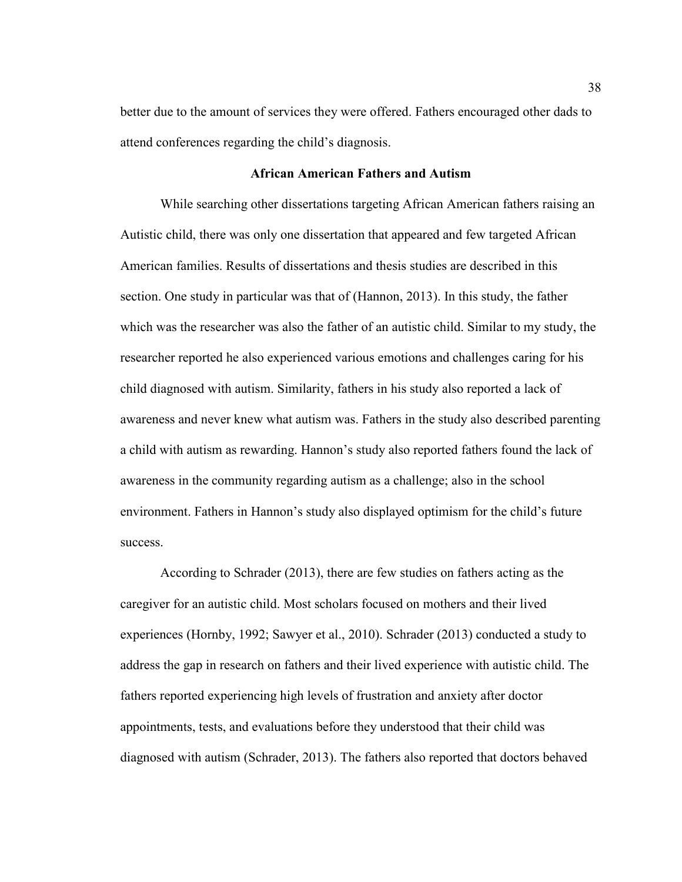better due to the amount of services they were offered. Fathers encouraged other dads to attend conferences regarding the child's diagnosis.

## **African American Fathers and Autism**

While searching other dissertations targeting African American fathers raising an Autistic child, there was only one dissertation that appeared and few targeted African American families. Results of dissertations and thesis studies are described in this section. One study in particular was that of (Hannon, 2013). In this study, the father which was the researcher was also the father of an autistic child. Similar to my study, the researcher reported he also experienced various emotions and challenges caring for his child diagnosed with autism. Similarity, fathers in his study also reported a lack of awareness and never knew what autism was. Fathers in the study also described parenting a child with autism as rewarding. Hannon's study also reported fathers found the lack of awareness in the community regarding autism as a challenge; also in the school environment. Fathers in Hannon's study also displayed optimism for the child's future success.

According to Schrader (2013), there are few studies on fathers acting as the caregiver for an autistic child. Most scholars focused on mothers and their lived experiences (Hornby, 1992; Sawyer et al., 2010). Schrader (2013) conducted a study to address the gap in research on fathers and their lived experience with autistic child. The fathers reported experiencing high levels of frustration and anxiety after doctor appointments, tests, and evaluations before they understood that their child was diagnosed with autism (Schrader, 2013). The fathers also reported that doctors behaved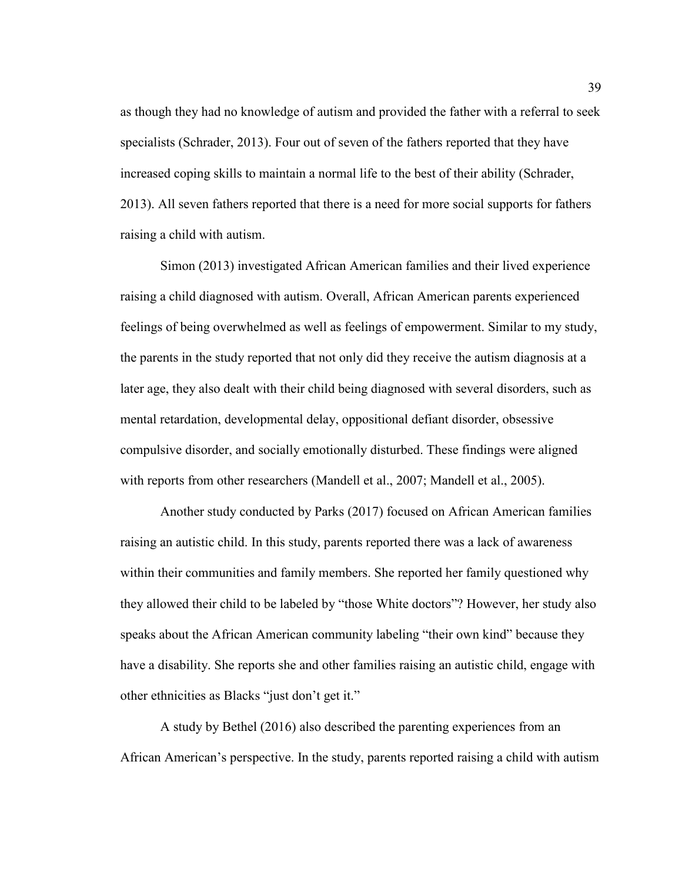as though they had no knowledge of autism and provided the father with a referral to seek specialists (Schrader, 2013). Four out of seven of the fathers reported that they have increased coping skills to maintain a normal life to the best of their ability (Schrader, 2013). All seven fathers reported that there is a need for more social supports for fathers raising a child with autism.

Simon (2013) investigated African American families and their lived experience raising a child diagnosed with autism. Overall, African American parents experienced feelings of being overwhelmed as well as feelings of empowerment. Similar to my study, the parents in the study reported that not only did they receive the autism diagnosis at a later age, they also dealt with their child being diagnosed with several disorders, such as mental retardation, developmental delay, oppositional defiant disorder, obsessive compulsive disorder, and socially emotionally disturbed. These findings were aligned with reports from other researchers (Mandell et al., 2007; Mandell et al., 2005).

Another study conducted by Parks (2017) focused on African American families raising an autistic child. In this study, parents reported there was a lack of awareness within their communities and family members. She reported her family questioned why they allowed their child to be labeled by "those White doctors"? However, her study also speaks about the African American community labeling "their own kind" because they have a disability. She reports she and other families raising an autistic child, engage with other ethnicities as Blacks "just don't get it."

A study by Bethel (2016) also described the parenting experiences from an African American's perspective. In the study, parents reported raising a child with autism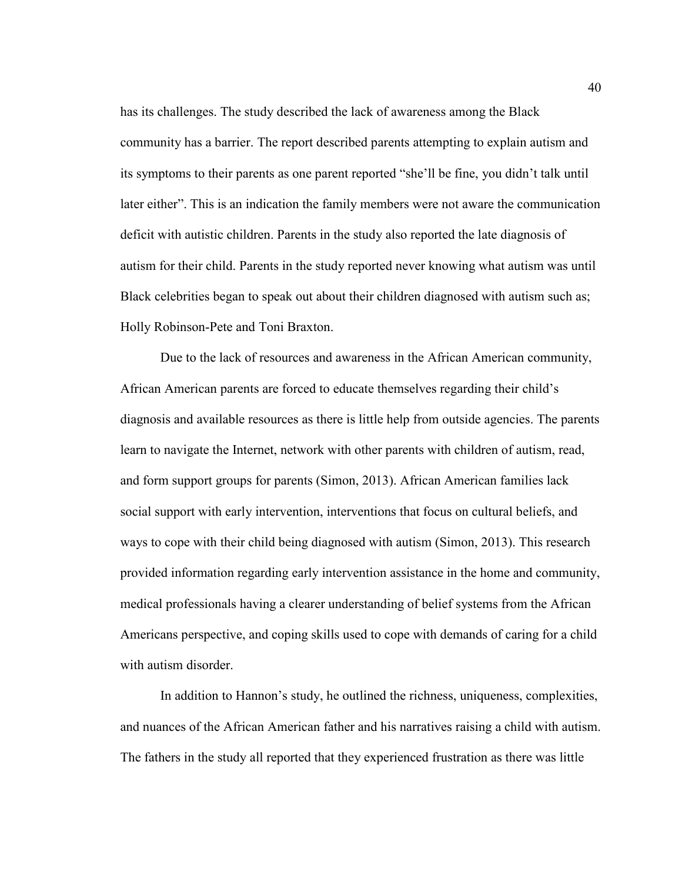has its challenges. The study described the lack of awareness among the Black community has a barrier. The report described parents attempting to explain autism and its symptoms to their parents as one parent reported "she'll be fine, you didn't talk until later either". This is an indication the family members were not aware the communication deficit with autistic children. Parents in the study also reported the late diagnosis of autism for their child. Parents in the study reported never knowing what autism was until Black celebrities began to speak out about their children diagnosed with autism such as; Holly Robinson-Pete and Toni Braxton.

 Due to the lack of resources and awareness in the African American community, African American parents are forced to educate themselves regarding their child's diagnosis and available resources as there is little help from outside agencies. The parents learn to navigate the Internet, network with other parents with children of autism, read, and form support groups for parents (Simon, 2013). African American families lack social support with early intervention, interventions that focus on cultural beliefs, and ways to cope with their child being diagnosed with autism (Simon, 2013). This research provided information regarding early intervention assistance in the home and community, medical professionals having a clearer understanding of belief systems from the African Americans perspective, and coping skills used to cope with demands of caring for a child with autism disorder.

In addition to Hannon's study, he outlined the richness, uniqueness, complexities, and nuances of the African American father and his narratives raising a child with autism. The fathers in the study all reported that they experienced frustration as there was little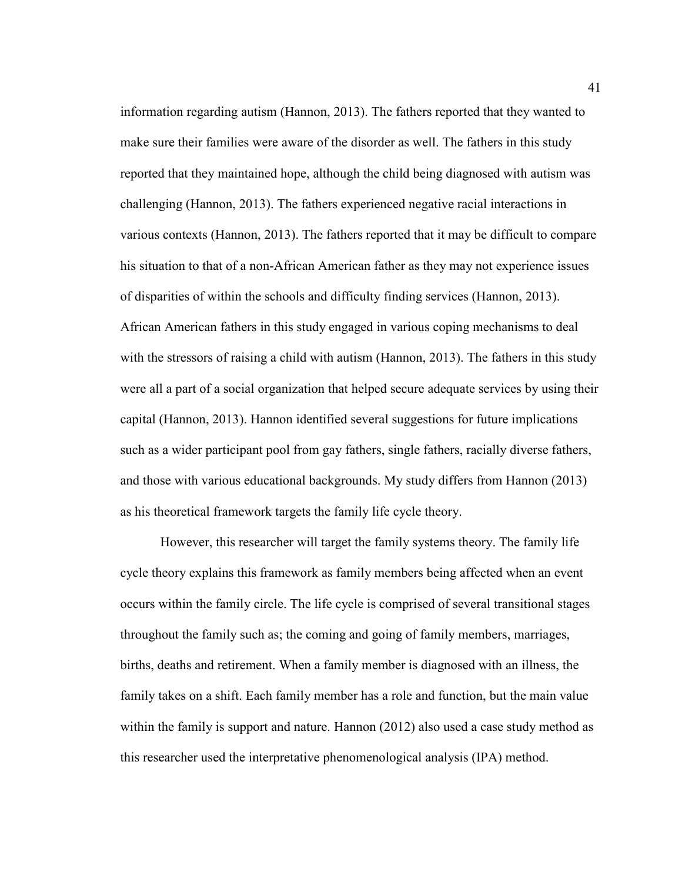information regarding autism (Hannon, 2013). The fathers reported that they wanted to make sure their families were aware of the disorder as well. The fathers in this study reported that they maintained hope, although the child being diagnosed with autism was challenging (Hannon, 2013). The fathers experienced negative racial interactions in various contexts (Hannon, 2013). The fathers reported that it may be difficult to compare his situation to that of a non-African American father as they may not experience issues of disparities of within the schools and difficulty finding services (Hannon, 2013). African American fathers in this study engaged in various coping mechanisms to deal with the stressors of raising a child with autism (Hannon, 2013). The fathers in this study were all a part of a social organization that helped secure adequate services by using their capital (Hannon, 2013). Hannon identified several suggestions for future implications such as a wider participant pool from gay fathers, single fathers, racially diverse fathers, and those with various educational backgrounds. My study differs from Hannon (2013) as his theoretical framework targets the family life cycle theory.

However, this researcher will target the family systems theory. The family life cycle theory explains this framework as family members being affected when an event occurs within the family circle. The life cycle is comprised of several transitional stages throughout the family such as; the coming and going of family members, marriages, births, deaths and retirement. When a family member is diagnosed with an illness, the family takes on a shift. Each family member has a role and function, but the main value within the family is support and nature. Hannon (2012) also used a case study method as this researcher used the interpretative phenomenological analysis (IPA) method.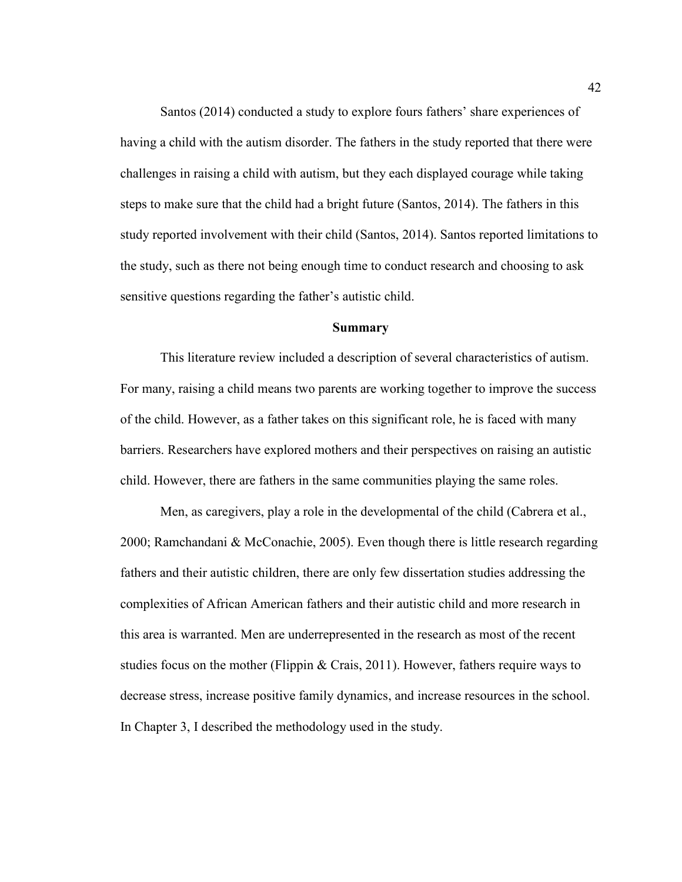Santos (2014) conducted a study to explore fours fathers' share experiences of having a child with the autism disorder. The fathers in the study reported that there were challenges in raising a child with autism, but they each displayed courage while taking steps to make sure that the child had a bright future (Santos, 2014). The fathers in this study reported involvement with their child (Santos, 2014). Santos reported limitations to the study, such as there not being enough time to conduct research and choosing to ask sensitive questions regarding the father's autistic child.

#### **Summary**

This literature review included a description of several characteristics of autism. For many, raising a child means two parents are working together to improve the success of the child. However, as a father takes on this significant role, he is faced with many barriers. Researchers have explored mothers and their perspectives on raising an autistic child. However, there are fathers in the same communities playing the same roles.

Men, as caregivers, play a role in the developmental of the child (Cabrera et al., 2000; Ramchandani & McConachie, 2005). Even though there is little research regarding fathers and their autistic children, there are only few dissertation studies addressing the complexities of African American fathers and their autistic child and more research in this area is warranted. Men are underrepresented in the research as most of the recent studies focus on the mother (Flippin & Crais, 2011). However, fathers require ways to decrease stress, increase positive family dynamics, and increase resources in the school. In Chapter 3, I described the methodology used in the study.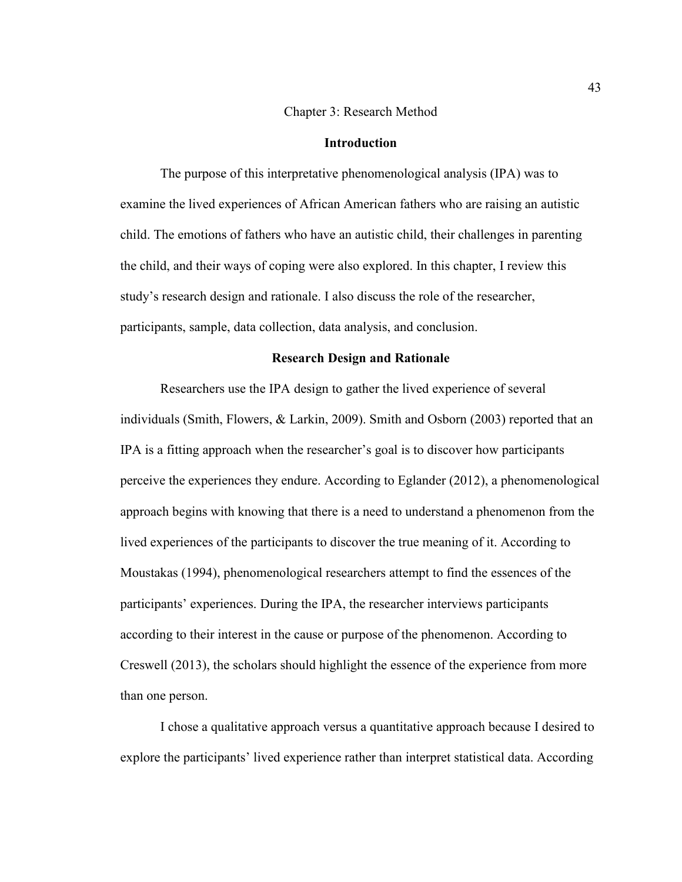#### Chapter 3: Research Method

## **Introduction**

The purpose of this interpretative phenomenological analysis (IPA) was to examine the lived experiences of African American fathers who are raising an autistic child. The emotions of fathers who have an autistic child, their challenges in parenting the child, and their ways of coping were also explored. In this chapter, I review this study's research design and rationale. I also discuss the role of the researcher, participants, sample, data collection, data analysis, and conclusion.

# **Research Design and Rationale**

Researchers use the IPA design to gather the lived experience of several individuals (Smith, Flowers, & Larkin, 2009). Smith and Osborn (2003) reported that an IPA is a fitting approach when the researcher's goal is to discover how participants perceive the experiences they endure. According to Eglander (2012), a phenomenological approach begins with knowing that there is a need to understand a phenomenon from the lived experiences of the participants to discover the true meaning of it. According to Moustakas (1994), phenomenological researchers attempt to find the essences of the participants' experiences. During the IPA, the researcher interviews participants according to their interest in the cause or purpose of the phenomenon. According to Creswell (2013), the scholars should highlight the essence of the experience from more than one person.

 I chose a qualitative approach versus a quantitative approach because I desired to explore the participants' lived experience rather than interpret statistical data. According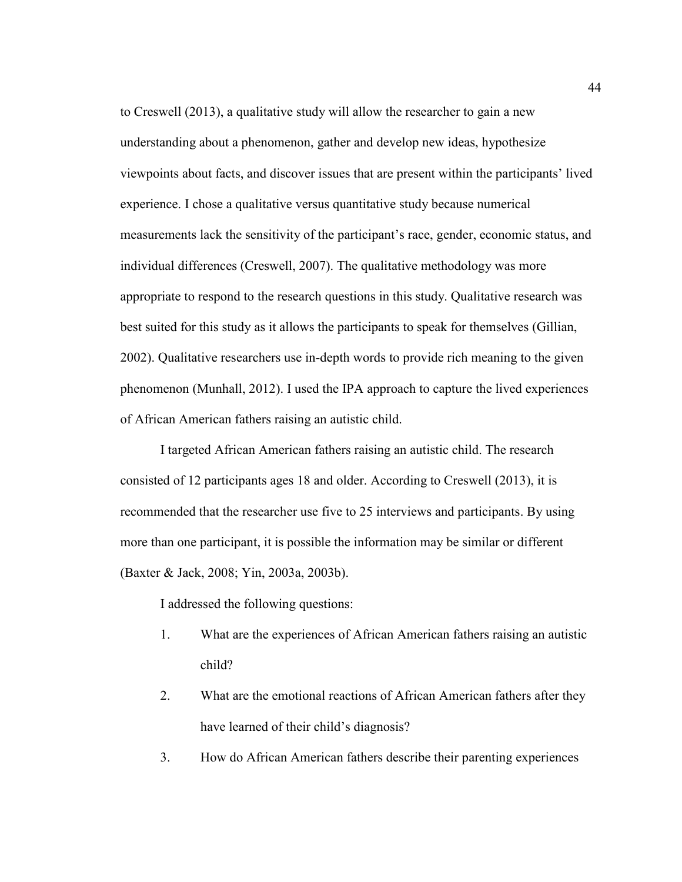to Creswell (2013), a qualitative study will allow the researcher to gain a new understanding about a phenomenon, gather and develop new ideas, hypothesize viewpoints about facts, and discover issues that are present within the participants' lived experience. I chose a qualitative versus quantitative study because numerical measurements lack the sensitivity of the participant's race, gender, economic status, and individual differences (Creswell, 2007). The qualitative methodology was more appropriate to respond to the research questions in this study. Qualitative research was best suited for this study as it allows the participants to speak for themselves (Gillian, 2002). Qualitative researchers use in-depth words to provide rich meaning to the given phenomenon (Munhall, 2012). I used the IPA approach to capture the lived experiences of African American fathers raising an autistic child.

I targeted African American fathers raising an autistic child. The research consisted of 12 participants ages 18 and older. According to Creswell (2013), it is recommended that the researcher use five to 25 interviews and participants. By using more than one participant, it is possible the information may be similar or different (Baxter & Jack, 2008; Yin, 2003a, 2003b).

I addressed the following questions:

- 1. What are the experiences of African American fathers raising an autistic child?
- 2. What are the emotional reactions of African American fathers after they have learned of their child's diagnosis?
- 3. How do African American fathers describe their parenting experiences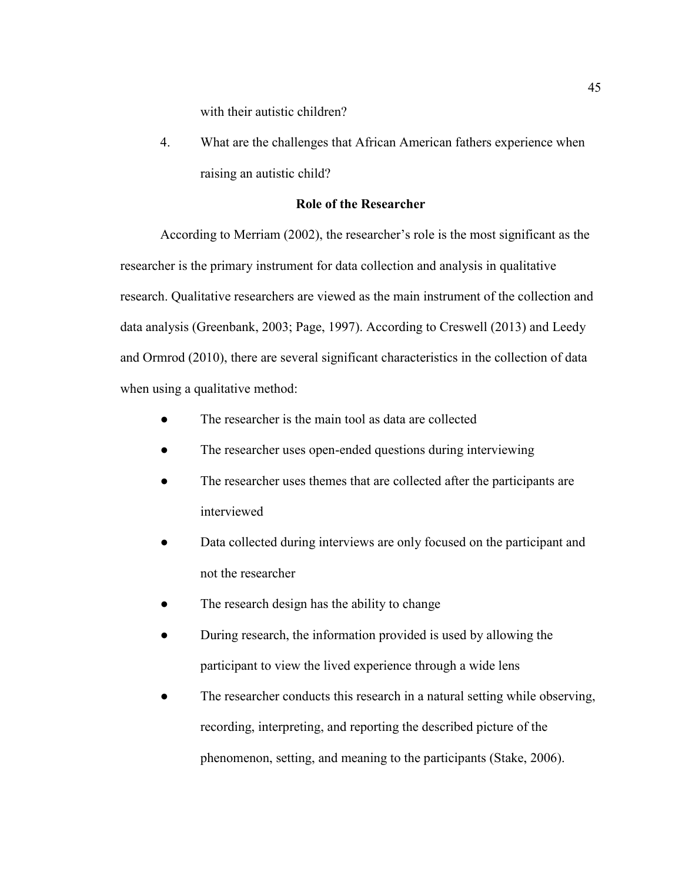with their autistic children?

4. What are the challenges that African American fathers experience when raising an autistic child?

# **Role of the Researcher**

According to Merriam (2002), the researcher's role is the most significant as the researcher is the primary instrument for data collection and analysis in qualitative research. Qualitative researchers are viewed as the main instrument of the collection and data analysis (Greenbank, 2003; Page, 1997). According to Creswell (2013) and Leedy and Ormrod (2010), there are several significant characteristics in the collection of data when using a qualitative method:

- The researcher is the main tool as data are collected
- The researcher uses open-ended questions during interviewing
- The researcher uses themes that are collected after the participants are interviewed
- Data collected during interviews are only focused on the participant and not the researcher
- The research design has the ability to change
- During research, the information provided is used by allowing the participant to view the lived experience through a wide lens
- The researcher conducts this research in a natural setting while observing, recording, interpreting, and reporting the described picture of the phenomenon, setting, and meaning to the participants (Stake, 2006).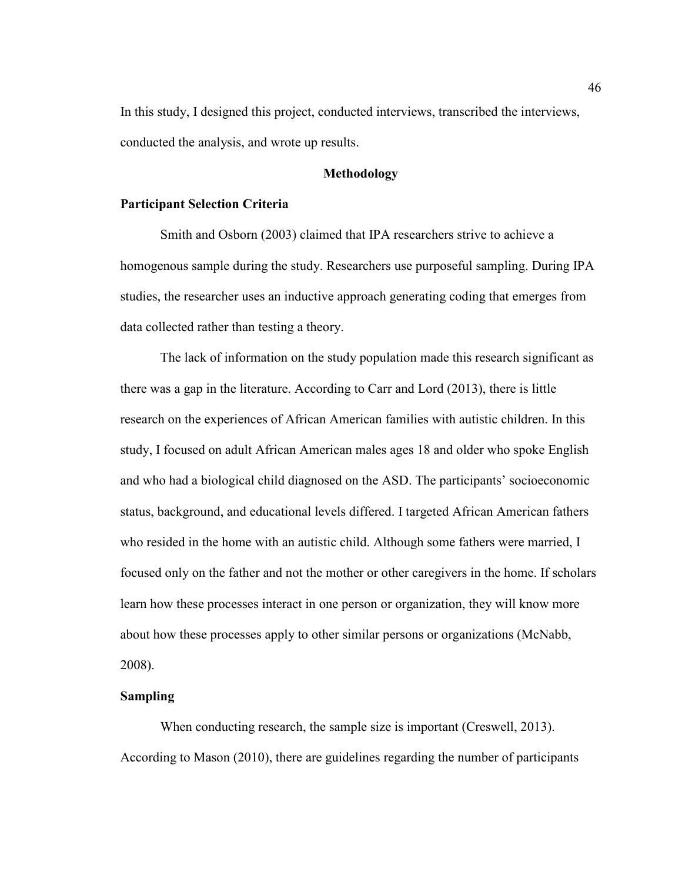In this study, I designed this project, conducted interviews, transcribed the interviews, conducted the analysis, and wrote up results.

## **Methodology**

## **Participant Selection Criteria**

Smith and Osborn (2003) claimed that IPA researchers strive to achieve a homogenous sample during the study. Researchers use purposeful sampling. During IPA studies, the researcher uses an inductive approach generating coding that emerges from data collected rather than testing a theory.

The lack of information on the study population made this research significant as there was a gap in the literature. According to Carr and Lord (2013), there is little research on the experiences of African American families with autistic children. In this study, I focused on adult African American males ages 18 and older who spoke English and who had a biological child diagnosed on the ASD. The participants' socioeconomic status, background, and educational levels differed. I targeted African American fathers who resided in the home with an autistic child. Although some fathers were married, I focused only on the father and not the mother or other caregivers in the home. If scholars learn how these processes interact in one person or organization, they will know more about how these processes apply to other similar persons or organizations (McNabb, 2008).

#### **Sampling**

When conducting research, the sample size is important (Creswell, 2013). According to Mason (2010), there are guidelines regarding the number of participants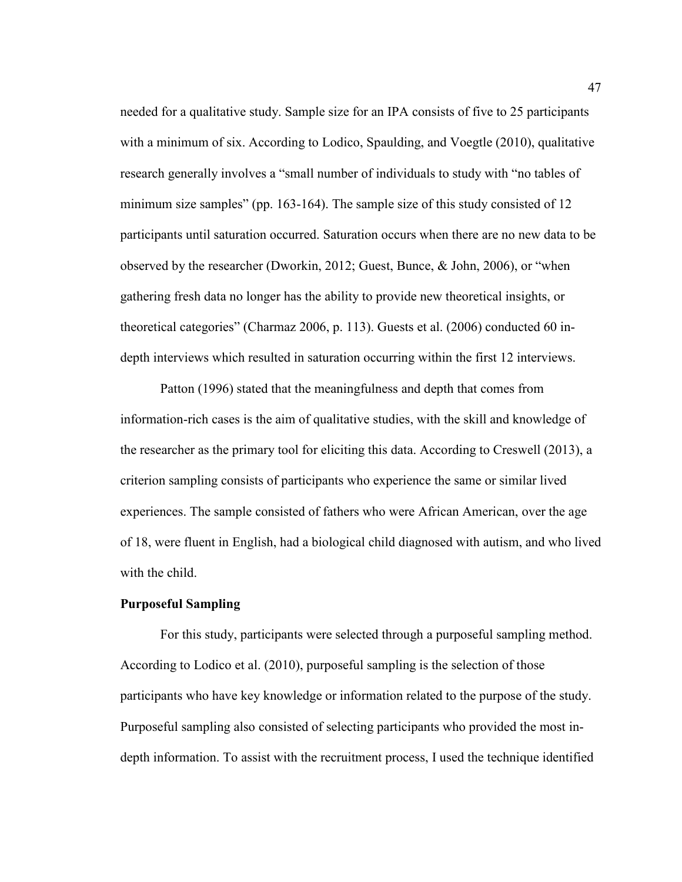needed for a qualitative study. Sample size for an IPA consists of five to 25 participants with a minimum of six. According to Lodico, Spaulding, and Voegtle (2010), qualitative research generally involves a "small number of individuals to study with "no tables of minimum size samples" (pp. 163-164). The sample size of this study consisted of 12 participants until saturation occurred. Saturation occurs when there are no new data to be observed by the researcher (Dworkin, 2012; Guest, Bunce, & John, 2006), or "when gathering fresh data no longer has the ability to provide new theoretical insights, or theoretical categories" (Charmaz 2006, p. 113). Guests et al. (2006) conducted 60 indepth interviews which resulted in saturation occurring within the first 12 interviews.

Patton (1996) stated that the meaningfulness and depth that comes from information-rich cases is the aim of qualitative studies, with the skill and knowledge of the researcher as the primary tool for eliciting this data. According to Creswell (2013), a criterion sampling consists of participants who experience the same or similar lived experiences. The sample consisted of fathers who were African American, over the age of 18, were fluent in English, had a biological child diagnosed with autism, and who lived with the child.

### **Purposeful Sampling**

For this study, participants were selected through a purposeful sampling method. According to Lodico et al. (2010), purposeful sampling is the selection of those participants who have key knowledge or information related to the purpose of the study. Purposeful sampling also consisted of selecting participants who provided the most indepth information. To assist with the recruitment process, I used the technique identified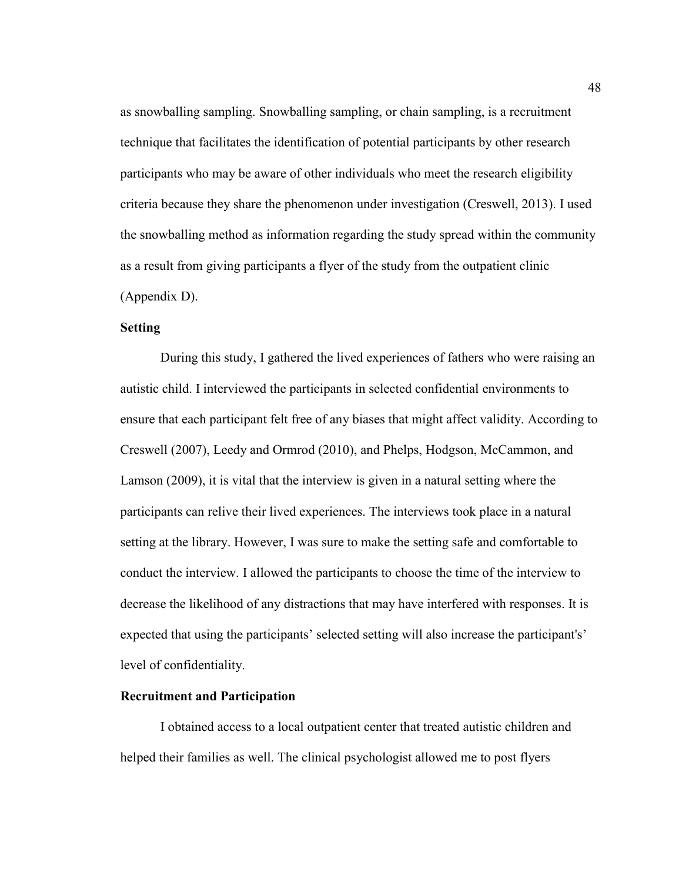as snowballing sampling. Snowballing sampling, or chain sampling, is a recruitment technique that facilitates the identification of potential participants by other research participants who may be aware of other individuals who meet the research eligibility criteria because they share the phenomenon under investigation (Creswell, 2013). I used the snowballing method as information regarding the study spread within the community as a result from giving participants a flyer of the study from the outpatient clinic (Appendix D).

# **Setting**

During this study, I gathered the lived experiences of fathers who were raising an autistic child. I interviewed the participants in selected confidential environments to ensure that each participant felt free of any biases that might affect validity. According to Creswell (2007), Leedy and Ormrod (2010), and Phelps, Hodgson, McCammon, and Lamson (2009), it is vital that the interview is given in a natural setting where the participants can relive their lived experiences. The interviews took place in a natural setting at the library. However, I was sure to make the setting safe and comfortable to conduct the interview. I allowed the participants to choose the time of the interview to decrease the likelihood of any distractions that may have interfered with responses. It is expected that using the participants' selected setting will also increase the participant's' level of confidentiality.

## **Recruitment and Participation**

I obtained access to a local outpatient center that treated autistic children and helped their families as well. The clinical psychologist allowed me to post flyers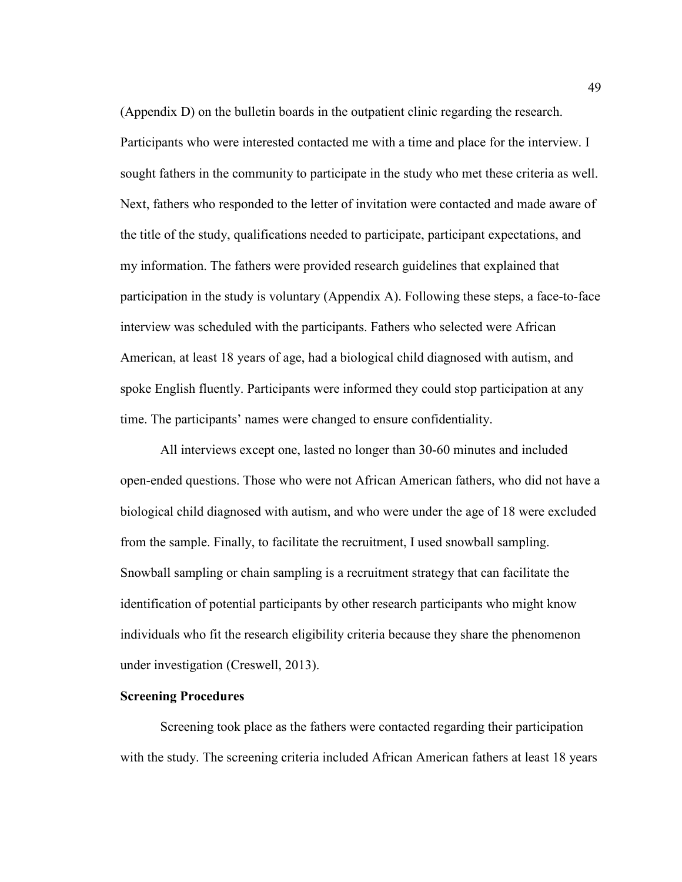(Appendix D) on the bulletin boards in the outpatient clinic regarding the research. Participants who were interested contacted me with a time and place for the interview. I sought fathers in the community to participate in the study who met these criteria as well. Next, fathers who responded to the letter of invitation were contacted and made aware of the title of the study, qualifications needed to participate, participant expectations, and my information. The fathers were provided research guidelines that explained that participation in the study is voluntary (Appendix A). Following these steps, a face-to-face interview was scheduled with the participants. Fathers who selected were African American, at least 18 years of age, had a biological child diagnosed with autism, and spoke English fluently. Participants were informed they could stop participation at any time. The participants' names were changed to ensure confidentiality.

All interviews except one, lasted no longer than 30-60 minutes and included open-ended questions. Those who were not African American fathers, who did not have a biological child diagnosed with autism, and who were under the age of 18 were excluded from the sample. Finally, to facilitate the recruitment, I used snowball sampling. Snowball sampling or chain sampling is a recruitment strategy that can facilitate the identification of potential participants by other research participants who might know individuals who fit the research eligibility criteria because they share the phenomenon under investigation (Creswell, 2013).

#### **Screening Procedures**

Screening took place as the fathers were contacted regarding their participation with the study. The screening criteria included African American fathers at least 18 years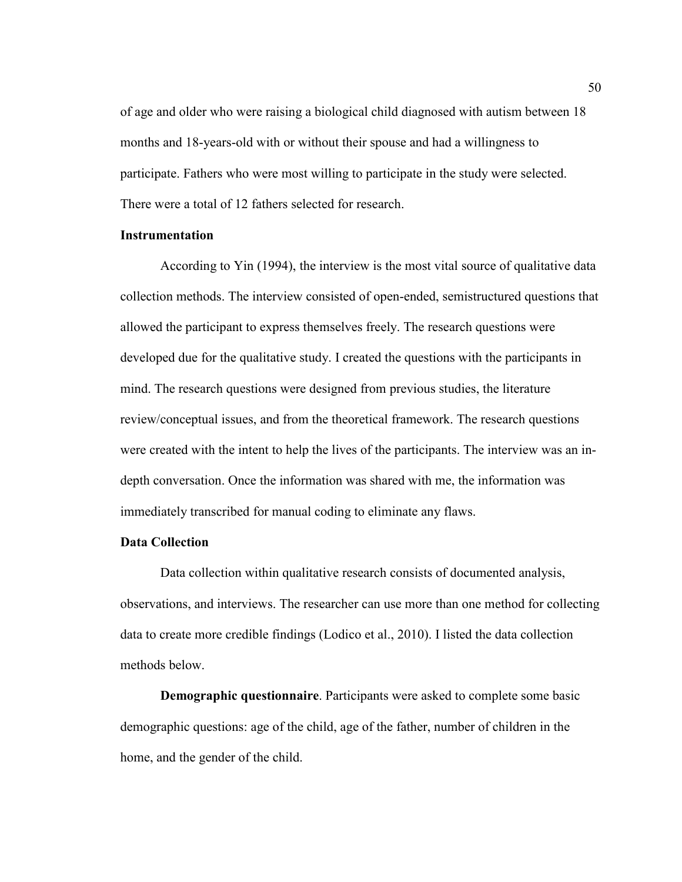of age and older who were raising a biological child diagnosed with autism between 18 months and 18-years-old with or without their spouse and had a willingness to participate. Fathers who were most willing to participate in the study were selected. There were a total of 12 fathers selected for research.

#### **Instrumentation**

 According to Yin (1994), the interview is the most vital source of qualitative data collection methods. The interview consisted of open-ended, semistructured questions that allowed the participant to express themselves freely. The research questions were developed due for the qualitative study. I created the questions with the participants in mind. The research questions were designed from previous studies, the literature review/conceptual issues, and from the theoretical framework. The research questions were created with the intent to help the lives of the participants. The interview was an indepth conversation. Once the information was shared with me, the information was immediately transcribed for manual coding to eliminate any flaws.

# **Data Collection**

Data collection within qualitative research consists of documented analysis, observations, and interviews. The researcher can use more than one method for collecting data to create more credible findings (Lodico et al., 2010). I listed the data collection methods below.

**Demographic questionnaire**. Participants were asked to complete some basic demographic questions: age of the child, age of the father, number of children in the home, and the gender of the child.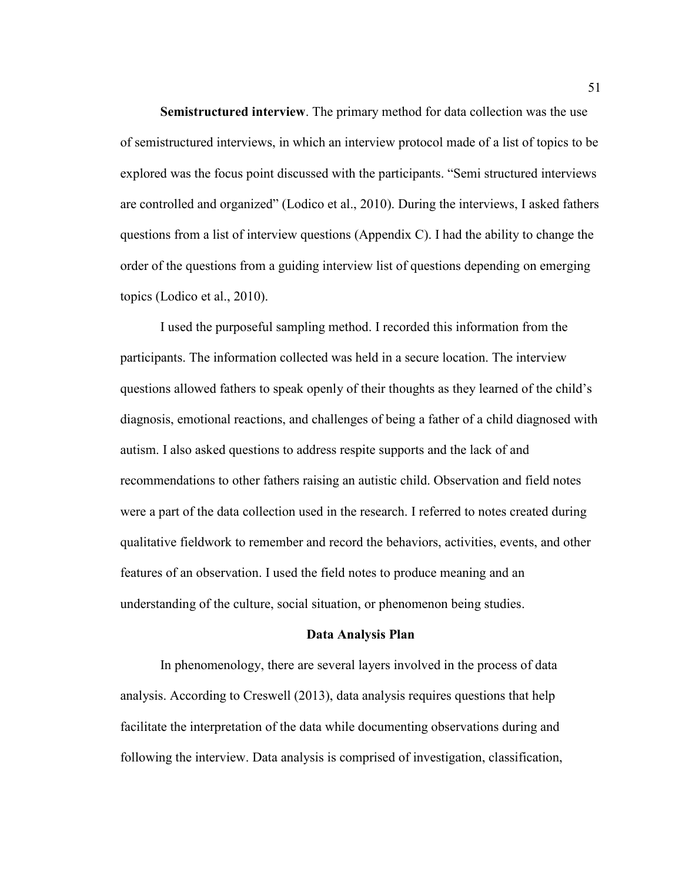**Semistructured interview**. The primary method for data collection was the use of semistructured interviews, in which an interview protocol made of a list of topics to be explored was the focus point discussed with the participants. "Semi structured interviews are controlled and organized" (Lodico et al., 2010). During the interviews, I asked fathers questions from a list of interview questions (Appendix C). I had the ability to change the order of the questions from a guiding interview list of questions depending on emerging topics (Lodico et al., 2010).

I used the purposeful sampling method. I recorded this information from the participants. The information collected was held in a secure location. The interview questions allowed fathers to speak openly of their thoughts as they learned of the child's diagnosis, emotional reactions, and challenges of being a father of a child diagnosed with autism. I also asked questions to address respite supports and the lack of and recommendations to other fathers raising an autistic child. Observation and field notes were a part of the data collection used in the research. I referred to notes created during qualitative fieldwork to remember and record the behaviors, activities, events, and other features of an observation. I used the field notes to produce meaning and an understanding of the culture, social situation, or phenomenon being studies.

#### **Data Analysis Plan**

In phenomenology, there are several layers involved in the process of data analysis. According to Creswell (2013), data analysis requires questions that help facilitate the interpretation of the data while documenting observations during and following the interview. Data analysis is comprised of investigation, classification,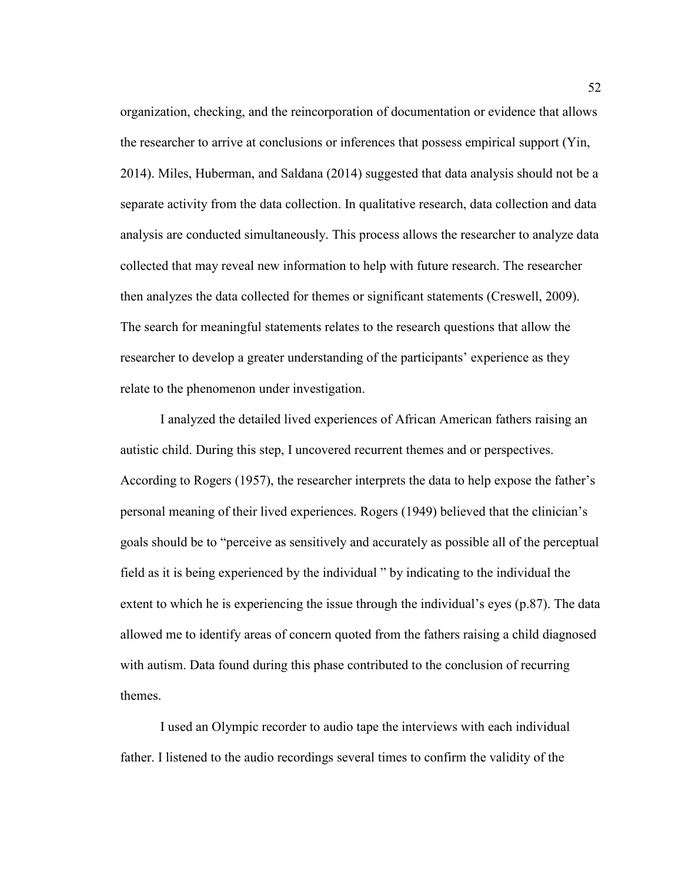organization, checking, and the reincorporation of documentation or evidence that allows the researcher to arrive at conclusions or inferences that possess empirical support (Yin, 2014). Miles, Huberman, and Saldana (2014) suggested that data analysis should not be a separate activity from the data collection. In qualitative research, data collection and data analysis are conducted simultaneously. This process allows the researcher to analyze data collected that may reveal new information to help with future research. The researcher then analyzes the data collected for themes or significant statements (Creswell, 2009). The search for meaningful statements relates to the research questions that allow the researcher to develop a greater understanding of the participants' experience as they relate to the phenomenon under investigation.

I analyzed the detailed lived experiences of African American fathers raising an autistic child. During this step, I uncovered recurrent themes and or perspectives. According to Rogers (1957), the researcher interprets the data to help expose the father's personal meaning of their lived experiences. Rogers (1949) believed that the clinician's goals should be to "perceive as sensitively and accurately as possible all of the perceptual field as it is being experienced by the individual " by indicating to the individual the extent to which he is experiencing the issue through the individual's eyes (p.87). The data allowed me to identify areas of concern quoted from the fathers raising a child diagnosed with autism. Data found during this phase contributed to the conclusion of recurring themes.

I used an Olympic recorder to audio tape the interviews with each individual father. I listened to the audio recordings several times to confirm the validity of the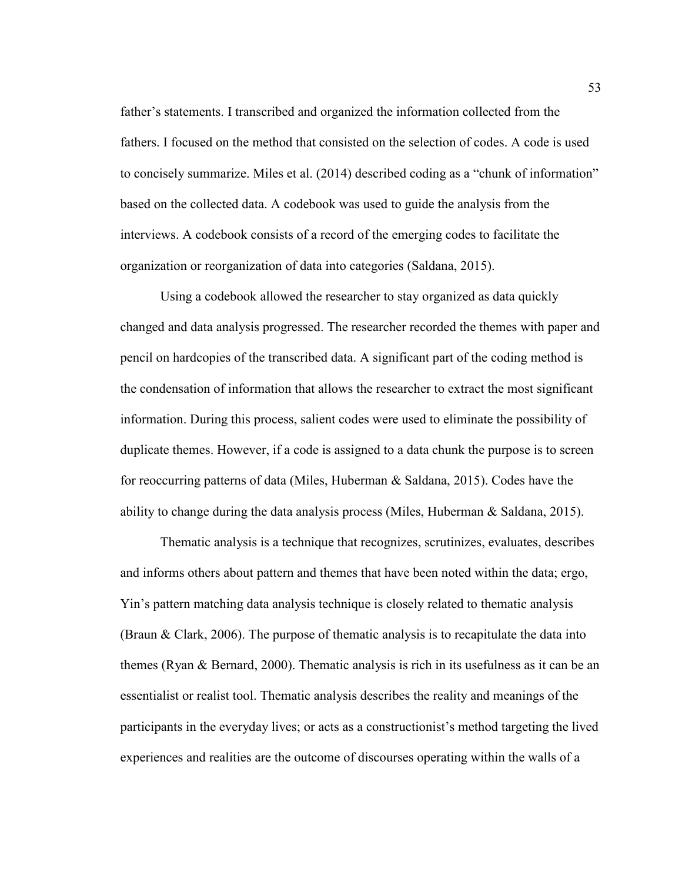father's statements. I transcribed and organized the information collected from the fathers. I focused on the method that consisted on the selection of codes. A code is used to concisely summarize. Miles et al. (2014) described coding as a "chunk of information" based on the collected data. A codebook was used to guide the analysis from the interviews. A codebook consists of a record of the emerging codes to facilitate the organization or reorganization of data into categories (Saldana, 2015).

Using a codebook allowed the researcher to stay organized as data quickly changed and data analysis progressed. The researcher recorded the themes with paper and pencil on hardcopies of the transcribed data. A significant part of the coding method is the condensation of information that allows the researcher to extract the most significant information. During this process, salient codes were used to eliminate the possibility of duplicate themes. However, if a code is assigned to a data chunk the purpose is to screen for reoccurring patterns of data (Miles, Huberman & Saldana, 2015). Codes have the ability to change during the data analysis process (Miles, Huberman & Saldana, 2015).

Thematic analysis is a technique that recognizes, scrutinizes, evaluates, describes and informs others about pattern and themes that have been noted within the data; ergo, Yin's pattern matching data analysis technique is closely related to thematic analysis (Braun & Clark, 2006). The purpose of thematic analysis is to recapitulate the data into themes (Ryan & Bernard, 2000). Thematic analysis is rich in its usefulness as it can be an essentialist or realist tool. Thematic analysis describes the reality and meanings of the participants in the everyday lives; or acts as a constructionist's method targeting the lived experiences and realities are the outcome of discourses operating within the walls of a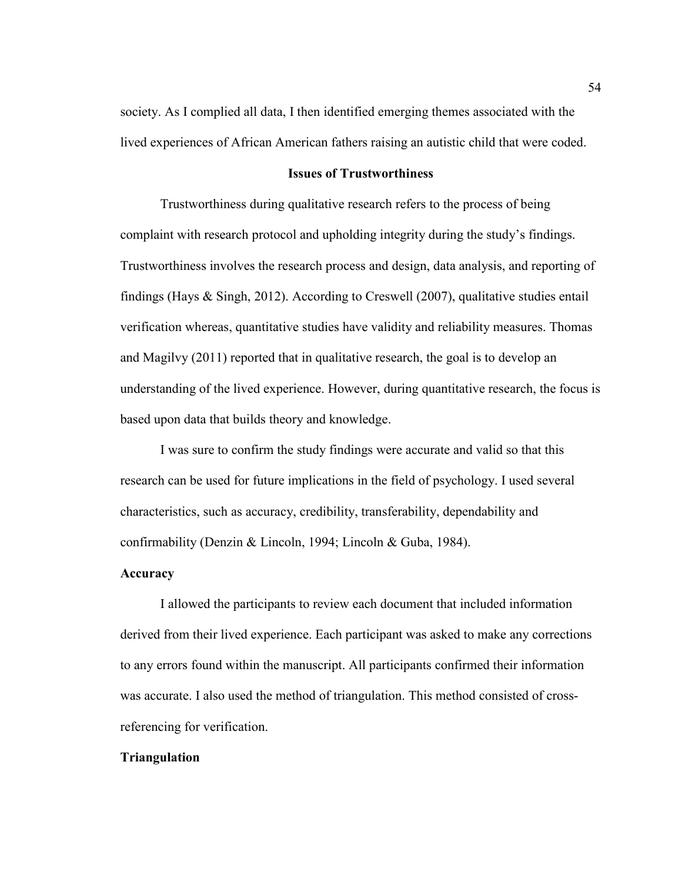society. As I complied all data, I then identified emerging themes associated with the lived experiences of African American fathers raising an autistic child that were coded.

# **Issues of Trustworthiness**

Trustworthiness during qualitative research refers to the process of being complaint with research protocol and upholding integrity during the study's findings. Trustworthiness involves the research process and design, data analysis, and reporting of findings (Hays  $\&$  Singh, 2012). According to Creswell (2007), qualitative studies entail verification whereas, quantitative studies have validity and reliability measures. Thomas and Magilvy (2011) reported that in qualitative research, the goal is to develop an understanding of the lived experience. However, during quantitative research, the focus is based upon data that builds theory and knowledge.

I was sure to confirm the study findings were accurate and valid so that this research can be used for future implications in the field of psychology. I used several characteristics, such as accuracy, credibility, transferability, dependability and confirmability (Denzin & Lincoln, 1994; Lincoln & Guba, 1984).

## **Accuracy**

I allowed the participants to review each document that included information derived from their lived experience. Each participant was asked to make any corrections to any errors found within the manuscript. All participants confirmed their information was accurate. I also used the method of triangulation. This method consisted of crossreferencing for verification.

# **Triangulation**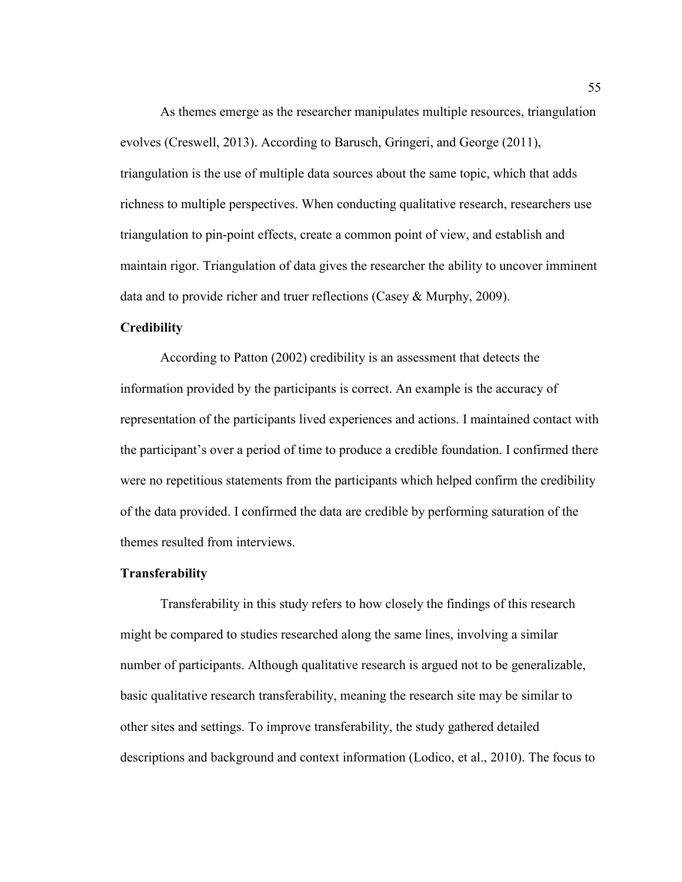As themes emerge as the researcher manipulates multiple resources, triangulation evolves (Creswell, 2013). According to Barusch, Gringeri, and George (2011), triangulation is the use of multiple data sources about the same topic, which that adds richness to multiple perspectives. When conducting qualitative research, researchers use triangulation to pin-point effects, create a common point of view, and establish and maintain rigor. Triangulation of data gives the researcher the ability to uncover imminent data and to provide richer and truer reflections (Casey & Murphy, 2009).

## **Credibility**

According to Patton (2002) credibility is an assessment that detects the information provided by the participants is correct. An example is the accuracy of representation of the participants lived experiences and actions. I maintained contact with the participant's over a period of time to produce a credible foundation. I confirmed there were no repetitious statements from the participants which helped confirm the credibility of the data provided. I confirmed the data are credible by performing saturation of the themes resulted from interviews.

#### **Transferability**

Transferability in this study refers to how closely the findings of this research might be compared to studies researched along the same lines, involving a similar number of participants. Although qualitative research is argued not to be generalizable, basic qualitative research transferability, meaning the research site may be similar to other sites and settings. To improve transferability, the study gathered detailed descriptions and background and context information (Lodico, et al., 2010). The focus to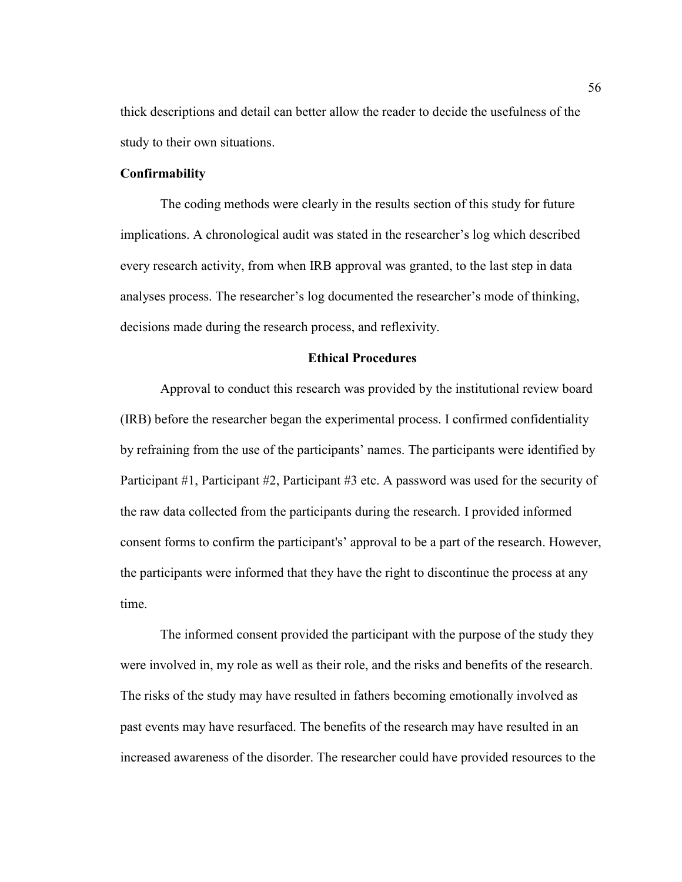thick descriptions and detail can better allow the reader to decide the usefulness of the study to their own situations.

## **Confirmability**

The coding methods were clearly in the results section of this study for future implications. A chronological audit was stated in the researcher's log which described every research activity, from when IRB approval was granted, to the last step in data analyses process. The researcher's log documented the researcher's mode of thinking, decisions made during the research process, and reflexivity.

# **Ethical Procedures**

Approval to conduct this research was provided by the institutional review board (IRB) before the researcher began the experimental process. I confirmed confidentiality by refraining from the use of the participants' names. The participants were identified by Participant #1, Participant #2, Participant #3 etc. A password was used for the security of the raw data collected from the participants during the research. I provided informed consent forms to confirm the participant's' approval to be a part of the research. However, the participants were informed that they have the right to discontinue the process at any time.

The informed consent provided the participant with the purpose of the study they were involved in, my role as well as their role, and the risks and benefits of the research. The risks of the study may have resulted in fathers becoming emotionally involved as past events may have resurfaced. The benefits of the research may have resulted in an increased awareness of the disorder. The researcher could have provided resources to the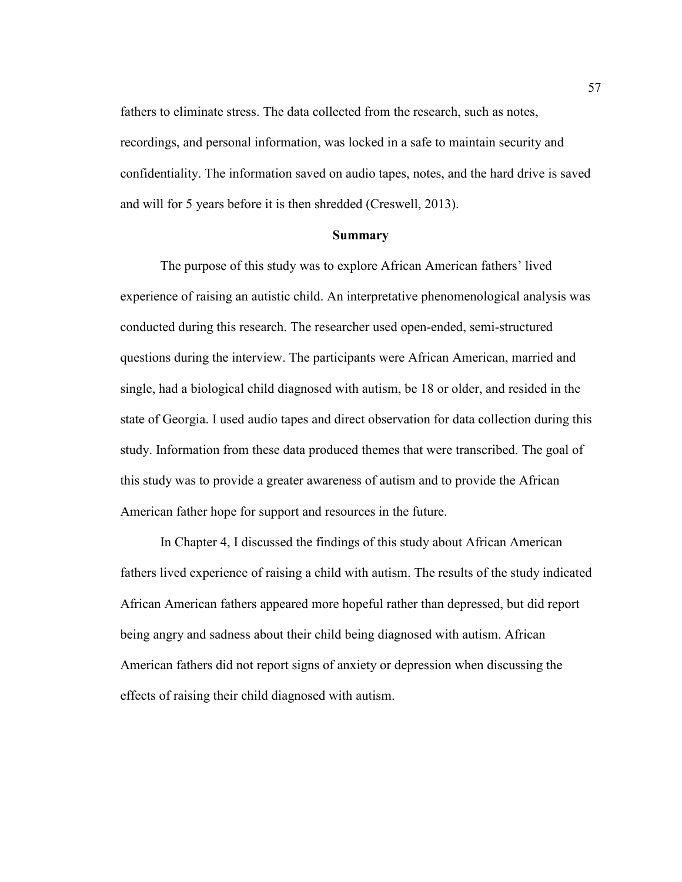fathers to eliminate stress. The data collected from the research, such as notes, recordings, and personal information, was locked in a safe to maintain security and confidentiality. The information saved on audio tapes, notes, and the hard drive is saved and will for 5 years before it is then shredded (Creswell, 2013).

#### **Summary**

 The purpose of this study was to explore African American fathers' lived experience of raising an autistic child. An interpretative phenomenological analysis was conducted during this research. The researcher used open-ended, semi-structured questions during the interview. The participants were African American, married and single, had a biological child diagnosed with autism, be 18 or older, and resided in the state of Georgia. I used audio tapes and direct observation for data collection during this study. Information from these data produced themes that were transcribed. The goal of this study was to provide a greater awareness of autism and to provide the African American father hope for support and resources in the future.

In Chapter 4, I discussed the findings of this study about African American fathers lived experience of raising a child with autism. The results of the study indicated African American fathers appeared more hopeful rather than depressed, but did report being angry and sadness about their child being diagnosed with autism. African American fathers did not report signs of anxiety or depression when discussing the effects of raising their child diagnosed with autism.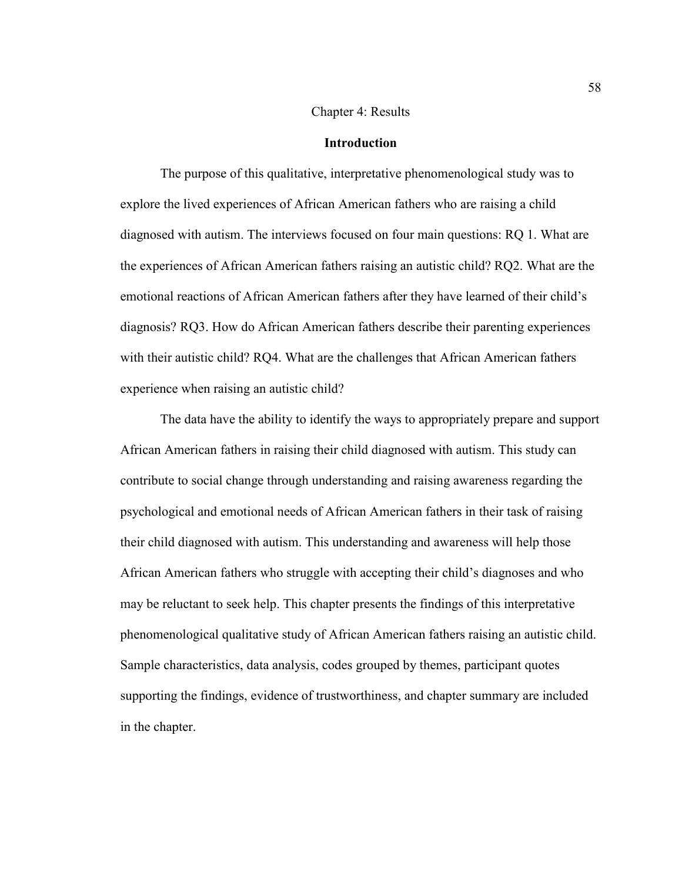## Chapter 4: Results

## **Introduction**

The purpose of this qualitative, interpretative phenomenological study was to explore the lived experiences of African American fathers who are raising a child diagnosed with autism. The interviews focused on four main questions: RQ 1. What are the experiences of African American fathers raising an autistic child? RQ2. What are the emotional reactions of African American fathers after they have learned of their child's diagnosis? RQ3. How do African American fathers describe their parenting experiences with their autistic child? RQ4. What are the challenges that African American fathers experience when raising an autistic child?

The data have the ability to identify the ways to appropriately prepare and support African American fathers in raising their child diagnosed with autism. This study can contribute to social change through understanding and raising awareness regarding the psychological and emotional needs of African American fathers in their task of raising their child diagnosed with autism. This understanding and awareness will help those African American fathers who struggle with accepting their child's diagnoses and who may be reluctant to seek help. This chapter presents the findings of this interpretative phenomenological qualitative study of African American fathers raising an autistic child. Sample characteristics, data analysis, codes grouped by themes, participant quotes supporting the findings, evidence of trustworthiness, and chapter summary are included in the chapter.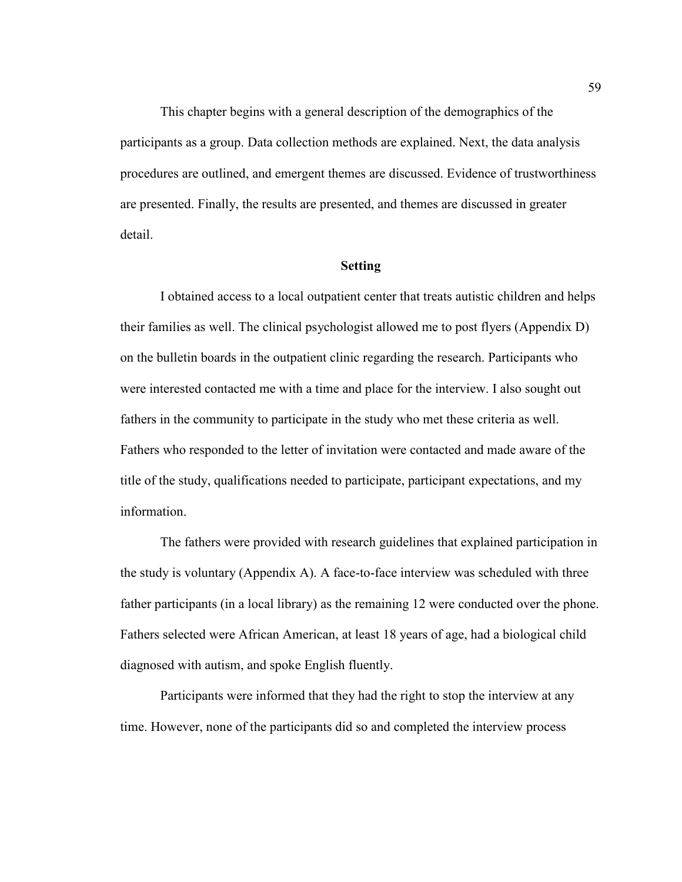This chapter begins with a general description of the demographics of the participants as a group. Data collection methods are explained. Next, the data analysis procedures are outlined, and emergent themes are discussed. Evidence of trustworthiness are presented. Finally, the results are presented, and themes are discussed in greater detail.

## **Setting**

I obtained access to a local outpatient center that treats autistic children and helps their families as well. The clinical psychologist allowed me to post flyers (Appendix D) on the bulletin boards in the outpatient clinic regarding the research. Participants who were interested contacted me with a time and place for the interview. I also sought out fathers in the community to participate in the study who met these criteria as well. Fathers who responded to the letter of invitation were contacted and made aware of the title of the study, qualifications needed to participate, participant expectations, and my information.

The fathers were provided with research guidelines that explained participation in the study is voluntary (Appendix A). A face-to-face interview was scheduled with three father participants (in a local library) as the remaining 12 were conducted over the phone. Fathers selected were African American, at least 18 years of age, had a biological child diagnosed with autism, and spoke English fluently.

Participants were informed that they had the right to stop the interview at any time. However, none of the participants did so and completed the interview process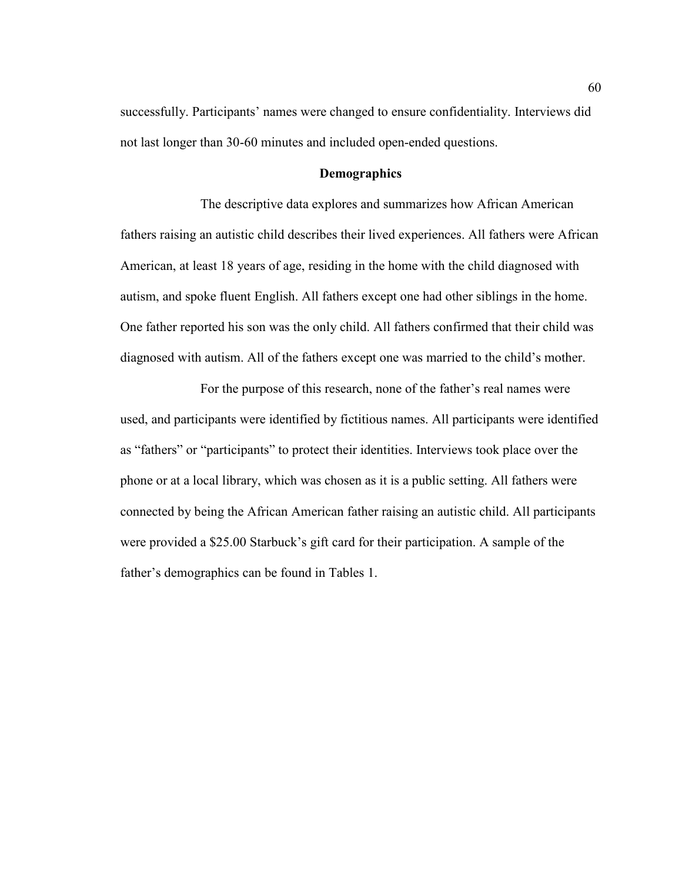successfully. Participants' names were changed to ensure confidentiality. Interviews did not last longer than 30-60 minutes and included open-ended questions.

#### **Demographics**

 The descriptive data explores and summarizes how African American fathers raising an autistic child describes their lived experiences. All fathers were African American, at least 18 years of age, residing in the home with the child diagnosed with autism, and spoke fluent English. All fathers except one had other siblings in the home. One father reported his son was the only child. All fathers confirmed that their child was diagnosed with autism. All of the fathers except one was married to the child's mother.

 For the purpose of this research, none of the father's real names were used, and participants were identified by fictitious names. All participants were identified as "fathers" or "participants" to protect their identities. Interviews took place over the phone or at a local library, which was chosen as it is a public setting. All fathers were connected by being the African American father raising an autistic child. All participants were provided a \$25.00 Starbuck's gift card for their participation. A sample of the father's demographics can be found in Tables 1.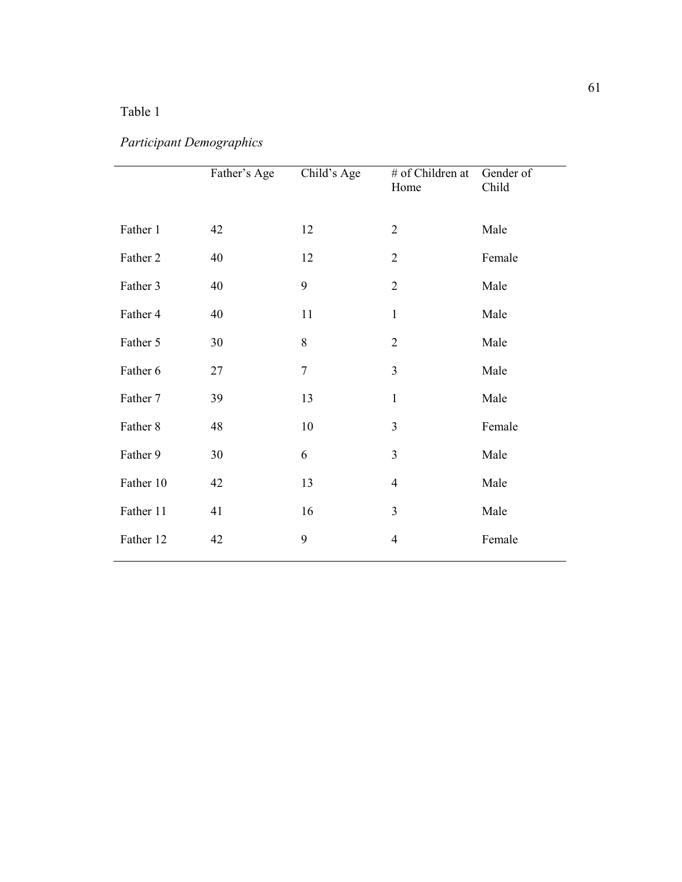# Table 1

# *Participant Demographics*

|           | Father's Age | Child's Age | # of Children at<br>Home | Gender of<br>Child |
|-----------|--------------|-------------|--------------------------|--------------------|
| Father 1  | 42           | 12          | $\overline{2}$           | Male               |
| Father 2  | 40           | 12          | $\overline{2}$           | Female             |
| Father 3  | 40           | 9           | $\overline{2}$           | Male               |
| Father 4  | 40           | 11          | $\mathbf{1}$             | Male               |
| Father 5  | 30           | $8\,$       | $\overline{2}$           | Male               |
| Father 6  | 27           | $\tau$      | $\overline{3}$           | Male               |
| Father 7  | 39           | 13          | $\mathbf{1}$             | Male               |
| Father 8  | 48           | 10          | 3                        | Female             |
| Father 9  | 30           | 6           | $\overline{3}$           | Male               |
| Father 10 | 42           | 13          | $\overline{4}$           | Male               |
| Father 11 | 41           | 16          | 3                        | Male               |
| Father 12 | 42           | 9           | $\overline{4}$           | Female             |
|           |              |             |                          |                    |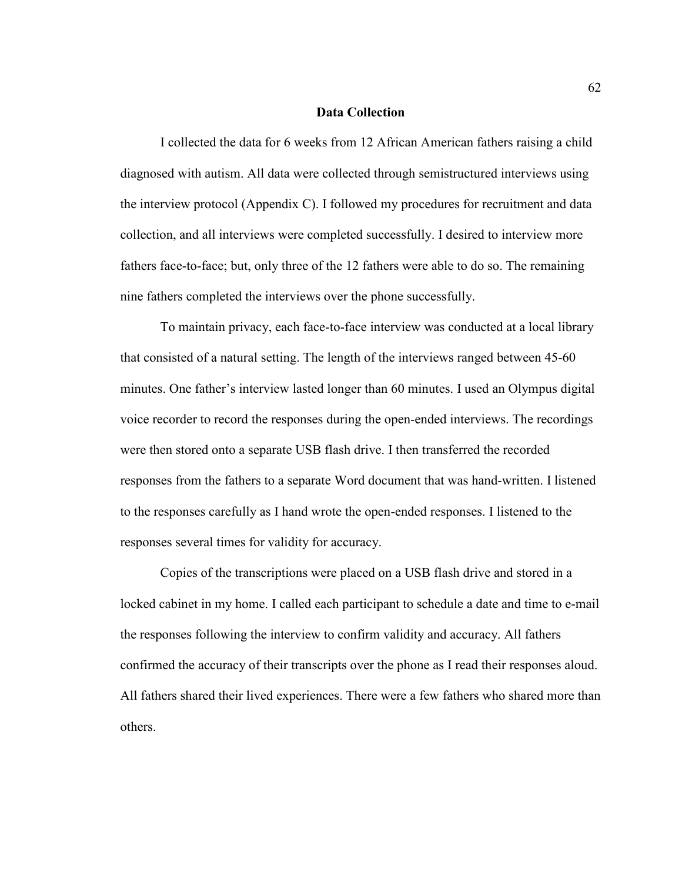#### **Data Collection**

 I collected the data for 6 weeks from 12 African American fathers raising a child diagnosed with autism. All data were collected through semistructured interviews using the interview protocol (Appendix C). I followed my procedures for recruitment and data collection, and all interviews were completed successfully. I desired to interview more fathers face-to-face; but, only three of the 12 fathers were able to do so. The remaining nine fathers completed the interviews over the phone successfully.

 To maintain privacy, each face-to-face interview was conducted at a local library that consisted of a natural setting. The length of the interviews ranged between 45-60 minutes. One father's interview lasted longer than 60 minutes. I used an Olympus digital voice recorder to record the responses during the open-ended interviews. The recordings were then stored onto a separate USB flash drive. I then transferred the recorded responses from the fathers to a separate Word document that was hand-written. I listened to the responses carefully as I hand wrote the open-ended responses. I listened to the responses several times for validity for accuracy.

 Copies of the transcriptions were placed on a USB flash drive and stored in a locked cabinet in my home. I called each participant to schedule a date and time to e-mail the responses following the interview to confirm validity and accuracy. All fathers confirmed the accuracy of their transcripts over the phone as I read their responses aloud. All fathers shared their lived experiences. There were a few fathers who shared more than others.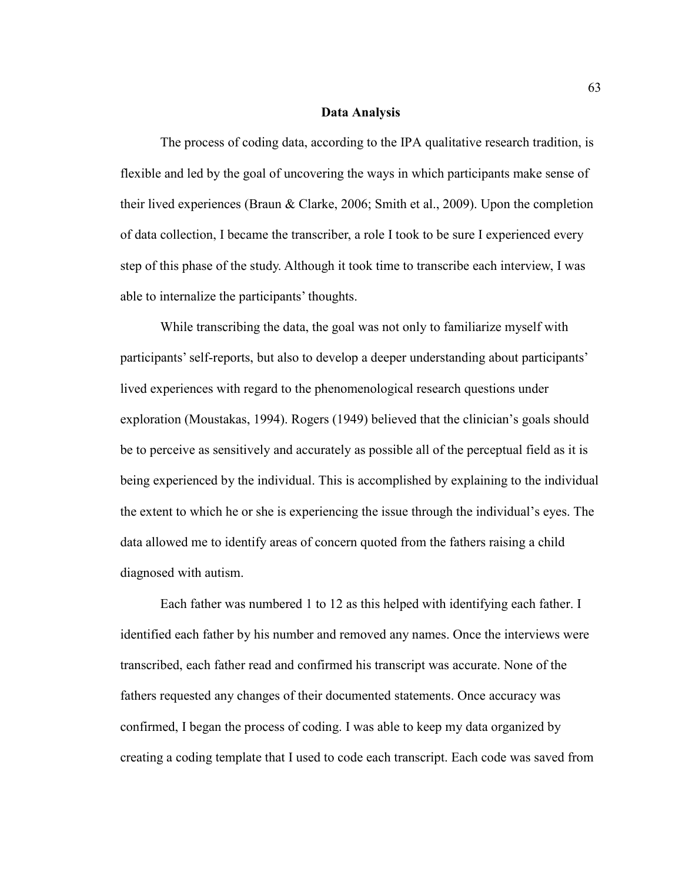#### **Data Analysis**

 The process of coding data, according to the IPA qualitative research tradition, is flexible and led by the goal of uncovering the ways in which participants make sense of their lived experiences (Braun & Clarke, 2006; Smith et al., 2009). Upon the completion of data collection, I became the transcriber, a role I took to be sure I experienced every step of this phase of the study. Although it took time to transcribe each interview, I was able to internalize the participants' thoughts.

 While transcribing the data, the goal was not only to familiarize myself with participants' self-reports, but also to develop a deeper understanding about participants' lived experiences with regard to the phenomenological research questions under exploration (Moustakas, 1994). Rogers (1949) believed that the clinician's goals should be to perceive as sensitively and accurately as possible all of the perceptual field as it is being experienced by the individual. This is accomplished by explaining to the individual the extent to which he or she is experiencing the issue through the individual's eyes. The data allowed me to identify areas of concern quoted from the fathers raising a child diagnosed with autism.

Each father was numbered 1 to 12 as this helped with identifying each father. I identified each father by his number and removed any names. Once the interviews were transcribed, each father read and confirmed his transcript was accurate. None of the fathers requested any changes of their documented statements. Once accuracy was confirmed, I began the process of coding. I was able to keep my data organized by creating a coding template that I used to code each transcript. Each code was saved from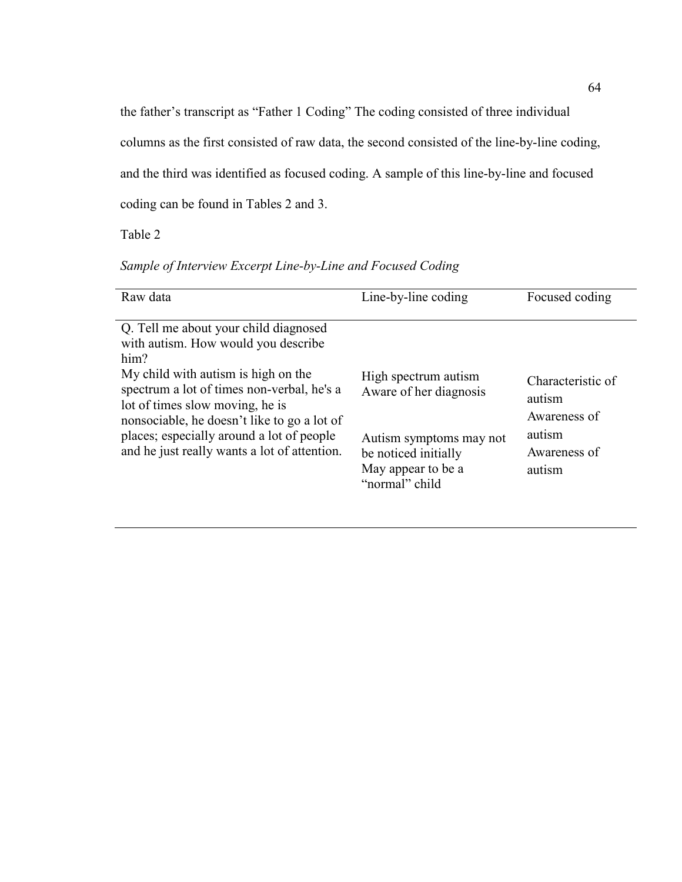the father's transcript as "Father 1 Coding" The coding consisted of three individual columns as the first consisted of raw data, the second consisted of the line-by-line coding, and the third was identified as focused coding. A sample of this line-by-line and focused coding can be found in Tables 2 and 3.

Table 2

| Sample of Interview Excerpt Line-by-Line and Focused Coding |  |  |  |
|-------------------------------------------------------------|--|--|--|
|                                                             |  |  |  |

| Raw data                                                                                                                                                                                                                                                                                                                                                 | Line-by-line coding                                                                                                                       | Focused coding                                                                  |
|----------------------------------------------------------------------------------------------------------------------------------------------------------------------------------------------------------------------------------------------------------------------------------------------------------------------------------------------------------|-------------------------------------------------------------------------------------------------------------------------------------------|---------------------------------------------------------------------------------|
| Q. Tell me about your child diagnosed<br>with autism. How would you describe<br>him?<br>My child with autism is high on the<br>spectrum a lot of times non-verbal, he's a<br>lot of times slow moving, he is<br>nonsociable, he doesn't like to go a lot of<br>places; especially around a lot of people<br>and he just really wants a lot of attention. | High spectrum autism<br>Aware of her diagnosis<br>Autism symptoms may not<br>be noticed initially<br>May appear to be a<br>"normal" child | Characteristic of<br>autism<br>Awareness of<br>autism<br>Awareness of<br>autism |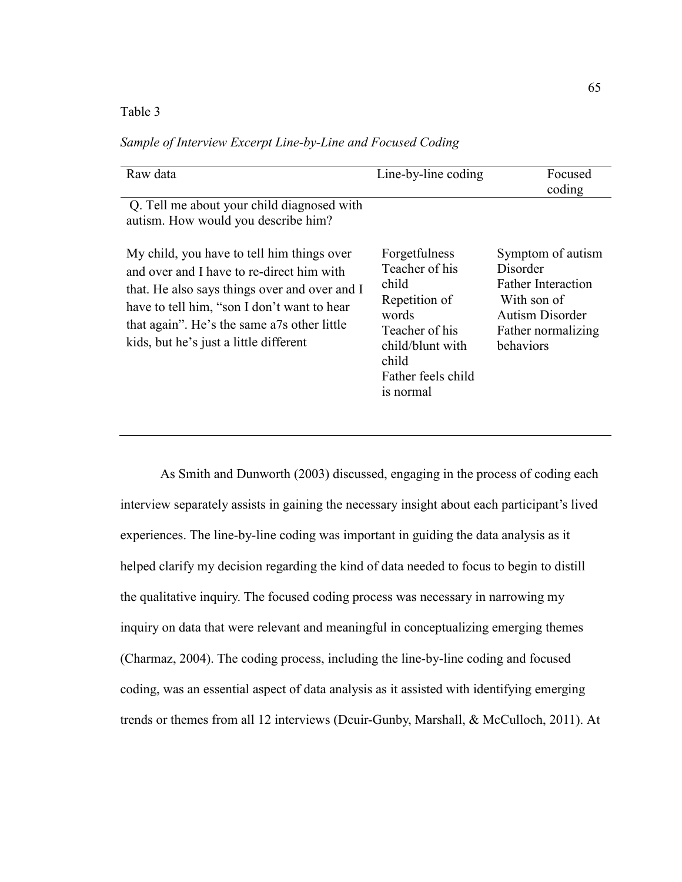Table 3

| Raw data                                                                                                                                                                                                                                                                         | Line-by-line coding                                                                                                                                  | Focused<br>coding                                                                                                                      |
|----------------------------------------------------------------------------------------------------------------------------------------------------------------------------------------------------------------------------------------------------------------------------------|------------------------------------------------------------------------------------------------------------------------------------------------------|----------------------------------------------------------------------------------------------------------------------------------------|
| Q. Tell me about your child diagnosed with<br>autism. How would you describe him?                                                                                                                                                                                                |                                                                                                                                                      |                                                                                                                                        |
| My child, you have to tell him things over<br>and over and I have to re-direct him with<br>that. He also says things over and over and I<br>have to tell him, "son I don't want to hear<br>that again". He's the same a7s other little<br>kids, but he's just a little different | Forgetfulness<br>Teacher of his<br>child<br>Repetition of<br>words<br>Teacher of his<br>child/blunt with<br>child<br>Father feels child<br>is normal | Symptom of autism<br>Disorder<br><b>Father Interaction</b><br>With son of<br><b>Autism Disorder</b><br>Father normalizing<br>behaviors |

*Sample of Interview Excerpt Line-by-Line and Focused Coding* 

As Smith and Dunworth (2003) discussed, engaging in the process of coding each interview separately assists in gaining the necessary insight about each participant's lived experiences. The line-by-line coding was important in guiding the data analysis as it helped clarify my decision regarding the kind of data needed to focus to begin to distill the qualitative inquiry. The focused coding process was necessary in narrowing my inquiry on data that were relevant and meaningful in conceptualizing emerging themes (Charmaz, 2004). The coding process, including the line-by-line coding and focused coding, was an essential aspect of data analysis as it assisted with identifying emerging trends or themes from all 12 interviews (Dcuir-Gunby, Marshall, & McCulloch, 2011). At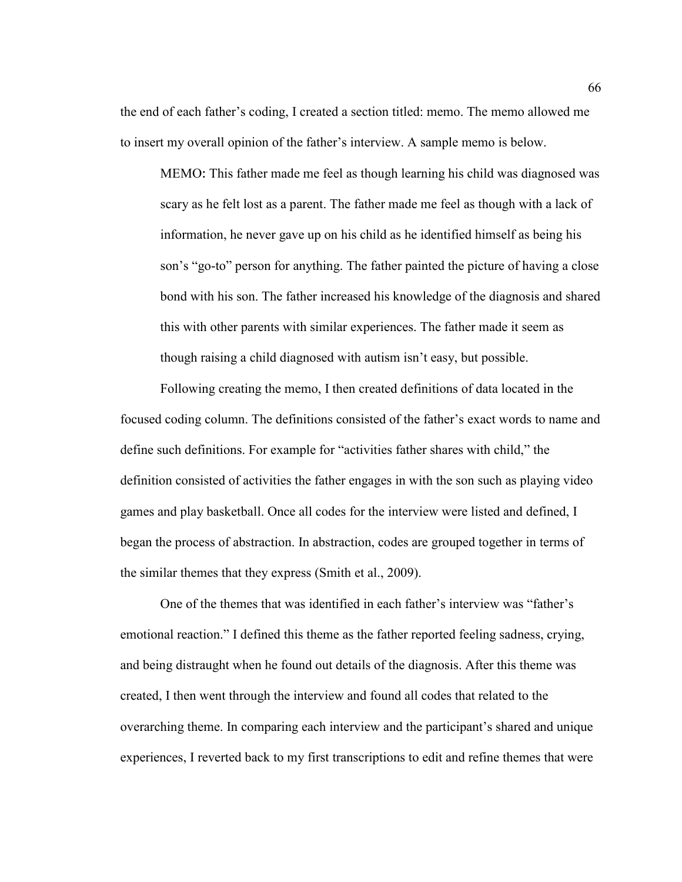the end of each father's coding, I created a section titled: memo. The memo allowed me to insert my overall opinion of the father's interview. A sample memo is below.

MEMO: This father made me feel as though learning his child was diagnosed was scary as he felt lost as a parent. The father made me feel as though with a lack of information, he never gave up on his child as he identified himself as being his son's "go-to" person for anything. The father painted the picture of having a close bond with his son. The father increased his knowledge of the diagnosis and shared this with other parents with similar experiences. The father made it seem as though raising a child diagnosed with autism isn't easy, but possible.

Following creating the memo, I then created definitions of data located in the focused coding column. The definitions consisted of the father's exact words to name and define such definitions. For example for "activities father shares with child," the definition consisted of activities the father engages in with the son such as playing video games and play basketball. Once all codes for the interview were listed and defined, I began the process of abstraction. In abstraction, codes are grouped together in terms of the similar themes that they express (Smith et al., 2009).

One of the themes that was identified in each father's interview was "father's emotional reaction." I defined this theme as the father reported feeling sadness, crying, and being distraught when he found out details of the diagnosis. After this theme was created, I then went through the interview and found all codes that related to the overarching theme. In comparing each interview and the participant's shared and unique experiences, I reverted back to my first transcriptions to edit and refine themes that were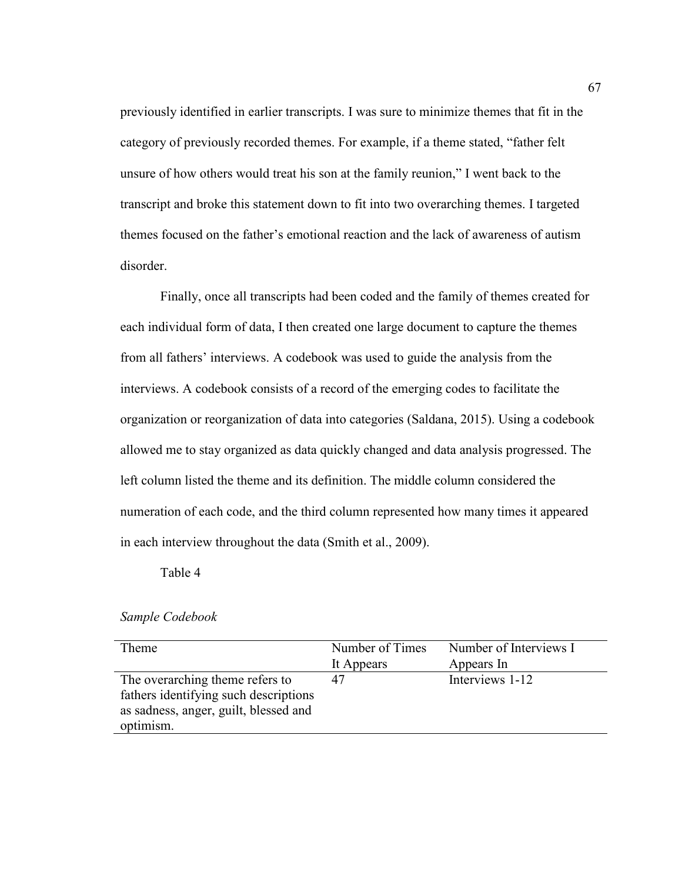previously identified in earlier transcripts. I was sure to minimize themes that fit in the category of previously recorded themes. For example, if a theme stated, "father felt unsure of how others would treat his son at the family reunion," I went back to the transcript and broke this statement down to fit into two overarching themes. I targeted themes focused on the father's emotional reaction and the lack of awareness of autism disorder.

Finally, once all transcripts had been coded and the family of themes created for each individual form of data, I then created one large document to capture the themes from all fathers' interviews. A codebook was used to guide the analysis from the interviews. A codebook consists of a record of the emerging codes to facilitate the organization or reorganization of data into categories (Saldana, 2015). Using a codebook allowed me to stay organized as data quickly changed and data analysis progressed. The left column listed the theme and its definition. The middle column considered the numeration of each code, and the third column represented how many times it appeared in each interview throughout the data (Smith et al., 2009).

Table 4

#### *Sample Codebook*

| Theme                                 | Number of Times | Number of Interviews I |
|---------------------------------------|-----------------|------------------------|
|                                       | It Appears      | Appears In             |
| The overarching theme refers to       |                 | Interviews 1-12        |
| fathers identifying such descriptions |                 |                        |
| as sadness, anger, guilt, blessed and |                 |                        |
| optimism.                             |                 |                        |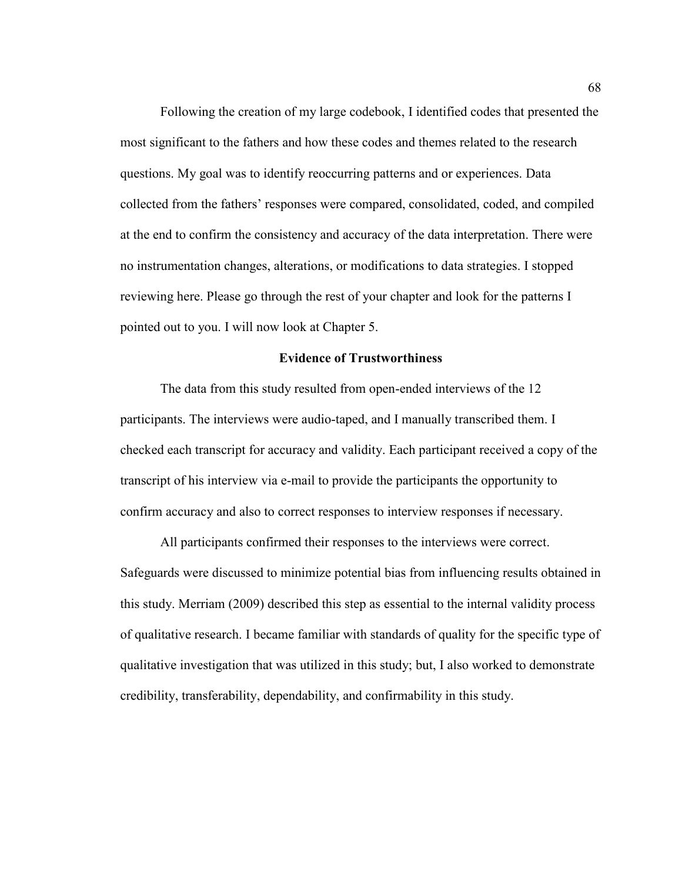Following the creation of my large codebook, I identified codes that presented the most significant to the fathers and how these codes and themes related to the research questions. My goal was to identify reoccurring patterns and or experiences. Data collected from the fathers' responses were compared, consolidated, coded, and compiled at the end to confirm the consistency and accuracy of the data interpretation. There were no instrumentation changes, alterations, or modifications to data strategies. I stopped reviewing here. Please go through the rest of your chapter and look for the patterns I pointed out to you. I will now look at Chapter 5.

# **Evidence of Trustworthiness**

 The data from this study resulted from open-ended interviews of the 12 participants. The interviews were audio-taped, and I manually transcribed them. I checked each transcript for accuracy and validity. Each participant received a copy of the transcript of his interview via e-mail to provide the participants the opportunity to confirm accuracy and also to correct responses to interview responses if necessary.

 All participants confirmed their responses to the interviews were correct. Safeguards were discussed to minimize potential bias from influencing results obtained in this study. Merriam (2009) described this step as essential to the internal validity process of qualitative research. I became familiar with standards of quality for the specific type of qualitative investigation that was utilized in this study; but, I also worked to demonstrate credibility, transferability, dependability, and confirmability in this study.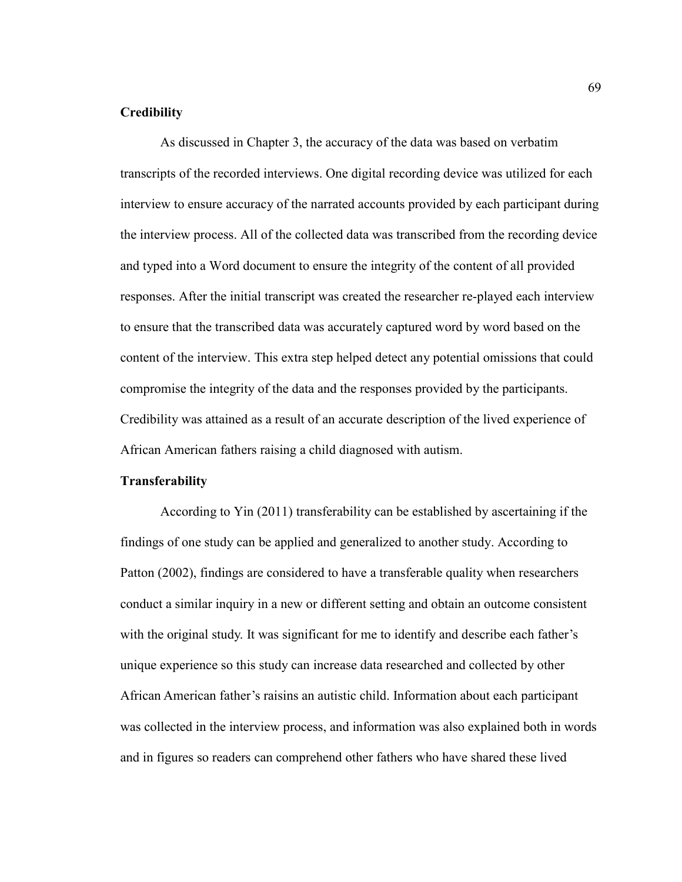# **Credibility**

As discussed in Chapter 3, the accuracy of the data was based on verbatim transcripts of the recorded interviews. One digital recording device was utilized for each interview to ensure accuracy of the narrated accounts provided by each participant during the interview process. All of the collected data was transcribed from the recording device and typed into a Word document to ensure the integrity of the content of all provided responses. After the initial transcript was created the researcher re-played each interview to ensure that the transcribed data was accurately captured word by word based on the content of the interview. This extra step helped detect any potential omissions that could compromise the integrity of the data and the responses provided by the participants. Credibility was attained as a result of an accurate description of the lived experience of African American fathers raising a child diagnosed with autism.

# **Transferability**

 According to Yin (2011) transferability can be established by ascertaining if the findings of one study can be applied and generalized to another study. According to Patton (2002), findings are considered to have a transferable quality when researchers conduct a similar inquiry in a new or different setting and obtain an outcome consistent with the original study. It was significant for me to identify and describe each father's unique experience so this study can increase data researched and collected by other African American father's raisins an autistic child. Information about each participant was collected in the interview process, and information was also explained both in words and in figures so readers can comprehend other fathers who have shared these lived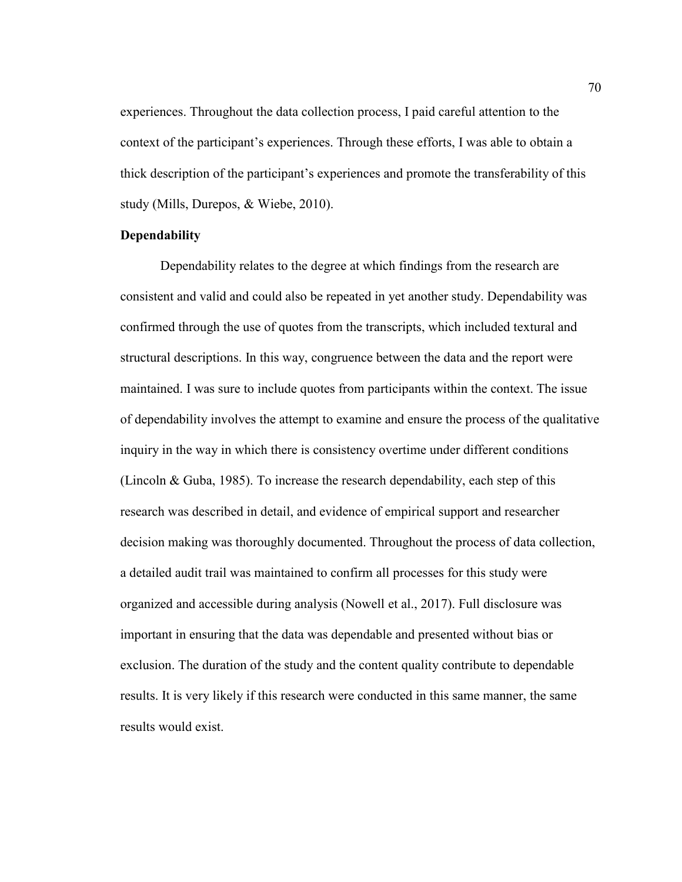experiences. Throughout the data collection process, I paid careful attention to the context of the participant's experiences. Through these efforts, I was able to obtain a thick description of the participant's experiences and promote the transferability of this study (Mills, Durepos, & Wiebe, 2010).

## **Dependability**

Dependability relates to the degree at which findings from the research are consistent and valid and could also be repeated in yet another study. Dependability was confirmed through the use of quotes from the transcripts, which included textural and structural descriptions. In this way, congruence between the data and the report were maintained. I was sure to include quotes from participants within the context. The issue of dependability involves the attempt to examine and ensure the process of the qualitative inquiry in the way in which there is consistency overtime under different conditions (Lincoln & Guba, 1985). To increase the research dependability, each step of this research was described in detail, and evidence of empirical support and researcher decision making was thoroughly documented. Throughout the process of data collection, a detailed audit trail was maintained to confirm all processes for this study were organized and accessible during analysis (Nowell et al., 2017). Full disclosure was important in ensuring that the data was dependable and presented without bias or exclusion. The duration of the study and the content quality contribute to dependable results. It is very likely if this research were conducted in this same manner, the same results would exist.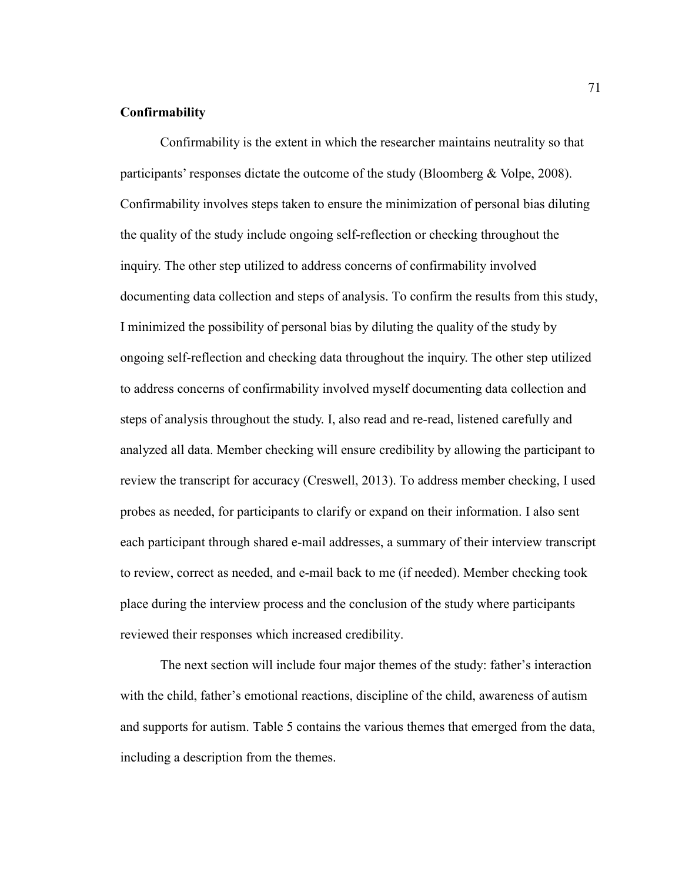#### **Confirmability**

Confirmability is the extent in which the researcher maintains neutrality so that participants' responses dictate the outcome of the study (Bloomberg & Volpe, 2008). Confirmability involves steps taken to ensure the minimization of personal bias diluting the quality of the study include ongoing self-reflection or checking throughout the inquiry. The other step utilized to address concerns of confirmability involved documenting data collection and steps of analysis. To confirm the results from this study, I minimized the possibility of personal bias by diluting the quality of the study by ongoing self-reflection and checking data throughout the inquiry. The other step utilized to address concerns of confirmability involved myself documenting data collection and steps of analysis throughout the study. I, also read and re-read, listened carefully and analyzed all data. Member checking will ensure credibility by allowing the participant to review the transcript for accuracy (Creswell, 2013). To address member checking, I used probes as needed, for participants to clarify or expand on their information. I also sent each participant through shared e-mail addresses, a summary of their interview transcript to review, correct as needed, and e-mail back to me (if needed). Member checking took place during the interview process and the conclusion of the study where participants reviewed their responses which increased credibility.

 The next section will include four major themes of the study: father's interaction with the child, father's emotional reactions, discipline of the child, awareness of autism and supports for autism. Table 5 contains the various themes that emerged from the data, including a description from the themes.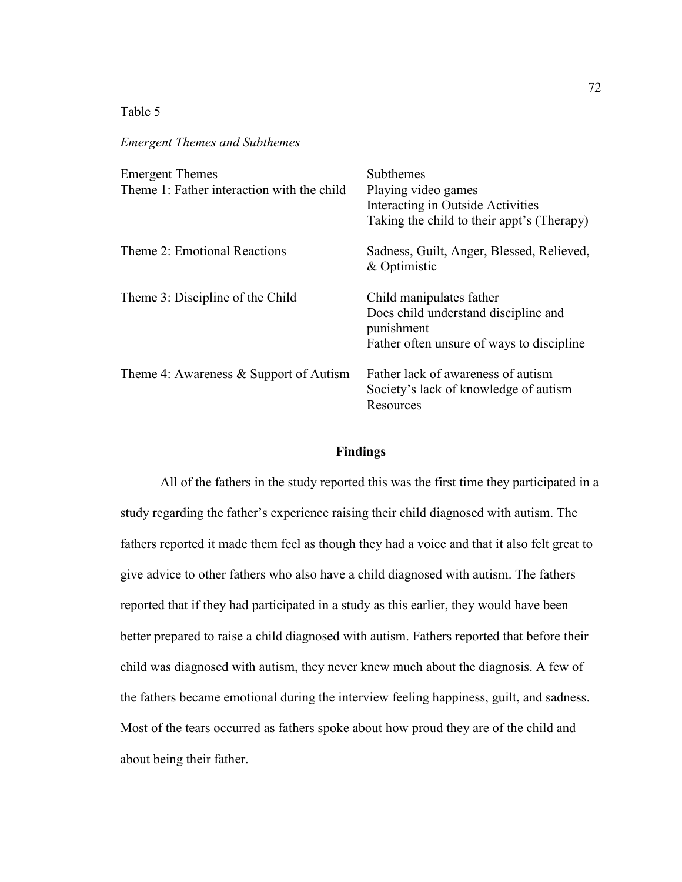# Table 5

*Emergent Themes and Subthemes* 

| <b>Emergent Themes</b>                     | Subthemes                                                                                                                   |
|--------------------------------------------|-----------------------------------------------------------------------------------------------------------------------------|
| Theme 1: Father interaction with the child | Playing video games<br>Interacting in Outside Activities                                                                    |
|                                            | Taking the child to their appt's (Therapy)                                                                                  |
| Theme 2: Emotional Reactions               | Sadness, Guilt, Anger, Blessed, Relieved,<br>& Optimistic                                                                   |
| Theme 3: Discipline of the Child           | Child manipulates father<br>Does child understand discipline and<br>punishment<br>Father often unsure of ways to discipline |
| Theme 4: Awareness $\&$ Support of Autism  | Father lack of awareness of autism<br>Society's lack of knowledge of autism<br>Resources                                    |

# **Findings**

 All of the fathers in the study reported this was the first time they participated in a study regarding the father's experience raising their child diagnosed with autism. The fathers reported it made them feel as though they had a voice and that it also felt great to give advice to other fathers who also have a child diagnosed with autism. The fathers reported that if they had participated in a study as this earlier, they would have been better prepared to raise a child diagnosed with autism. Fathers reported that before their child was diagnosed with autism, they never knew much about the diagnosis. A few of the fathers became emotional during the interview feeling happiness, guilt, and sadness. Most of the tears occurred as fathers spoke about how proud they are of the child and about being their father.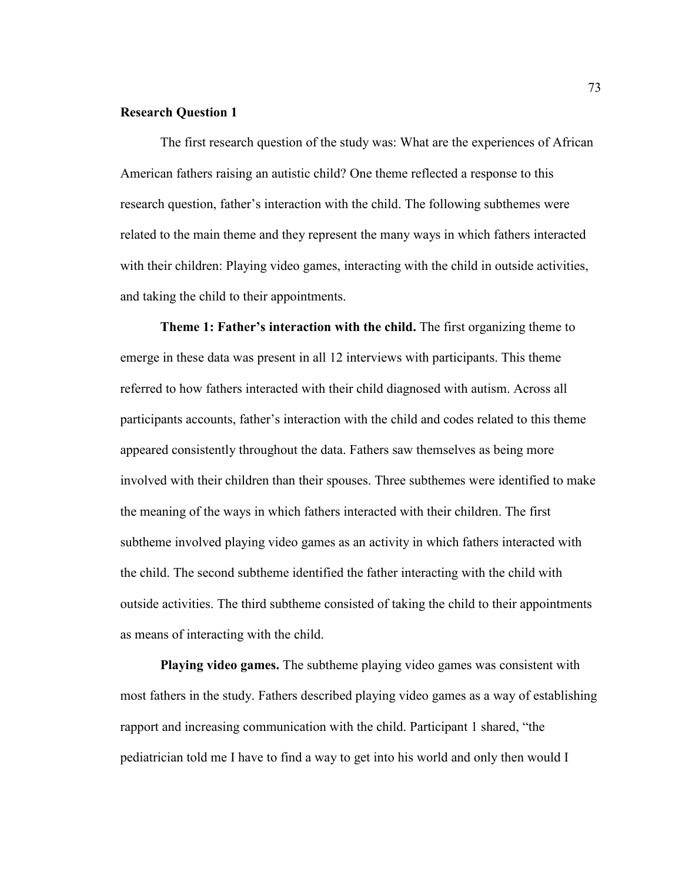#### **Research Question 1**

 The first research question of the study was: What are the experiences of African American fathers raising an autistic child? One theme reflected a response to this research question, father's interaction with the child. The following subthemes were related to the main theme and they represent the many ways in which fathers interacted with their children: Playing video games, interacting with the child in outside activities, and taking the child to their appointments.

 **Theme 1: Father's interaction with the child.** The first organizing theme to emerge in these data was present in all 12 interviews with participants. This theme referred to how fathers interacted with their child diagnosed with autism. Across all participants accounts, father's interaction with the child and codes related to this theme appeared consistently throughout the data. Fathers saw themselves as being more involved with their children than their spouses. Three subthemes were identified to make the meaning of the ways in which fathers interacted with their children. The first subtheme involved playing video games as an activity in which fathers interacted with the child. The second subtheme identified the father interacting with the child with outside activities. The third subtheme consisted of taking the child to their appointments as means of interacting with the child.

**Playing video games.** The subtheme playing video games was consistent with most fathers in the study. Fathers described playing video games as a way of establishing rapport and increasing communication with the child. Participant 1 shared, "the pediatrician told me I have to find a way to get into his world and only then would I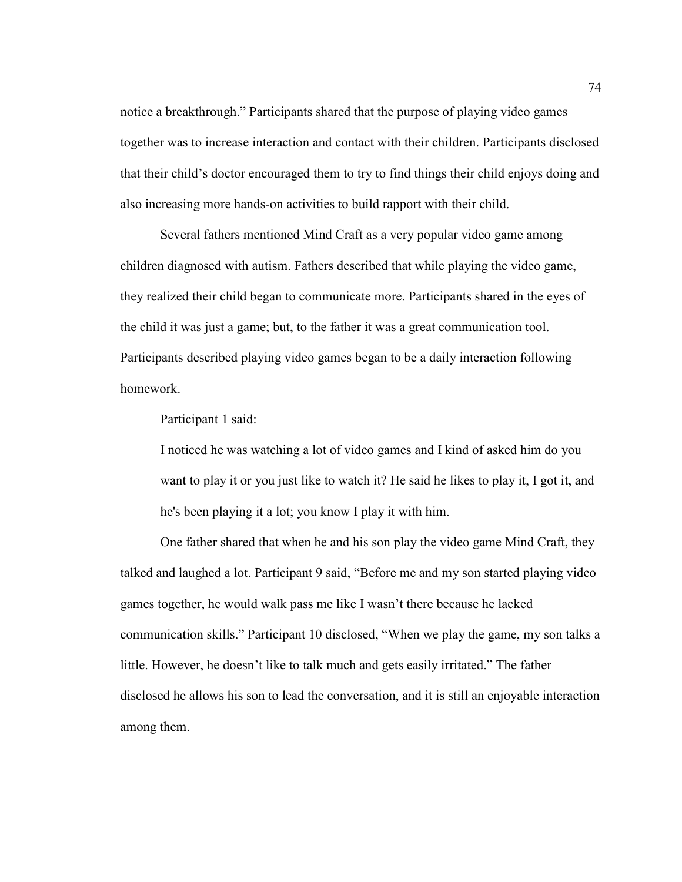notice a breakthrough." Participants shared that the purpose of playing video games together was to increase interaction and contact with their children. Participants disclosed that their child's doctor encouraged them to try to find things their child enjoys doing and also increasing more hands-on activities to build rapport with their child.

Several fathers mentioned Mind Craft as a very popular video game among children diagnosed with autism. Fathers described that while playing the video game, they realized their child began to communicate more. Participants shared in the eyes of the child it was just a game; but, to the father it was a great communication tool. Participants described playing video games began to be a daily interaction following homework.

Participant 1 said:

I noticed he was watching a lot of video games and I kind of asked him do you want to play it or you just like to watch it? He said he likes to play it, I got it, and he's been playing it a lot; you know I play it with him.

One father shared that when he and his son play the video game Mind Craft, they talked and laughed a lot. Participant 9 said, "Before me and my son started playing video games together, he would walk pass me like I wasn't there because he lacked communication skills." Participant 10 disclosed, "When we play the game, my son talks a little. However, he doesn't like to talk much and gets easily irritated." The father disclosed he allows his son to lead the conversation, and it is still an enjoyable interaction among them.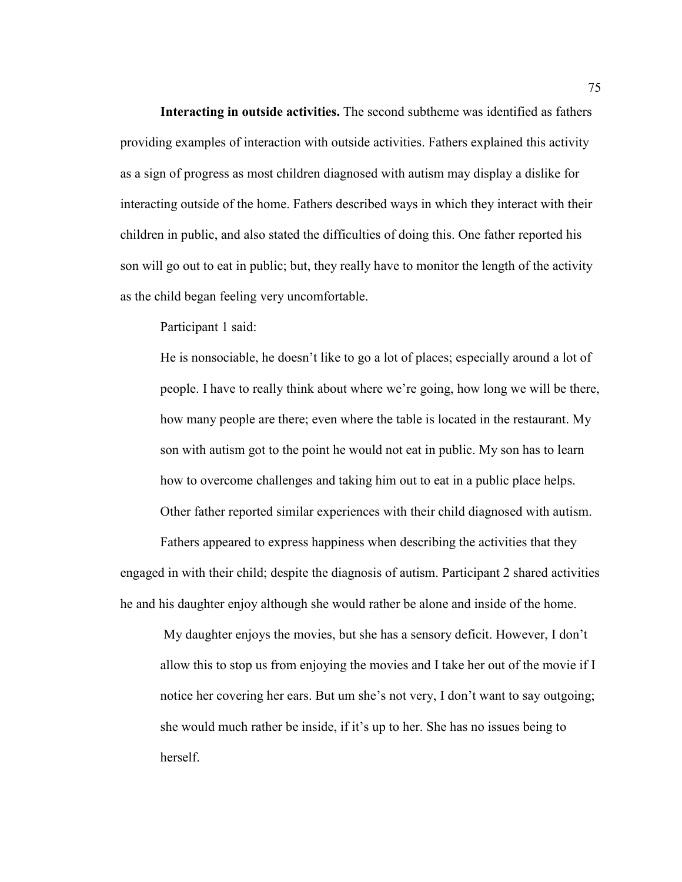**Interacting in outside activities.** The second subtheme was identified as fathers providing examples of interaction with outside activities. Fathers explained this activity as a sign of progress as most children diagnosed with autism may display a dislike for interacting outside of the home. Fathers described ways in which they interact with their children in public, and also stated the difficulties of doing this. One father reported his son will go out to eat in public; but, they really have to monitor the length of the activity as the child began feeling very uncomfortable.

Participant 1 said:

He is nonsociable, he doesn't like to go a lot of places; especially around a lot of people. I have to really think about where we're going, how long we will be there, how many people are there; even where the table is located in the restaurant. My son with autism got to the point he would not eat in public. My son has to learn how to overcome challenges and taking him out to eat in a public place helps. Other father reported similar experiences with their child diagnosed with autism.

Fathers appeared to express happiness when describing the activities that they engaged in with their child; despite the diagnosis of autism. Participant 2 shared activities he and his daughter enjoy although she would rather be alone and inside of the home.

My daughter enjoys the movies, but she has a sensory deficit. However, I don't allow this to stop us from enjoying the movies and I take her out of the movie if I notice her covering her ears. But um she's not very, I don't want to say outgoing; she would much rather be inside, if it's up to her. She has no issues being to herself.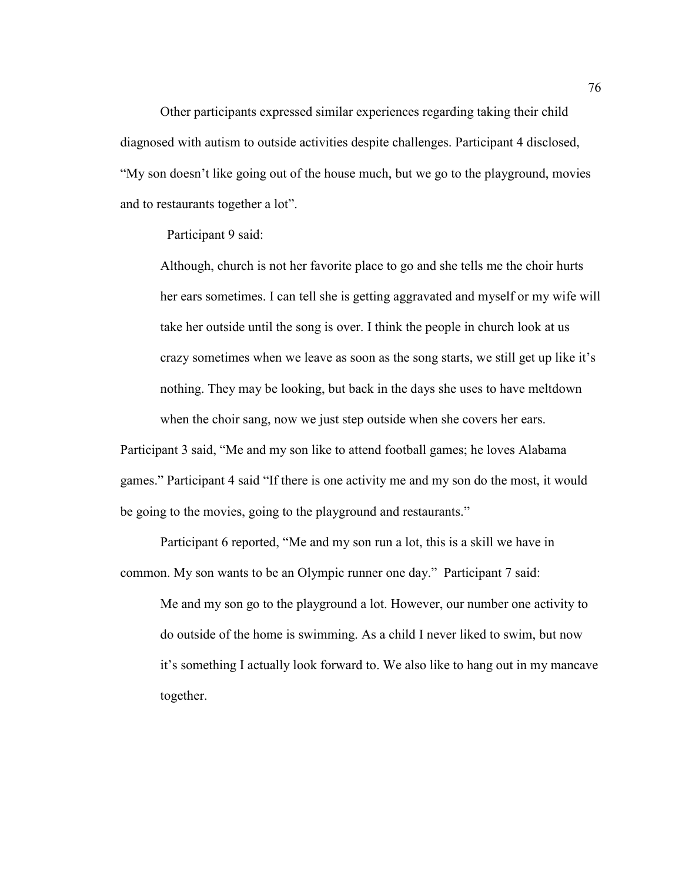Other participants expressed similar experiences regarding taking their child diagnosed with autism to outside activities despite challenges. Participant 4 disclosed, "My son doesn't like going out of the house much, but we go to the playground, movies and to restaurants together a lot".

Participant 9 said:

Although, church is not her favorite place to go and she tells me the choir hurts her ears sometimes. I can tell she is getting aggravated and myself or my wife will take her outside until the song is over. I think the people in church look at us crazy sometimes when we leave as soon as the song starts, we still get up like it's nothing. They may be looking, but back in the days she uses to have meltdown when the choir sang, now we just step outside when she covers her ears.

Participant 3 said, "Me and my son like to attend football games; he loves Alabama games." Participant 4 said "If there is one activity me and my son do the most, it would be going to the movies, going to the playground and restaurants."

Participant 6 reported, "Me and my son run a lot, this is a skill we have in common. My son wants to be an Olympic runner one day." Participant 7 said:

Me and my son go to the playground a lot. However, our number one activity to do outside of the home is swimming. As a child I never liked to swim, but now it's something I actually look forward to. We also like to hang out in my mancave together.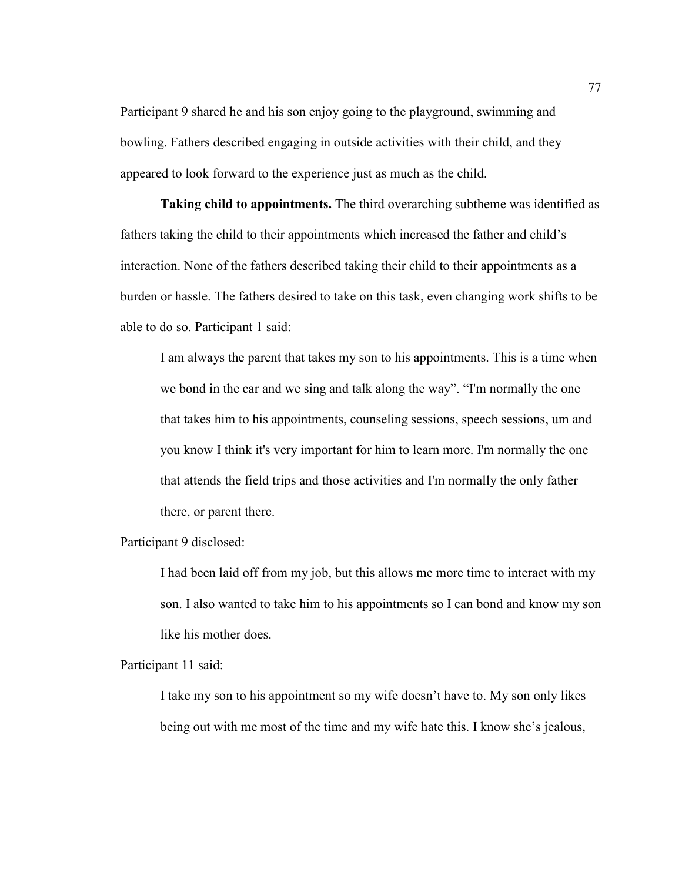Participant 9 shared he and his son enjoy going to the playground, swimming and bowling. Fathers described engaging in outside activities with their child, and they appeared to look forward to the experience just as much as the child.

**Taking child to appointments.** The third overarching subtheme was identified as fathers taking the child to their appointments which increased the father and child's interaction. None of the fathers described taking their child to their appointments as a burden or hassle. The fathers desired to take on this task, even changing work shifts to be able to do so. Participant 1 said:

I am always the parent that takes my son to his appointments. This is a time when we bond in the car and we sing and talk along the way". "I'm normally the one that takes him to his appointments, counseling sessions, speech sessions, um and you know I think it's very important for him to learn more. I'm normally the one that attends the field trips and those activities and I'm normally the only father there, or parent there.

Participant 9 disclosed:

I had been laid off from my job, but this allows me more time to interact with my son. I also wanted to take him to his appointments so I can bond and know my son like his mother does.

Participant 11 said:

I take my son to his appointment so my wife doesn't have to. My son only likes being out with me most of the time and my wife hate this. I know she's jealous,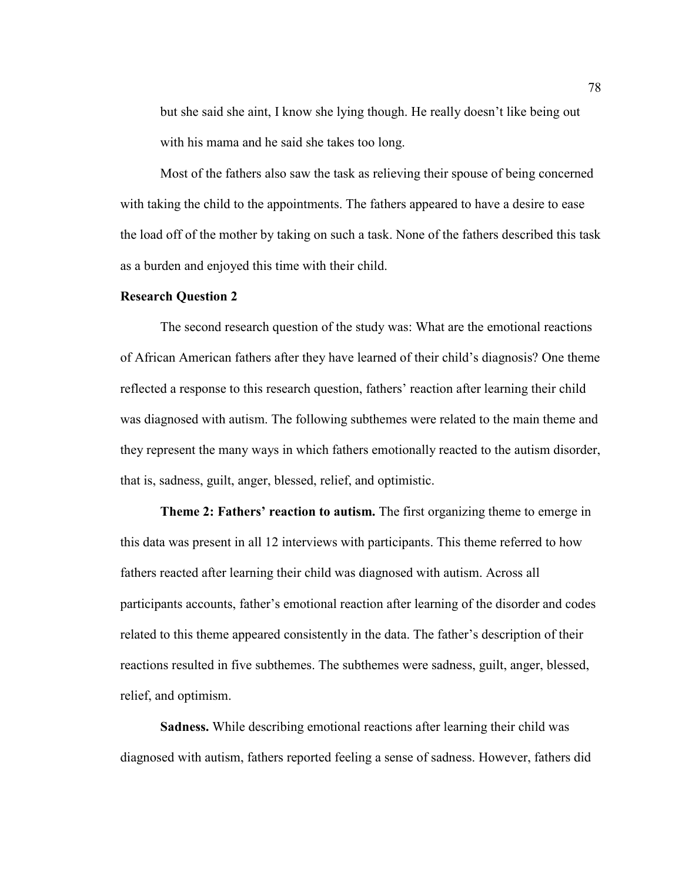but she said she aint, I know she lying though. He really doesn't like being out with his mama and he said she takes too long.

Most of the fathers also saw the task as relieving their spouse of being concerned with taking the child to the appointments. The fathers appeared to have a desire to ease the load off of the mother by taking on such a task. None of the fathers described this task as a burden and enjoyed this time with their child.

# **Research Question 2**

The second research question of the study was: What are the emotional reactions of African American fathers after they have learned of their child's diagnosis? One theme reflected a response to this research question, fathers' reaction after learning their child was diagnosed with autism. The following subthemes were related to the main theme and they represent the many ways in which fathers emotionally reacted to the autism disorder, that is, sadness, guilt, anger, blessed, relief, and optimistic.

**Theme 2: Fathers' reaction to autism.** The first organizing theme to emerge in this data was present in all 12 interviews with participants. This theme referred to how fathers reacted after learning their child was diagnosed with autism. Across all participants accounts, father's emotional reaction after learning of the disorder and codes related to this theme appeared consistently in the data. The father's description of their reactions resulted in five subthemes. The subthemes were sadness, guilt, anger, blessed, relief, and optimism.

**Sadness.** While describing emotional reactions after learning their child was diagnosed with autism, fathers reported feeling a sense of sadness. However, fathers did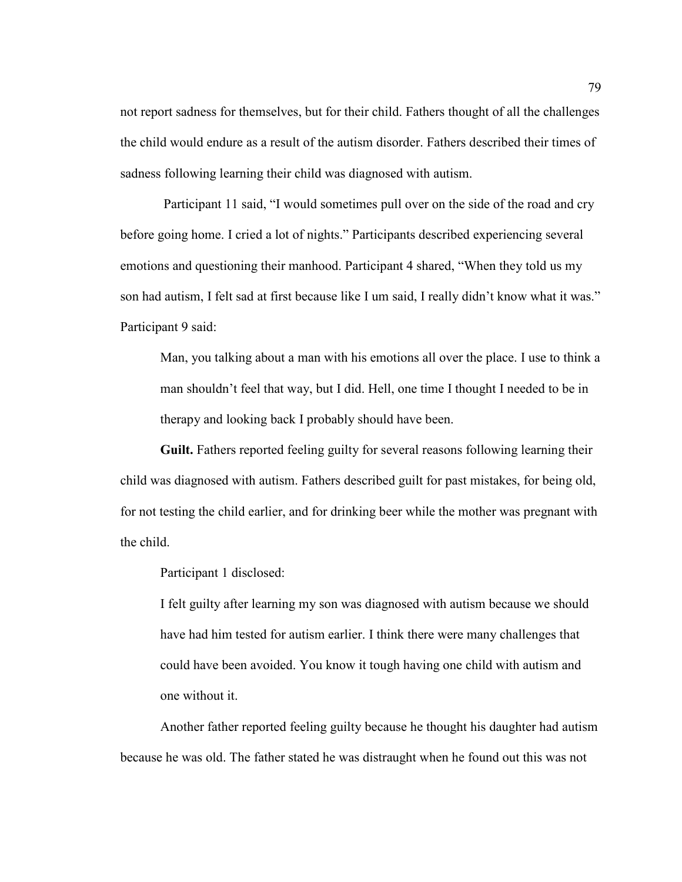not report sadness for themselves, but for their child. Fathers thought of all the challenges the child would endure as a result of the autism disorder. Fathers described their times of sadness following learning their child was diagnosed with autism.

 Participant 11 said, "I would sometimes pull over on the side of the road and cry before going home. I cried a lot of nights." Participants described experiencing several emotions and questioning their manhood. Participant 4 shared, "When they told us my son had autism, I felt sad at first because like I um said, I really didn't know what it was." Participant 9 said:

Man, you talking about a man with his emotions all over the place. I use to think a man shouldn't feel that way, but I did. Hell, one time I thought I needed to be in therapy and looking back I probably should have been.

**Guilt.** Fathers reported feeling guilty for several reasons following learning their child was diagnosed with autism. Fathers described guilt for past mistakes, for being old, for not testing the child earlier, and for drinking beer while the mother was pregnant with the child.

Participant 1 disclosed:

I felt guilty after learning my son was diagnosed with autism because we should have had him tested for autism earlier. I think there were many challenges that could have been avoided. You know it tough having one child with autism and one without it.

Another father reported feeling guilty because he thought his daughter had autism because he was old. The father stated he was distraught when he found out this was not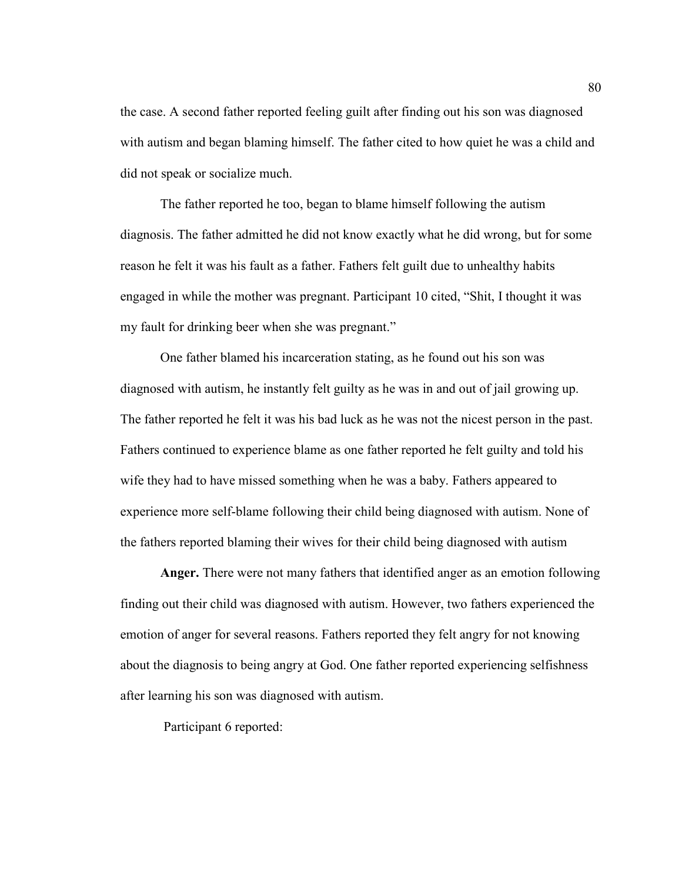the case. A second father reported feeling guilt after finding out his son was diagnosed with autism and began blaming himself. The father cited to how quiet he was a child and did not speak or socialize much.

The father reported he too, began to blame himself following the autism diagnosis. The father admitted he did not know exactly what he did wrong, but for some reason he felt it was his fault as a father. Fathers felt guilt due to unhealthy habits engaged in while the mother was pregnant. Participant 10 cited, "Shit, I thought it was my fault for drinking beer when she was pregnant."

One father blamed his incarceration stating, as he found out his son was diagnosed with autism, he instantly felt guilty as he was in and out of jail growing up. The father reported he felt it was his bad luck as he was not the nicest person in the past. Fathers continued to experience blame as one father reported he felt guilty and told his wife they had to have missed something when he was a baby. Fathers appeared to experience more self-blame following their child being diagnosed with autism. None of the fathers reported blaming their wives for their child being diagnosed with autism

**Anger.** There were not many fathers that identified anger as an emotion following finding out their child was diagnosed with autism. However, two fathers experienced the emotion of anger for several reasons. Fathers reported they felt angry for not knowing about the diagnosis to being angry at God. One father reported experiencing selfishness after learning his son was diagnosed with autism.

Participant 6 reported: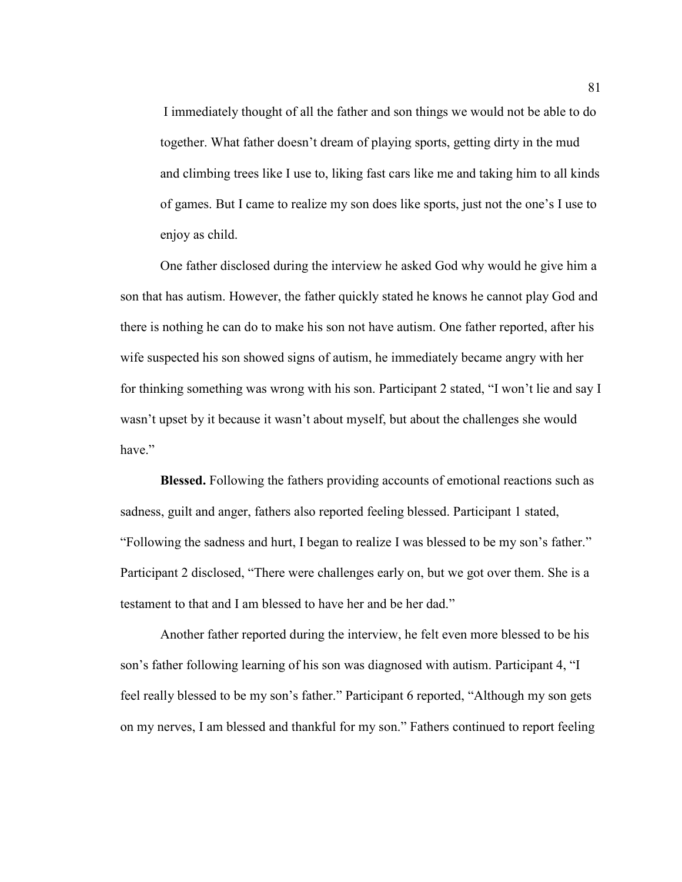I immediately thought of all the father and son things we would not be able to do together. What father doesn't dream of playing sports, getting dirty in the mud and climbing trees like I use to, liking fast cars like me and taking him to all kinds of games. But I came to realize my son does like sports, just not the one's I use to enjoy as child.

One father disclosed during the interview he asked God why would he give him a son that has autism. However, the father quickly stated he knows he cannot play God and there is nothing he can do to make his son not have autism. One father reported, after his wife suspected his son showed signs of autism, he immediately became angry with her for thinking something was wrong with his son. Participant 2 stated, "I won't lie and say I wasn't upset by it because it wasn't about myself, but about the challenges she would have"

**Blessed.** Following the fathers providing accounts of emotional reactions such as sadness, guilt and anger, fathers also reported feeling blessed. Participant 1 stated, "Following the sadness and hurt, I began to realize I was blessed to be my son's father." Participant 2 disclosed, "There were challenges early on, but we got over them. She is a testament to that and I am blessed to have her and be her dad."

Another father reported during the interview, he felt even more blessed to be his son's father following learning of his son was diagnosed with autism. Participant 4, "I feel really blessed to be my son's father." Participant 6 reported, "Although my son gets on my nerves, I am blessed and thankful for my son." Fathers continued to report feeling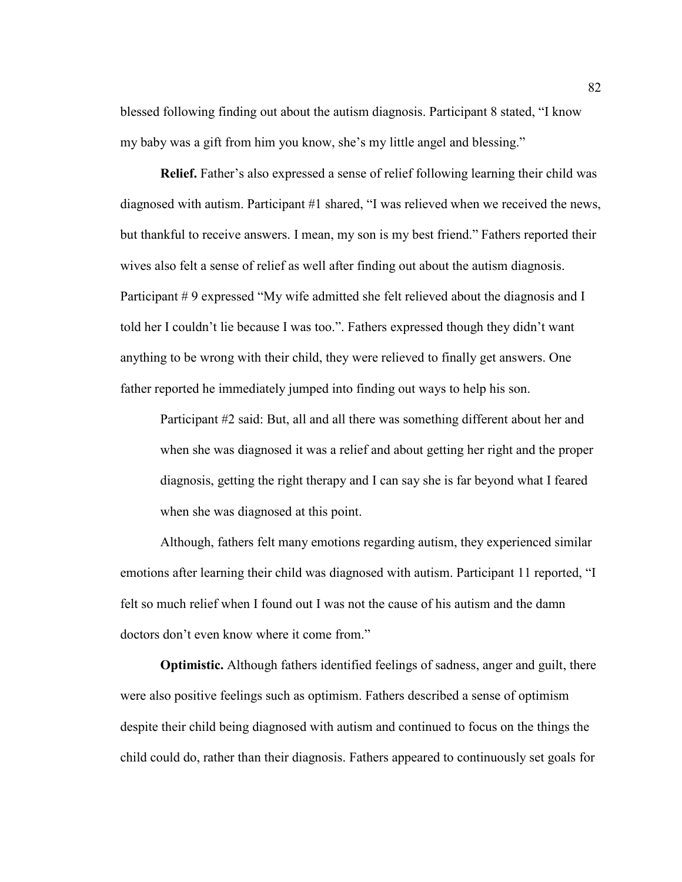blessed following finding out about the autism diagnosis. Participant 8 stated, "I know my baby was a gift from him you know, she's my little angel and blessing."

**Relief.** Father's also expressed a sense of relief following learning their child was diagnosed with autism. Participant #1 shared, "I was relieved when we received the news, but thankful to receive answers. I mean, my son is my best friend." Fathers reported their wives also felt a sense of relief as well after finding out about the autism diagnosis. Participant # 9 expressed "My wife admitted she felt relieved about the diagnosis and I told her I couldn't lie because I was too.". Fathers expressed though they didn't want anything to be wrong with their child, they were relieved to finally get answers. One father reported he immediately jumped into finding out ways to help his son.

Participant #2 said: But, all and all there was something different about her and when she was diagnosed it was a relief and about getting her right and the proper diagnosis, getting the right therapy and I can say she is far beyond what I feared when she was diagnosed at this point.

Although, fathers felt many emotions regarding autism, they experienced similar emotions after learning their child was diagnosed with autism. Participant 11 reported, "I felt so much relief when I found out I was not the cause of his autism and the damn doctors don't even know where it come from."

**Optimistic.** Although fathers identified feelings of sadness, anger and guilt, there were also positive feelings such as optimism. Fathers described a sense of optimism despite their child being diagnosed with autism and continued to focus on the things the child could do, rather than their diagnosis. Fathers appeared to continuously set goals for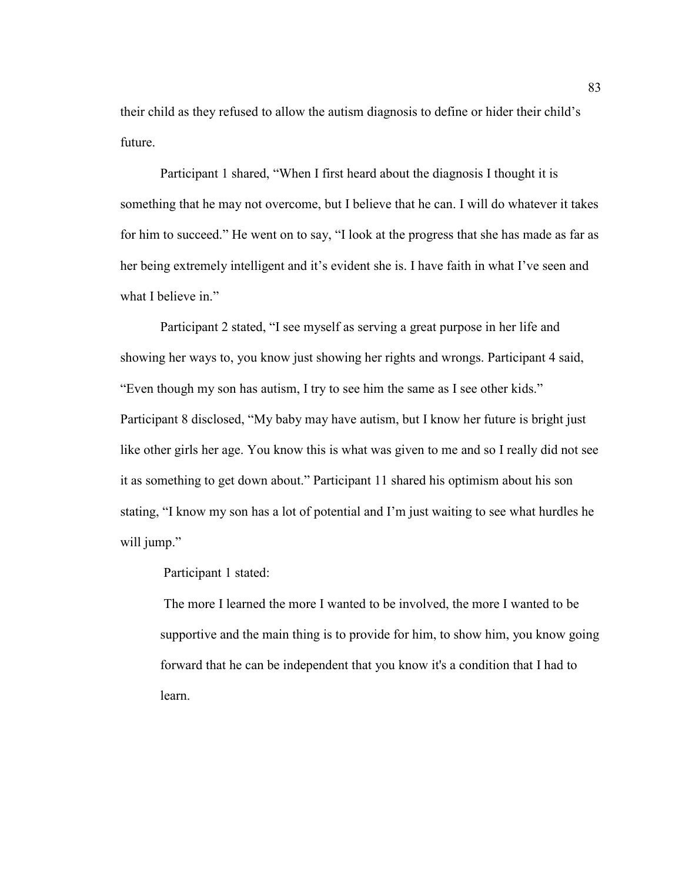their child as they refused to allow the autism diagnosis to define or hider their child's future.

 Participant 1 shared, "When I first heard about the diagnosis I thought it is something that he may not overcome, but I believe that he can. I will do whatever it takes for him to succeed." He went on to say, "I look at the progress that she has made as far as her being extremely intelligent and it's evident she is. I have faith in what I've seen and what I believe in."

Participant 2 stated, "I see myself as serving a great purpose in her life and showing her ways to, you know just showing her rights and wrongs. Participant 4 said, "Even though my son has autism, I try to see him the same as I see other kids." Participant 8 disclosed, "My baby may have autism, but I know her future is bright just like other girls her age. You know this is what was given to me and so I really did not see it as something to get down about." Participant 11 shared his optimism about his son stating, "I know my son has a lot of potential and I'm just waiting to see what hurdles he will jump."

Participant 1 stated:

The more I learned the more I wanted to be involved, the more I wanted to be supportive and the main thing is to provide for him, to show him, you know going forward that he can be independent that you know it's a condition that I had to learn.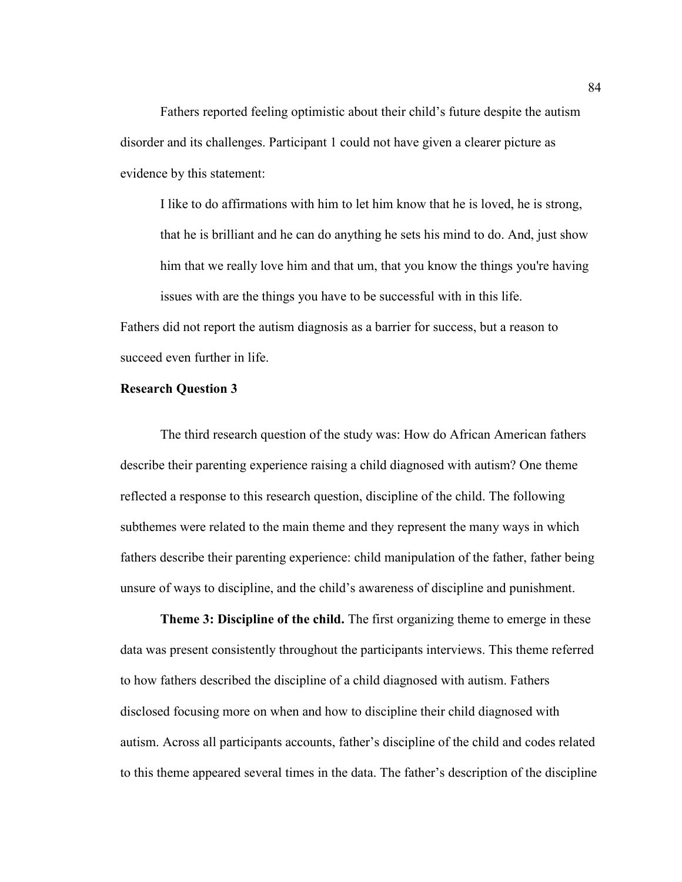Fathers reported feeling optimistic about their child's future despite the autism disorder and its challenges. Participant 1 could not have given a clearer picture as evidence by this statement:

I like to do affirmations with him to let him know that he is loved, he is strong, that he is brilliant and he can do anything he sets his mind to do. And, just show him that we really love him and that um, that you know the things you're having issues with are the things you have to be successful with in this life.

Fathers did not report the autism diagnosis as a barrier for success, but a reason to succeed even further in life.

# **Research Question 3**

The third research question of the study was: How do African American fathers describe their parenting experience raising a child diagnosed with autism? One theme reflected a response to this research question, discipline of the child. The following subthemes were related to the main theme and they represent the many ways in which fathers describe their parenting experience: child manipulation of the father, father being unsure of ways to discipline, and the child's awareness of discipline and punishment.

**Theme 3: Discipline of the child.** The first organizing theme to emerge in these data was present consistently throughout the participants interviews. This theme referred to how fathers described the discipline of a child diagnosed with autism. Fathers disclosed focusing more on when and how to discipline their child diagnosed with autism. Across all participants accounts, father's discipline of the child and codes related to this theme appeared several times in the data. The father's description of the discipline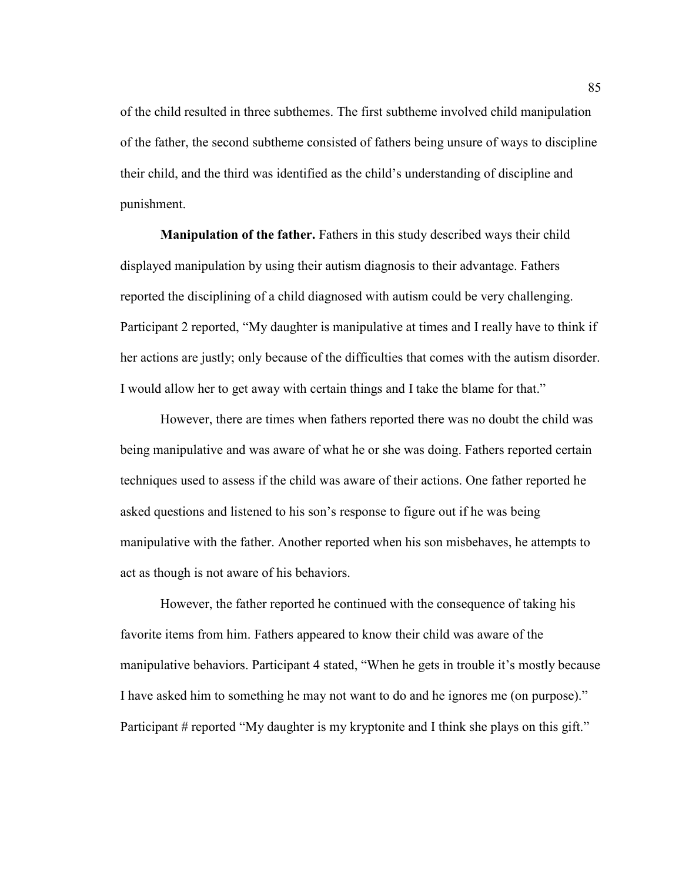of the child resulted in three subthemes. The first subtheme involved child manipulation of the father, the second subtheme consisted of fathers being unsure of ways to discipline their child, and the third was identified as the child's understanding of discipline and punishment.

**Manipulation of the father.** Fathers in this study described ways their child displayed manipulation by using their autism diagnosis to their advantage. Fathers reported the disciplining of a child diagnosed with autism could be very challenging. Participant 2 reported, "My daughter is manipulative at times and I really have to think if her actions are justly; only because of the difficulties that comes with the autism disorder. I would allow her to get away with certain things and I take the blame for that."

However, there are times when fathers reported there was no doubt the child was being manipulative and was aware of what he or she was doing. Fathers reported certain techniques used to assess if the child was aware of their actions. One father reported he asked questions and listened to his son's response to figure out if he was being manipulative with the father. Another reported when his son misbehaves, he attempts to act as though is not aware of his behaviors.

However, the father reported he continued with the consequence of taking his favorite items from him. Fathers appeared to know their child was aware of the manipulative behaviors. Participant 4 stated, "When he gets in trouble it's mostly because I have asked him to something he may not want to do and he ignores me (on purpose)." Participant # reported "My daughter is my kryptonite and I think she plays on this gift."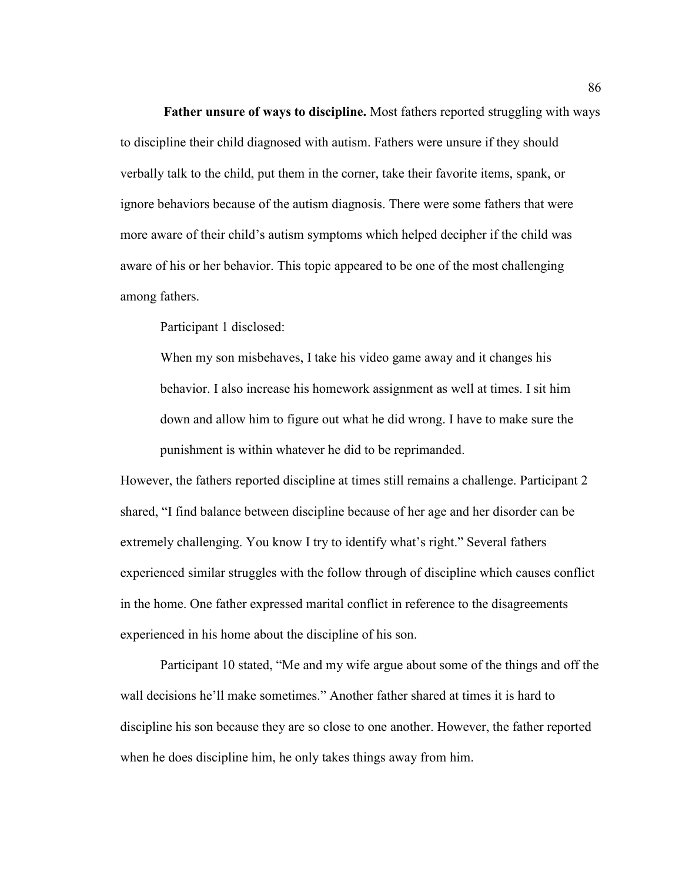**Father unsure of ways to discipline.** Most fathers reported struggling with ways to discipline their child diagnosed with autism. Fathers were unsure if they should verbally talk to the child, put them in the corner, take their favorite items, spank, or ignore behaviors because of the autism diagnosis. There were some fathers that were more aware of their child's autism symptoms which helped decipher if the child was aware of his or her behavior. This topic appeared to be one of the most challenging among fathers.

Participant 1 disclosed:

When my son misbehaves, I take his video game away and it changes his behavior. I also increase his homework assignment as well at times. I sit him down and allow him to figure out what he did wrong. I have to make sure the punishment is within whatever he did to be reprimanded.

However, the fathers reported discipline at times still remains a challenge. Participant 2 shared, "I find balance between discipline because of her age and her disorder can be extremely challenging. You know I try to identify what's right." Several fathers experienced similar struggles with the follow through of discipline which causes conflict in the home. One father expressed marital conflict in reference to the disagreements experienced in his home about the discipline of his son.

Participant 10 stated, "Me and my wife argue about some of the things and off the wall decisions he'll make sometimes." Another father shared at times it is hard to discipline his son because they are so close to one another. However, the father reported when he does discipline him, he only takes things away from him.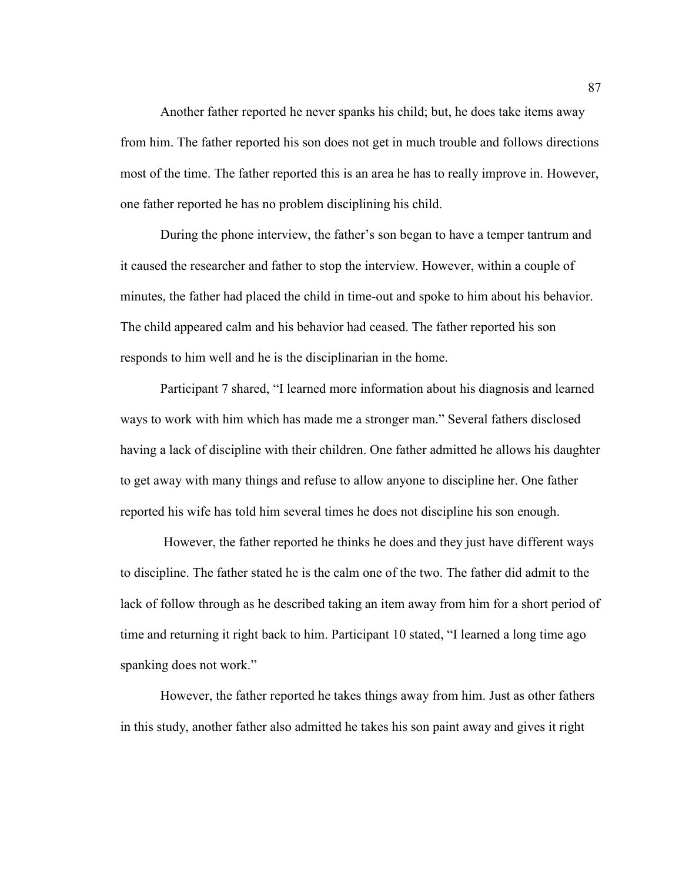Another father reported he never spanks his child; but, he does take items away from him. The father reported his son does not get in much trouble and follows directions most of the time. The father reported this is an area he has to really improve in. However, one father reported he has no problem disciplining his child.

During the phone interview, the father's son began to have a temper tantrum and it caused the researcher and father to stop the interview. However, within a couple of minutes, the father had placed the child in time-out and spoke to him about his behavior. The child appeared calm and his behavior had ceased. The father reported his son responds to him well and he is the disciplinarian in the home.

Participant 7 shared, "I learned more information about his diagnosis and learned ways to work with him which has made me a stronger man." Several fathers disclosed having a lack of discipline with their children. One father admitted he allows his daughter to get away with many things and refuse to allow anyone to discipline her. One father reported his wife has told him several times he does not discipline his son enough.

 However, the father reported he thinks he does and they just have different ways to discipline. The father stated he is the calm one of the two. The father did admit to the lack of follow through as he described taking an item away from him for a short period of time and returning it right back to him. Participant 10 stated, "I learned a long time ago spanking does not work."

However, the father reported he takes things away from him. Just as other fathers in this study, another father also admitted he takes his son paint away and gives it right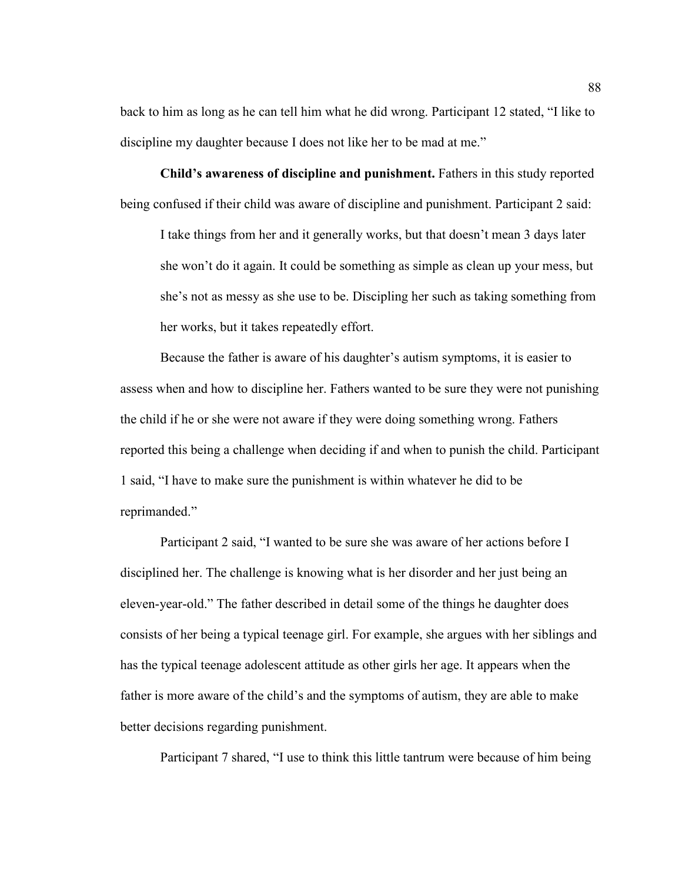back to him as long as he can tell him what he did wrong. Participant 12 stated, "I like to discipline my daughter because I does not like her to be mad at me."

**Child's awareness of discipline and punishment.** Fathers in this study reported being confused if their child was aware of discipline and punishment. Participant 2 said:

I take things from her and it generally works, but that doesn't mean 3 days later she won't do it again. It could be something as simple as clean up your mess, but she's not as messy as she use to be. Discipling her such as taking something from her works, but it takes repeatedly effort.

Because the father is aware of his daughter's autism symptoms, it is easier to assess when and how to discipline her. Fathers wanted to be sure they were not punishing the child if he or she were not aware if they were doing something wrong. Fathers reported this being a challenge when deciding if and when to punish the child. Participant 1 said, "I have to make sure the punishment is within whatever he did to be reprimanded."

Participant 2 said, "I wanted to be sure she was aware of her actions before I disciplined her. The challenge is knowing what is her disorder and her just being an eleven-year-old." The father described in detail some of the things he daughter does consists of her being a typical teenage girl. For example, she argues with her siblings and has the typical teenage adolescent attitude as other girls her age. It appears when the father is more aware of the child's and the symptoms of autism, they are able to make better decisions regarding punishment.

Participant 7 shared, "I use to think this little tantrum were because of him being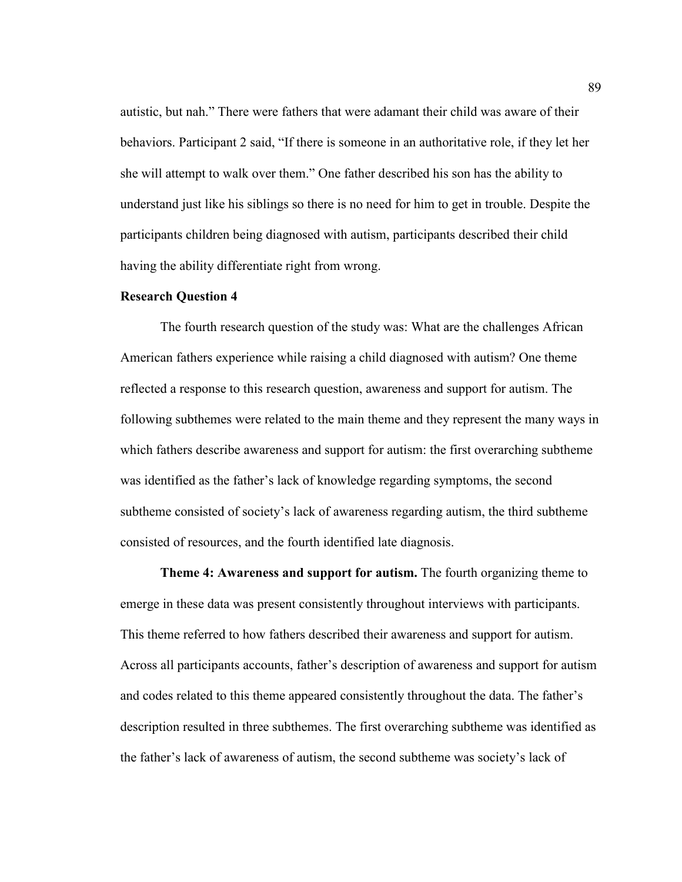autistic, but nah." There were fathers that were adamant their child was aware of their behaviors. Participant 2 said, "If there is someone in an authoritative role, if they let her she will attempt to walk over them." One father described his son has the ability to understand just like his siblings so there is no need for him to get in trouble. Despite the participants children being diagnosed with autism, participants described their child having the ability differentiate right from wrong.

# **Research Question 4**

The fourth research question of the study was: What are the challenges African American fathers experience while raising a child diagnosed with autism? One theme reflected a response to this research question, awareness and support for autism. The following subthemes were related to the main theme and they represent the many ways in which fathers describe awareness and support for autism: the first overarching subtheme was identified as the father's lack of knowledge regarding symptoms, the second subtheme consisted of society's lack of awareness regarding autism, the third subtheme consisted of resources, and the fourth identified late diagnosis.

**Theme 4: Awareness and support for autism.** The fourth organizing theme to emerge in these data was present consistently throughout interviews with participants. This theme referred to how fathers described their awareness and support for autism. Across all participants accounts, father's description of awareness and support for autism and codes related to this theme appeared consistently throughout the data. The father's description resulted in three subthemes. The first overarching subtheme was identified as the father's lack of awareness of autism, the second subtheme was society's lack of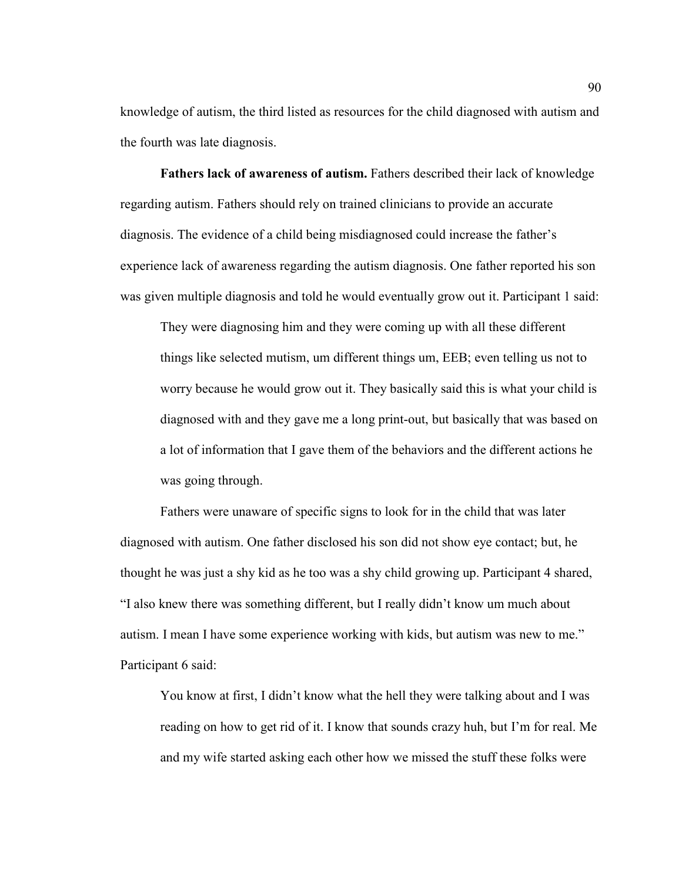knowledge of autism, the third listed as resources for the child diagnosed with autism and the fourth was late diagnosis.

**Fathers lack of awareness of autism.** Fathers described their lack of knowledge regarding autism. Fathers should rely on trained clinicians to provide an accurate diagnosis. The evidence of a child being misdiagnosed could increase the father's experience lack of awareness regarding the autism diagnosis. One father reported his son was given multiple diagnosis and told he would eventually grow out it. Participant 1 said:

They were diagnosing him and they were coming up with all these different things like selected mutism, um different things um, EEB; even telling us not to worry because he would grow out it. They basically said this is what your child is diagnosed with and they gave me a long print-out, but basically that was based on a lot of information that I gave them of the behaviors and the different actions he was going through.

Fathers were unaware of specific signs to look for in the child that was later diagnosed with autism. One father disclosed his son did not show eye contact; but, he thought he was just a shy kid as he too was a shy child growing up. Participant 4 shared, "I also knew there was something different, but I really didn't know um much about autism. I mean I have some experience working with kids, but autism was new to me." Participant 6 said:

You know at first, I didn't know what the hell they were talking about and I was reading on how to get rid of it. I know that sounds crazy huh, but I'm for real. Me and my wife started asking each other how we missed the stuff these folks were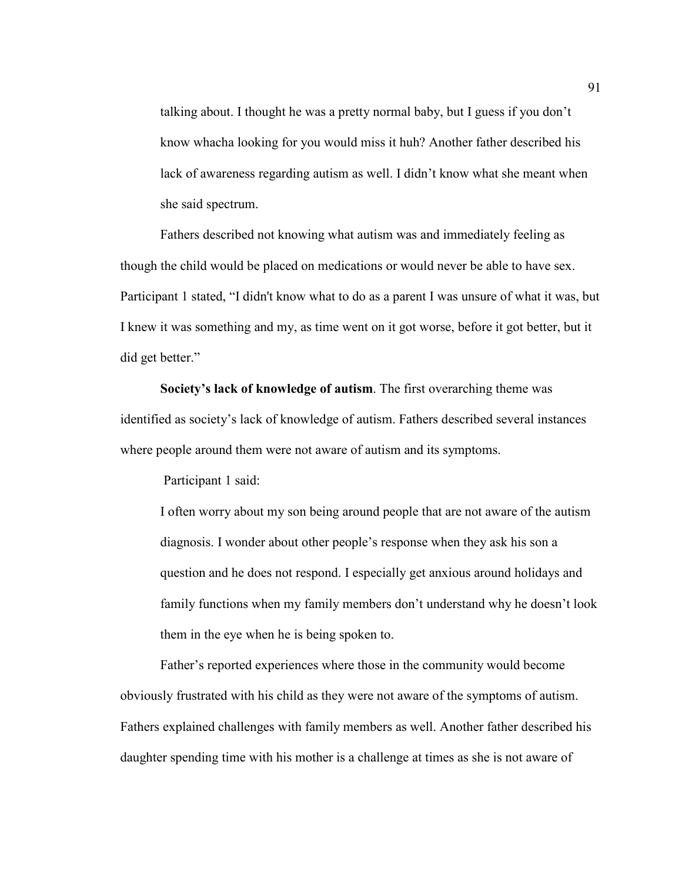talking about. I thought he was a pretty normal baby, but I guess if you don't know whacha looking for you would miss it huh? Another father described his lack of awareness regarding autism as well. I didn't know what she meant when she said spectrum.

Fathers described not knowing what autism was and immediately feeling as though the child would be placed on medications or would never be able to have sex. Participant 1 stated, "I didn't know what to do as a parent I was unsure of what it was, but I knew it was something and my, as time went on it got worse, before it got better, but it did get better."

**Society's lack of knowledge of autism**. The first overarching theme was identified as society's lack of knowledge of autism. Fathers described several instances where people around them were not aware of autism and its symptoms.

Participant 1 said:

I often worry about my son being around people that are not aware of the autism diagnosis. I wonder about other people's response when they ask his son a question and he does not respond. I especially get anxious around holidays and family functions when my family members don't understand why he doesn't look them in the eye when he is being spoken to.

Father's reported experiences where those in the community would become obviously frustrated with his child as they were not aware of the symptoms of autism. Fathers explained challenges with family members as well. Another father described his daughter spending time with his mother is a challenge at times as she is not aware of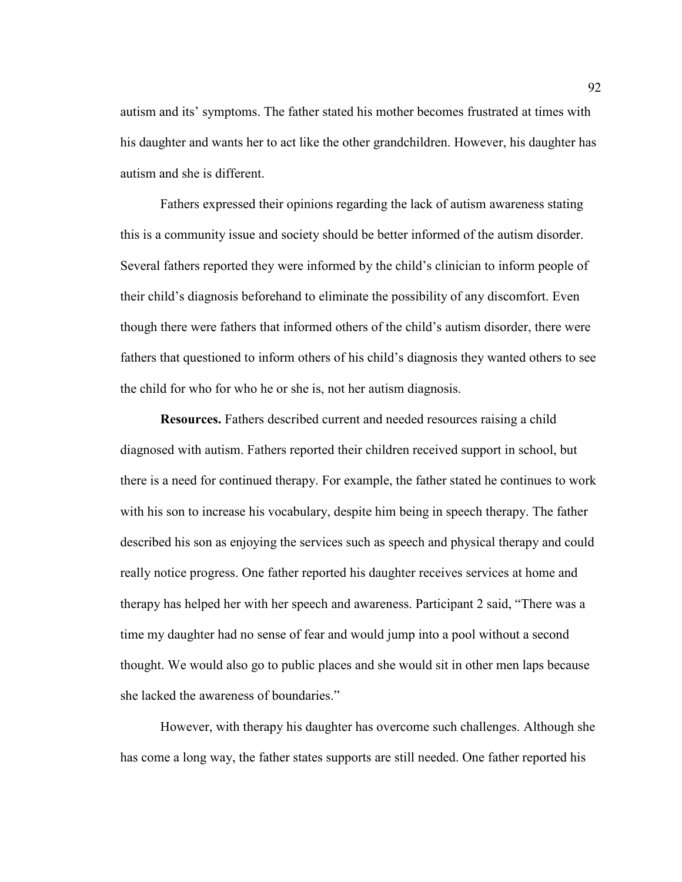autism and its' symptoms. The father stated his mother becomes frustrated at times with his daughter and wants her to act like the other grandchildren. However, his daughter has autism and she is different.

Fathers expressed their opinions regarding the lack of autism awareness stating this is a community issue and society should be better informed of the autism disorder. Several fathers reported they were informed by the child's clinician to inform people of their child's diagnosis beforehand to eliminate the possibility of any discomfort. Even though there were fathers that informed others of the child's autism disorder, there were fathers that questioned to inform others of his child's diagnosis they wanted others to see the child for who for who he or she is, not her autism diagnosis.

**Resources.** Fathers described current and needed resources raising a child diagnosed with autism. Fathers reported their children received support in school, but there is a need for continued therapy. For example, the father stated he continues to work with his son to increase his vocabulary, despite him being in speech therapy. The father described his son as enjoying the services such as speech and physical therapy and could really notice progress. One father reported his daughter receives services at home and therapy has helped her with her speech and awareness. Participant 2 said, "There was a time my daughter had no sense of fear and would jump into a pool without a second thought. We would also go to public places and she would sit in other men laps because she lacked the awareness of boundaries."

However, with therapy his daughter has overcome such challenges. Although she has come a long way, the father states supports are still needed. One father reported his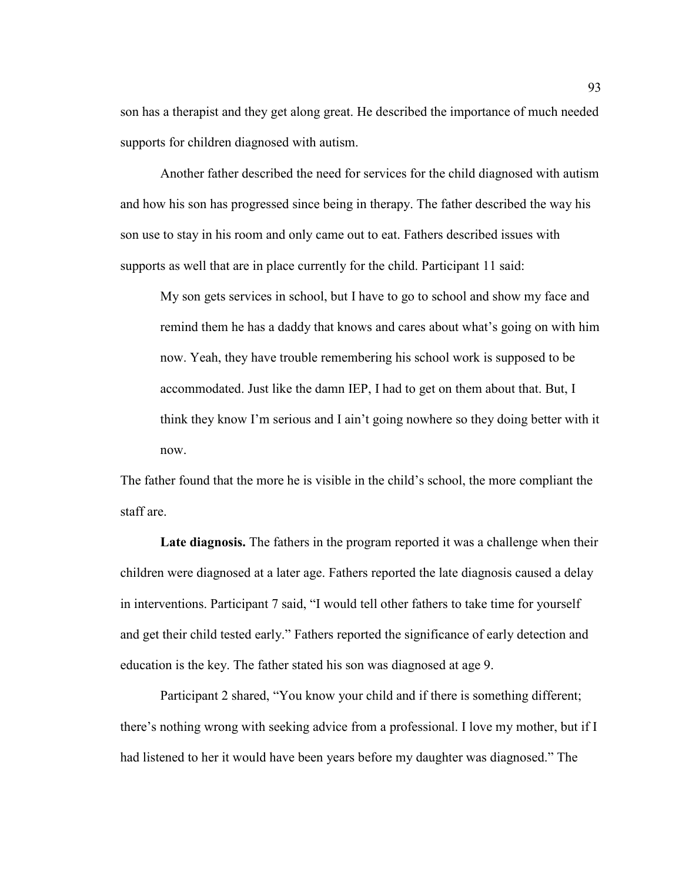son has a therapist and they get along great. He described the importance of much needed supports for children diagnosed with autism.

Another father described the need for services for the child diagnosed with autism and how his son has progressed since being in therapy. The father described the way his son use to stay in his room and only came out to eat. Fathers described issues with supports as well that are in place currently for the child. Participant 11 said:

My son gets services in school, but I have to go to school and show my face and remind them he has a daddy that knows and cares about what's going on with him now. Yeah, they have trouble remembering his school work is supposed to be accommodated. Just like the damn IEP, I had to get on them about that. But, I think they know I'm serious and I ain't going nowhere so they doing better with it now.

The father found that the more he is visible in the child's school, the more compliant the staff are.

Late diagnosis. The fathers in the program reported it was a challenge when their children were diagnosed at a later age. Fathers reported the late diagnosis caused a delay in interventions. Participant 7 said, "I would tell other fathers to take time for yourself and get their child tested early." Fathers reported the significance of early detection and education is the key. The father stated his son was diagnosed at age 9.

Participant 2 shared, "You know your child and if there is something different; there's nothing wrong with seeking advice from a professional. I love my mother, but if I had listened to her it would have been years before my daughter was diagnosed." The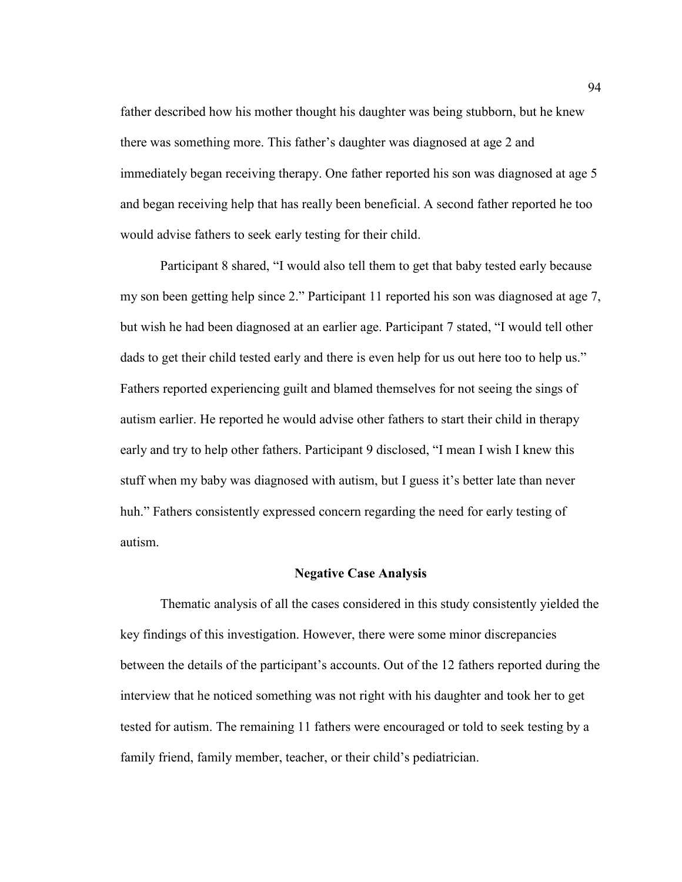father described how his mother thought his daughter was being stubborn, but he knew there was something more. This father's daughter was diagnosed at age 2 and immediately began receiving therapy. One father reported his son was diagnosed at age 5 and began receiving help that has really been beneficial. A second father reported he too would advise fathers to seek early testing for their child.

Participant 8 shared, "I would also tell them to get that baby tested early because my son been getting help since 2." Participant 11 reported his son was diagnosed at age 7, but wish he had been diagnosed at an earlier age. Participant 7 stated, "I would tell other dads to get their child tested early and there is even help for us out here too to help us." Fathers reported experiencing guilt and blamed themselves for not seeing the sings of autism earlier. He reported he would advise other fathers to start their child in therapy early and try to help other fathers. Participant 9 disclosed, "I mean I wish I knew this stuff when my baby was diagnosed with autism, but I guess it's better late than never huh." Fathers consistently expressed concern regarding the need for early testing of autism.

#### **Negative Case Analysis**

Thematic analysis of all the cases considered in this study consistently yielded the key findings of this investigation. However, there were some minor discrepancies between the details of the participant's accounts. Out of the 12 fathers reported during the interview that he noticed something was not right with his daughter and took her to get tested for autism. The remaining 11 fathers were encouraged or told to seek testing by a family friend, family member, teacher, or their child's pediatrician.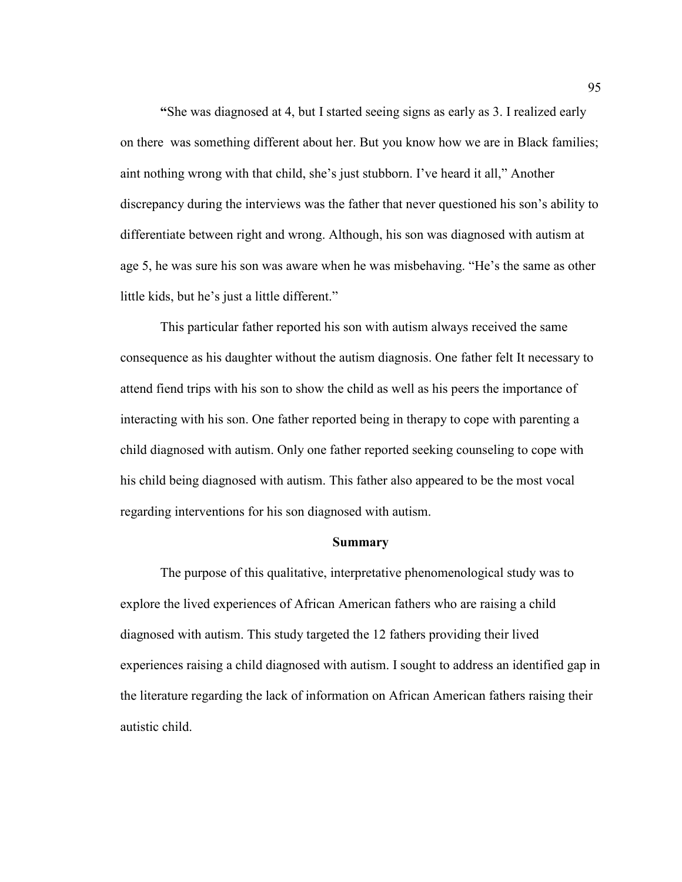**"**She was diagnosed at 4, but I started seeing signs as early as 3. I realized early on there was something different about her. But you know how we are in Black families; aint nothing wrong with that child, she's just stubborn. I've heard it all," Another discrepancy during the interviews was the father that never questioned his son's ability to differentiate between right and wrong. Although, his son was diagnosed with autism at age 5, he was sure his son was aware when he was misbehaving. "He's the same as other little kids, but he's just a little different."

This particular father reported his son with autism always received the same consequence as his daughter without the autism diagnosis. One father felt It necessary to attend fiend trips with his son to show the child as well as his peers the importance of interacting with his son. One father reported being in therapy to cope with parenting a child diagnosed with autism. Only one father reported seeking counseling to cope with his child being diagnosed with autism. This father also appeared to be the most vocal regarding interventions for his son diagnosed with autism.

#### **Summary**

The purpose of this qualitative, interpretative phenomenological study was to explore the lived experiences of African American fathers who are raising a child diagnosed with autism. This study targeted the 12 fathers providing their lived experiences raising a child diagnosed with autism. I sought to address an identified gap in the literature regarding the lack of information on African American fathers raising their autistic child.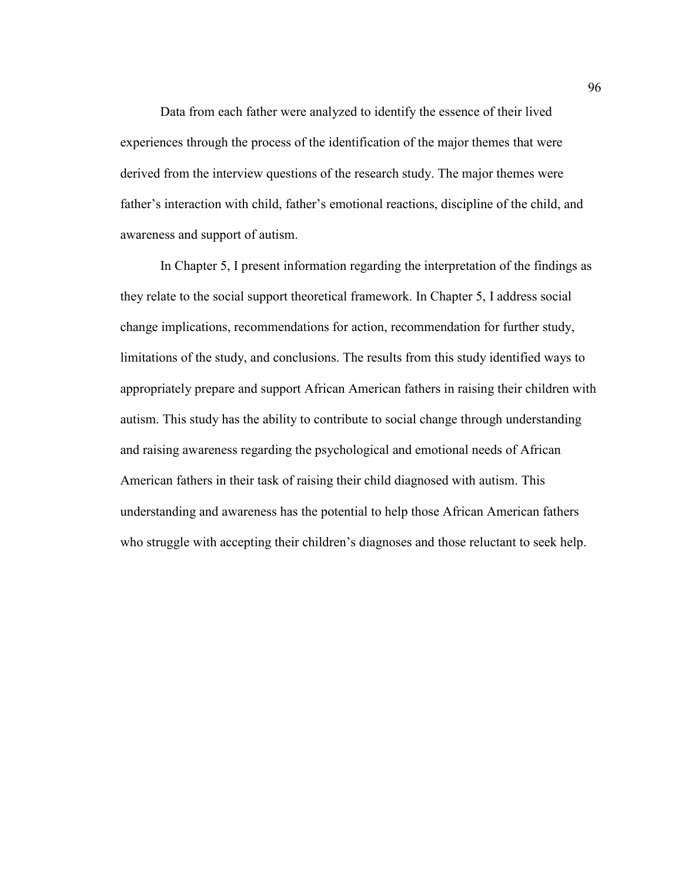Data from each father were analyzed to identify the essence of their lived experiences through the process of the identification of the major themes that were derived from the interview questions of the research study. The major themes were father's interaction with child, father's emotional reactions, discipline of the child, and awareness and support of autism.

In Chapter 5, I present information regarding the interpretation of the findings as they relate to the social support theoretical framework. In Chapter 5, I address social change implications, recommendations for action, recommendation for further study, limitations of the study, and conclusions. The results from this study identified ways to appropriately prepare and support African American fathers in raising their children with autism. This study has the ability to contribute to social change through understanding and raising awareness regarding the psychological and emotional needs of African American fathers in their task of raising their child diagnosed with autism. This understanding and awareness has the potential to help those African American fathers who struggle with accepting their children's diagnoses and those reluctant to seek help.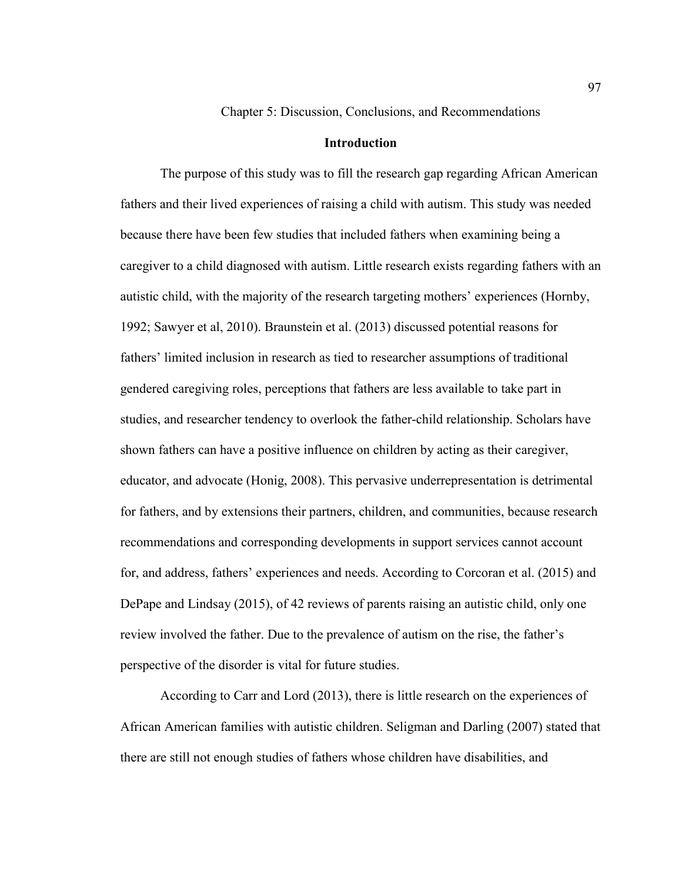Chapter 5: Discussion, Conclusions, and Recommendations

## **Introduction**

The purpose of this study was to fill the research gap regarding African American fathers and their lived experiences of raising a child with autism. This study was needed because there have been few studies that included fathers when examining being a caregiver to a child diagnosed with autism. Little research exists regarding fathers with an autistic child, with the majority of the research targeting mothers' experiences (Hornby, 1992; Sawyer et al, 2010). Braunstein et al. (2013) discussed potential reasons for fathers' limited inclusion in research as tied to researcher assumptions of traditional gendered caregiving roles, perceptions that fathers are less available to take part in studies, and researcher tendency to overlook the father-child relationship. Scholars have shown fathers can have a positive influence on children by acting as their caregiver, educator, and advocate (Honig, 2008). This pervasive underrepresentation is detrimental for fathers, and by extensions their partners, children, and communities, because research recommendations and corresponding developments in support services cannot account for, and address, fathers' experiences and needs. According to Corcoran et al. (2015) and DePape and Lindsay (2015), of 42 reviews of parents raising an autistic child, only one review involved the father. Due to the prevalence of autism on the rise, the father's perspective of the disorder is vital for future studies.

According to Carr and Lord (2013), there is little research on the experiences of African American families with autistic children. Seligman and Darling (2007) stated that there are still not enough studies of fathers whose children have disabilities, and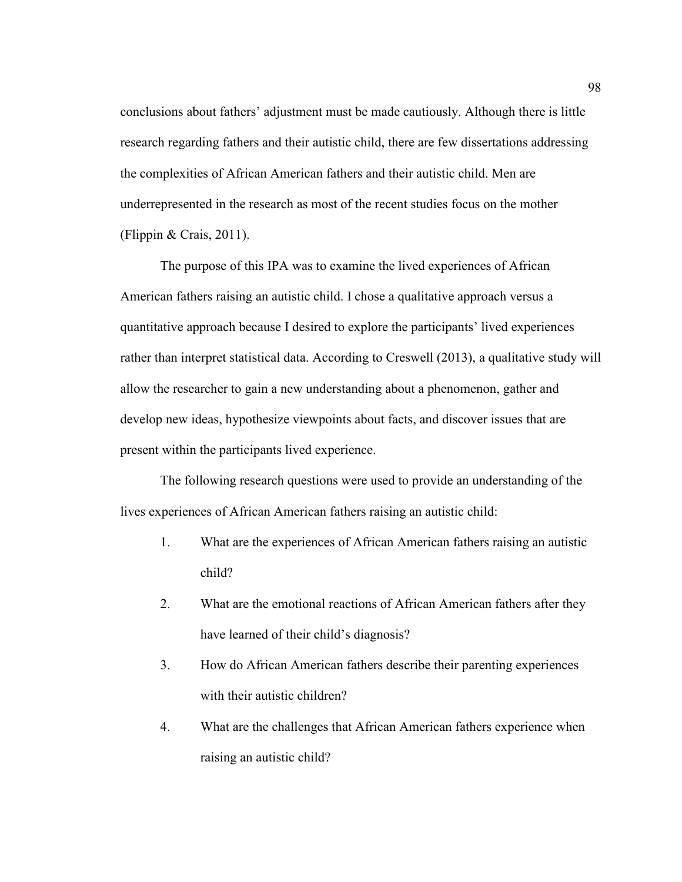conclusions about fathers' adjustment must be made cautiously. Although there is little research regarding fathers and their autistic child, there are few dissertations addressing the complexities of African American fathers and their autistic child. Men are underrepresented in the research as most of the recent studies focus on the mother (Flippin & Crais, 2011).

The purpose of this IPA was to examine the lived experiences of African American fathers raising an autistic child. I chose a qualitative approach versus a quantitative approach because I desired to explore the participants' lived experiences rather than interpret statistical data. According to Creswell (2013), a qualitative study will allow the researcher to gain a new understanding about a phenomenon, gather and develop new ideas, hypothesize viewpoints about facts, and discover issues that are present within the participants lived experience.

The following research questions were used to provide an understanding of the lives experiences of African American fathers raising an autistic child:

- 1. What are the experiences of African American fathers raising an autistic child?
- 2. What are the emotional reactions of African American fathers after they have learned of their child's diagnosis?
- 3. How do African American fathers describe their parenting experiences with their autistic children?
- 4. What are the challenges that African American fathers experience when raising an autistic child?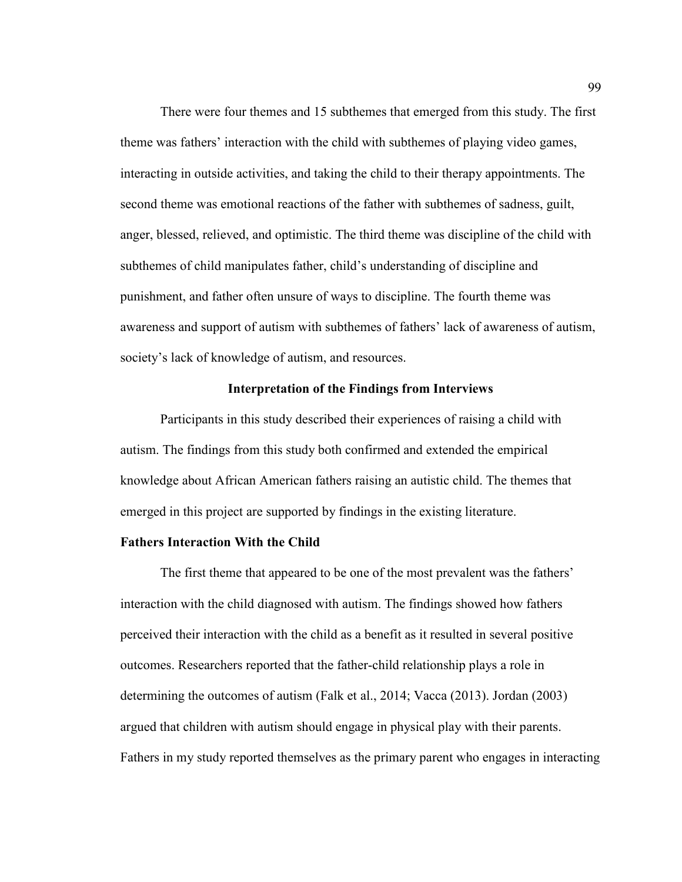There were four themes and 15 subthemes that emerged from this study. The first theme was fathers' interaction with the child with subthemes of playing video games, interacting in outside activities, and taking the child to their therapy appointments. The second theme was emotional reactions of the father with subthemes of sadness, guilt, anger, blessed, relieved, and optimistic. The third theme was discipline of the child with subthemes of child manipulates father, child's understanding of discipline and punishment, and father often unsure of ways to discipline. The fourth theme was awareness and support of autism with subthemes of fathers' lack of awareness of autism, society's lack of knowledge of autism, and resources.

## **Interpretation of the Findings from Interviews**

Participants in this study described their experiences of raising a child with autism. The findings from this study both confirmed and extended the empirical knowledge about African American fathers raising an autistic child. The themes that emerged in this project are supported by findings in the existing literature.

### **Fathers Interaction With the Child**

The first theme that appeared to be one of the most prevalent was the fathers' interaction with the child diagnosed with autism. The findings showed how fathers perceived their interaction with the child as a benefit as it resulted in several positive outcomes. Researchers reported that the father-child relationship plays a role in determining the outcomes of autism (Falk et al., 2014; Vacca (2013). Jordan (2003) argued that children with autism should engage in physical play with their parents. Fathers in my study reported themselves as the primary parent who engages in interacting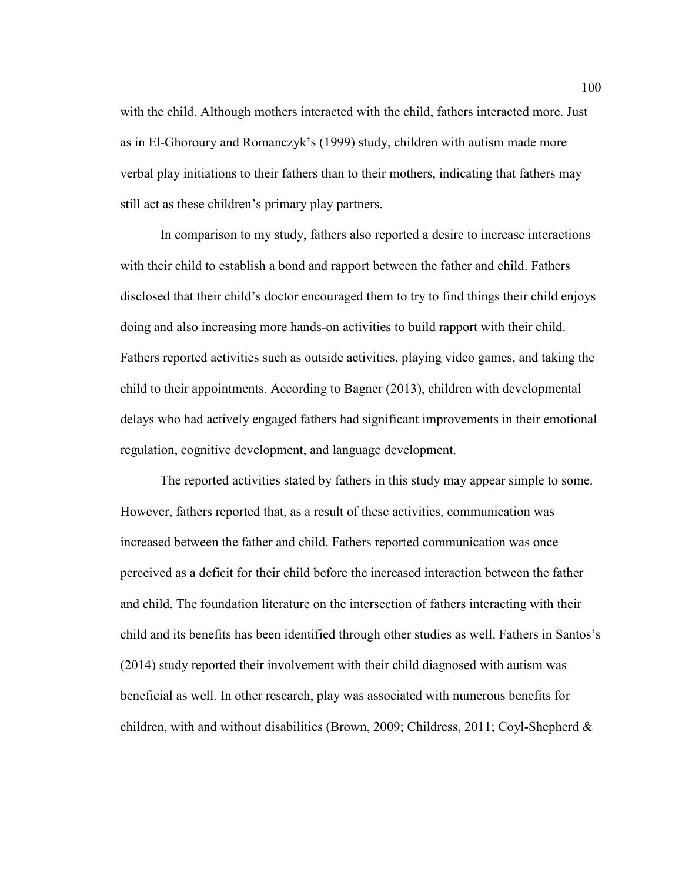with the child. Although mothers interacted with the child, fathers interacted more. Just as in El-Ghoroury and Romanczyk's (1999) study, children with autism made more verbal play initiations to their fathers than to their mothers, indicating that fathers may still act as these children's primary play partners.

In comparison to my study, fathers also reported a desire to increase interactions with their child to establish a bond and rapport between the father and child. Fathers disclosed that their child's doctor encouraged them to try to find things their child enjoys doing and also increasing more hands-on activities to build rapport with their child. Fathers reported activities such as outside activities, playing video games, and taking the child to their appointments. According to Bagner (2013), children with developmental delays who had actively engaged fathers had significant improvements in their emotional regulation, cognitive development, and language development.

The reported activities stated by fathers in this study may appear simple to some. However, fathers reported that, as a result of these activities, communication was increased between the father and child. Fathers reported communication was once perceived as a deficit for their child before the increased interaction between the father and child. The foundation literature on the intersection of fathers interacting with their child and its benefits has been identified through other studies as well. Fathers in Santos's (2014) study reported their involvement with their child diagnosed with autism was beneficial as well. In other research, play was associated with numerous benefits for children, with and without disabilities (Brown, 2009; Childress, 2011; Coyl-Shepherd &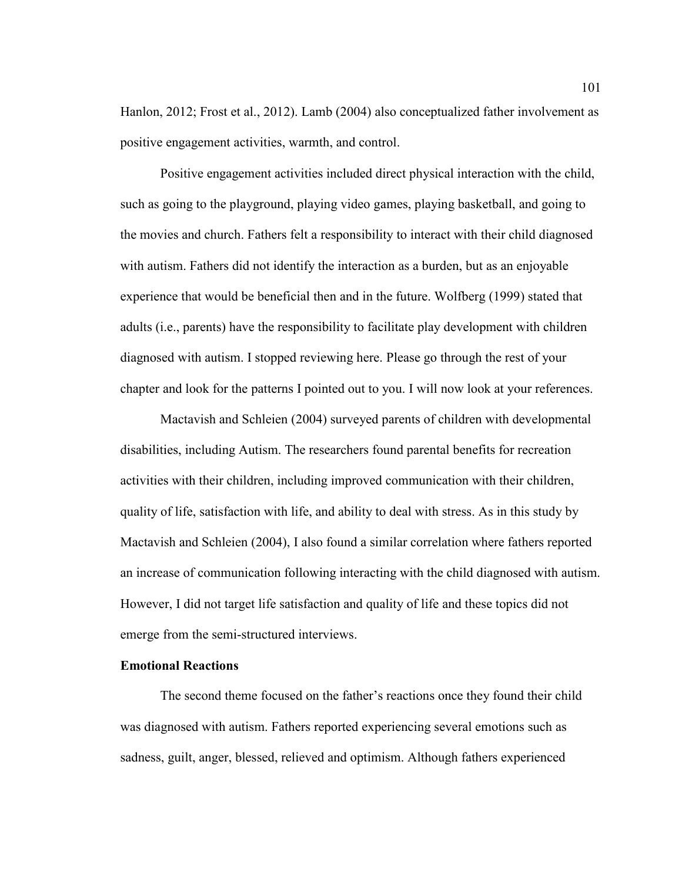Hanlon, 2012; Frost et al., 2012). Lamb (2004) also conceptualized father involvement as positive engagement activities, warmth, and control.

Positive engagement activities included direct physical interaction with the child, such as going to the playground, playing video games, playing basketball, and going to the movies and church. Fathers felt a responsibility to interact with their child diagnosed with autism. Fathers did not identify the interaction as a burden, but as an enjoyable experience that would be beneficial then and in the future. Wolfberg (1999) stated that adults (i.e., parents) have the responsibility to facilitate play development with children diagnosed with autism. I stopped reviewing here. Please go through the rest of your chapter and look for the patterns I pointed out to you. I will now look at your references.

Mactavish and Schleien (2004) surveyed parents of children with developmental disabilities, including Autism. The researchers found parental benefits for recreation activities with their children, including improved communication with their children, quality of life, satisfaction with life, and ability to deal with stress. As in this study by Mactavish and Schleien (2004), I also found a similar correlation where fathers reported an increase of communication following interacting with the child diagnosed with autism. However, I did not target life satisfaction and quality of life and these topics did not emerge from the semi-structured interviews.

### **Emotional Reactions**

The second theme focused on the father's reactions once they found their child was diagnosed with autism. Fathers reported experiencing several emotions such as sadness, guilt, anger, blessed, relieved and optimism. Although fathers experienced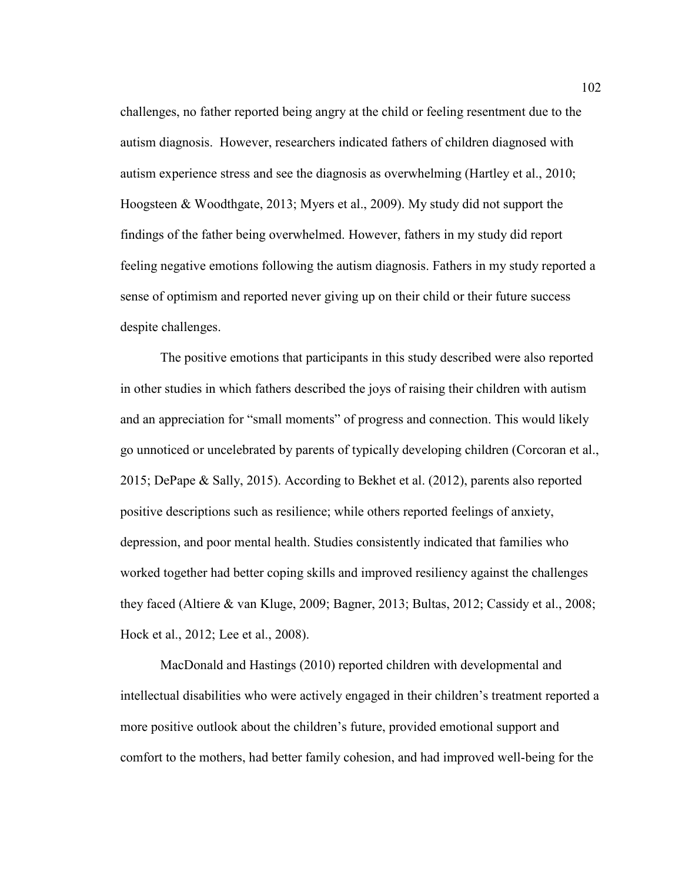challenges, no father reported being angry at the child or feeling resentment due to the autism diagnosis. However, researchers indicated fathers of children diagnosed with autism experience stress and see the diagnosis as overwhelming (Hartley et al., 2010; Hoogsteen & Woodthgate, 2013; Myers et al., 2009). My study did not support the findings of the father being overwhelmed. However, fathers in my study did report feeling negative emotions following the autism diagnosis. Fathers in my study reported a sense of optimism and reported never giving up on their child or their future success despite challenges.

The positive emotions that participants in this study described were also reported in other studies in which fathers described the joys of raising their children with autism and an appreciation for "small moments" of progress and connection. This would likely go unnoticed or uncelebrated by parents of typically developing children (Corcoran et al., 2015; DePape & Sally, 2015). According to Bekhet et al. (2012), parents also reported positive descriptions such as resilience; while others reported feelings of anxiety, depression, and poor mental health. Studies consistently indicated that families who worked together had better coping skills and improved resiliency against the challenges they faced (Altiere & van Kluge, 2009; Bagner, 2013; Bultas, 2012; Cassidy et al., 2008; Hock et al., 2012; Lee et al., 2008).

MacDonald and Hastings (2010) reported children with developmental and intellectual disabilities who were actively engaged in their children's treatment reported a more positive outlook about the children's future, provided emotional support and comfort to the mothers, had better family cohesion, and had improved well-being for the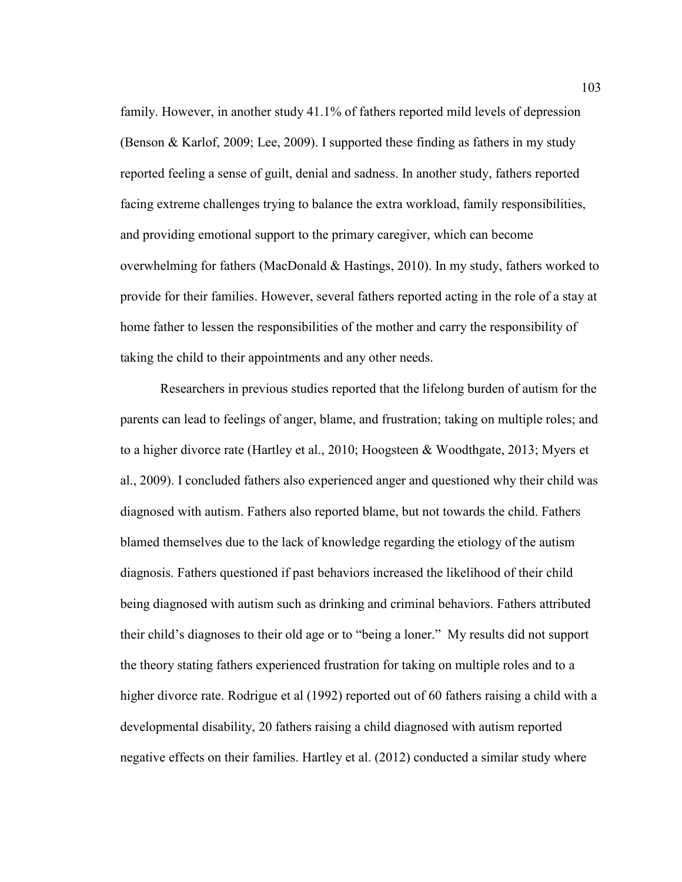family. However, in another study 41.1% of fathers reported mild levels of depression (Benson & Karlof, 2009; Lee, 2009). I supported these finding as fathers in my study reported feeling a sense of guilt, denial and sadness. In another study, fathers reported facing extreme challenges trying to balance the extra workload, family responsibilities, and providing emotional support to the primary caregiver, which can become overwhelming for fathers (MacDonald & Hastings, 2010). In my study, fathers worked to provide for their families. However, several fathers reported acting in the role of a stay at home father to lessen the responsibilities of the mother and carry the responsibility of taking the child to their appointments and any other needs.

Researchers in previous studies reported that the lifelong burden of autism for the parents can lead to feelings of anger, blame, and frustration; taking on multiple roles; and to a higher divorce rate (Hartley et al., 2010; Hoogsteen & Woodthgate, 2013; Myers et al., 2009). I concluded fathers also experienced anger and questioned why their child was diagnosed with autism. Fathers also reported blame, but not towards the child. Fathers blamed themselves due to the lack of knowledge regarding the etiology of the autism diagnosis. Fathers questioned if past behaviors increased the likelihood of their child being diagnosed with autism such as drinking and criminal behaviors. Fathers attributed their child's diagnoses to their old age or to "being a loner." My results did not support the theory stating fathers experienced frustration for taking on multiple roles and to a higher divorce rate. Rodrigue et al (1992) reported out of 60 fathers raising a child with a developmental disability, 20 fathers raising a child diagnosed with autism reported negative effects on their families. Hartley et al. (2012) conducted a similar study where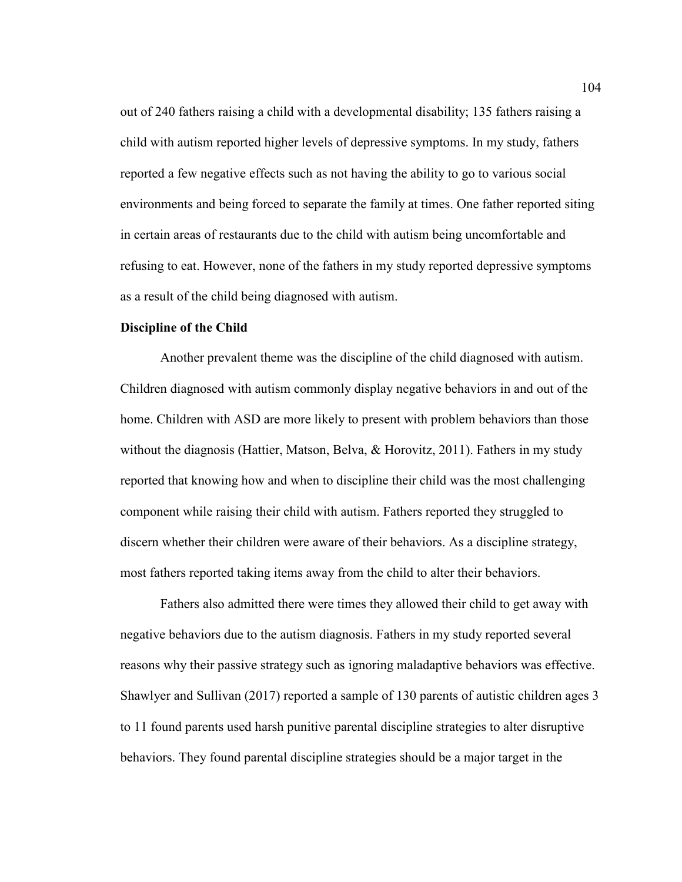out of 240 fathers raising a child with a developmental disability; 135 fathers raising a child with autism reported higher levels of depressive symptoms. In my study, fathers reported a few negative effects such as not having the ability to go to various social environments and being forced to separate the family at times. One father reported siting in certain areas of restaurants due to the child with autism being uncomfortable and refusing to eat. However, none of the fathers in my study reported depressive symptoms as a result of the child being diagnosed with autism.

## **Discipline of the Child**

Another prevalent theme was the discipline of the child diagnosed with autism. Children diagnosed with autism commonly display negative behaviors in and out of the home. Children with ASD are more likely to present with problem behaviors than those without the diagnosis (Hattier, Matson, Belva, & Horovitz, 2011). Fathers in my study reported that knowing how and when to discipline their child was the most challenging component while raising their child with autism. Fathers reported they struggled to discern whether their children were aware of their behaviors. As a discipline strategy, most fathers reported taking items away from the child to alter their behaviors.

Fathers also admitted there were times they allowed their child to get away with negative behaviors due to the autism diagnosis. Fathers in my study reported several reasons why their passive strategy such as ignoring maladaptive behaviors was effective. Shawlyer and Sullivan (2017) reported a sample of 130 parents of autistic children ages 3 to 11 found parents used harsh punitive parental discipline strategies to alter disruptive behaviors. They found parental discipline strategies should be a major target in the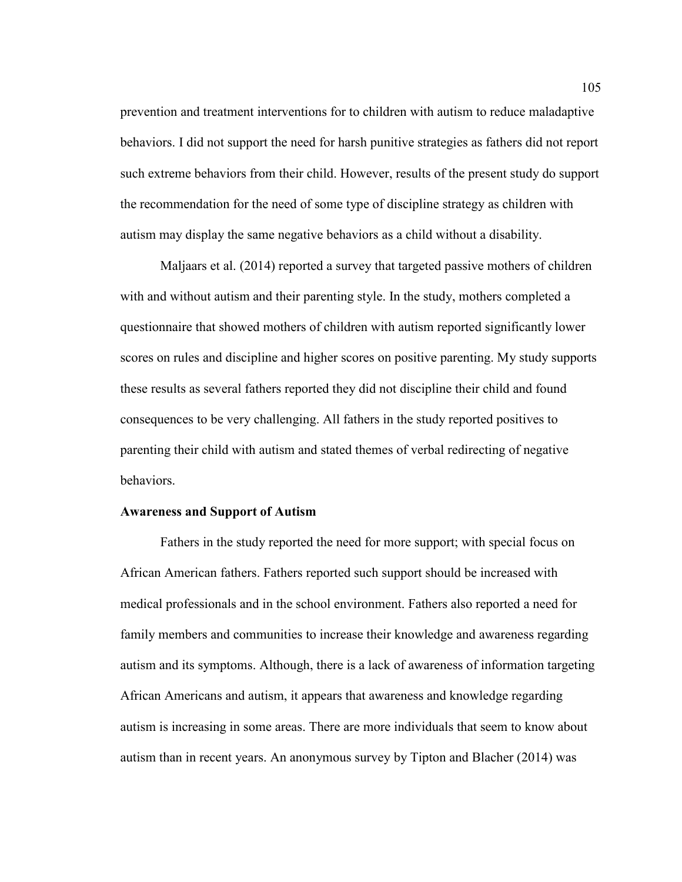prevention and treatment interventions for to children with autism to reduce maladaptive behaviors. I did not support the need for harsh punitive strategies as fathers did not report such extreme behaviors from their child. However, results of the present study do support the recommendation for the need of some type of discipline strategy as children with autism may display the same negative behaviors as a child without a disability.

Maljaars et al. (2014) reported a survey that targeted passive mothers of children with and without autism and their parenting style. In the study, mothers completed a questionnaire that showed mothers of children with autism reported significantly lower scores on rules and discipline and higher scores on positive parenting. My study supports these results as several fathers reported they did not discipline their child and found consequences to be very challenging. All fathers in the study reported positives to parenting their child with autism and stated themes of verbal redirecting of negative behaviors.

## **Awareness and Support of Autism**

Fathers in the study reported the need for more support; with special focus on African American fathers. Fathers reported such support should be increased with medical professionals and in the school environment. Fathers also reported a need for family members and communities to increase their knowledge and awareness regarding autism and its symptoms. Although, there is a lack of awareness of information targeting African Americans and autism, it appears that awareness and knowledge regarding autism is increasing in some areas. There are more individuals that seem to know about autism than in recent years. An anonymous survey by Tipton and Blacher (2014) was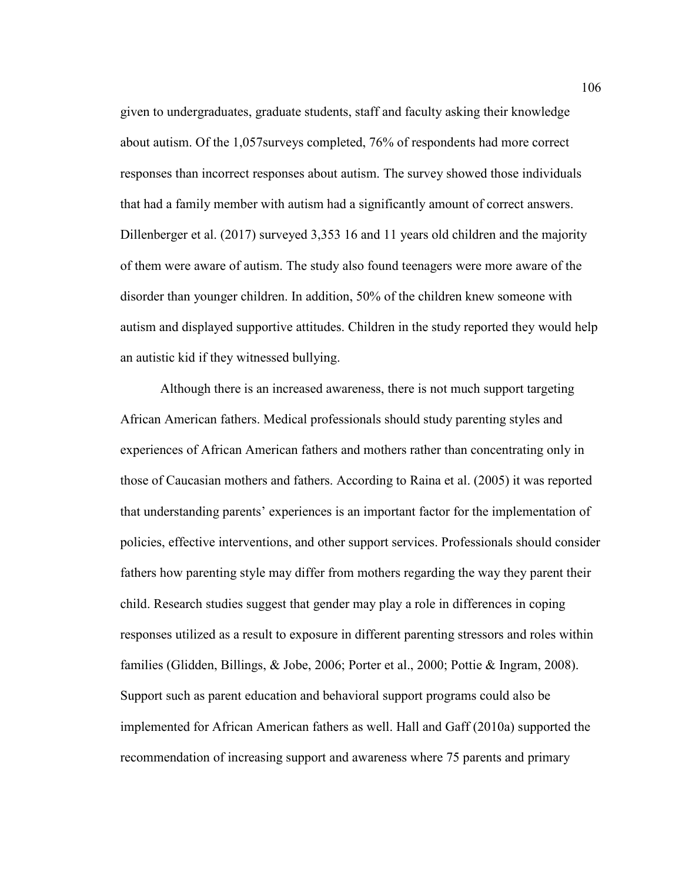given to undergraduates, graduate students, staff and faculty asking their knowledge about autism. Of the 1,057surveys completed, 76% of respondents had more correct responses than incorrect responses about autism. The survey showed those individuals that had a family member with autism had a significantly amount of correct answers. Dillenberger et al. (2017) surveyed 3,353 16 and 11 years old children and the majority of them were aware of autism. The study also found teenagers were more aware of the disorder than younger children. In addition, 50% of the children knew someone with autism and displayed supportive attitudes. Children in the study reported they would help an autistic kid if they witnessed bullying.

Although there is an increased awareness, there is not much support targeting African American fathers. Medical professionals should study parenting styles and experiences of African American fathers and mothers rather than concentrating only in those of Caucasian mothers and fathers. According to Raina et al. (2005) it was reported that understanding parents' experiences is an important factor for the implementation of policies, effective interventions, and other support services. Professionals should consider fathers how parenting style may differ from mothers regarding the way they parent their child. Research studies suggest that gender may play a role in differences in coping responses utilized as a result to exposure in different parenting stressors and roles within families (Glidden, Billings, & Jobe, 2006; Porter et al., 2000; Pottie & Ingram, 2008). Support such as parent education and behavioral support programs could also be implemented for African American fathers as well. Hall and Gaff (2010a) supported the recommendation of increasing support and awareness where 75 parents and primary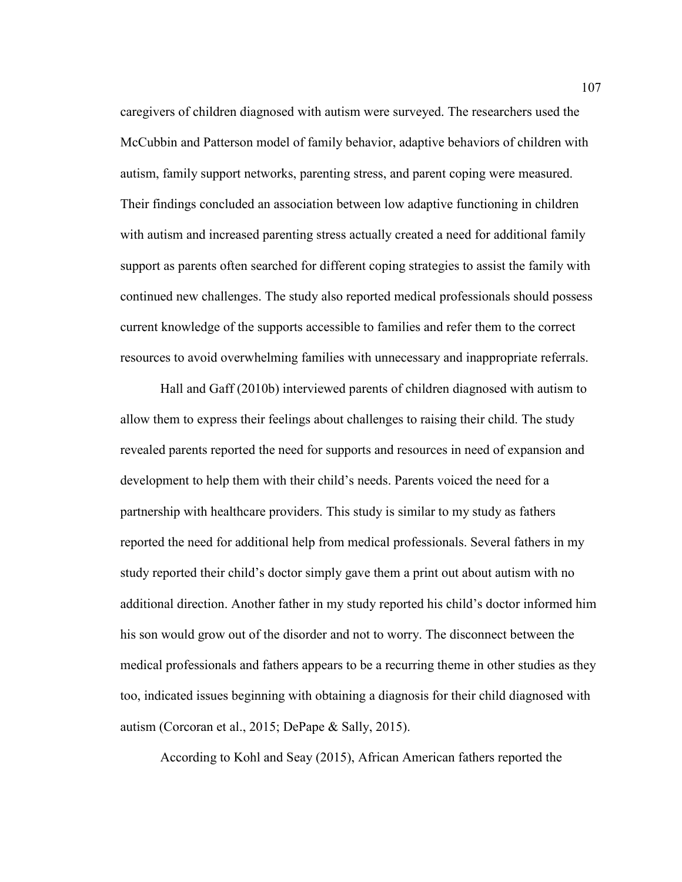caregivers of children diagnosed with autism were surveyed. The researchers used the McCubbin and Patterson model of family behavior, adaptive behaviors of children with autism, family support networks, parenting stress, and parent coping were measured. Their findings concluded an association between low adaptive functioning in children with autism and increased parenting stress actually created a need for additional family support as parents often searched for different coping strategies to assist the family with continued new challenges. The study also reported medical professionals should possess current knowledge of the supports accessible to families and refer them to the correct resources to avoid overwhelming families with unnecessary and inappropriate referrals.

Hall and Gaff (2010b) interviewed parents of children diagnosed with autism to allow them to express their feelings about challenges to raising their child. The study revealed parents reported the need for supports and resources in need of expansion and development to help them with their child's needs. Parents voiced the need for a partnership with healthcare providers. This study is similar to my study as fathers reported the need for additional help from medical professionals. Several fathers in my study reported their child's doctor simply gave them a print out about autism with no additional direction. Another father in my study reported his child's doctor informed him his son would grow out of the disorder and not to worry. The disconnect between the medical professionals and fathers appears to be a recurring theme in other studies as they too, indicated issues beginning with obtaining a diagnosis for their child diagnosed with autism (Corcoran et al., 2015; DePape & Sally, 2015).

According to Kohl and Seay (2015), African American fathers reported the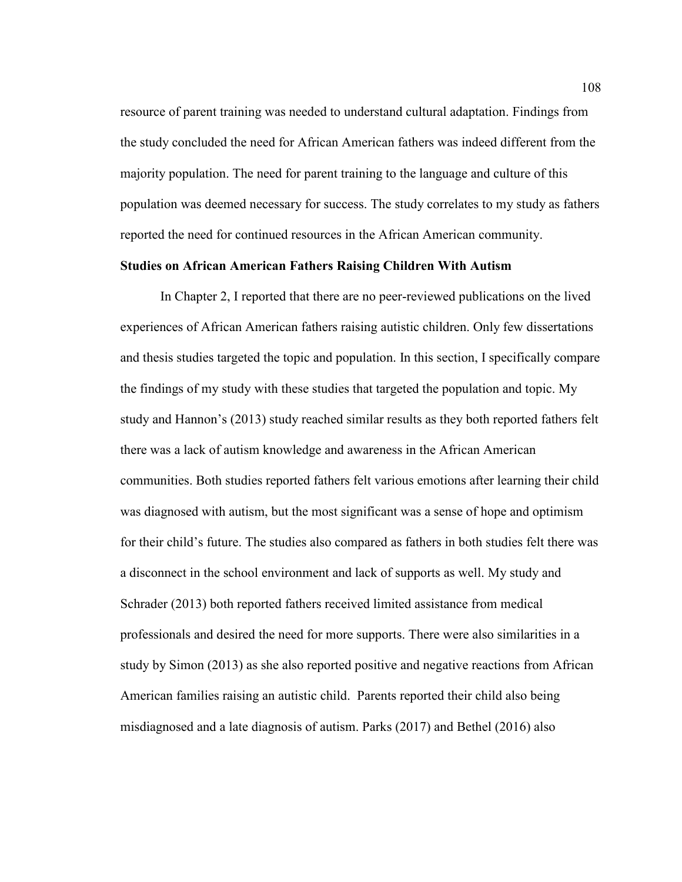resource of parent training was needed to understand cultural adaptation. Findings from the study concluded the need for African American fathers was indeed different from the majority population. The need for parent training to the language and culture of this population was deemed necessary for success. The study correlates to my study as fathers reported the need for continued resources in the African American community.

# **Studies on African American Fathers Raising Children With Autism**

In Chapter 2, I reported that there are no peer-reviewed publications on the lived experiences of African American fathers raising autistic children. Only few dissertations and thesis studies targeted the topic and population. In this section, I specifically compare the findings of my study with these studies that targeted the population and topic. My study and Hannon's (2013) study reached similar results as they both reported fathers felt there was a lack of autism knowledge and awareness in the African American communities. Both studies reported fathers felt various emotions after learning their child was diagnosed with autism, but the most significant was a sense of hope and optimism for their child's future. The studies also compared as fathers in both studies felt there was a disconnect in the school environment and lack of supports as well. My study and Schrader (2013) both reported fathers received limited assistance from medical professionals and desired the need for more supports. There were also similarities in a study by Simon (2013) as she also reported positive and negative reactions from African American families raising an autistic child. Parents reported their child also being misdiagnosed and a late diagnosis of autism. Parks (2017) and Bethel (2016) also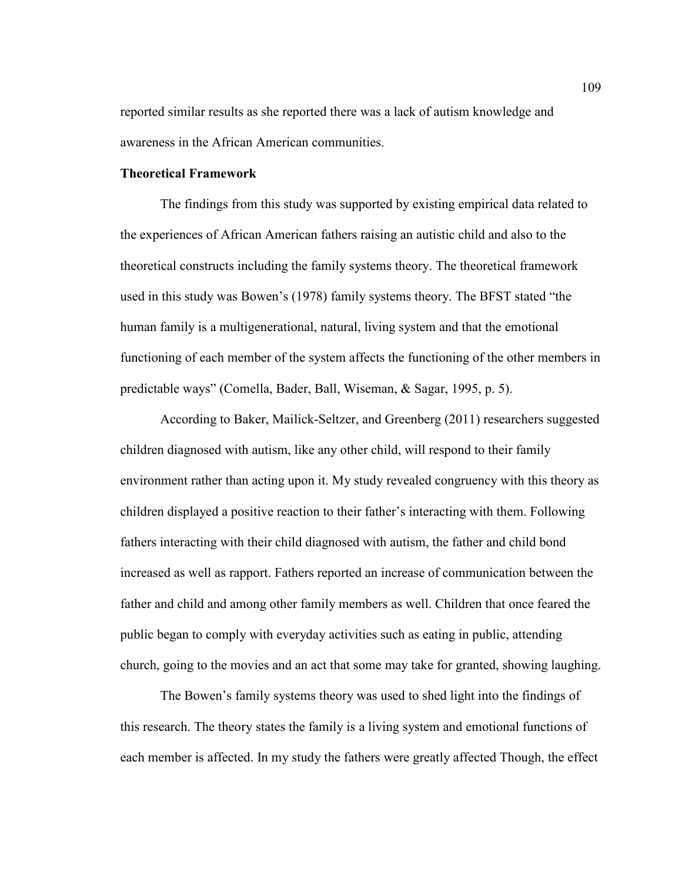reported similar results as she reported there was a lack of autism knowledge and awareness in the African American communities.

# **Theoretical Framework**

The findings from this study was supported by existing empirical data related to the experiences of African American fathers raising an autistic child and also to the theoretical constructs including the family systems theory. The theoretical framework used in this study was Bowen's (1978) family systems theory. The BFST stated "the human family is a multigenerational, natural, living system and that the emotional functioning of each member of the system affects the functioning of the other members in predictable ways" (Comella, Bader, Ball, Wiseman, & Sagar, 1995, p. 5).

According to Baker, Mailick-Seltzer, and Greenberg (2011) researchers suggested children diagnosed with autism, like any other child, will respond to their family environment rather than acting upon it. My study revealed congruency with this theory as children displayed a positive reaction to their father's interacting with them. Following fathers interacting with their child diagnosed with autism, the father and child bond increased as well as rapport. Fathers reported an increase of communication between the father and child and among other family members as well. Children that once feared the public began to comply with everyday activities such as eating in public, attending church, going to the movies and an act that some may take for granted, showing laughing.

The Bowen's family systems theory was used to shed light into the findings of this research. The theory states the family is a living system and emotional functions of each member is affected. In my study the fathers were greatly affected Though, the effect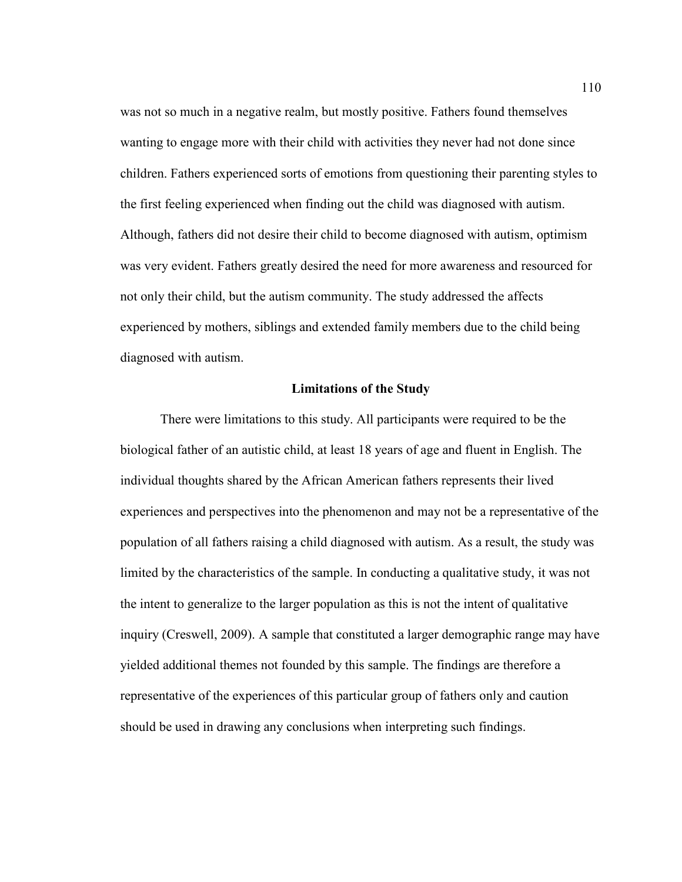was not so much in a negative realm, but mostly positive. Fathers found themselves wanting to engage more with their child with activities they never had not done since children. Fathers experienced sorts of emotions from questioning their parenting styles to the first feeling experienced when finding out the child was diagnosed with autism. Although, fathers did not desire their child to become diagnosed with autism, optimism was very evident. Fathers greatly desired the need for more awareness and resourced for not only their child, but the autism community. The study addressed the affects experienced by mothers, siblings and extended family members due to the child being diagnosed with autism.

## **Limitations of the Study**

There were limitations to this study. All participants were required to be the biological father of an autistic child, at least 18 years of age and fluent in English. The individual thoughts shared by the African American fathers represents their lived experiences and perspectives into the phenomenon and may not be a representative of the population of all fathers raising a child diagnosed with autism. As a result, the study was limited by the characteristics of the sample. In conducting a qualitative study, it was not the intent to generalize to the larger population as this is not the intent of qualitative inquiry (Creswell, 2009). A sample that constituted a larger demographic range may have yielded additional themes not founded by this sample. The findings are therefore a representative of the experiences of this particular group of fathers only and caution should be used in drawing any conclusions when interpreting such findings.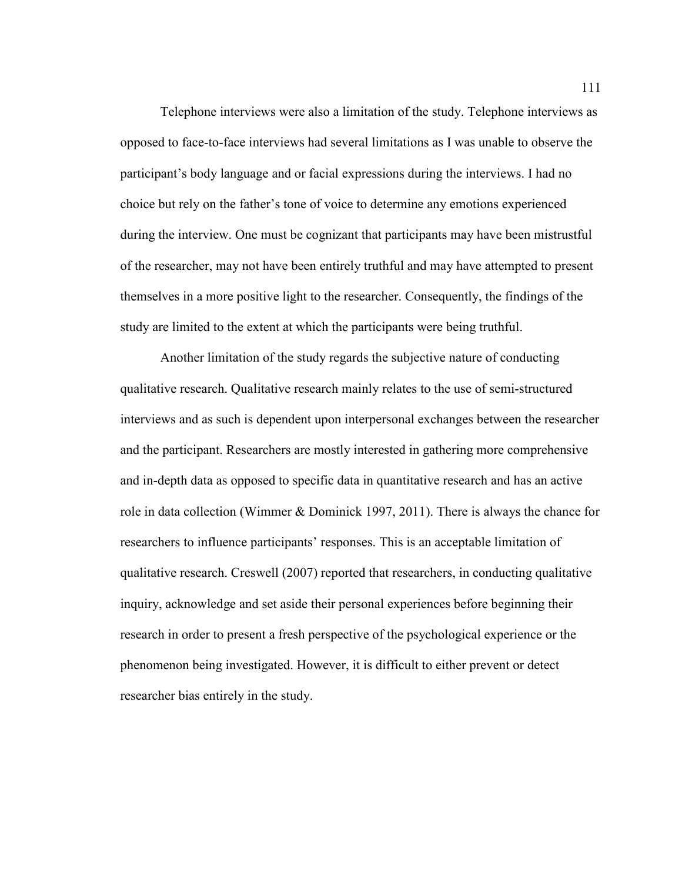Telephone interviews were also a limitation of the study. Telephone interviews as opposed to face-to-face interviews had several limitations as I was unable to observe the participant's body language and or facial expressions during the interviews. I had no choice but rely on the father's tone of voice to determine any emotions experienced during the interview. One must be cognizant that participants may have been mistrustful of the researcher, may not have been entirely truthful and may have attempted to present themselves in a more positive light to the researcher. Consequently, the findings of the study are limited to the extent at which the participants were being truthful.

Another limitation of the study regards the subjective nature of conducting qualitative research. Qualitative research mainly relates to the use of semi-structured interviews and as such is dependent upon interpersonal exchanges between the researcher and the participant. Researchers are mostly interested in gathering more comprehensive and in-depth data as opposed to specific data in quantitative research and has an active role in data collection (Wimmer  $\&$  Dominick 1997, 2011). There is always the chance for researchers to influence participants' responses. This is an acceptable limitation of qualitative research. Creswell (2007) reported that researchers, in conducting qualitative inquiry, acknowledge and set aside their personal experiences before beginning their research in order to present a fresh perspective of the psychological experience or the phenomenon being investigated. However, it is difficult to either prevent or detect researcher bias entirely in the study.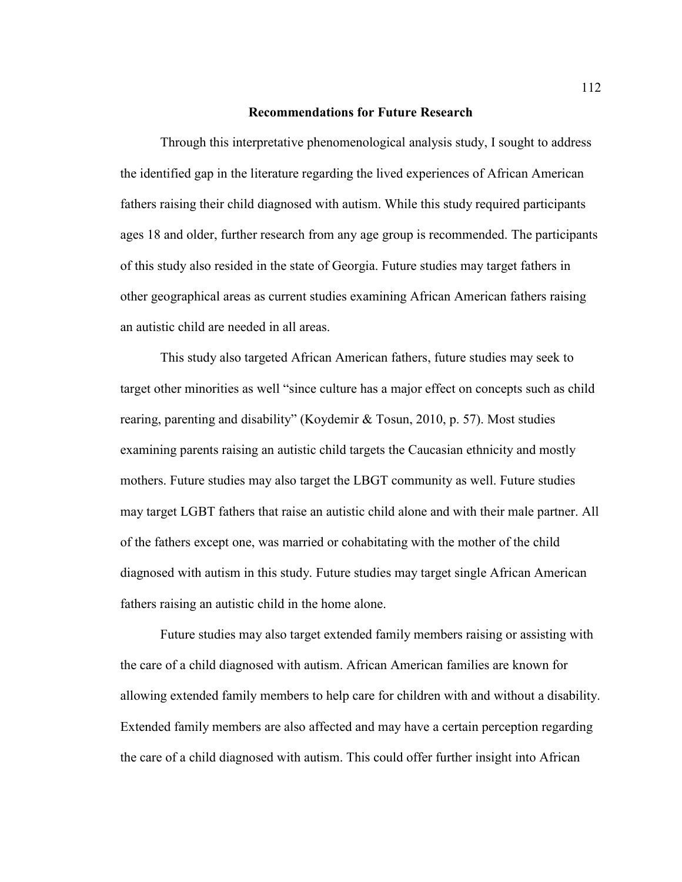#### **Recommendations for Future Research**

Through this interpretative phenomenological analysis study, I sought to address the identified gap in the literature regarding the lived experiences of African American fathers raising their child diagnosed with autism. While this study required participants ages 18 and older, further research from any age group is recommended. The participants of this study also resided in the state of Georgia. Future studies may target fathers in other geographical areas as current studies examining African American fathers raising an autistic child are needed in all areas.

This study also targeted African American fathers, future studies may seek to target other minorities as well "since culture has a major effect on concepts such as child rearing, parenting and disability" (Koydemir & Tosun, 2010, p. 57). Most studies examining parents raising an autistic child targets the Caucasian ethnicity and mostly mothers. Future studies may also target the LBGT community as well. Future studies may target LGBT fathers that raise an autistic child alone and with their male partner. All of the fathers except one, was married or cohabitating with the mother of the child diagnosed with autism in this study. Future studies may target single African American fathers raising an autistic child in the home alone.

Future studies may also target extended family members raising or assisting with the care of a child diagnosed with autism. African American families are known for allowing extended family members to help care for children with and without a disability. Extended family members are also affected and may have a certain perception regarding the care of a child diagnosed with autism. This could offer further insight into African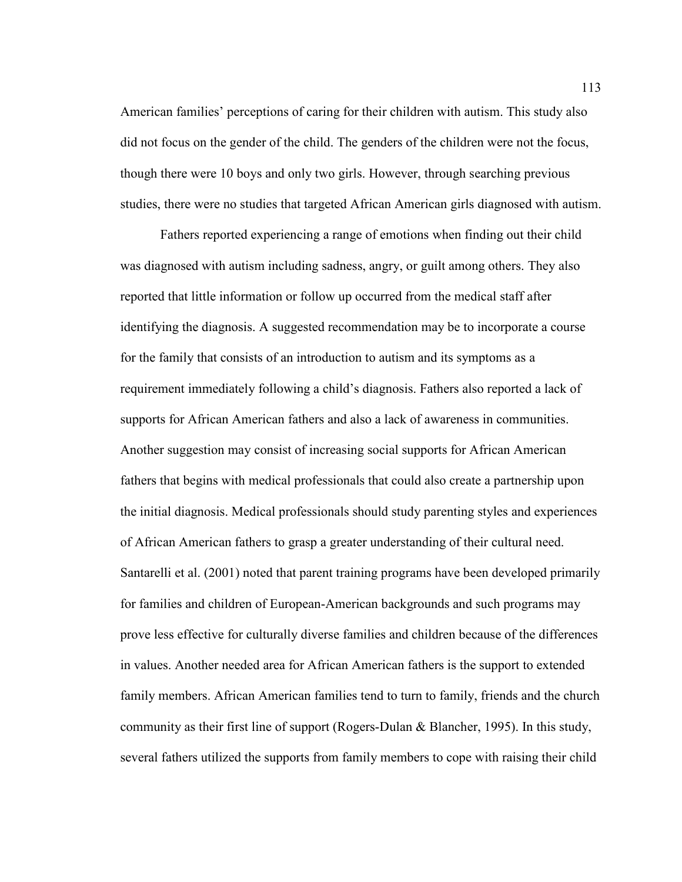American families' perceptions of caring for their children with autism. This study also did not focus on the gender of the child. The genders of the children were not the focus, though there were 10 boys and only two girls. However, through searching previous studies, there were no studies that targeted African American girls diagnosed with autism.

Fathers reported experiencing a range of emotions when finding out their child was diagnosed with autism including sadness, angry, or guilt among others. They also reported that little information or follow up occurred from the medical staff after identifying the diagnosis. A suggested recommendation may be to incorporate a course for the family that consists of an introduction to autism and its symptoms as a requirement immediately following a child's diagnosis. Fathers also reported a lack of supports for African American fathers and also a lack of awareness in communities. Another suggestion may consist of increasing social supports for African American fathers that begins with medical professionals that could also create a partnership upon the initial diagnosis. Medical professionals should study parenting styles and experiences of African American fathers to grasp a greater understanding of their cultural need. Santarelli et al. (2001) noted that parent training programs have been developed primarily for families and children of European-American backgrounds and such programs may prove less effective for culturally diverse families and children because of the differences in values. Another needed area for African American fathers is the support to extended family members. African American families tend to turn to family, friends and the church community as their first line of support (Rogers-Dulan & Blancher, 1995). In this study, several fathers utilized the supports from family members to cope with raising their child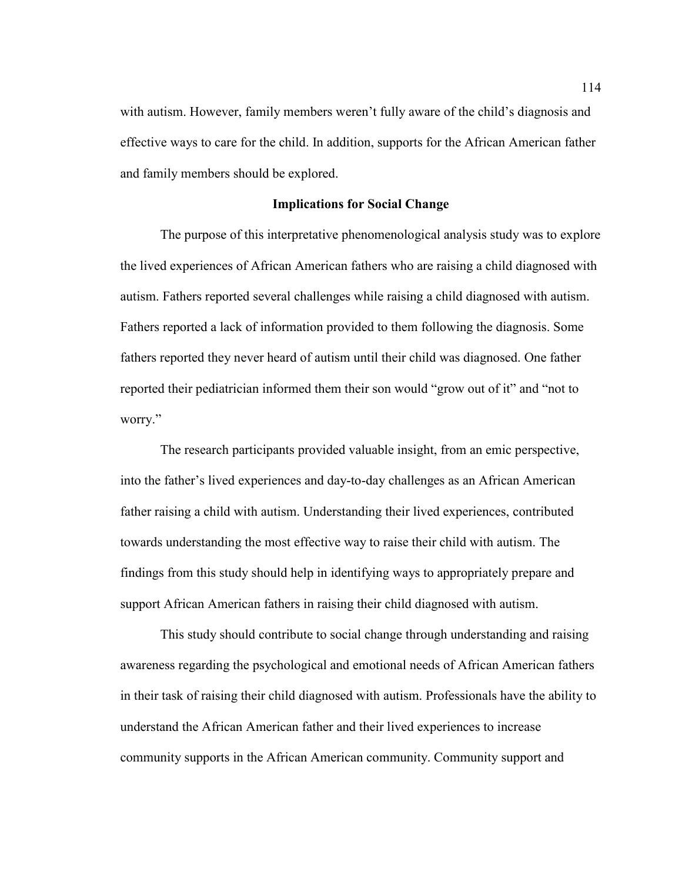with autism. However, family members weren't fully aware of the child's diagnosis and effective ways to care for the child. In addition, supports for the African American father and family members should be explored.

## **Implications for Social Change**

The purpose of this interpretative phenomenological analysis study was to explore the lived experiences of African American fathers who are raising a child diagnosed with autism. Fathers reported several challenges while raising a child diagnosed with autism. Fathers reported a lack of information provided to them following the diagnosis. Some fathers reported they never heard of autism until their child was diagnosed. One father reported their pediatrician informed them their son would "grow out of it" and "not to worry."

The research participants provided valuable insight, from an emic perspective, into the father's lived experiences and day-to-day challenges as an African American father raising a child with autism. Understanding their lived experiences, contributed towards understanding the most effective way to raise their child with autism. The findings from this study should help in identifying ways to appropriately prepare and support African American fathers in raising their child diagnosed with autism.

This study should contribute to social change through understanding and raising awareness regarding the psychological and emotional needs of African American fathers in their task of raising their child diagnosed with autism. Professionals have the ability to understand the African American father and their lived experiences to increase community supports in the African American community. Community support and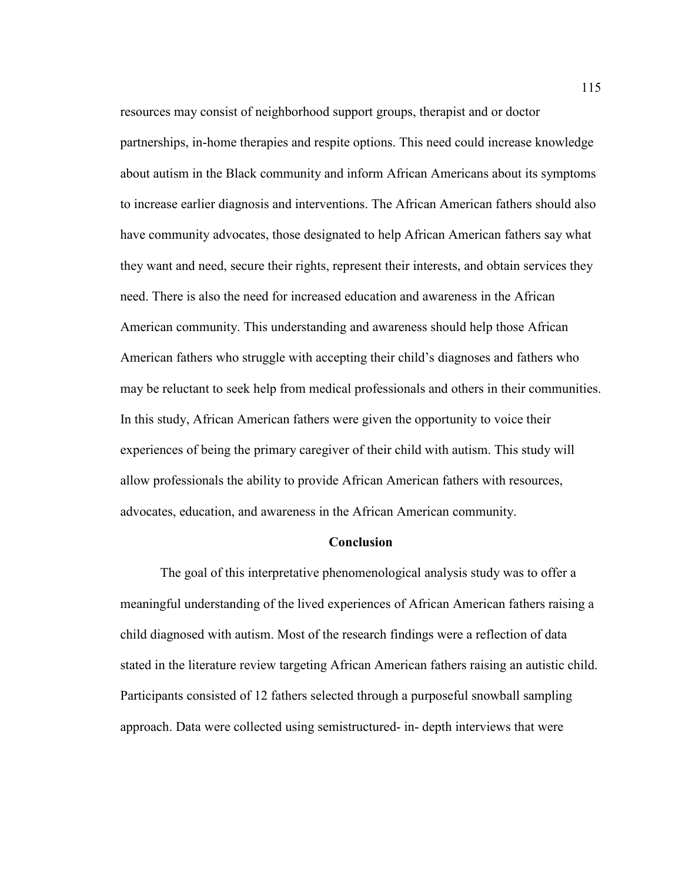resources may consist of neighborhood support groups, therapist and or doctor partnerships, in-home therapies and respite options. This need could increase knowledge about autism in the Black community and inform African Americans about its symptoms to increase earlier diagnosis and interventions. The African American fathers should also have community advocates, those designated to help African American fathers say what they want and need, secure their rights, represent their interests, and obtain services they need. There is also the need for increased education and awareness in the African American community. This understanding and awareness should help those African American fathers who struggle with accepting their child's diagnoses and fathers who may be reluctant to seek help from medical professionals and others in their communities. In this study, African American fathers were given the opportunity to voice their experiences of being the primary caregiver of their child with autism. This study will allow professionals the ability to provide African American fathers with resources, advocates, education, and awareness in the African American community.

### **Conclusion**

The goal of this interpretative phenomenological analysis study was to offer a meaningful understanding of the lived experiences of African American fathers raising a child diagnosed with autism. Most of the research findings were a reflection of data stated in the literature review targeting African American fathers raising an autistic child. Participants consisted of 12 fathers selected through a purposeful snowball sampling approach. Data were collected using semistructured- in- depth interviews that were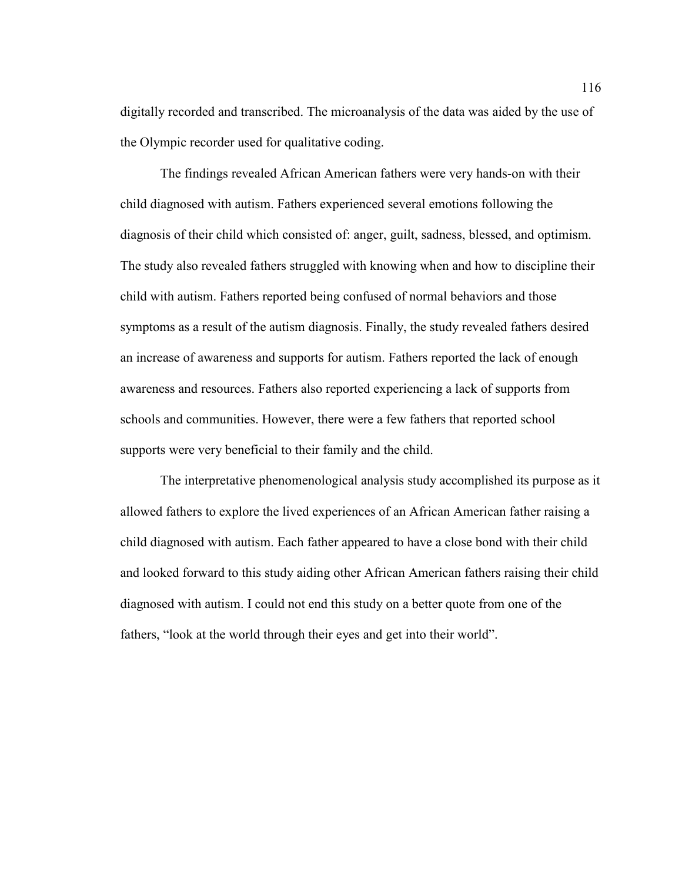digitally recorded and transcribed. The microanalysis of the data was aided by the use of the Olympic recorder used for qualitative coding.

The findings revealed African American fathers were very hands-on with their child diagnosed with autism. Fathers experienced several emotions following the diagnosis of their child which consisted of: anger, guilt, sadness, blessed, and optimism. The study also revealed fathers struggled with knowing when and how to discipline their child with autism. Fathers reported being confused of normal behaviors and those symptoms as a result of the autism diagnosis. Finally, the study revealed fathers desired an increase of awareness and supports for autism. Fathers reported the lack of enough awareness and resources. Fathers also reported experiencing a lack of supports from schools and communities. However, there were a few fathers that reported school supports were very beneficial to their family and the child.

The interpretative phenomenological analysis study accomplished its purpose as it allowed fathers to explore the lived experiences of an African American father raising a child diagnosed with autism. Each father appeared to have a close bond with their child and looked forward to this study aiding other African American fathers raising their child diagnosed with autism. I could not end this study on a better quote from one of the fathers, "look at the world through their eyes and get into their world".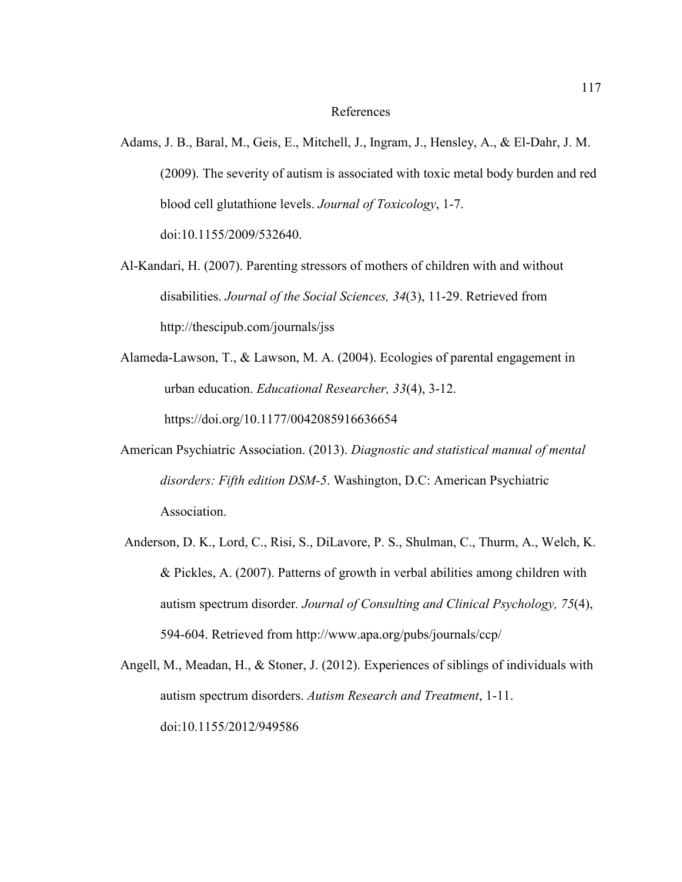#### References

- Adams, J. B., Baral, M., Geis, E., Mitchell, J., Ingram, J., Hensley, A., & El-Dahr, J. M. (2009). The severity of autism is associated with toxic metal body burden and red blood cell glutathione levels. *Journal of Toxicology*, 1-7. doi:10.1155/2009/532640.
- Al-Kandari, H. (2007). Parenting stressors of mothers of children with and without disabilities. *Journal of the Social Sciences, 34*(3), 11-29. Retrieved from http://thescipub.com/journals/jss
- Alameda-Lawson, T., & Lawson, M. A. (2004). Ecologies of parental engagement in urban education. *Educational Researcher, 33*(4), 3-12. https://doi.org/10.1177/0042085916636654
- American Psychiatric Association. (2013). *Diagnostic and statistical manual of mental disorders: Fifth edition DSM-5*. Washington, D.C: American Psychiatric Association.
- Anderson, D. K., Lord, C., Risi, S., DiLavore, P. S., Shulman, C., Thurm, A., Welch, K. & Pickles, A. (2007). Patterns of growth in verbal abilities among children with autism spectrum disorder*. Journal of Consulting and Clinical Psychology, 75*(4), 594-604. Retrieved from http://www.apa.org/pubs/journals/ccp/
- Angell, M., Meadan, H., & Stoner, J. (2012). Experiences of siblings of individuals with autism spectrum disorders. *Autism Research and Treatment*, 1-11. doi:10.1155/2012/949586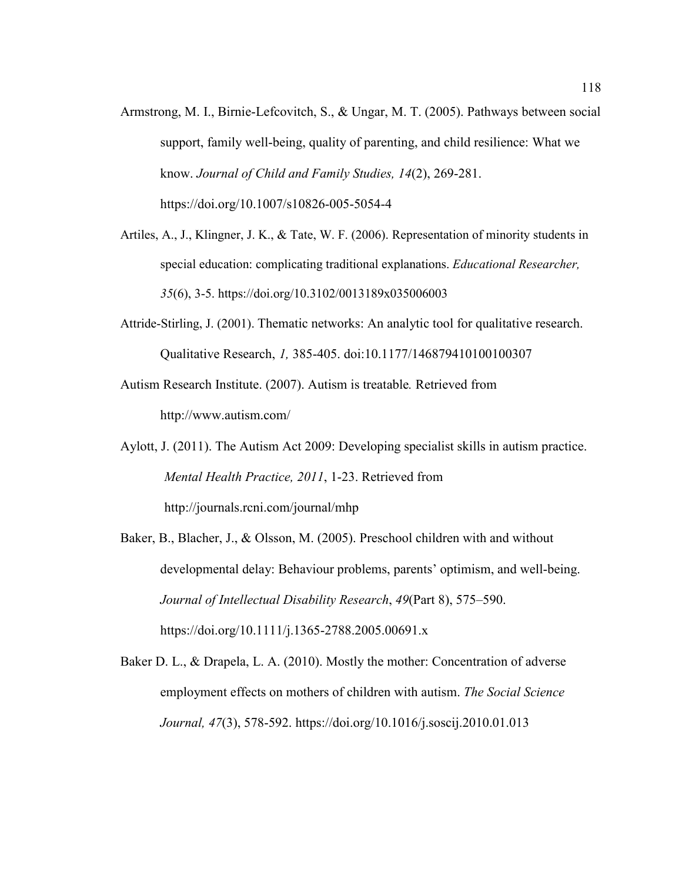- Armstrong, M. I., Birnie-Lefcovitch, S., & Ungar, M. T. (2005). Pathways between social support, family well-being, quality of parenting, and child resilience: What we know. *Journal of Child and Family Studies, 14*(2), 269-281. https://doi.org/10.1007/s10826-005-5054-4
- Artiles, A., J., Klingner, J. K., & Tate, W. F. (2006). Representation of minority students in special education: complicating traditional explanations. *Educational Researcher, 35*(6), 3-5. https://doi.org/10.3102/0013189x035006003
- Attride-Stirling, J. (2001). Thematic networks: An analytic tool for qualitative research. Qualitative Research, *1,* 385-405. doi:10.1177/146879410100100307
- Autism Research Institute. (2007). Autism is treatable*.* Retrieved from http://www.autism.com/
- Aylott, J. (2011). The Autism Act 2009: Developing specialist skills in autism practice. *Mental Health Practice, 2011*, 1-23. Retrieved from http://journals.rcni.com/journal/mhp
- Baker, B., Blacher, J., & Olsson, M. (2005). Preschool children with and without developmental delay: Behaviour problems, parents' optimism, and well-being. *Journal of Intellectual Disability Research*, *49*(Part 8), 575–590. https://doi.org/10.1111/j.1365-2788.2005.00691.x
- Baker D. L., & Drapela, L. A. (2010). Mostly the mother: Concentration of adverse employment effects on mothers of children with autism. *The Social Science Journal, 47*(3), 578-592. https://doi.org/10.1016/j.soscij.2010.01.013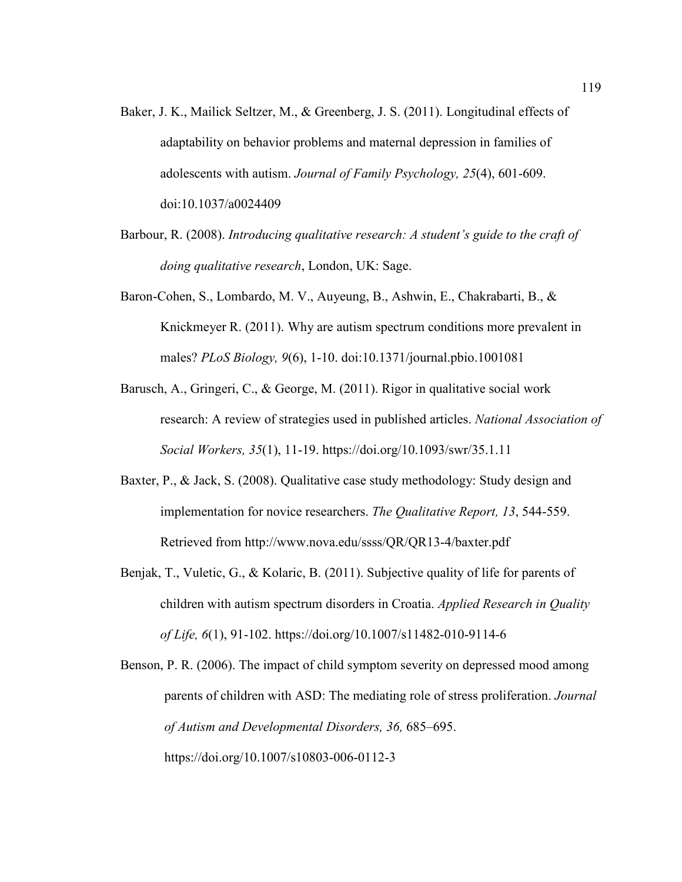- Baker, J. K., Mailick Seltzer, M., & Greenberg, J. S. (2011). Longitudinal effects of adaptability on behavior problems and maternal depression in families of adolescents with autism. *Journal of Family Psychology, 25*(4), 601-609. doi:10.1037/a0024409
- Barbour, R. (2008). *Introducing qualitative research: A student's guide to the craft of doing qualitative research*, London, UK: Sage.
- Baron-Cohen, S., Lombardo, M. V., Auyeung, B., Ashwin, E., Chakrabarti, B., & Knickmeyer R. (2011). Why are autism spectrum conditions more prevalent in males? *PLoS Biology, 9*(6), 1-10. doi:10.1371/journal.pbio.1001081
- Barusch, A., Gringeri, C., & George, M. (2011). Rigor in qualitative social work research: A review of strategies used in published articles. *National Association of Social Workers, 35*(1), 11-19. https://doi.org/10.1093/swr/35.1.11
- Baxter, P., & Jack, S. (2008). Qualitative case study methodology: Study design and implementation for novice researchers. *The Qualitative Report, 13*, 544-559. Retrieved from http://www.nova.edu/ssss/QR/QR13-4/baxter.pdf
- Benjak, T., Vuletic, G., & Kolaric, B. (2011). Subjective quality of life for parents of children with autism spectrum disorders in Croatia. *Applied Research in Quality of Life, 6*(1), 91-102. https://doi.org/10.1007/s11482-010-9114-6

Benson, P. R. (2006). The impact of child symptom severity on depressed mood among parents of children with ASD: The mediating role of stress proliferation. *Journal of Autism and Developmental Disorders, 36,* 685–695. https://doi.org/10.1007/s10803-006-0112-3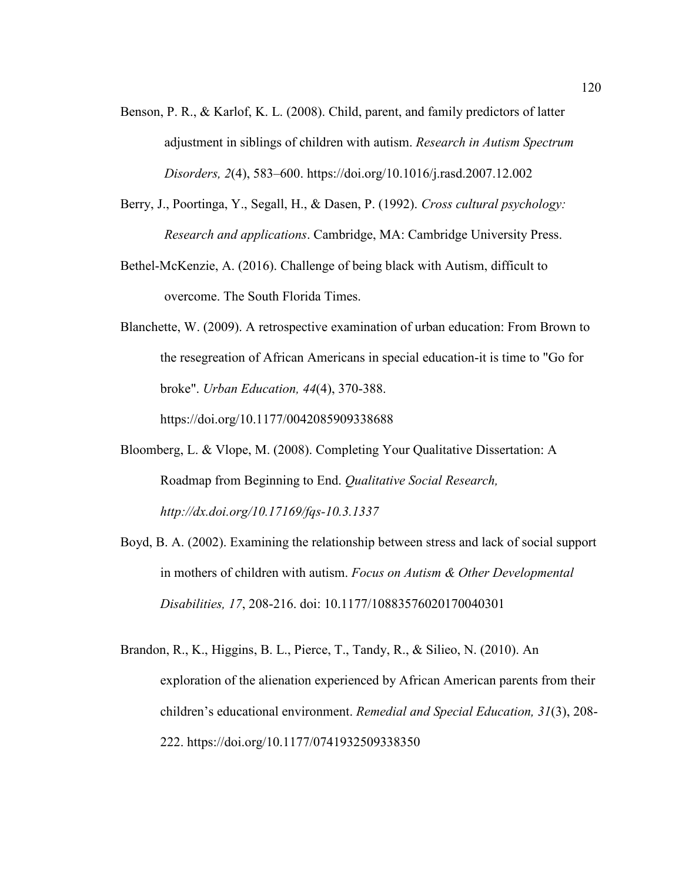- Benson, P. R., & Karlof, K. L. (2008). Child, parent, and family predictors of latter adjustment in siblings of children with autism. *Research in Autism Spectrum Disorders, 2*(4), 583–600. https://doi.org/10.1016/j.rasd.2007.12.002
- Berry, J., Poortinga, Y., Segall, H., & Dasen, P. (1992). *Cross cultural psychology: Research and applications*. Cambridge, MA: Cambridge University Press.
- Bethel-McKenzie, A. (2016). Challenge of being black with Autism, difficult to overcome. The South Florida Times.
- Blanchette, W. (2009). A retrospective examination of urban education: From Brown to the resegreation of African Americans in special education-it is time to "Go for broke". *Urban Education, 44*(4), 370-388.

https://doi.org/10.1177/0042085909338688

- Bloomberg, L. & Vlope, M. (2008). Completing Your Qualitative Dissertation: A Roadmap from Beginning to End. *Qualitative Social Research, http://dx.doi.org/10.17169/fqs-10.3.1337*
- Boyd, B. A. (2002). Examining the relationship between stress and lack of social support in mothers of children with autism. *Focus on Autism & Other Developmental Disabilities, 17*, 208-216. doi: 10.1177/10883576020170040301
- Brandon, R., K., Higgins, B. L., Pierce, T., Tandy, R., & Silieo, N. (2010). An exploration of the alienation experienced by African American parents from their children's educational environment. *Remedial and Special Education, 31*(3), 208- 222. https://doi.org/10.1177/0741932509338350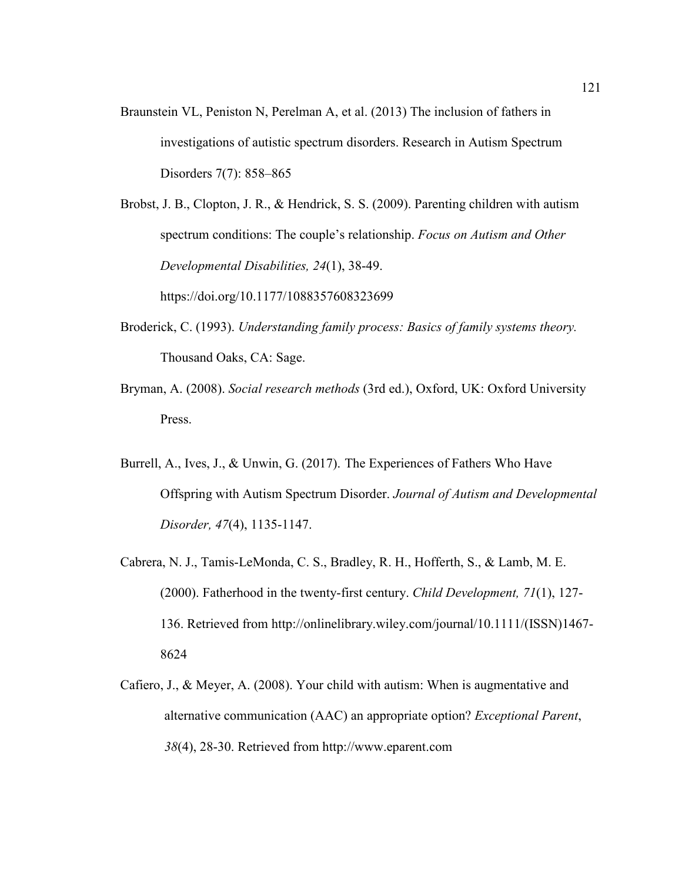Braunstein VL, Peniston N, Perelman A, et al. (2013) The inclusion of fathers in investigations of autistic spectrum disorders. Research in Autism Spectrum Disorders 7(7): 858–865

Brobst, J. B., Clopton, J. R., & Hendrick, S. S. (2009). Parenting children with autism spectrum conditions: The couple's relationship. *Focus on Autism and Other Developmental Disabilities, 24*(1), 38-49.

https://doi.org/10.1177/1088357608323699

- Broderick, C. (1993). *Understanding family process: Basics of family systems theory.*  Thousand Oaks, CA: Sage.
- Bryman, A. (2008). *Social research methods* (3rd ed.), Oxford, UK: Oxford University Press.
- Burrell, A., Ives, J., & Unwin, G. (2017). The Experiences of Fathers Who Have Offspring with Autism Spectrum Disorder. *Journal of Autism and Developmental Disorder, 47*(4), 1135-1147.
- Cabrera, N. J., Tamis-LeMonda, C. S., Bradley, R. H., Hofferth, S., & Lamb, M. E. (2000). Fatherhood in the twenty-first century. *Child Development, 71*(1), 127- 136. Retrieved from http://onlinelibrary.wiley.com/journal/10.1111/(ISSN)1467- 8624
- Cafiero, J., & Meyer, A. (2008). Your child with autism: When is augmentative and alternative communication (AAC) an appropriate option? *Exceptional Parent*, *38*(4), 28-30. Retrieved from http://www.eparent.com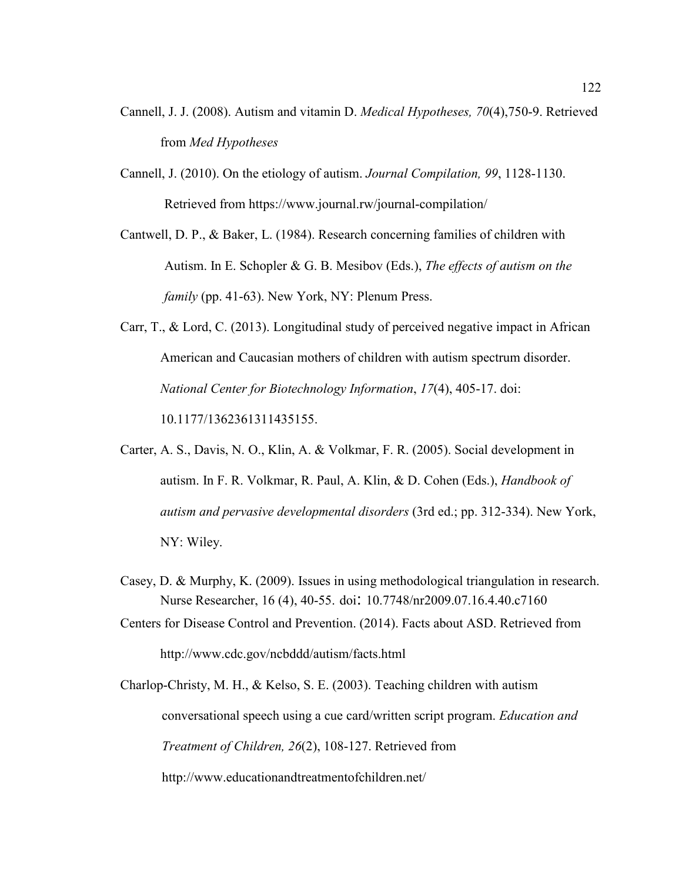- Cannell, J. J. (2008). Autism and vitamin D. *Medical Hypotheses, 70*(4),750-9. Retrieved from *Med Hypotheses*
- Cannell, J. (2010). On the etiology of autism. *Journal Compilation, 99*, 1128-1130. Retrieved from https://www.journal.rw/journal-compilation/

Cantwell, D. P., & Baker, L. (1984). Research concerning families of children with Autism. In E. Schopler & G. B. Mesibov (Eds.), *The effects of autism on the family* (pp. 41-63). New York, NY: Plenum Press.

- Carr, T., & Lord, C. (2013). Longitudinal study of perceived negative impact in African American and Caucasian mothers of children with autism spectrum disorder. *National Center for Biotechnology Information*, *17*(4), 405-17. doi: 10.1177/1362361311435155.
- Carter, A. S., Davis, N. O., Klin, A. & Volkmar, F. R. (2005). Social development in autism. In F. R. Volkmar, R. Paul, A. Klin, & D. Cohen (Eds.), *Handbook of autism and pervasive developmental disorders* (3rd ed.; pp. 312-334). New York, NY: Wiley.
- Casey, D. & Murphy, K. (2009). Issues in using methodological triangulation in research. Nurse Researcher, 16 (4), 40-55. doi: 10.7748/nr2009.07.16.4.40.c7160
- Centers for Disease Control and Prevention. (2014). Facts about ASD. Retrieved from http://www.cdc.gov/ncbddd/autism/facts.html

Charlop-Christy, M. H., & Kelso, S. E. (2003). Teaching children with autism conversational speech using a cue card/written script program. *Education and Treatment of Children, 26*(2), 108-127. Retrieved from http://www.educationandtreatmentofchildren.net/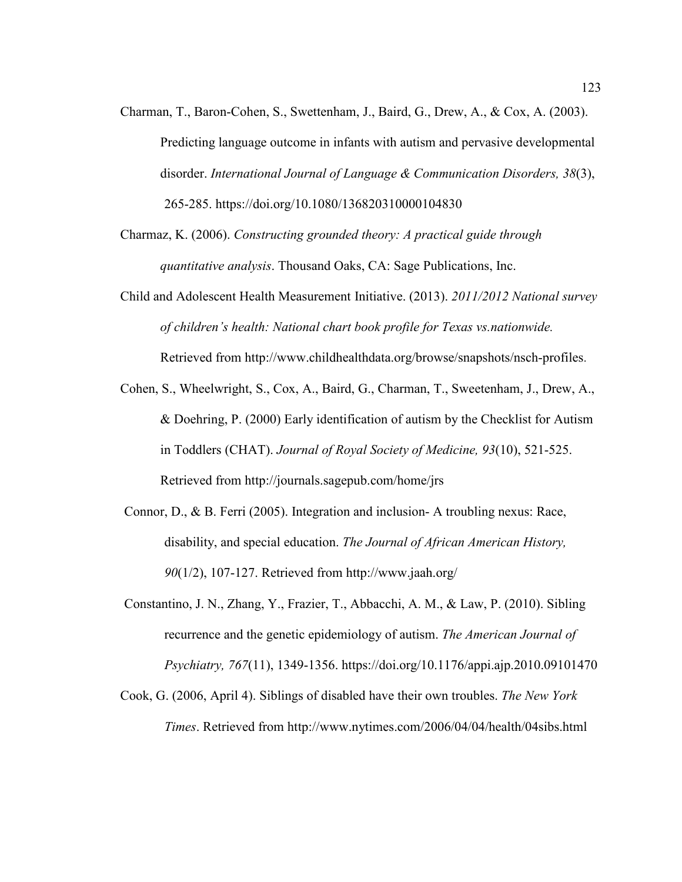- Charman, T., Baron-Cohen, S., Swettenham, J., Baird, G., Drew, A., & Cox, A. (2003). Predicting language outcome in infants with autism and pervasive developmental disorder. *International Journal of Language & Communication Disorders, 38*(3), 265-285. https://doi.org/10.1080/136820310000104830
- Charmaz, K. (2006). *Constructing grounded theory: A practical guide through quantitative analysis*. Thousand Oaks, CA: Sage Publications, Inc.
- Child and Adolescent Health Measurement Initiative. (2013). *2011/2012 National survey of children's health: National chart book profile for Texas vs.nationwide.*  Retrieved from http://www.childhealthdata.org/browse/snapshots/nsch-profiles.
- Cohen, S., Wheelwright, S., Cox, A., Baird, G., Charman, T., Sweetenham, J., Drew, A., & Doehring, P. (2000) Early identification of autism by the Checklist for Autism in Toddlers (CHAT). *Journal of Royal Society of Medicine, 93*(10), 521-525. Retrieved from http://journals.sagepub.com/home/jrs
- Connor, D., & B. Ferri (2005). Integration and inclusion- A troubling nexus: Race, disability, and special education. *The Journal of African American History, 90*(1/2), 107-127. Retrieved from http://www.jaah.org/
- Constantino, J. N., Zhang, Y., Frazier, T., Abbacchi, A. M., & Law, P. (2010). Sibling recurrence and the genetic epidemiology of autism. *The American Journal of Psychiatry, 767*(11), 1349-1356. https://doi.org/10.1176/appi.ajp.2010.09101470
- Cook, G. (2006, April 4). Siblings of disabled have their own troubles. *The New York Times*. Retrieved from http://www.nytimes.com/2006/04/04/health/04sibs.html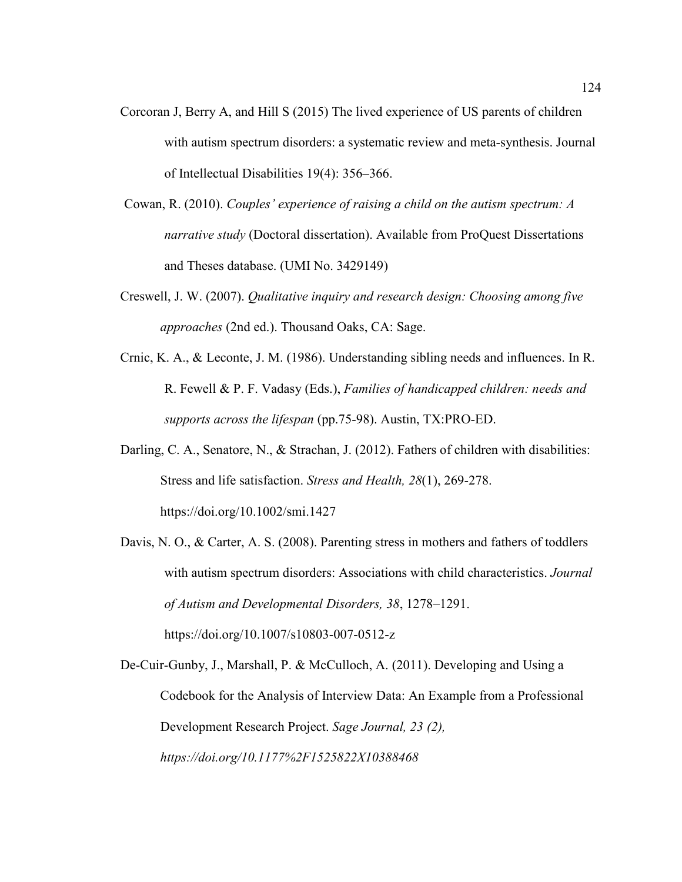- Corcoran J, Berry A, and Hill S (2015) The lived experience of US parents of children with autism spectrum disorders: a systematic review and meta-synthesis. Journal of Intellectual Disabilities 19(4): 356–366.
- Cowan, R. (2010). *Couples' experience of raising a child on the autism spectrum: A narrative study* (Doctoral dissertation). Available from ProQuest Dissertations and Theses database. (UMI No. 3429149)
- Creswell, J. W. (2007). *Qualitative inquiry and research design: Choosing among five approaches* (2nd ed.). Thousand Oaks, CA: Sage.
- Crnic, K. A., & Leconte, J. M. (1986). Understanding sibling needs and influences. In R. R. Fewell & P. F. Vadasy (Eds.), *Families of handicapped children: needs and supports across the lifespan* (pp.75-98). Austin, TX:PRO-ED.
- Darling, C. A., Senatore, N., & Strachan, J. (2012). Fathers of children with disabilities: Stress and life satisfaction. *Stress and Health, 28*(1), 269-278. https://doi.org/10.1002/smi.1427
- Davis, N. O., & Carter, A. S. (2008). Parenting stress in mothers and fathers of toddlers with autism spectrum disorders: Associations with child characteristics. *Journal of Autism and Developmental Disorders, 38*, 1278–1291. https://doi.org/10.1007/s10803-007-0512-z

De-Cuir-Gunby, J., Marshall, P. & McCulloch, A. (2011). Developing and Using a Codebook for the Analysis of Interview Data: An Example from a Professional Development Research Project. *Sage Journal, 23 (2), https://doi.org/10.1177%2F1525822X10388468*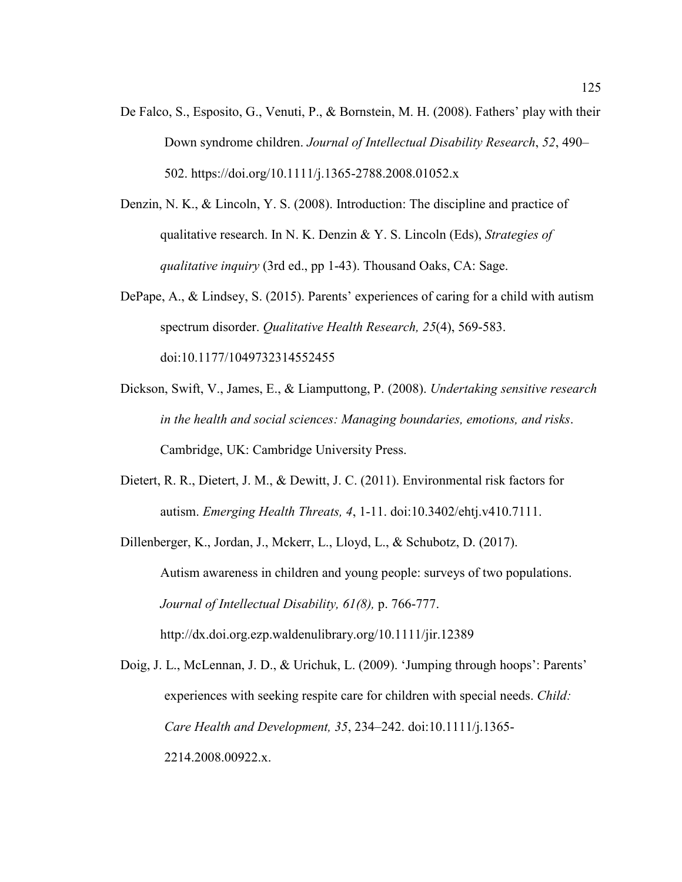- De Falco, S., Esposito, G., Venuti, P., & Bornstein, M. H. (2008). Fathers' play with their Down syndrome children. *Journal of Intellectual Disability Research*, *52*, 490– 502. https://doi.org/10.1111/j.1365-2788.2008.01052.x
- Denzin, N. K., & Lincoln, Y. S. (2008). Introduction: The discipline and practice of qualitative research. In N. K. Denzin & Y. S. Lincoln (Eds), *Strategies of qualitative inquiry* (3rd ed., pp 1-43). Thousand Oaks, CA: Sage.
- DePape, A., & Lindsey, S. (2015). Parents' experiences of caring for a child with autism spectrum disorder. *Qualitative Health Research, 25*(4), 569-583. doi:10.1177/1049732314552455
- Dickson, Swift, V., James, E., & Liamputtong, P. (2008). *Undertaking sensitive research in the health and social sciences: Managing boundaries, emotions, and risks*. Cambridge, UK: Cambridge University Press.
- Dietert, R. R., Dietert, J. M., & Dewitt, J. C. (2011). Environmental risk factors for autism. *Emerging Health Threats, 4*, 1-11. doi:10.3402/ehtj.v410.7111.

Dillenberger, K., Jordan, J., Mckerr, L., Lloyd, L., & Schubotz, D. (2017). Autism awareness in children and young people: surveys of two populations. *Journal of Intellectual Disability, 61(8),* p. 766-777. http://dx.doi.org.ezp.waldenulibrary.org/10.1111/jir.12389

Doig, J. L., McLennan, J. D., & Urichuk, L. (2009). 'Jumping through hoops': Parents' experiences with seeking respite care for children with special needs. *Child: Care Health and Development, 35*, 234–242. doi:10.1111/j.1365- 2214.2008.00922.x.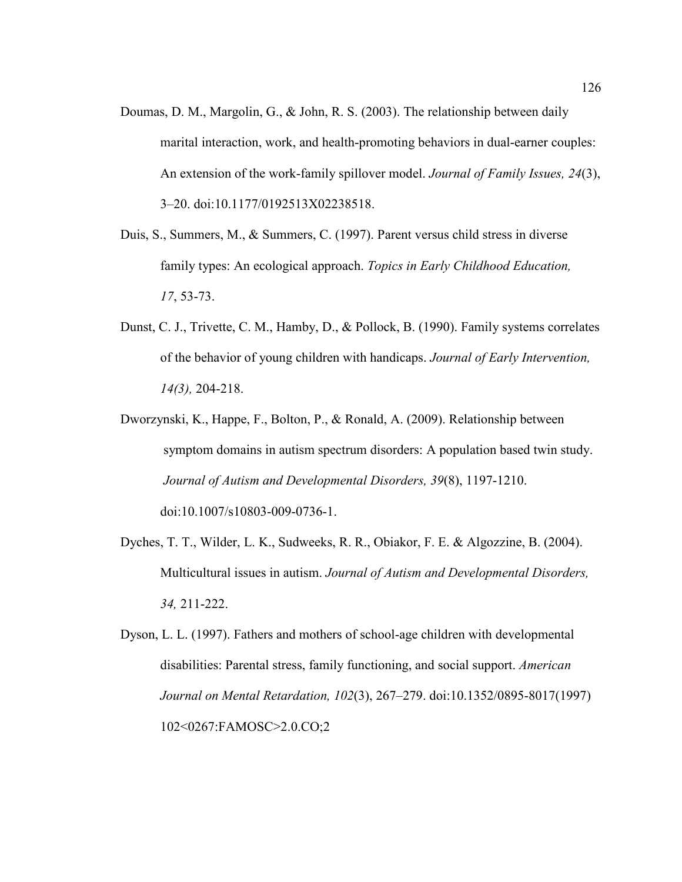- Doumas, D. M., Margolin, G., & John, R. S. (2003). The relationship between daily marital interaction, work, and health-promoting behaviors in dual-earner couples: An extension of the work-family spillover model. *Journal of Family Issues, 24*(3), 3–20. doi:10.1177/0192513X02238518.
- Duis, S., Summers, M., & Summers, C. (1997). Parent versus child stress in diverse family types: An ecological approach. *Topics in Early Childhood Education, 17*, 53-73.
- Dunst, C. J., Trivette, C. M., Hamby, D., & Pollock, B. (1990). Family systems correlates of the behavior of young children with handicaps. *Journal of Early Intervention, 14(3),* 204-218.
- Dworzynski, K., Happe, F., Bolton, P., & Ronald, A. (2009). Relationship between symptom domains in autism spectrum disorders: A population based twin study. *Journal of Autism and Developmental Disorders, 39*(8), 1197-1210. doi:10.1007/s10803-009-0736-1.
- Dyches, T. T., Wilder, L. K., Sudweeks, R. R., Obiakor, F. E. & Algozzine, B. (2004). Multicultural issues in autism. *Journal of Autism and Developmental Disorders, 34,* 211-222.
- Dyson, L. L. (1997). Fathers and mothers of school-age children with developmental disabilities: Parental stress, family functioning, and social support. *American Journal on Mental Retardation, 102*(3), 267–279. doi:10.1352/0895-8017(1997) 102<0267:FAMOSC>2.0.CO;2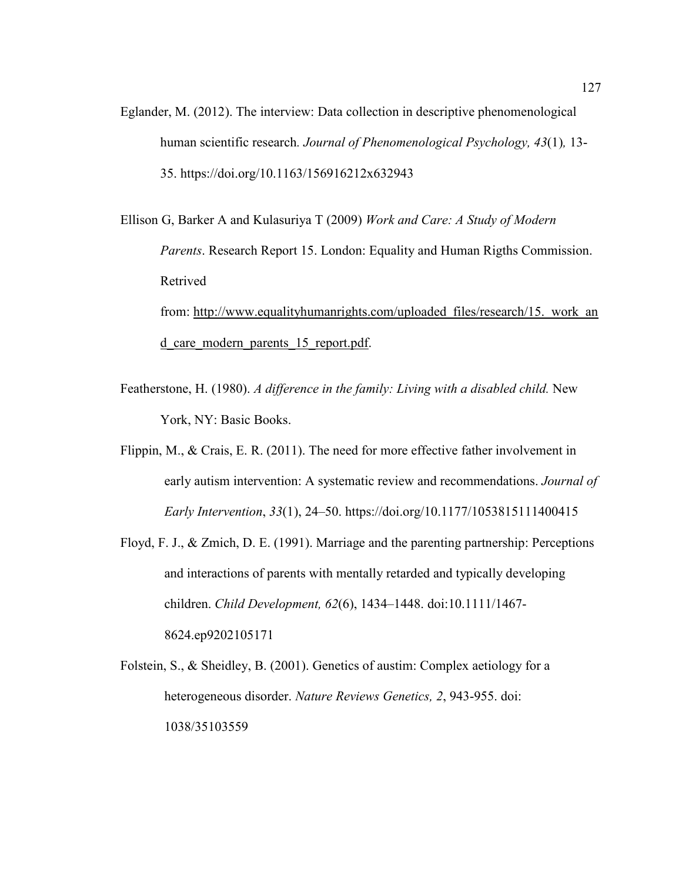Eglander, M. (2012). The interview: Data collection in descriptive phenomenological human scientific research*. Journal of Phenomenological Psychology, 43*(1)*,* 13- 35. https://doi.org/10.1163/156916212x632943

Ellison G, Barker A and Kulasuriya T (2009) *Work and Care: A Study of Modern Parents*. Research Report 15. London: Equality and Human Rigths Commission. Retrived from: http://www.equalityhumanrights.com/uploaded\_files/research/15.\_work\_an d\_care\_modern\_parents\_15\_report.pdf.

- Featherstone, H. (1980). *A difference in the family: Living with a disabled child.* New York, NY: Basic Books.
- Flippin, M., & Crais, E. R. (2011). The need for more effective father involvement in early autism intervention: A systematic review and recommendations. *Journal of Early Intervention*, *33*(1), 24–50. https://doi.org/10.1177/1053815111400415
- Floyd, F. J., & Zmich, D. E. (1991). Marriage and the parenting partnership: Perceptions and interactions of parents with mentally retarded and typically developing children. *Child Development, 62*(6), 1434–1448. doi:10.1111/1467- 8624.ep9202105171
- Folstein, S., & Sheidley, B. (2001). Genetics of austim: Complex aetiology for a heterogeneous disorder. *Nature Reviews Genetics, 2*, 943-955. doi: 1038/35103559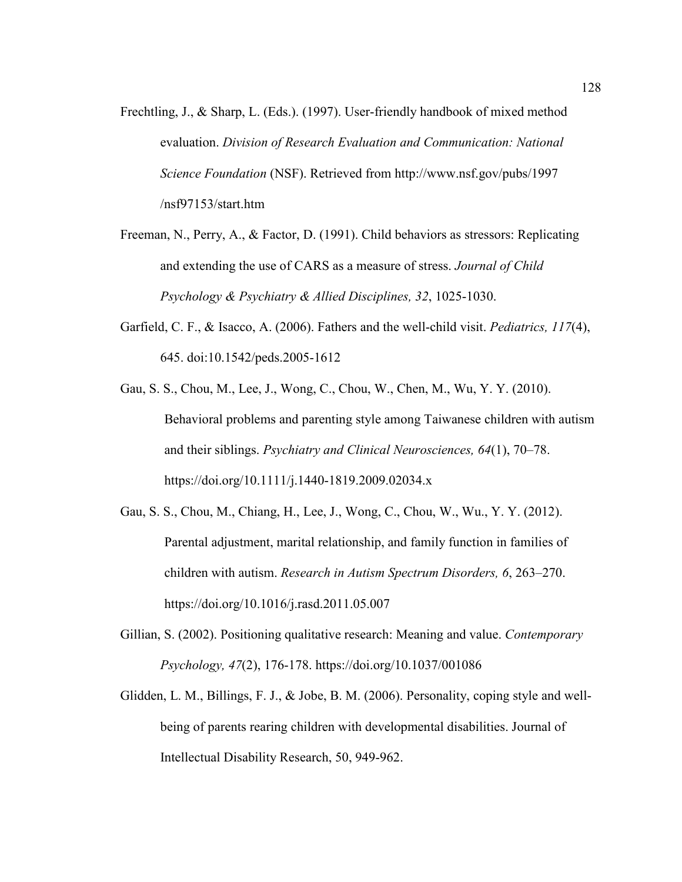- Frechtling, J., & Sharp, L. (Eds.). (1997). User-friendly handbook of mixed method evaluation. *Division of Research Evaluation and Communication: National Science Foundation* (NSF). Retrieved from http://www.nsf.gov/pubs/1997 /nsf97153/start.htm
- Freeman, N., Perry, A., & Factor, D. (1991). Child behaviors as stressors: Replicating and extending the use of CARS as a measure of stress. *Journal of Child Psychology & Psychiatry & Allied Disciplines, 32*, 1025-1030.
- Garfield, C. F., & Isacco, A. (2006). Fathers and the well-child visit. *Pediatrics, 117*(4), 645. doi:10.1542/peds.2005-1612
- Gau, S. S., Chou, M., Lee, J., Wong, C., Chou, W., Chen, M., Wu, Y. Y. (2010). Behavioral problems and parenting style among Taiwanese children with autism and their siblings. *Psychiatry and Clinical Neurosciences, 64*(1), 70–78. https://doi.org/10.1111/j.1440-1819.2009.02034.x
- Gau, S. S., Chou, M., Chiang, H., Lee, J., Wong, C., Chou, W., Wu., Y. Y. (2012). Parental adjustment, marital relationship, and family function in families of children with autism. *Research in Autism Spectrum Disorders, 6*, 263–270. https://doi.org/10.1016/j.rasd.2011.05.007
- Gillian, S. (2002). Positioning qualitative research: Meaning and value. *Contemporary Psychology, 47*(2), 176-178. https://doi.org/10.1037/001086
- Glidden, L. M., Billings, F. J., & Jobe, B. M. (2006). Personality, coping style and wellbeing of parents rearing children with developmental disabilities. Journal of Intellectual Disability Research, 50, 949-962.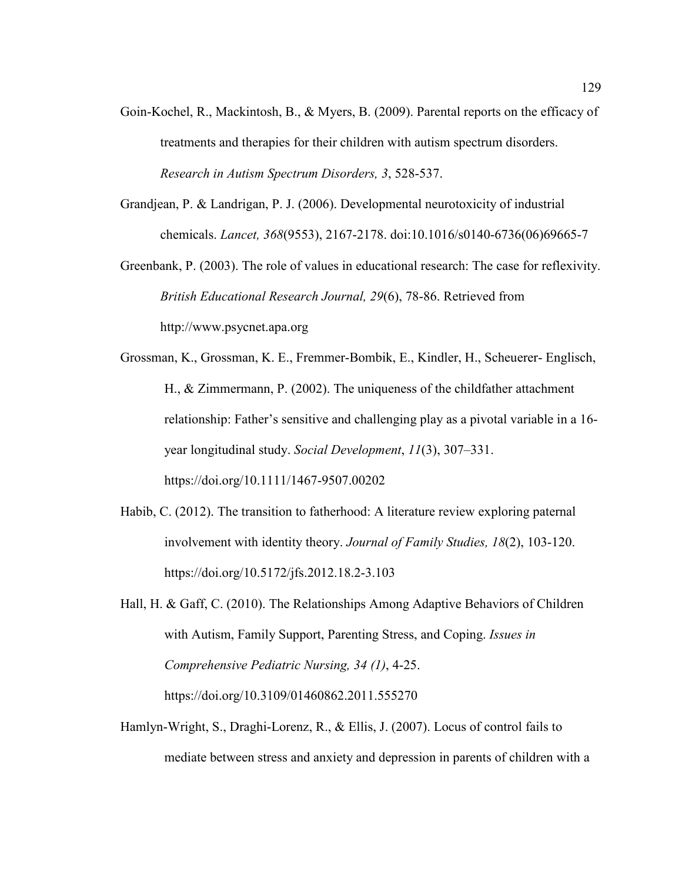- Goin-Kochel, R., Mackintosh, B., & Myers, B. (2009). Parental reports on the efficacy of treatments and therapies for their children with autism spectrum disorders. *Research in Autism Spectrum Disorders, 3*, 528-537.
- Grandjean, P. & Landrigan, P. J. (2006). Developmental neurotoxicity of industrial chemicals. *Lancet, 368*(9553), 2167-2178. doi:10.1016/s0140-6736(06)69665-7
- Greenbank, P. (2003). The role of values in educational research: The case for reflexivity. *British Educational Research Journal, 29*(6), 78-86. Retrieved from http://www.psycnet.apa.org
- Grossman, K., Grossman, K. E., Fremmer-Bombik, E., Kindler, H., Scheuerer- Englisch, H., & Zimmermann, P. (2002). The uniqueness of the childfather attachment relationship: Father's sensitive and challenging play as a pivotal variable in a 16 year longitudinal study. *Social Development*, *11*(3), 307–331. https://doi.org/10.1111/1467-9507.00202
- Habib, C. (2012). The transition to fatherhood: A literature review exploring paternal involvement with identity theory. *Journal of Family Studies, 18*(2), 103-120. https://doi.org/10.5172/jfs.2012.18.2-3.103
- Hall, H. & Gaff, C. (2010). The Relationships Among Adaptive Behaviors of Children with Autism, Family Support, Parenting Stress, and Coping. *Issues in Comprehensive Pediatric Nursing, 34 (1)*, 4-25. https://doi.org/10.3109/01460862.2011.555270
- Hamlyn-Wright, S., Draghi-Lorenz, R., & Ellis, J. (2007). Locus of control fails to mediate between stress and anxiety and depression in parents of children with a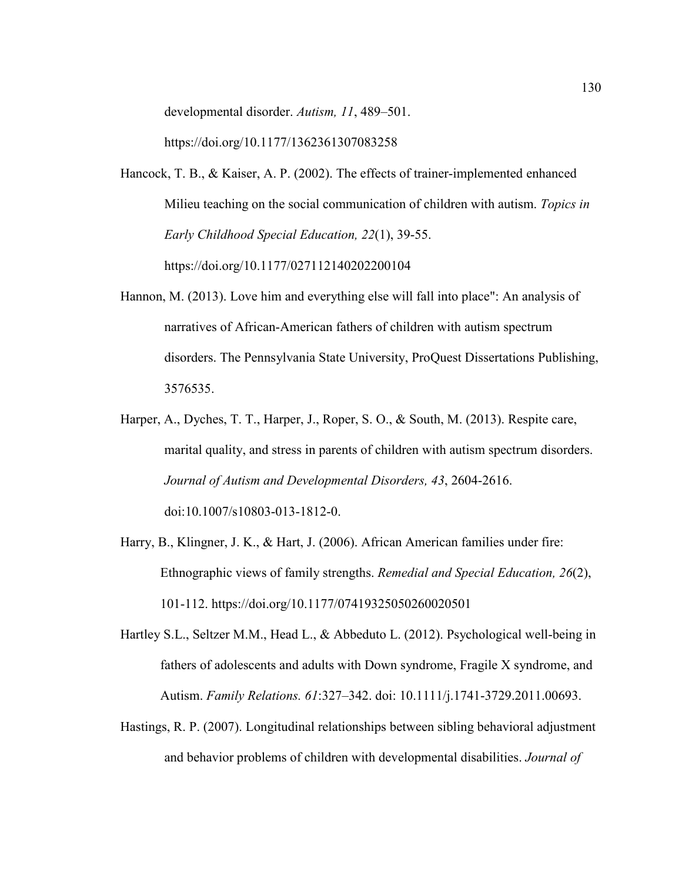developmental disorder. *Autism, 11*, 489–501.

https://doi.org/10.1177/1362361307083258

- Hancock, T. B., & Kaiser, A. P. (2002). The effects of trainer-implemented enhanced Milieu teaching on the social communication of children with autism. *Topics in Early Childhood Special Education, 22*(1), 39-55. https://doi.org/10.1177/027112140202200104
- Hannon, M. (2013). Love him and everything else will fall into place": An analysis of narratives of African-American fathers of children with autism spectrum disorders. The Pennsylvania State University, ProQuest Dissertations Publishing, 3576535.
- Harper, A., Dyches, T. T., Harper, J., Roper, S. O., & South, M. (2013). Respite care, marital quality, and stress in parents of children with autism spectrum disorders. *Journal of Autism and Developmental Disorders, 43*, 2604-2616. doi:10.1007/s10803-013-1812-0.
- Harry, B., Klingner, J. K., & Hart, J. (2006). African American families under fire: Ethnographic views of family strengths. *Remedial and Special Education, 26*(2), 101-112. https://doi.org/10.1177/07419325050260020501
- Hartley S.L., Seltzer M.M., Head L., & Abbeduto L. (2012). Psychological well-being in fathers of adolescents and adults with Down syndrome, Fragile X syndrome, and Autism. *Family Relations. 61*:327–342. doi: 10.1111/j.1741-3729.2011.00693.
- Hastings, R. P. (2007). Longitudinal relationships between sibling behavioral adjustment and behavior problems of children with developmental disabilities. *Journal of*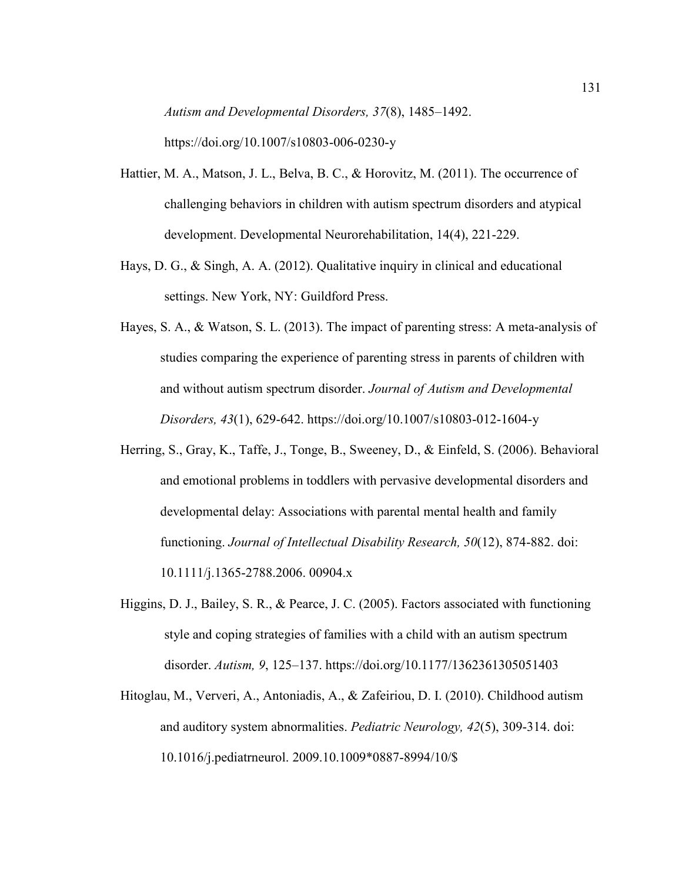*Autism and Developmental Disorders, 37*(8), 1485–1492.

https://doi.org/10.1007/s10803-006-0230-y

- Hattier, M. A., Matson, J. L., Belva, B. C., & Horovitz, M. (2011). The occurrence of challenging behaviors in children with autism spectrum disorders and atypical development. Developmental Neurorehabilitation, 14(4), 221-229.
- Hays, D. G., & Singh, A. A. (2012). Qualitative inquiry in clinical and educational settings. New York, NY: Guildford Press.
- Hayes, S. A., & Watson, S. L. (2013). The impact of parenting stress: A meta-analysis of studies comparing the experience of parenting stress in parents of children with and without autism spectrum disorder. *Journal of Autism and Developmental Disorders, 43*(1), 629-642. https://doi.org/10.1007/s10803-012-1604-y
- Herring, S., Gray, K., Taffe, J., Tonge, B., Sweeney, D., & Einfeld, S. (2006). Behavioral and emotional problems in toddlers with pervasive developmental disorders and developmental delay: Associations with parental mental health and family functioning. *Journal of Intellectual Disability Research, 50*(12), 874-882. doi: 10.1111/j.1365-2788.2006. 00904.x
- Higgins, D. J., Bailey, S. R., & Pearce, J. C. (2005). Factors associated with functioning style and coping strategies of families with a child with an autism spectrum disorder. *Autism, 9*, 125–137. https://doi.org/10.1177/1362361305051403
- Hitoglau, M., Ververi, A., Antoniadis, A., & Zafeiriou, D. I. (2010). Childhood autism and auditory system abnormalities. *Pediatric Neurology, 42*(5), 309-314. doi: 10.1016/j.pediatrneurol. 2009.10.1009\*0887-8994/10/\$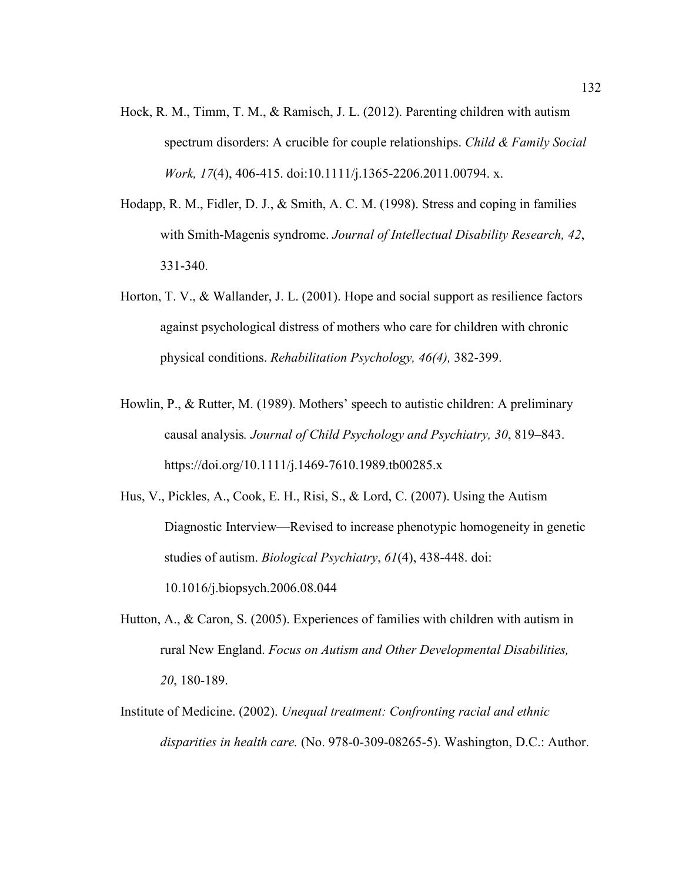- Hock, R. M., Timm, T. M., & Ramisch, J. L. (2012). Parenting children with autism spectrum disorders: A crucible for couple relationships. *Child & Family Social Work, 17*(4), 406-415. doi:10.1111/j.1365-2206.2011.00794. x.
- Hodapp, R. M., Fidler, D. J., & Smith, A. C. M. (1998). Stress and coping in families with Smith-Magenis syndrome. *Journal of Intellectual Disability Research, 42*, 331-340.
- Horton, T. V., & Wallander, J. L. (2001). Hope and social support as resilience factors against psychological distress of mothers who care for children with chronic physical conditions. *Rehabilitation Psychology, 46(4),* 382-399.
- Howlin, P., & Rutter, M. (1989). Mothers' speech to autistic children: A preliminary causal analysis*. Journal of Child Psychology and Psychiatry, 30*, 819–843. https://doi.org/10.1111/j.1469-7610.1989.tb00285.x

Hus, V., Pickles, A., Cook, E. H., Risi, S., & Lord, C. (2007). Using the Autism Diagnostic Interview—Revised to increase phenotypic homogeneity in genetic studies of autism. *Biological Psychiatry*, *61*(4), 438-448. doi: 10.1016/j.biopsych.2006.08.044

- Hutton, A., & Caron, S. (2005). Experiences of families with children with autism in rural New England. *Focus on Autism and Other Developmental Disabilities, 20*, 180-189.
- Institute of Medicine. (2002). *Unequal treatment: Confronting racial and ethnic disparities in health care.* (No. 978-0-309-08265-5). Washington, D.C.: Author.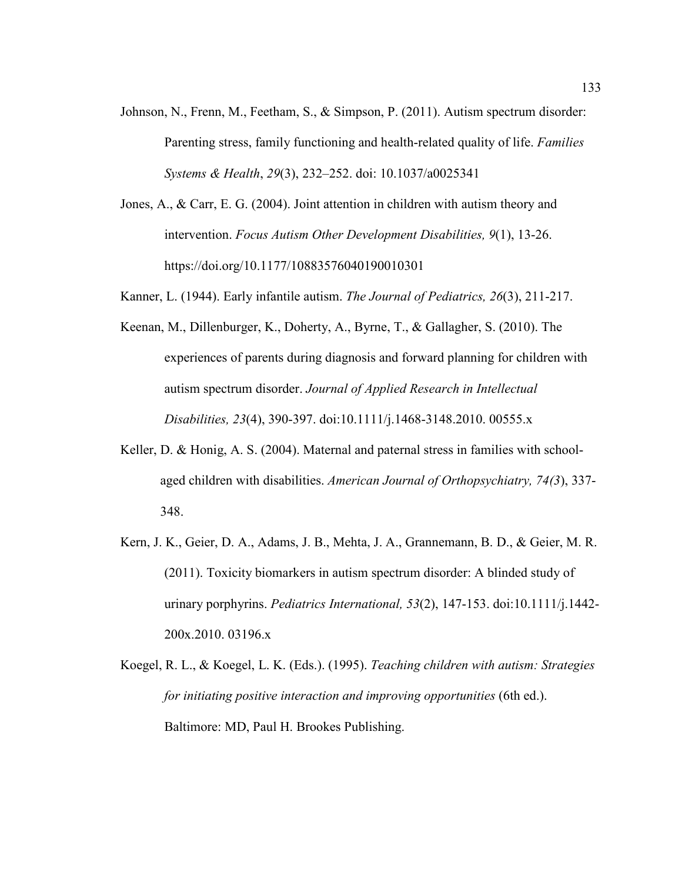- Johnson, N., Frenn, M., Feetham, S., & Simpson, P. (2011). Autism spectrum disorder: Parenting stress, family functioning and health-related quality of life. *Families Systems & Health*, *29*(3), 232–252. doi: 10.1037/a0025341
- Jones, A., & Carr, E. G. (2004). Joint attention in children with autism theory and intervention. *Focus Autism Other Development Disabilities, 9*(1), 13-26. https://doi.org/10.1177/10883576040190010301
- Kanner, L. (1944). Early infantile autism. *The Journal of Pediatrics, 26*(3), 211-217.
- Keenan, M., Dillenburger, K., Doherty, A., Byrne, T., & Gallagher, S. (2010). The experiences of parents during diagnosis and forward planning for children with autism spectrum disorder. *Journal of Applied Research in Intellectual Disabilities, 23*(4), 390-397. doi:10.1111/j.1468-3148.2010. 00555.x
- Keller, D. & Honig, A. S. (2004). Maternal and paternal stress in families with schoolaged children with disabilities. *American Journal of Orthopsychiatry, 74(3*), 337- 348.
- Kern, J. K., Geier, D. A., Adams, J. B., Mehta, J. A., Grannemann, B. D., & Geier, M. R. (2011). Toxicity biomarkers in autism spectrum disorder: A blinded study of urinary porphyrins. *Pediatrics International, 53*(2), 147-153. doi:10.1111/j.1442- 200x.2010. 03196.x
- Koegel, R. L., & Koegel, L. K. (Eds.). (1995). *Teaching children with autism: Strategies for initiating positive interaction and improving opportunities* (6th ed.). Baltimore: MD, Paul H. Brookes Publishing.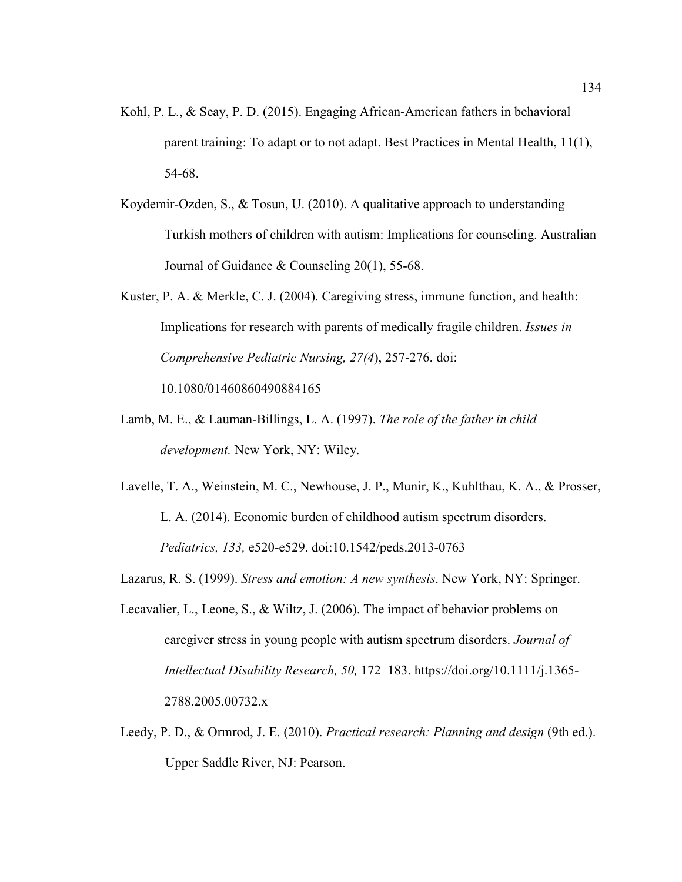- Kohl, P. L., & Seay, P. D. (2015). Engaging African-American fathers in behavioral parent training: To adapt or to not adapt. Best Practices in Mental Health, 11(1), 54-68.
- Koydemir-Ozden, S., & Tosun, U. (2010). A qualitative approach to understanding Turkish mothers of children with autism: Implications for counseling. Australian Journal of Guidance & Counseling 20(1), 55-68.
- Kuster, P. A. & Merkle, C. J. (2004). Caregiving stress, immune function, and health: Implications for research with parents of medically fragile children. *Issues in Comprehensive Pediatric Nursing, 27(4*), 257-276. doi: 10.1080/01460860490884165
- Lamb, M. E., & Lauman-Billings, L. A. (1997). *The role of the father in child development.* New York, NY: Wiley.
- Lavelle, T. A., Weinstein, M. C., Newhouse, J. P., Munir, K., Kuhlthau, K. A., & Prosser, L. A. (2014). Economic burden of childhood autism spectrum disorders. *Pediatrics, 133,* e520-e529. doi:10.1542/peds.2013-0763
- Lazarus, R. S. (1999). *Stress and emotion: A new synthesis*. New York, NY: Springer.
- Lecavalier, L., Leone, S., & Wiltz, J. (2006). The impact of behavior problems on caregiver stress in young people with autism spectrum disorders. *Journal of Intellectual Disability Research, 50,* 172–183. https://doi.org/10.1111/j.1365- 2788.2005.00732.x
- Leedy, P. D., & Ormrod, J. E. (2010). *Practical research: Planning and design* (9th ed.). Upper Saddle River, NJ: Pearson.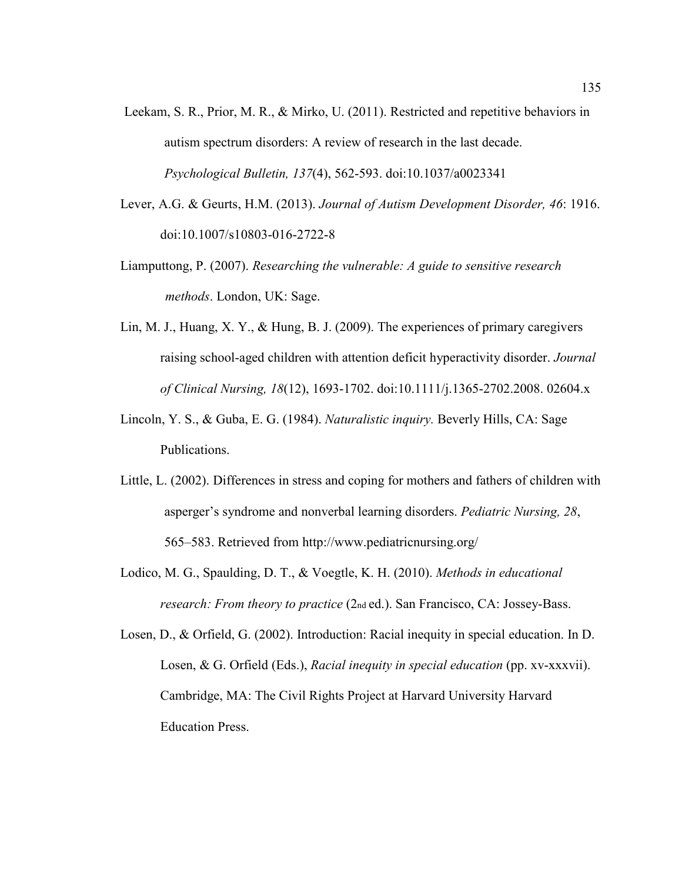- Leekam, S. R., Prior, M. R., & Mirko, U. (2011). Restricted and repetitive behaviors in autism spectrum disorders: A review of research in the last decade. *Psychological Bulletin, 137*(4), 562-593. doi:10.1037/a0023341
- Lever, A.G. & Geurts, H.M. (2013). *Journal of Autism Development Disorder, 46*: 1916. doi:10.1007/s10803-016-2722-8
- Liamputtong, P. (2007). *Researching the vulnerable: A guide to sensitive research methods*. London, UK: Sage.
- Lin, M. J., Huang, X. Y., & Hung, B. J. (2009). The experiences of primary caregivers raising school-aged children with attention deficit hyperactivity disorder. *Journal of Clinical Nursing, 18*(12), 1693-1702. doi:10.1111/j.1365-2702.2008. 02604.x
- Lincoln, Y. S., & Guba, E. G. (1984). *Naturalistic inquiry.* Beverly Hills, CA: Sage Publications.
- Little, L. (2002). Differences in stress and coping for mothers and fathers of children with asperger's syndrome and nonverbal learning disorders. *Pediatric Nursing, 28*, 565–583. Retrieved from http://www.pediatricnursing.org/
- Lodico, M. G., Spaulding, D. T., & Voegtle, K. H. (2010). *Methods in educational research: From theory to practice* (2nd ed.). San Francisco, CA: Jossey-Bass.
- Losen, D., & Orfield, G. (2002). Introduction: Racial inequity in special education. In D. Losen, & G. Orfield (Eds.), *Racial inequity in special education* (pp. xv-xxxvii). Cambridge, MA: The Civil Rights Project at Harvard University Harvard Education Press.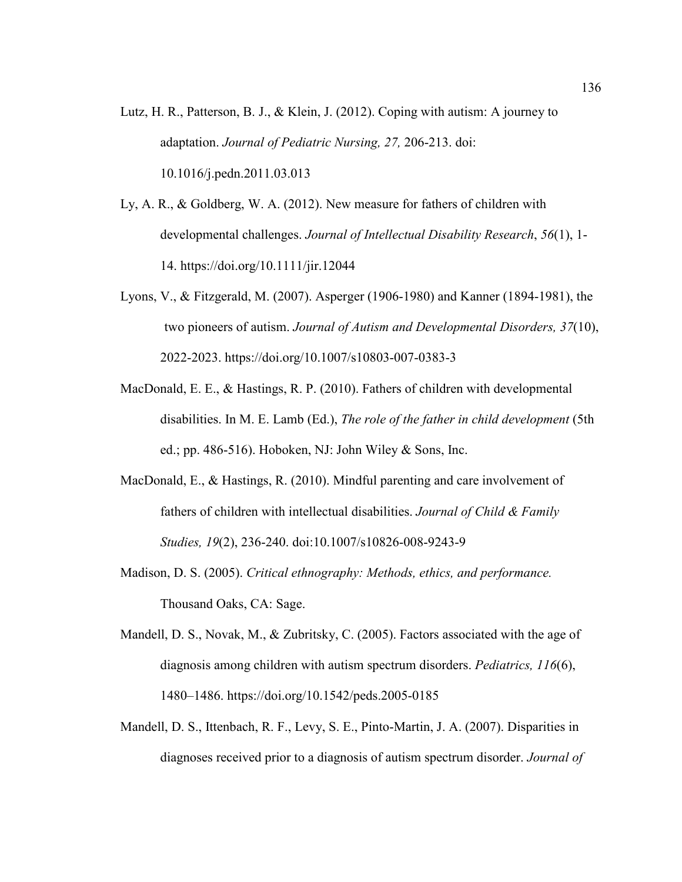- Lutz, H. R., Patterson, B. J., & Klein, J. (2012). Coping with autism: A journey to adaptation. *Journal of Pediatric Nursing, 27,* 206-213. doi: 10.1016/j.pedn.2011.03.013
- Ly, A. R., & Goldberg, W. A. (2012). New measure for fathers of children with developmental challenges. *Journal of Intellectual Disability Research*, *56*(1), 1- 14. https://doi.org/10.1111/jir.12044
- Lyons, V., & Fitzgerald, M. (2007). Asperger (1906-1980) and Kanner (1894-1981), the two pioneers of autism. *Journal of Autism and Developmental Disorders, 37*(10), 2022-2023. https://doi.org/10.1007/s10803-007-0383-3
- MacDonald, E. E., & Hastings, R. P. (2010). Fathers of children with developmental disabilities. In M. E. Lamb (Ed.), *The role of the father in child development* (5th ed.; pp. 486-516). Hoboken, NJ: John Wiley  $&$  Sons, Inc.
- MacDonald, E., & Hastings, R. (2010). Mindful parenting and care involvement of fathers of children with intellectual disabilities. *Journal of Child & Family Studies, 19*(2), 236-240. doi:10.1007/s10826-008-9243-9
- Madison, D. S. (2005). *Critical ethnography: Methods, ethics, and performance.* Thousand Oaks, CA: Sage.
- Mandell, D. S., Novak, M., & Zubritsky, C. (2005). Factors associated with the age of diagnosis among children with autism spectrum disorders. *Pediatrics, 116*(6), 1480–1486. https://doi.org/10.1542/peds.2005-0185
- Mandell, D. S., Ittenbach, R. F., Levy, S. E., Pinto-Martin, J. A. (2007). Disparities in diagnoses received prior to a diagnosis of autism spectrum disorder. *Journal of*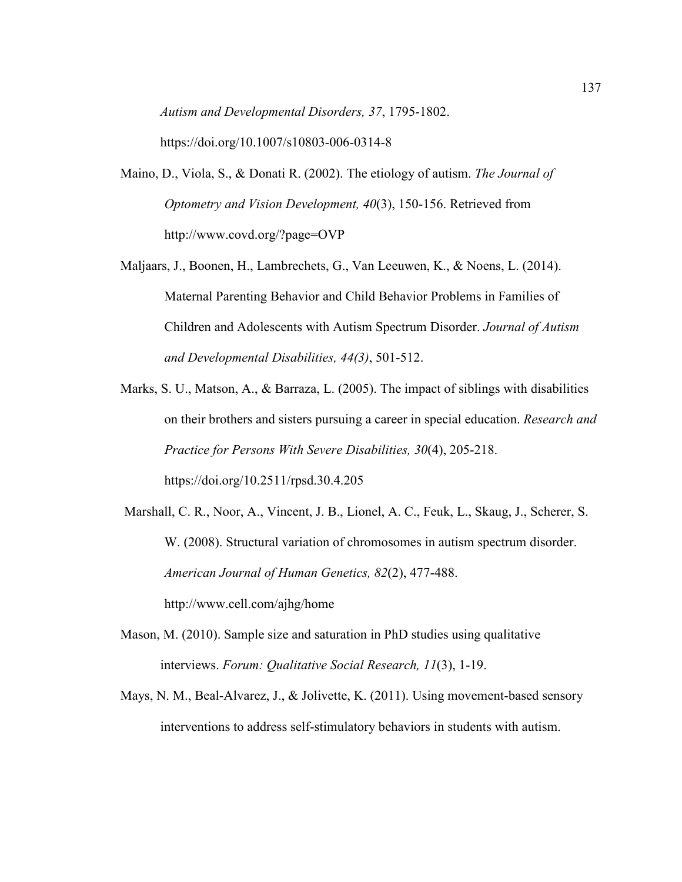*Autism and Developmental Disorders, 37*, 1795-1802.

https://doi.org/10.1007/s10803-006-0314-8

- Maino, D., Viola, S., & Donati R. (2002). The etiology of autism. *The Journal of Optometry and Vision Development, 40*(3), 150-156. Retrieved from http://www.covd.org/?page=OVP
- Maljaars, J., Boonen, H., Lambrechets, G., Van Leeuwen, K., & Noens, L. (2014). Maternal Parenting Behavior and Child Behavior Problems in Families of Children and Adolescents with Autism Spectrum Disorder. *Journal of Autism and Developmental Disabilities, 44(3)*, 501-512.
- Marks, S. U., Matson, A., & Barraza, L. (2005). The impact of siblings with disabilities on their brothers and sisters pursuing a career in special education. *Research and Practice for Persons With Severe Disabilities, 30*(4), 205-218. https://doi.org/10.2511/rpsd.30.4.205
- Marshall, C. R., Noor, A., Vincent, J. B., Lionel, A. C., Feuk, L., Skaug, J., Scherer, S. W. (2008). Structural variation of chromosomes in autism spectrum disorder. *American Journal of Human Genetics, 82*(2), 477-488. http://www.cell.com/ajhg/home
- Mason, M. (2010). Sample size and saturation in PhD studies using qualitative interviews. *Forum: Qualitative Social Research, 11*(3), 1-19.
- Mays, N. M., Beal-Alvarez, J., & Jolivette, K. (2011). Using movement-based sensory interventions to address self-stimulatory behaviors in students with autism.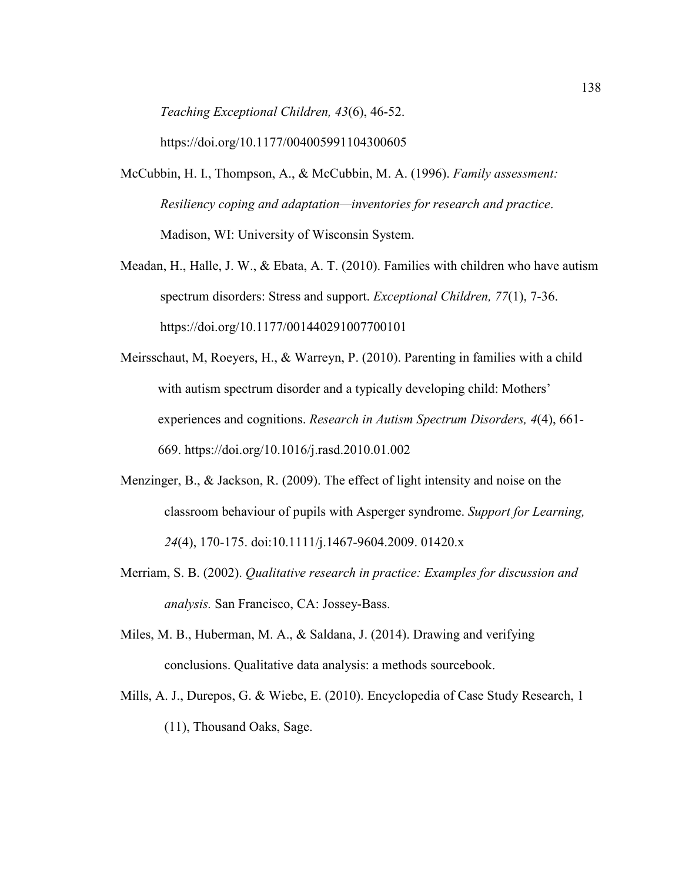*Teaching Exceptional Children, 43*(6), 46-52.

https://doi.org/10.1177/004005991104300605

- McCubbin, H. I., Thompson, A., & McCubbin, M. A. (1996). *Family assessment: Resiliency coping and adaptation—inventories for research and practice*. Madison, WI: University of Wisconsin System.
- Meadan, H., Halle, J. W., & Ebata, A. T. (2010). Families with children who have autism spectrum disorders: Stress and support. *Exceptional Children, 77*(1), 7-36. https://doi.org/10.1177/001440291007700101
- Meirsschaut, M, Roeyers, H., & Warreyn, P. (2010). Parenting in families with a child with autism spectrum disorder and a typically developing child: Mothers' experiences and cognitions. *Research in Autism Spectrum Disorders, 4*(4), 661- 669. https://doi.org/10.1016/j.rasd.2010.01.002
- Menzinger, B., & Jackson, R. (2009). The effect of light intensity and noise on the classroom behaviour of pupils with Asperger syndrome. *Support for Learning, 24*(4), 170-175. doi:10.1111/j.1467-9604.2009. 01420.x
- Merriam, S. B. (2002). *Qualitative research in practice: Examples for discussion and analysis.* San Francisco, CA: Jossey-Bass.
- Miles, M. B., Huberman, M. A., & Saldana, J. (2014). Drawing and verifying conclusions. Qualitative data analysis: a methods sourcebook.
- Mills, A. J., Durepos, G. & Wiebe, E. (2010). Encyclopedia of Case Study Research, 1 (11), Thousand Oaks, Sage.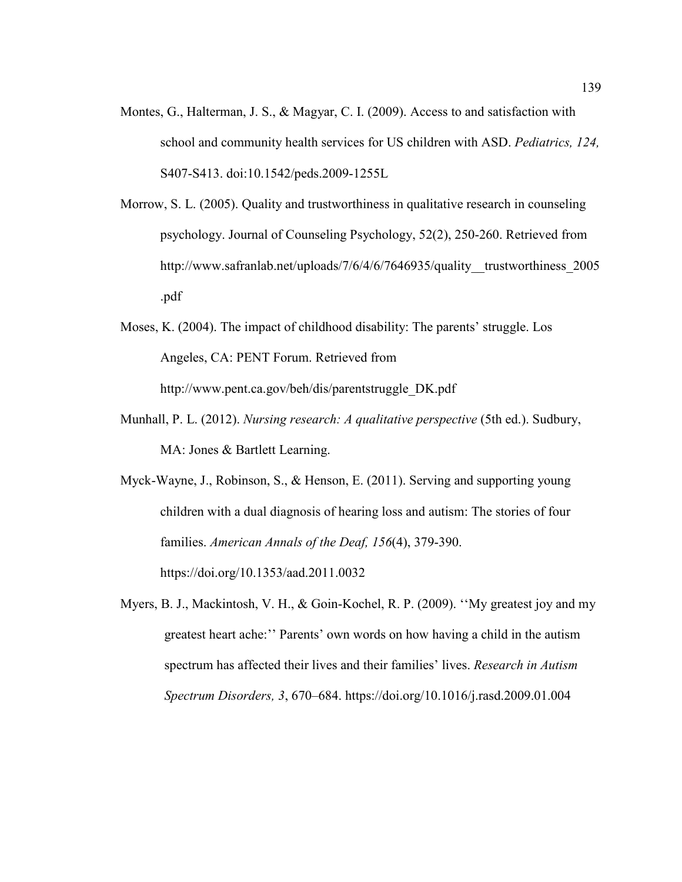- Montes, G., Halterman, J. S., & Magyar, C. I. (2009). Access to and satisfaction with school and community health services for US children with ASD. *Pediatrics, 124,* S407-S413. doi:10.1542/peds.2009-1255L
- Morrow, S. L. (2005). Quality and trustworthiness in qualitative research in counseling psychology. Journal of Counseling Psychology, 52(2), 250-260. Retrieved from http://www.safranlab.net/uploads/7/6/4/6/7646935/quality trustworthiness 2005 .pdf
- Moses, K. (2004). The impact of childhood disability: The parents' struggle. Los Angeles, CA: PENT Forum. Retrieved from http://www.pent.ca.gov/beh/dis/parentstruggle\_DK.pdf
- Munhall, P. L. (2012). *Nursing research: A qualitative perspective* (5th ed.). Sudbury, MA: Jones & Bartlett Learning.
- Myck-Wayne, J., Robinson, S., & Henson, E. (2011). Serving and supporting young children with a dual diagnosis of hearing loss and autism: The stories of four families. *American Annals of the Deaf, 156*(4), 379-390.

https://doi.org/10.1353/aad.2011.0032

Myers, B. J., Mackintosh, V. H., & Goin-Kochel, R. P. (2009). ''My greatest joy and my greatest heart ache:'' Parents' own words on how having a child in the autism spectrum has affected their lives and their families' lives. *Research in Autism Spectrum Disorders, 3*, 670–684. https://doi.org/10.1016/j.rasd.2009.01.004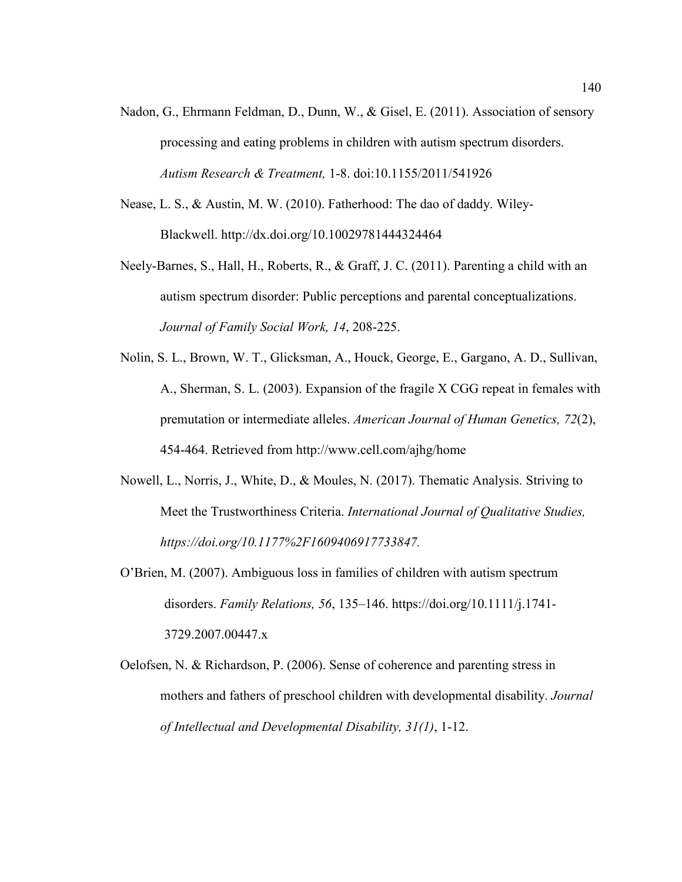- Nadon, G., Ehrmann Feldman, D., Dunn, W., & Gisel, E. (2011). Association of sensory processing and eating problems in children with autism spectrum disorders. *Autism Research & Treatment,* 1-8. doi:10.1155/2011/541926
- Nease, L. S., & Austin, M. W. (2010). Fatherhood: The dao of daddy. Wiley-Blackwell. http://dx.doi.org/10.10029781444324464
- Neely-Barnes, S., Hall, H., Roberts, R., & Graff, J. C. (2011). Parenting a child with an autism spectrum disorder: Public perceptions and parental conceptualizations. *Journal of Family Social Work, 14*, 208-225.
- Nolin, S. L., Brown, W. T., Glicksman, A., Houck, George, E., Gargano, A. D., Sullivan, A., Sherman, S. L. (2003). Expansion of the fragile X CGG repeat in females with premutation or intermediate alleles. *American Journal of Human Genetics, 72*(2), 454-464. Retrieved from http://www.cell.com/ajhg/home
- Nowell, L., Norris, J., White, D., & Moules, N. (2017). Thematic Analysis. Striving to Meet the Trustworthiness Criteria. *International Journal of Qualitative Studies, https://doi.org/10.1177%2F1609406917733847.*
- O'Brien, M. (2007). Ambiguous loss in families of children with autism spectrum disorders. *Family Relations, 56*, 135–146. https://doi.org/10.1111/j.1741- 3729.2007.00447.x
- Oelofsen, N. & Richardson, P. (2006). Sense of coherence and parenting stress in mothers and fathers of preschool children with developmental disability. *Journal of Intellectual and Developmental Disability, 31(1)*, 1-12.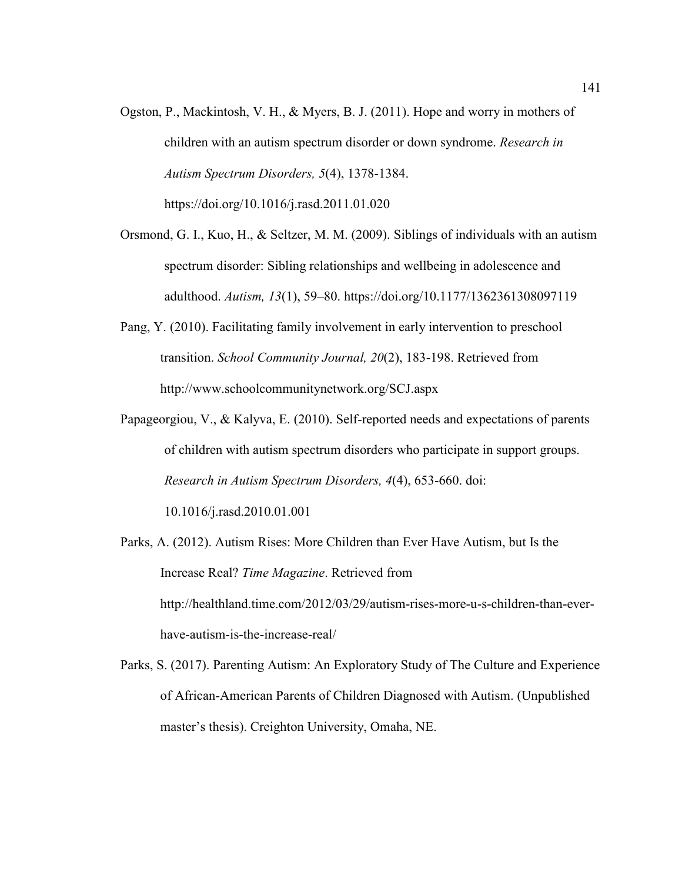- Ogston, P., Mackintosh, V. H., & Myers, B. J. (2011). Hope and worry in mothers of children with an autism spectrum disorder or down syndrome. *Research in Autism Spectrum Disorders, 5*(4), 1378-1384. https://doi.org/10.1016/j.rasd.2011.01.020
- Orsmond, G. I., Kuo, H., & Seltzer, M. M. (2009). Siblings of individuals with an autism spectrum disorder: Sibling relationships and wellbeing in adolescence and adulthood. *Autism, 13*(1), 59–80. https://doi.org/10.1177/1362361308097119
- Pang, Y. (2010). Facilitating family involvement in early intervention to preschool transition. *School Community Journal, 20*(2), 183-198. Retrieved from http://www.schoolcommunitynetwork.org/SCJ.aspx
- Papageorgiou, V., & Kalyva, E. (2010). Self-reported needs and expectations of parents of children with autism spectrum disorders who participate in support groups. *Research in Autism Spectrum Disorders, 4*(4), 653-660. doi:

10.1016/j.rasd.2010.01.001

- Parks, A. (2012). Autism Rises: More Children than Ever Have Autism, but Is the Increase Real? *Time Magazine*. Retrieved from http://healthland.time.com/2012/03/29/autism-rises-more-u-s-children-than-everhave-autism-is-the-increase-real/
- Parks, S. (2017). Parenting Autism: An Exploratory Study of The Culture and Experience of African-American Parents of Children Diagnosed with Autism. (Unpublished master's thesis). Creighton University, Omaha, NE.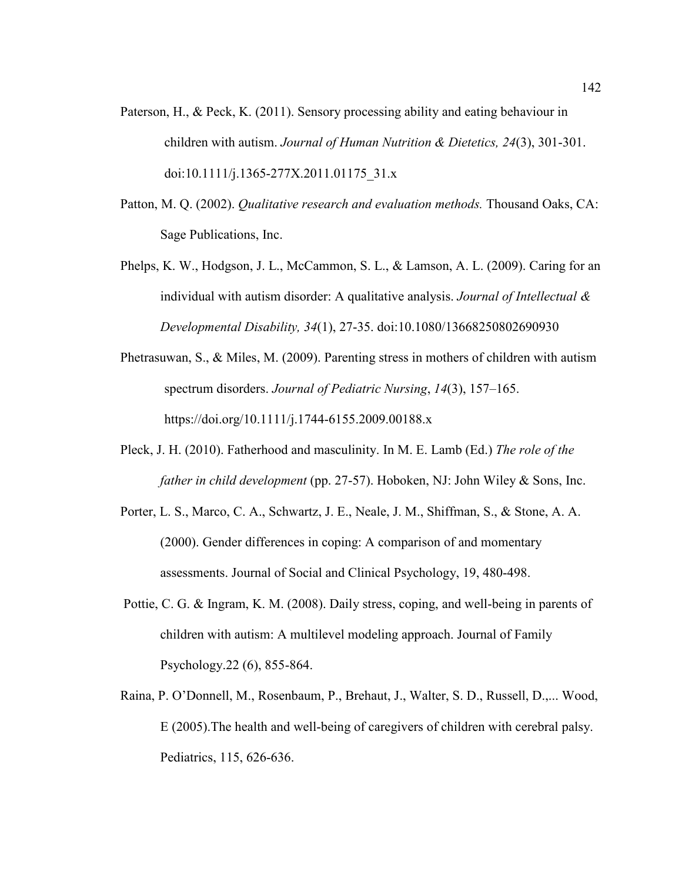- Paterson, H., & Peck, K. (2011). Sensory processing ability and eating behaviour in children with autism. *Journal of Human Nutrition & Dietetics, 24*(3), 301-301. doi:10.1111/j.1365-277X.2011.01175\_31.x
- Patton, M. Q. (2002). *Qualitative research and evaluation methods.* Thousand Oaks, CA: Sage Publications, Inc.
- Phelps, K. W., Hodgson, J. L., McCammon, S. L., & Lamson, A. L. (2009). Caring for an individual with autism disorder: A qualitative analysis. *Journal of Intellectual & Developmental Disability, 34*(1), 27-35. doi:10.1080/13668250802690930
- Phetrasuwan, S., & Miles, M. (2009). Parenting stress in mothers of children with autism spectrum disorders. *Journal of Pediatric Nursing*, *14*(3), 157–165. https://doi.org/10.1111/j.1744-6155.2009.00188.x
- Pleck, J. H. (2010). Fatherhood and masculinity. In M. E. Lamb (Ed.) *The role of the father in child development* (pp. 27-57). Hoboken, NJ: John Wiley & Sons, Inc.
- Porter, L. S., Marco, C. A., Schwartz, J. E., Neale, J. M., Shiffman, S., & Stone, A. A. (2000). Gender differences in coping: A comparison of and momentary assessments. Journal of Social and Clinical Psychology, 19, 480-498.
- Pottie, C. G. & Ingram, K. M. (2008). Daily stress, coping, and well-being in parents of children with autism: A multilevel modeling approach. Journal of Family Psychology.22 (6), 855-864.
- Raina, P. O'Donnell, M., Rosenbaum, P., Brehaut, J., Walter, S. D., Russell, D.,... Wood, E (2005).The health and well-being of caregivers of children with cerebral palsy. Pediatrics, 115, 626-636.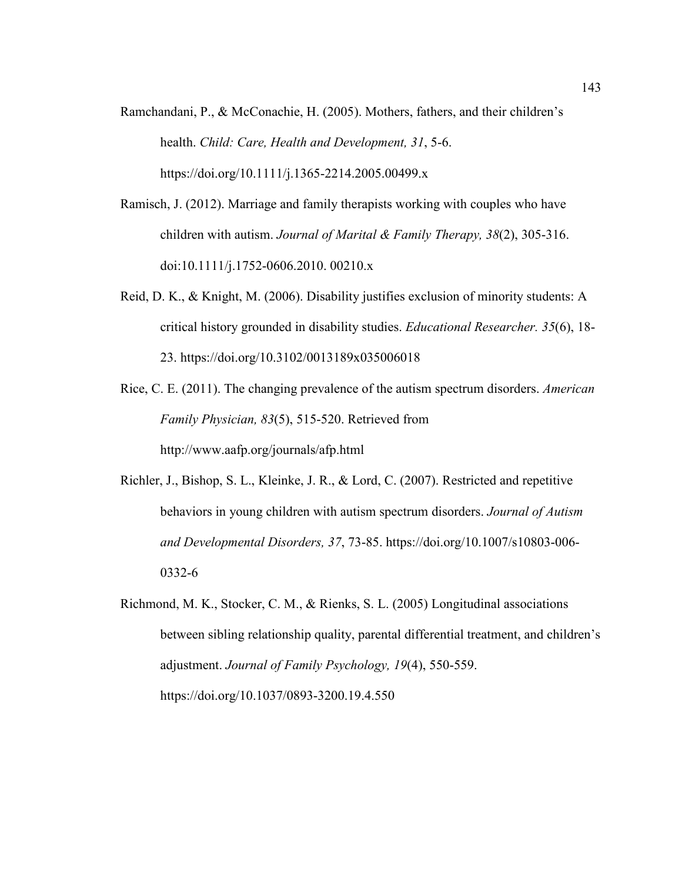- Ramchandani, P., & McConachie, H. (2005). Mothers, fathers, and their children's health. *Child: Care, Health and Development, 31*, 5-6. https://doi.org/10.1111/j.1365-2214.2005.00499.x
- Ramisch, J. (2012). Marriage and family therapists working with couples who have children with autism. *Journal of Marital & Family Therapy, 38*(2), 305-316. doi:10.1111/j.1752-0606.2010. 00210.x
- Reid, D. K., & Knight, M. (2006). Disability justifies exclusion of minority students: A critical history grounded in disability studies. *Educational Researcher. 35*(6), 18- 23. https://doi.org/10.3102/0013189x035006018
- Rice, C. E. (2011). The changing prevalence of the autism spectrum disorders. *American Family Physician, 83*(5), 515-520. Retrieved from http://www.aafp.org/journals/afp.html
- Richler, J., Bishop, S. L., Kleinke, J. R., & Lord, C. (2007). Restricted and repetitive behaviors in young children with autism spectrum disorders. *Journal of Autism and Developmental Disorders, 37*, 73-85. https://doi.org/10.1007/s10803-006- 0332-6
- Richmond, M. K., Stocker, C. M., & Rienks, S. L. (2005) Longitudinal associations between sibling relationship quality, parental differential treatment, and children's adjustment. *Journal of Family Psychology, 19*(4), 550-559. https://doi.org/10.1037/0893-3200.19.4.550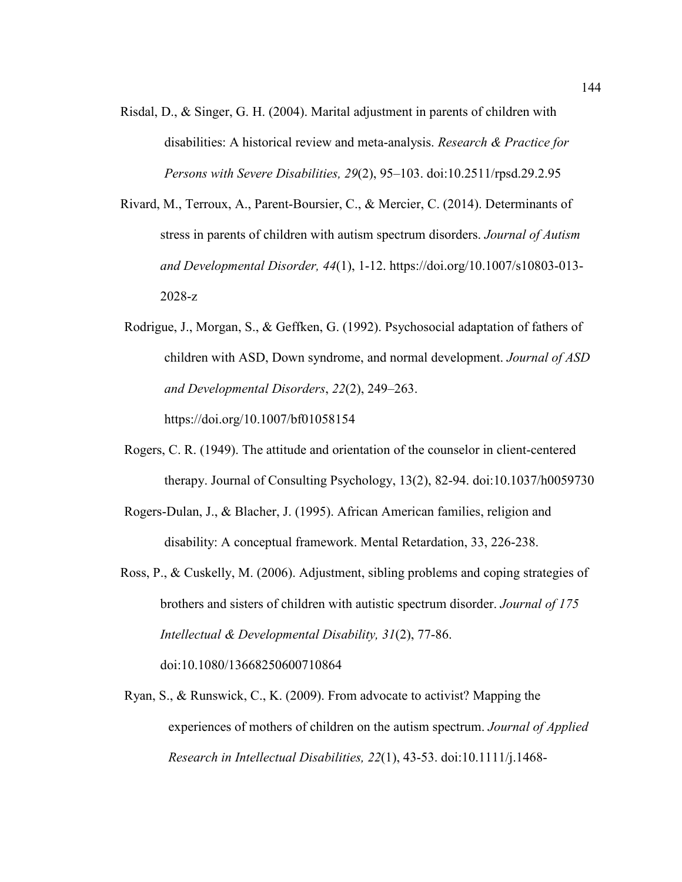- Risdal, D., & Singer, G. H. (2004). Marital adjustment in parents of children with disabilities: A historical review and meta-analysis. *Research & Practice for Persons with Severe Disabilities, 29*(2), 95–103. doi:10.2511/rpsd.29.2.95
- Rivard, M., Terroux, A., Parent-Boursier, C., & Mercier, C. (2014). Determinants of stress in parents of children with autism spectrum disorders. *Journal of Autism and Developmental Disorder, 44*(1), 1-12. https://doi.org/10.1007/s10803-013- 2028-z
- Rodrigue, J., Morgan, S., & Geffken, G. (1992). Psychosocial adaptation of fathers of children with ASD, Down syndrome, and normal development. *Journal of ASD and Developmental Disorders*, *22*(2), 249–263. https://doi.org/10.1007/bf01058154
- Rogers, C. R. (1949). The attitude and orientation of the counselor in client-centered therapy. Journal of Consulting Psychology, 13(2), 82-94. doi:10.1037/h0059730
- Rogers-Dulan, J., & Blacher, J. (1995). African American families, religion and disability: A conceptual framework. Mental Retardation, 33, 226-238.
- Ross, P., & Cuskelly, M. (2006). Adjustment, sibling problems and coping strategies of brothers and sisters of children with autistic spectrum disorder. *Journal of 175 Intellectual & Developmental Disability, 31*(2), 77-86. doi:10.1080/13668250600710864
- Ryan, S., & Runswick, C., K. (2009). From advocate to activist? Mapping the experiences of mothers of children on the autism spectrum. *Journal of Applied Research in Intellectual Disabilities, 22*(1), 43-53. doi:10.1111/j.1468-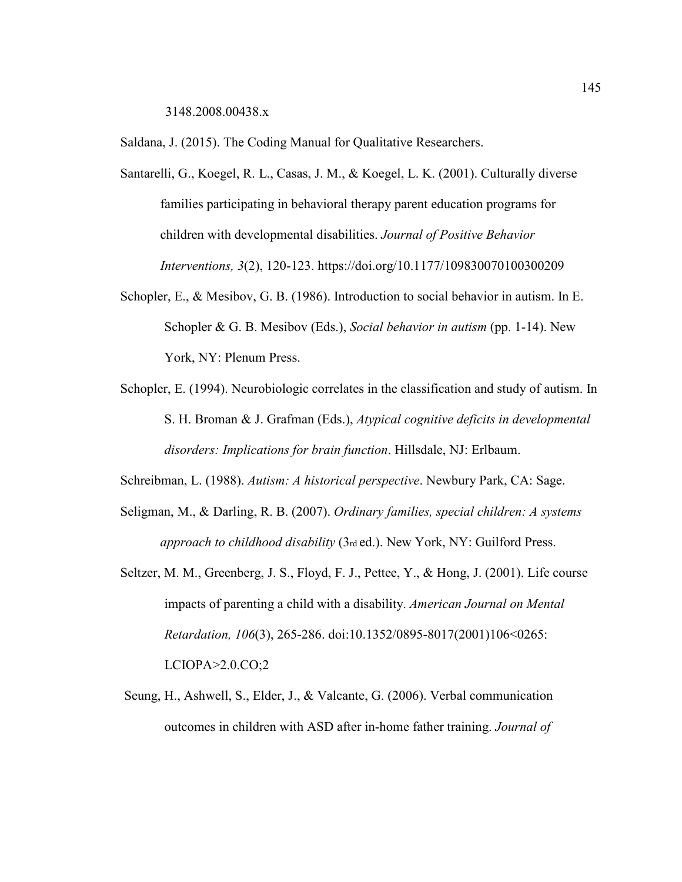3148.2008.00438.x

Saldana, J. (2015). The Coding Manual for Qualitative Researchers.

- Santarelli, G., Koegel, R. L., Casas, J. M., & Koegel, L. K. (2001). Culturally diverse families participating in behavioral therapy parent education programs for children with developmental disabilities. *Journal of Positive Behavior Interventions, 3*(2), 120-123. https://doi.org/10.1177/109830070100300209
- Schopler, E., & Mesibov, G. B. (1986). Introduction to social behavior in autism. In E. Schopler & G. B. Mesibov (Eds.), *Social behavior in autism* (pp. 1-14). New York, NY: Plenum Press.
- Schopler, E. (1994). Neurobiologic correlates in the classification and study of autism. In S. H. Broman & J. Grafman (Eds.), *Atypical cognitive deficits in developmental disorders: Implications for brain function*. Hillsdale, NJ: Erlbaum.

Schreibman, L. (1988). *Autism: A historical perspective*. Newbury Park, CA: Sage.

- Seligman, M., & Darling, R. B. (2007). *Ordinary families, special children: A systems approach to childhood disability* (3rd ed.). New York, NY: Guilford Press.
- Seltzer, M. M., Greenberg, J. S., Floyd, F. J., Pettee, Y., & Hong, J. (2001). Life course impacts of parenting a child with a disability. *American Journal on Mental Retardation, 106*(3), 265-286. doi:10.1352/0895-8017(2001)106<0265: LCIOPA>2.0.CO;2
- Seung, H., Ashwell, S., Elder, J., & Valcante, G. (2006). Verbal communication outcomes in children with ASD after in-home father training. *Journal of*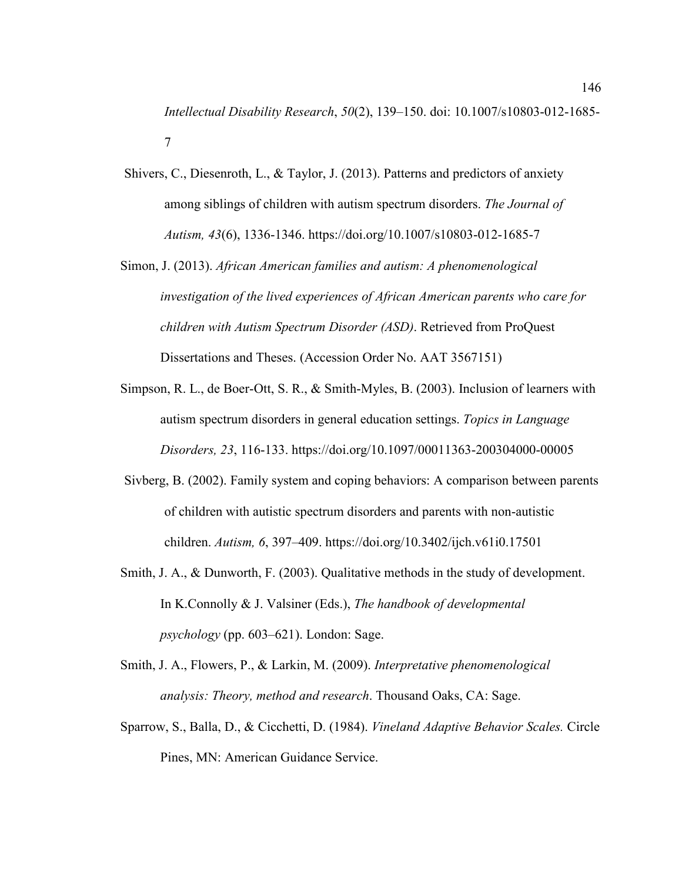*Intellectual Disability Research*, *50*(2), 139–150. doi: 10.1007/s10803-012-1685- 7

- Shivers, C., Diesenroth, L., & Taylor, J. (2013). Patterns and predictors of anxiety among siblings of children with autism spectrum disorders. *The Journal of Autism, 43*(6), 1336-1346. https://doi.org/10.1007/s10803-012-1685-7
- Simon, J. (2013). *African American families and autism: A phenomenological investigation of the lived experiences of African American parents who care for children with Autism Spectrum Disorder (ASD)*. Retrieved from ProQuest Dissertations and Theses. (Accession Order No. AAT 3567151)
- Simpson, R. L., de Boer-Ott, S. R., & Smith-Myles, B. (2003). Inclusion of learners with autism spectrum disorders in general education settings. *Topics in Language Disorders, 23*, 116-133. https://doi.org/10.1097/00011363-200304000-00005
- Sivberg, B. (2002). Family system and coping behaviors: A comparison between parents of children with autistic spectrum disorders and parents with non-autistic children. *Autism, 6*, 397–409. https://doi.org/10.3402/ijch.v61i0.17501
- Smith, J. A., & Dunworth, F. (2003). Qualitative methods in the study of development. In K.Connolly & J. Valsiner (Eds.), *The handbook of developmental psychology* (pp. 603–621). London: Sage.
- Smith, J. A., Flowers, P., & Larkin, M. (2009). *Interpretative phenomenological analysis: Theory, method and research*. Thousand Oaks, CA: Sage.
- Sparrow, S., Balla, D., & Cicchetti, D. (1984). *Vineland Adaptive Behavior Scales.* Circle Pines, MN: American Guidance Service.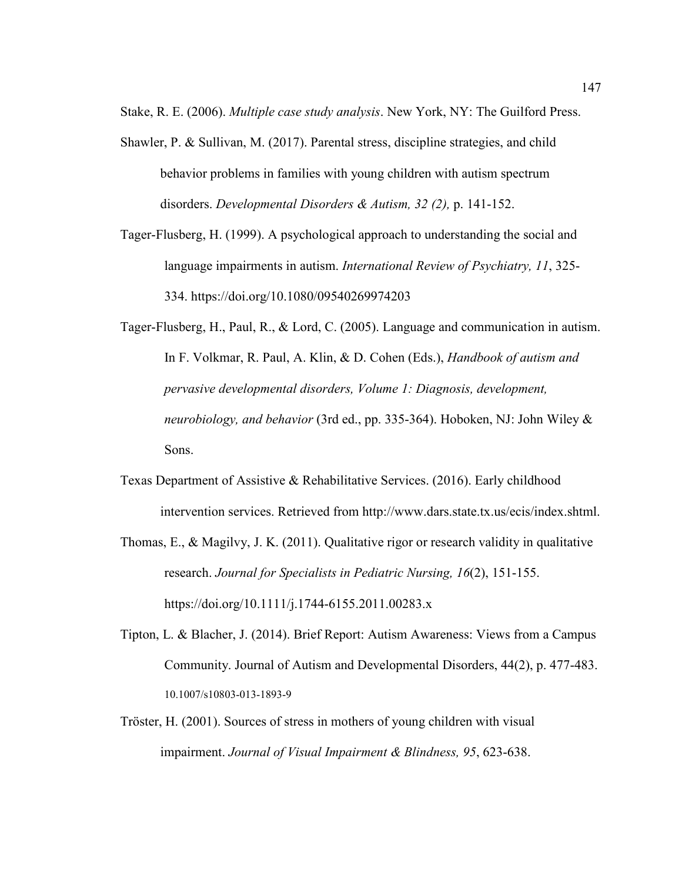Stake, R. E. (2006). *Multiple case study analysis*. New York, NY: The Guilford Press.

- Shawler, P. & Sullivan, M. (2017). Parental stress, discipline strategies, and child behavior problems in families with young children with autism spectrum disorders. *Developmental Disorders & Autism, 32 (2),* p. 141-152.
- Tager-Flusberg, H. (1999). A psychological approach to understanding the social and language impairments in autism. *International Review of Psychiatry, 11*, 325- 334. https://doi.org/10.1080/09540269974203
- Tager-Flusberg, H., Paul, R., & Lord, C. (2005). Language and communication in autism. In F. Volkmar, R. Paul, A. Klin, & D. Cohen (Eds.), *Handbook of autism and pervasive developmental disorders, Volume 1: Diagnosis, development, neurobiology, and behavior* (3rd ed., pp. 335-364). Hoboken, NJ: John Wiley & Sons.
- Texas Department of Assistive & Rehabilitative Services. (2016). Early childhood intervention services. Retrieved from http://www.dars.state.tx.us/ecis/index.shtml.
- Thomas, E., & Magilvy, J. K. (2011). Qualitative rigor or research validity in qualitative research. *Journal for Specialists in Pediatric Nursing, 16*(2), 151-155. https://doi.org/10.1111/j.1744-6155.2011.00283.x
- Tipton, L. & Blacher, J. (2014). Brief Report: Autism Awareness: Views from a Campus Community. Journal of Autism and Developmental Disorders, 44(2), p. 477-483. 10.1007/s10803-013-1893-9
- Tröster, H. (2001). Sources of stress in mothers of young children with visual impairment. *Journal of Visual Impairment & Blindness, 95*, 623-638.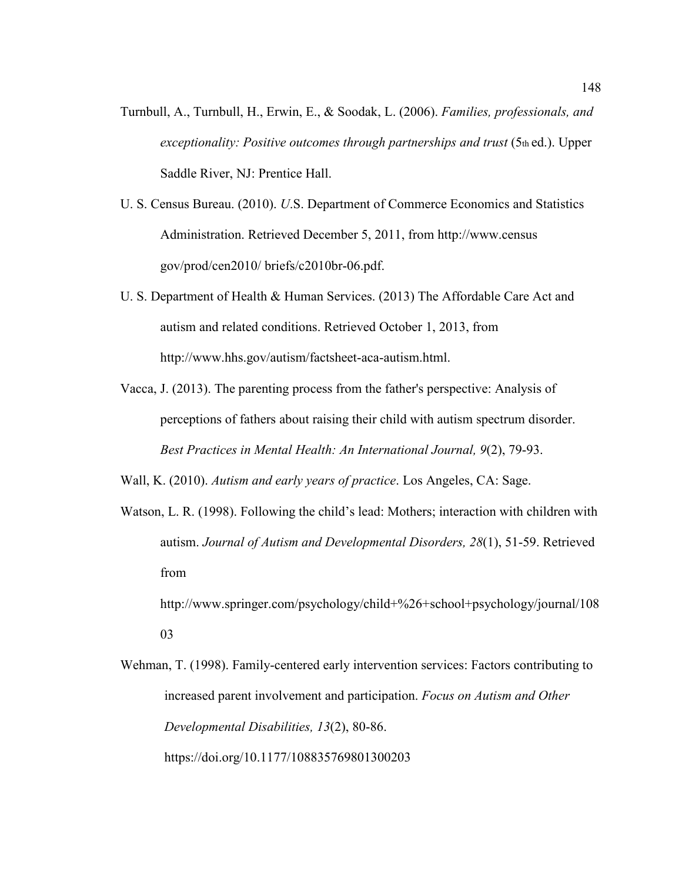- Turnbull, A., Turnbull, H., Erwin, E., & Soodak, L. (2006). *Families, professionals, and exceptionality: Positive outcomes through partnerships and trust (5th ed.). Upper* Saddle River, NJ: Prentice Hall.
- U. S. Census Bureau. (2010). *U*.S. Department of Commerce Economics and Statistics Administration. Retrieved December 5, 2011, from http://www.census gov/prod/cen2010/ briefs/c2010br-06.pdf.
- U. S. Department of Health & Human Services. (2013) The Affordable Care Act and autism and related conditions. Retrieved October 1, 2013, from http://www.hhs.gov/autism/factsheet-aca-autism.html.
- Vacca, J. (2013). The parenting process from the father's perspective: Analysis of perceptions of fathers about raising their child with autism spectrum disorder. *Best Practices in Mental Health: An International Journal, 9*(2), 79-93.
- Wall, K. (2010). *Autism and early years of practice*. Los Angeles, CA: Sage.
- Watson, L. R. (1998). Following the child's lead: Mothers; interaction with children with autism. *Journal of Autism and Developmental Disorders, 28*(1), 51-59. Retrieved from

http://www.springer.com/psychology/child+%26+school+psychology/journal/108 03

Wehman, T. (1998). Family-centered early intervention services: Factors contributing to increased parent involvement and participation. *Focus on Autism and Other Developmental Disabilities, 13*(2), 80-86.

https://doi.org/10.1177/108835769801300203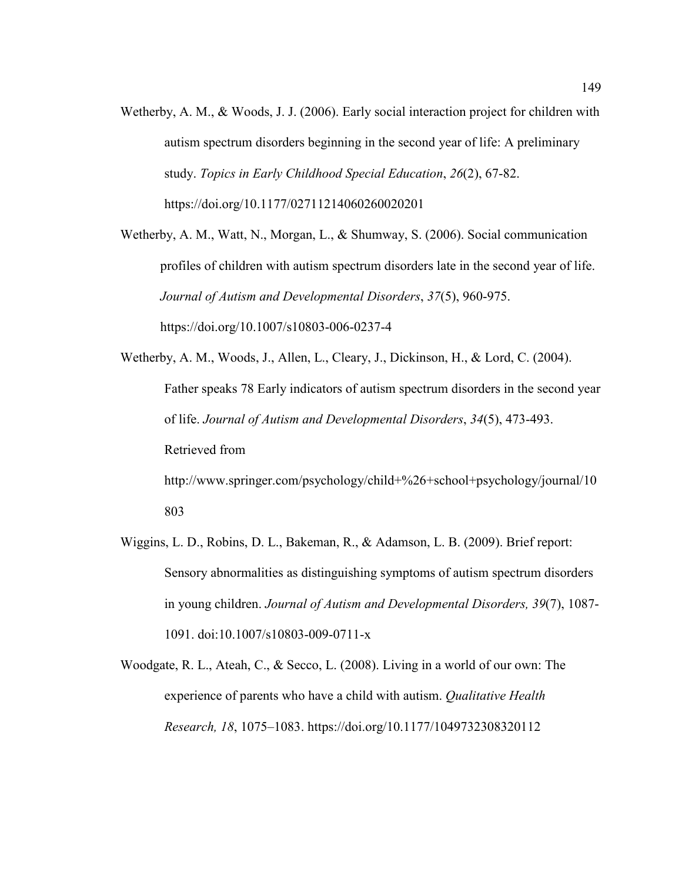Wetherby, A. M., & Woods, J. J. (2006). Early social interaction project for children with autism spectrum disorders beginning in the second year of life: A preliminary study. *Topics in Early Childhood Special Education*, *26*(2), 67-82. https://doi.org/10.1177/02711214060260020201

Wetherby, A. M., Watt, N., Morgan, L., & Shumway, S. (2006). Social communication profiles of children with autism spectrum disorders late in the second year of life. *Journal of Autism and Developmental Disorders*, *37*(5), 960-975. https://doi.org/10.1007/s10803-006-0237-4

- Wetherby, A. M., Woods, J., Allen, L., Cleary, J., Dickinson, H., & Lord, C. (2004). Father speaks 78 Early indicators of autism spectrum disorders in the second year of life. *Journal of Autism and Developmental Disorders*, *34*(5), 473-493. Retrieved from http://www.springer.com/psychology/child+%26+school+psychology/journal/10 803
- Wiggins, L. D., Robins, D. L., Bakeman, R., & Adamson, L. B. (2009). Brief report: Sensory abnormalities as distinguishing symptoms of autism spectrum disorders in young children. *Journal of Autism and Developmental Disorders, 39*(7), 1087- 1091. doi:10.1007/s10803-009-0711-x
- Woodgate, R. L., Ateah, C., & Secco, L. (2008). Living in a world of our own: The experience of parents who have a child with autism. *Qualitative Health Research, 18*, 1075–1083. https://doi.org/10.1177/1049732308320112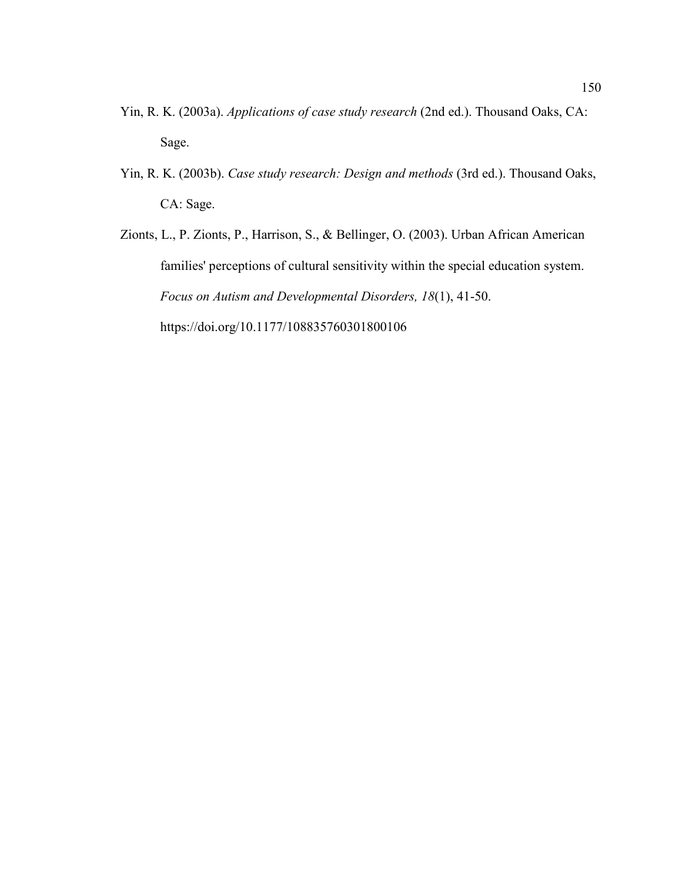- Yin, R. K. (2003a). *Applications of case study research* (2nd ed.). Thousand Oaks, CA: Sage.
- Yin, R. K. (2003b). *Case study research: Design and methods* (3rd ed.). Thousand Oaks, CA: Sage.
- Zionts, L., P. Zionts, P., Harrison, S., & Bellinger, O. (2003). Urban African American families' perceptions of cultural sensitivity within the special education system. *Focus on Autism and Developmental Disorders, 18*(1), 41-50. https://doi.org/10.1177/108835760301800106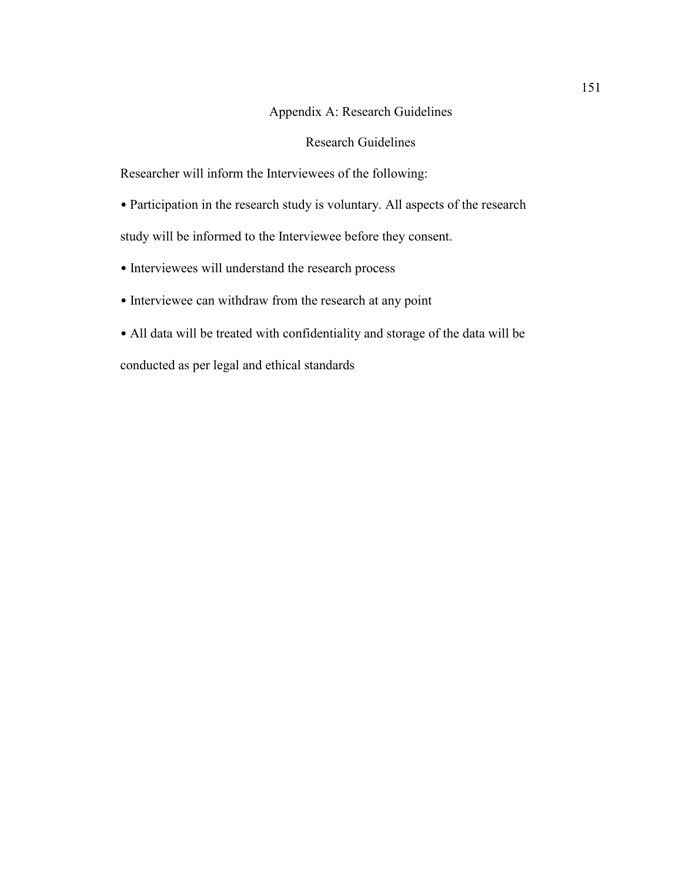# Appendix A: Research Guidelines

## Research Guidelines

Researcher will inform the Interviewees of the following:

- Participation in the research study is voluntary. All aspects of the research study will be informed to the Interviewee before they consent.
- Interviewees will understand the research process
- Interviewee can withdraw from the research at any point
- All data will be treated with confidentiality and storage of the data will be

conducted as per legal and ethical standards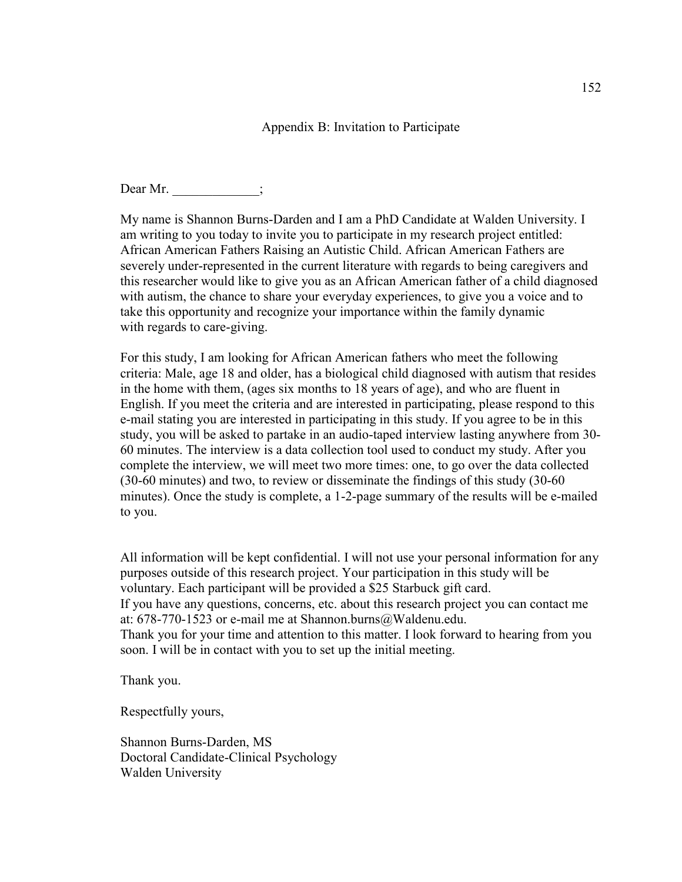#### Appendix B: Invitation to Participate

Dear Mr.

My name is Shannon Burns-Darden and I am a PhD Candidate at Walden University. I am writing to you today to invite you to participate in my research project entitled: African American Fathers Raising an Autistic Child. African American Fathers are severely under-represented in the current literature with regards to being caregivers and this researcher would like to give you as an African American father of a child diagnosed with autism, the chance to share your everyday experiences, to give you a voice and to take this opportunity and recognize your importance within the family dynamic with regards to care-giving.

For this study, I am looking for African American fathers who meet the following criteria: Male, age 18 and older, has a biological child diagnosed with autism that resides in the home with them, (ages six months to 18 years of age), and who are fluent in English. If you meet the criteria and are interested in participating, please respond to this e-mail stating you are interested in participating in this study. If you agree to be in this study, you will be asked to partake in an audio-taped interview lasting anywhere from 30- 60 minutes. The interview is a data collection tool used to conduct my study. After you complete the interview, we will meet two more times: one, to go over the data collected (30-60 minutes) and two, to review or disseminate the findings of this study (30-60 minutes). Once the study is complete, a 1-2-page summary of the results will be e-mailed to you.

All information will be kept confidential. I will not use your personal information for any purposes outside of this research project. Your participation in this study will be voluntary. Each participant will be provided a \$25 Starbuck gift card. If you have any questions, concerns, etc. about this research project you can contact me at: 678-770-1523 or e-mail me at Shannon.burns@Waldenu.edu. Thank you for your time and attention to this matter. I look forward to hearing from you soon. I will be in contact with you to set up the initial meeting.

Thank you.

Respectfully yours,

Shannon Burns-Darden, MS Doctoral Candidate-Clinical Psychology Walden University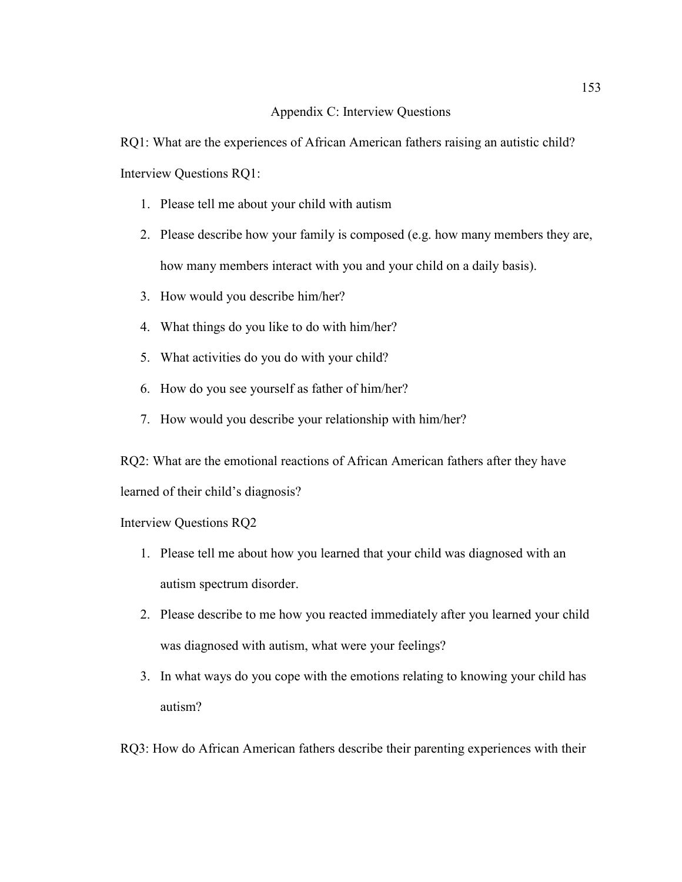#### Appendix C: Interview Questions

RQ1: What are the experiences of African American fathers raising an autistic child? Interview Questions RQ1:

- 1. Please tell me about your child with autism
- 2. Please describe how your family is composed (e.g. how many members they are, how many members interact with you and your child on a daily basis).
- 3. How would you describe him/her?
- 4. What things do you like to do with him/her?
- 5. What activities do you do with your child?
- 6. How do you see yourself as father of him/her?
- 7. How would you describe your relationship with him/her?

RQ2: What are the emotional reactions of African American fathers after they have learned of their child's diagnosis?

#### Interview Questions RQ2

- 1. Please tell me about how you learned that your child was diagnosed with an autism spectrum disorder.
- 2. Please describe to me how you reacted immediately after you learned your child was diagnosed with autism, what were your feelings?
- 3. In what ways do you cope with the emotions relating to knowing your child has autism?

RQ3: How do African American fathers describe their parenting experiences with their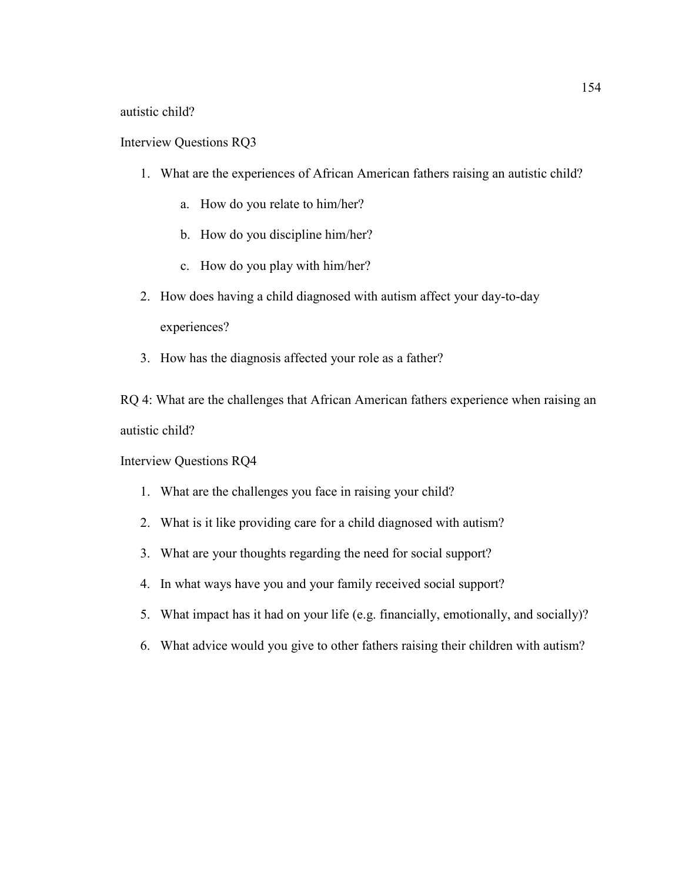autistic child?

Interview Questions RQ3

- 1. What are the experiences of African American fathers raising an autistic child?
	- a. How do you relate to him/her?
	- b. How do you discipline him/her?
	- c. How do you play with him/her?
- 2. How does having a child diagnosed with autism affect your day-to-day experiences?
- 3. How has the diagnosis affected your role as a father?

RQ 4: What are the challenges that African American fathers experience when raising an autistic child?

Interview Questions RQ4

- 1. What are the challenges you face in raising your child?
- 2. What is it like providing care for a child diagnosed with autism?
- 3. What are your thoughts regarding the need for social support?
- 4. In what ways have you and your family received social support?
- 5. What impact has it had on your life (e.g. financially, emotionally, and socially)?
- 6. What advice would you give to other fathers raising their children with autism?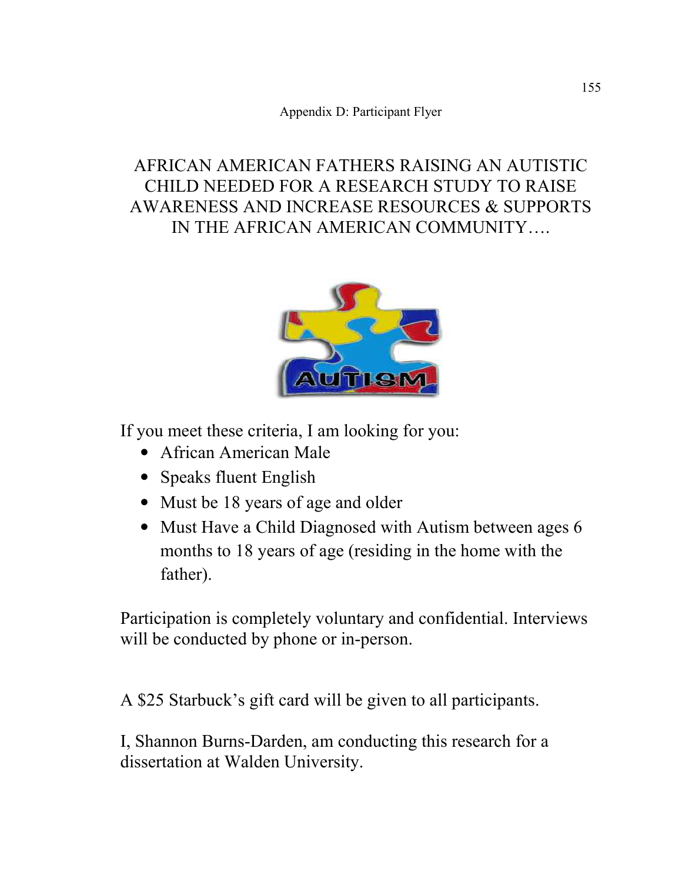Appendix D: Participant Flyer

# AFRICAN AMERICAN FATHERS RAISING AN AUTISTIC CHILD NEEDED FOR A RESEARCH STUDY TO RAISE AWARENESS AND INCREASE RESOURCES & SUPPORTS IN THE AFRICAN AMERICAN COMMUNITY….



If you meet these criteria, I am looking for you:

- African American Male
- Speaks fluent English
- Must be 18 years of age and older
- Must Have a Child Diagnosed with Autism between ages 6 months to 18 years of age (residing in the home with the father).

Participation is completely voluntary and confidential. Interviews will be conducted by phone or in-person.

A \$25 Starbuck's gift card will be given to all participants.

I, Shannon Burns-Darden, am conducting this research for a dissertation at Walden University.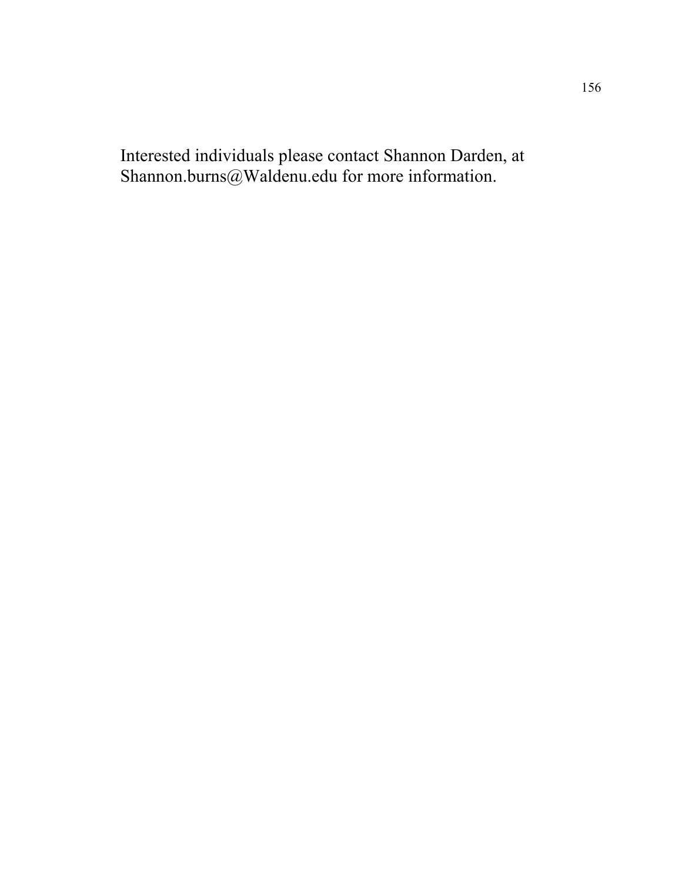Interested individuals please contact Shannon Darden, at Shannon.burns@Waldenu.edu for more information.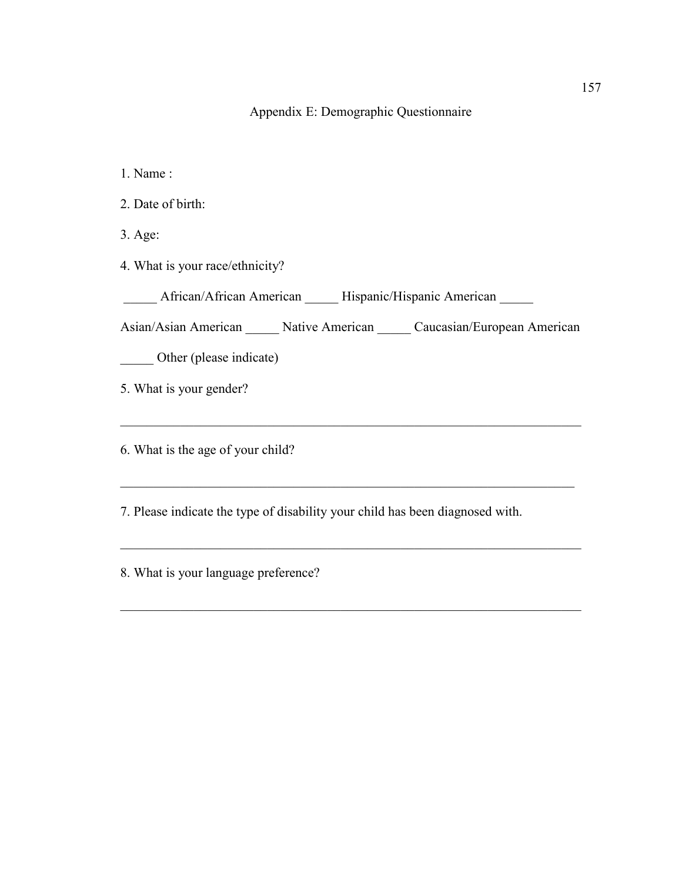# Appendix E: Demographic Questionnaire

1. Name :

2. Date of birth:

3. Age:

4. What is your race/ethnicity?

\_\_\_\_\_ African/African American \_\_\_\_\_ Hispanic/Hispanic American \_\_\_\_\_

Asian/Asian American \_\_\_\_\_ Native American \_\_\_\_\_ Caucasian/European American

 $\_$  , and the set of the set of the set of the set of the set of the set of the set of the set of the set of the set of the set of the set of the set of the set of the set of the set of the set of the set of the set of th

 $\_$  , and the set of the set of the set of the set of the set of the set of the set of the set of the set of the set of the set of the set of the set of the set of the set of the set of the set of the set of the set of th

 $\_$  , and the set of the set of the set of the set of the set of the set of the set of the set of the set of the set of the set of the set of the set of the set of the set of the set of the set of the set of the set of th

 $\mathcal{L}_\text{max} = \mathcal{L}_\text{max} = \mathcal{L}_\text{max} = \mathcal{L}_\text{max} = \mathcal{L}_\text{max} = \mathcal{L}_\text{max}$ 

\_\_\_\_\_ Other (please indicate)

5. What is your gender?

6. What is the age of your child?

7. Please indicate the type of disability your child has been diagnosed with.

8. What is your language preference?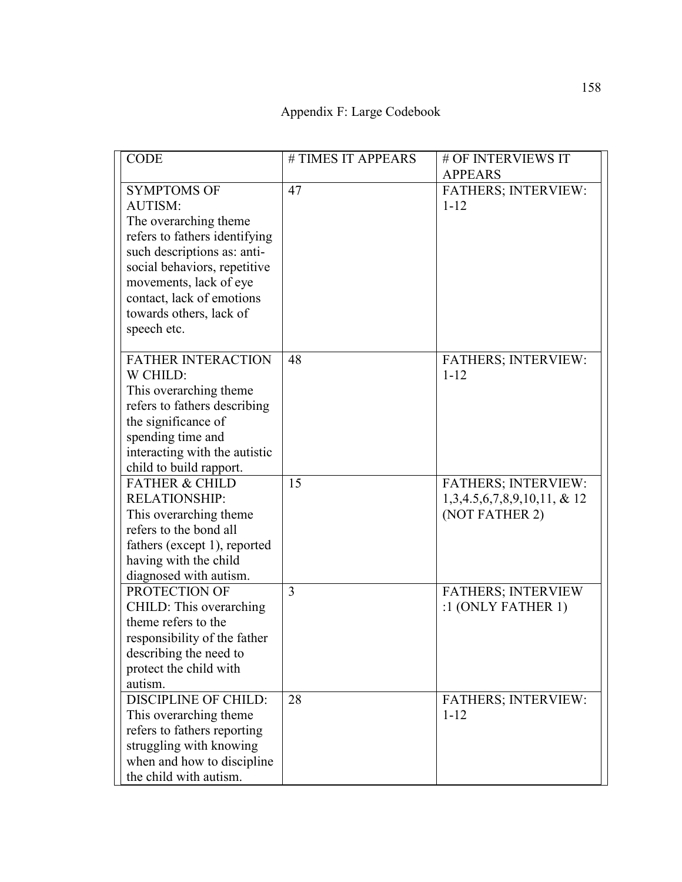Appendix F: Large Codebook

| <b>CODE</b>                             | # TIMES IT APPEARS | # OF INTERVIEWS IT             |
|-----------------------------------------|--------------------|--------------------------------|
|                                         |                    | <b>APPEARS</b>                 |
| <b>SYMPTOMS OF</b>                      | 47                 | <b>FATHERS; INTERVIEW:</b>     |
| AUTISM:                                 |                    | $1 - 12$                       |
| The overarching theme                   |                    |                                |
| refers to fathers identifying           |                    |                                |
| such descriptions as: anti-             |                    |                                |
| social behaviors, repetitive            |                    |                                |
| movements, lack of eye                  |                    |                                |
| contact, lack of emotions               |                    |                                |
| towards others, lack of                 |                    |                                |
| speech etc.                             |                    |                                |
|                                         |                    |                                |
| <b>FATHER INTERACTION</b>               | 48                 | <b>FATHERS; INTERVIEW:</b>     |
| W CHILD:                                |                    | $1 - 12$                       |
| This overarching theme                  |                    |                                |
| refers to fathers describing            |                    |                                |
| the significance of                     |                    |                                |
| spending time and                       |                    |                                |
| interacting with the autistic           |                    |                                |
| child to build rapport.                 |                    |                                |
| <b>FATHER &amp; CHILD</b>               | 15                 | <b>FATHERS; INTERVIEW:</b>     |
| <b>RELATIONSHIP:</b>                    |                    | $1,3,4.5,6,7,8,9,10,11, \& 12$ |
| This overarching theme                  |                    | (NOT FATHER 2)                 |
| refers to the bond all                  |                    |                                |
|                                         |                    |                                |
| fathers (except 1), reported            |                    |                                |
| having with the child                   |                    |                                |
| diagnosed with autism.<br>PROTECTION OF |                    |                                |
|                                         | 3                  | <b>FATHERS; INTERVIEW</b>      |
| CHILD: This overarching                 |                    | :1 (ONLY FATHER 1)             |
| theme refers to the                     |                    |                                |
| responsibility of the father            |                    |                                |
| describing the need to                  |                    |                                |
| protect the child with                  |                    |                                |
| autism.                                 |                    |                                |
| <b>DISCIPLINE OF CHILD:</b>             | 28                 | FATHERS; INTERVIEW:            |
| This overarching theme                  |                    | $1 - 12$                       |
| refers to fathers reporting             |                    |                                |
| struggling with knowing                 |                    |                                |
| when and how to discipline              |                    |                                |
| the child with autism.                  |                    |                                |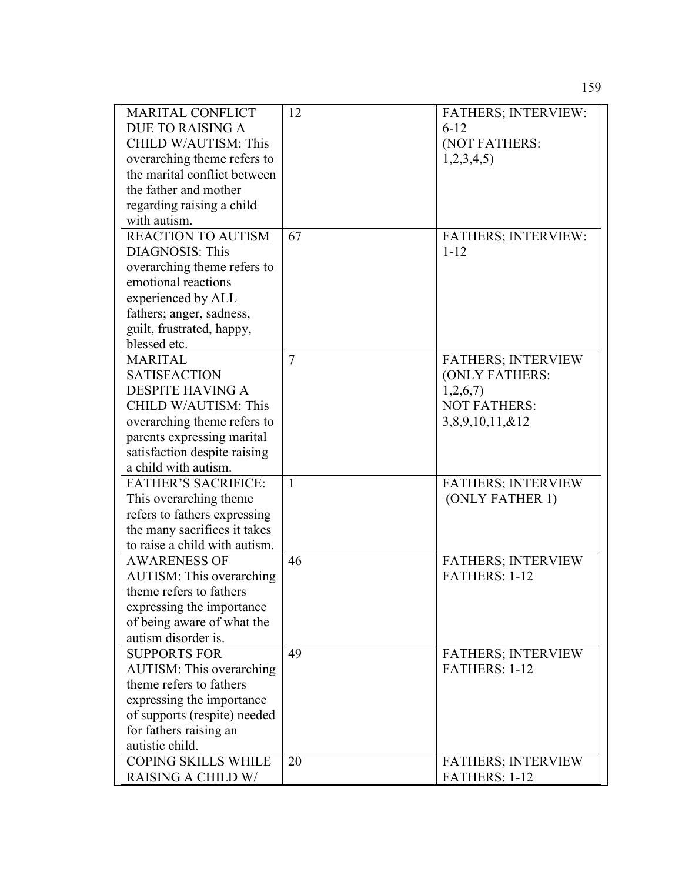| <b>MARITAL CONFLICT</b>         | 12 | <b>FATHERS; INTERVIEW:</b> |
|---------------------------------|----|----------------------------|
| <b>DUE TO RAISING A</b>         |    | $6 - 12$                   |
| CHILD W/AUTISM: This            |    | (NOT FATHERS:              |
| overarching theme refers to     |    | 1,2,3,4,5                  |
| the marital conflict between    |    |                            |
| the father and mother           |    |                            |
| regarding raising a child       |    |                            |
| with autism.                    |    |                            |
| <b>REACTION TO AUTISM</b>       | 67 | <b>FATHERS; INTERVIEW:</b> |
| <b>DIAGNOSIS: This</b>          |    | $1 - 12$                   |
| overarching theme refers to     |    |                            |
| emotional reactions             |    |                            |
| experienced by ALL              |    |                            |
| fathers; anger, sadness,        |    |                            |
| guilt, frustrated, happy,       |    |                            |
| blessed etc.                    |    |                            |
| <b>MARITAL</b>                  | 7  | <b>FATHERS; INTERVIEW</b>  |
| <b>SATISFACTION</b>             |    | (ONLY FATHERS:             |
| <b>DESPITE HAVING A</b>         |    | 1,2,6,7                    |
| CHILD W/AUTISM: This            |    | <b>NOT FATHERS:</b>        |
| overarching theme refers to     |    | $3,8,9,10,11, \& 12$       |
| parents expressing marital      |    |                            |
| satisfaction despite raising    |    |                            |
| a child with autism.            |    |                            |
| <b>FATHER'S SACRIFICE:</b>      | 1  | <b>FATHERS; INTERVIEW</b>  |
| This overarching theme.         |    | (ONLY FATHER 1)            |
| refers to fathers expressing    |    |                            |
| the many sacrifices it takes    |    |                            |
| to raise a child with autism.   |    |                            |
| <b>AWARENESS OF</b>             | 46 | <b>FATHERS; INTERVIEW</b>  |
| <b>AUTISM: This overarching</b> |    | FATHERS: 1-12              |
| theme refers to fathers         |    |                            |
| expressing the importance       |    |                            |
| of being aware of what the      |    |                            |
| autism disorder is.             |    |                            |
| <b>SUPPORTS FOR</b>             | 49 | <b>FATHERS; INTERVIEW</b>  |
| <b>AUTISM:</b> This overarching |    | FATHERS: 1-12              |
| theme refers to fathers         |    |                            |
| expressing the importance       |    |                            |
| of supports (respite) needed    |    |                            |
| for fathers raising an          |    |                            |
| autistic child.                 |    |                            |
| <b>COPING SKILLS WHILE</b>      | 20 | <b>FATHERS; INTERVIEW</b>  |
| <b>RAISING A CHILD W/</b>       |    | FATHERS: 1-12              |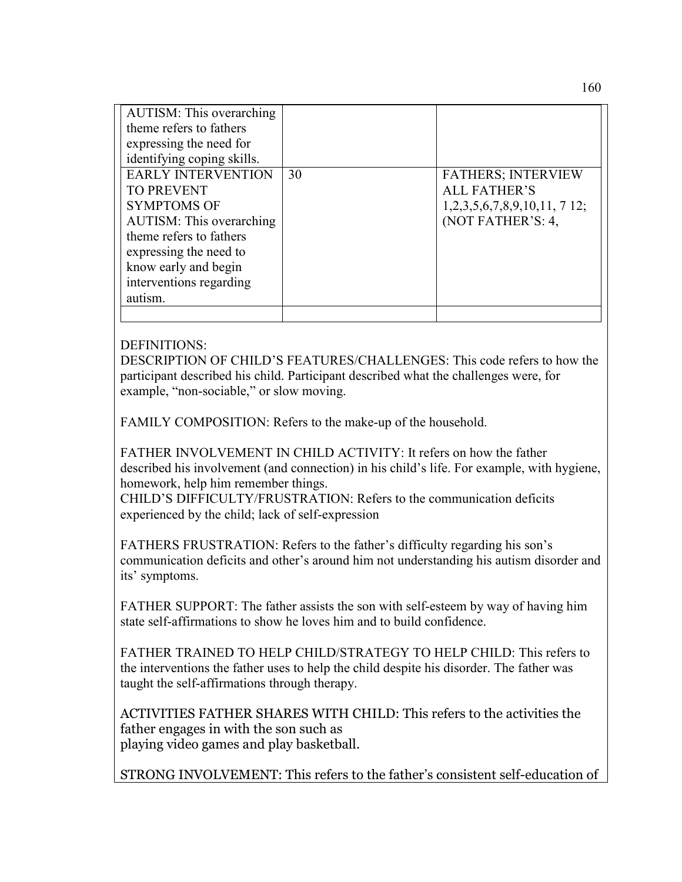| <b>AUTISM:</b> This overarching<br>theme refers to fathers<br>expressing the need for<br>identifying coping skills. |    |                            |
|---------------------------------------------------------------------------------------------------------------------|----|----------------------------|
| <b>EARLY INTERVENTION</b>                                                                                           | 30 | <b>FATHERS; INTERVIEW</b>  |
| <b>TO PREVENT</b>                                                                                                   |    | <b>ALL FATHER'S</b>        |
| <b>SYMPTOMS OF</b>                                                                                                  |    | 1,2,3,5,6,7,8,9,10,11,712; |
| <b>AUTISM:</b> This overarching                                                                                     |    | (NOT FATHER'S: 4,          |
| theme refers to fathers                                                                                             |    |                            |
| expressing the need to                                                                                              |    |                            |
| know early and begin                                                                                                |    |                            |
| interventions regarding                                                                                             |    |                            |
| autism.                                                                                                             |    |                            |
|                                                                                                                     |    |                            |

## DEFINITIONS:

DESCRIPTION OF CHILD'S FEATURES/CHALLENGES: This code refers to how the participant described his child. Participant described what the challenges were, for example, "non-sociable," or slow moving.

FAMILY COMPOSITION: Refers to the make-up of the household.

FATHER INVOLVEMENT IN CHILD ACTIVITY: It refers on how the father described his involvement (and connection) in his child's life. For example, with hygiene, homework, help him remember things.

CHILD'S DIFFICULTY/FRUSTRATION: Refers to the communication deficits experienced by the child; lack of self-expression

FATHERS FRUSTRATION: Refers to the father's difficulty regarding his son's communication deficits and other's around him not understanding his autism disorder and its' symptoms.

FATHER SUPPORT: The father assists the son with self-esteem by way of having him state self-affirmations to show he loves him and to build confidence.

FATHER TRAINED TO HELP CHILD/STRATEGY TO HELP CHILD: This refers to the interventions the father uses to help the child despite his disorder. The father was taught the self-affirmations through therapy.

ACTIVITIES FATHER SHARES WITH CHILD: This refers to the activities the father engages in with the son such as playing video games and play basketball.

STRONG INVOLVEMENT: This refers to the father's consistent self-education of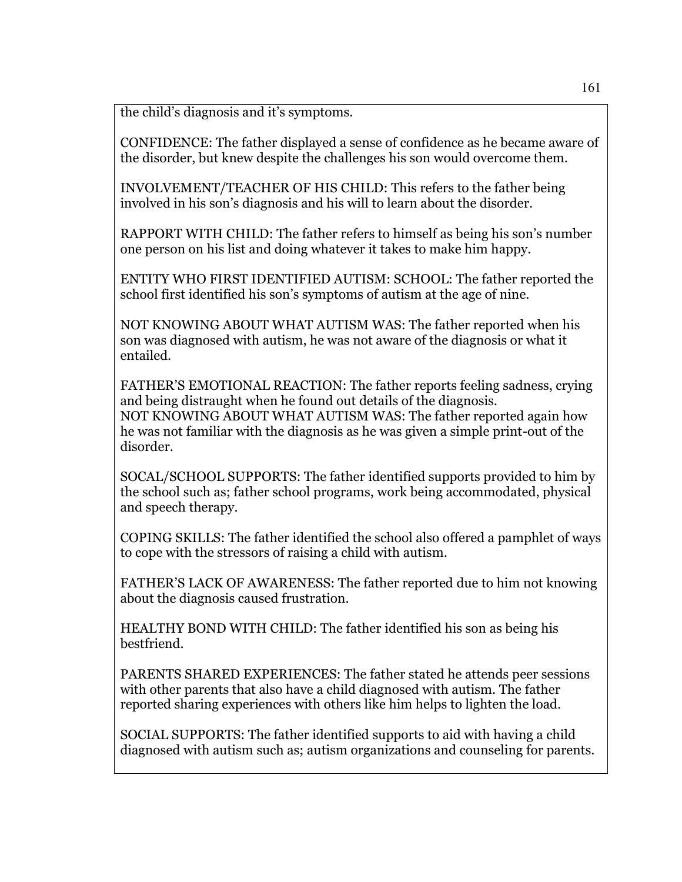the child's diagnosis and it's symptoms.

CONFIDENCE: The father displayed a sense of confidence as he became aware of the disorder, but knew despite the challenges his son would overcome them.

INVOLVEMENT/TEACHER OF HIS CHILD: This refers to the father being involved in his son's diagnosis and his will to learn about the disorder.

RAPPORT WITH CHILD: The father refers to himself as being his son's number one person on his list and doing whatever it takes to make him happy.

ENTITY WHO FIRST IDENTIFIED AUTISM: SCHOOL: The father reported the school first identified his son's symptoms of autism at the age of nine.

NOT KNOWING ABOUT WHAT AUTISM WAS: The father reported when his son was diagnosed with autism, he was not aware of the diagnosis or what it entailed.

FATHER'S EMOTIONAL REACTION: The father reports feeling sadness, crying and being distraught when he found out details of the diagnosis. NOT KNOWING ABOUT WHAT AUTISM WAS: The father reported again how he was not familiar with the diagnosis as he was given a simple print-out of the disorder.

SOCAL/SCHOOL SUPPORTS: The father identified supports provided to him by the school such as; father school programs, work being accommodated, physical and speech therapy.

COPING SKILLS: The father identified the school also offered a pamphlet of ways to cope with the stressors of raising a child with autism.

FATHER'S LACK OF AWARENESS: The father reported due to him not knowing about the diagnosis caused frustration.

HEALTHY BOND WITH CHILD: The father identified his son as being his bestfriend.

PARENTS SHARED EXPERIENCES: The father stated he attends peer sessions with other parents that also have a child diagnosed with autism. The father reported sharing experiences with others like him helps to lighten the load.

SOCIAL SUPPORTS: The father identified supports to aid with having a child diagnosed with autism such as; autism organizations and counseling for parents.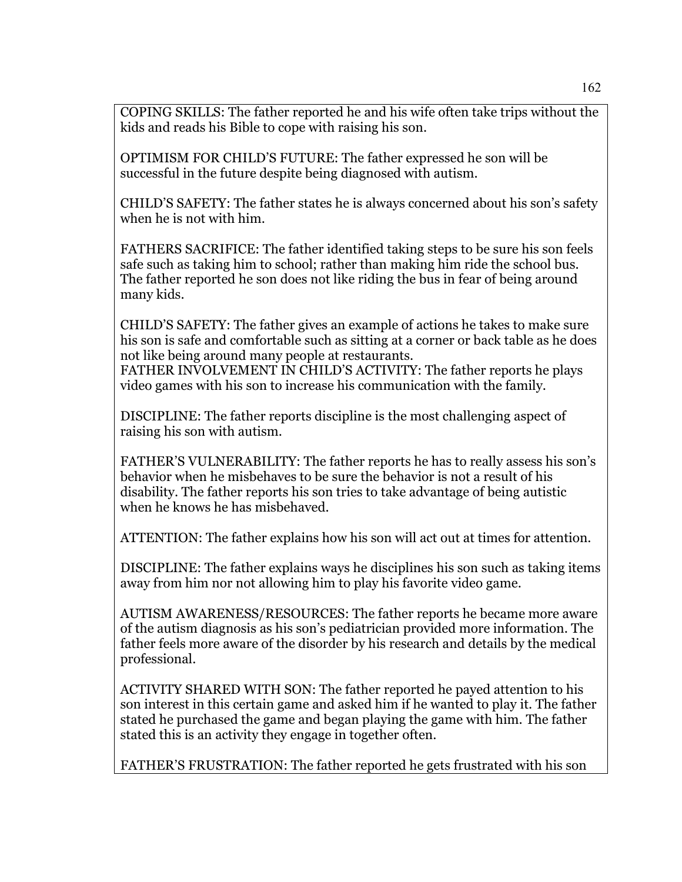COPING SKILLS: The father reported he and his wife often take trips without the kids and reads his Bible to cope with raising his son.

OPTIMISM FOR CHILD'S FUTURE: The father expressed he son will be successful in the future despite being diagnosed with autism.

CHILD'S SAFETY: The father states he is always concerned about his son's safety when he is not with him.

FATHERS SACRIFICE: The father identified taking steps to be sure his son feels safe such as taking him to school; rather than making him ride the school bus. The father reported he son does not like riding the bus in fear of being around many kids.

CHILD'S SAFETY: The father gives an example of actions he takes to make sure his son is safe and comfortable such as sitting at a corner or back table as he does not like being around many people at restaurants. FATHER INVOLVEMENT IN CHILD'S ACTIVITY: The father reports he plays video games with his son to increase his communication with the family.

DISCIPLINE: The father reports discipline is the most challenging aspect of raising his son with autism.

FATHER'S VULNERABILITY: The father reports he has to really assess his son's behavior when he misbehaves to be sure the behavior is not a result of his disability. The father reports his son tries to take advantage of being autistic when he knows he has misbehaved.

ATTENTION: The father explains how his son will act out at times for attention.

DISCIPLINE: The father explains ways he disciplines his son such as taking items away from him nor not allowing him to play his favorite video game.

AUTISM AWARENESS/RESOURCES: The father reports he became more aware of the autism diagnosis as his son's pediatrician provided more information. The father feels more aware of the disorder by his research and details by the medical professional.

ACTIVITY SHARED WITH SON: The father reported he payed attention to his son interest in this certain game and asked him if he wanted to play it. The father stated he purchased the game and began playing the game with him. The father stated this is an activity they engage in together often.

FATHER'S FRUSTRATION: The father reported he gets frustrated with his son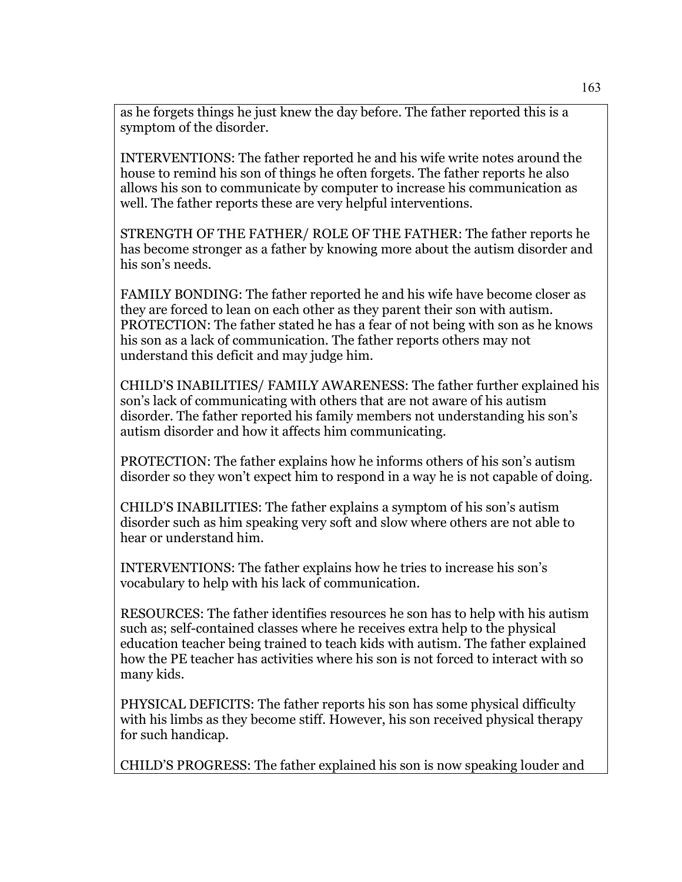as he forgets things he just knew the day before. The father reported this is a symptom of the disorder.

INTERVENTIONS: The father reported he and his wife write notes around the house to remind his son of things he often forgets. The father reports he also allows his son to communicate by computer to increase his communication as well. The father reports these are very helpful interventions.

STRENGTH OF THE FATHER/ ROLE OF THE FATHER: The father reports he has become stronger as a father by knowing more about the autism disorder and his son's needs.

FAMILY BONDING: The father reported he and his wife have become closer as they are forced to lean on each other as they parent their son with autism. PROTECTION: The father stated he has a fear of not being with son as he knows his son as a lack of communication. The father reports others may not understand this deficit and may judge him.

CHILD'S INABILITIES/ FAMILY AWARENESS: The father further explained his son's lack of communicating with others that are not aware of his autism disorder. The father reported his family members not understanding his son's autism disorder and how it affects him communicating.

PROTECTION: The father explains how he informs others of his son's autism disorder so they won't expect him to respond in a way he is not capable of doing.

CHILD'S INABILITIES: The father explains a symptom of his son's autism disorder such as him speaking very soft and slow where others are not able to hear or understand him.

INTERVENTIONS: The father explains how he tries to increase his son's vocabulary to help with his lack of communication.

RESOURCES: The father identifies resources he son has to help with his autism such as; self-contained classes where he receives extra help to the physical education teacher being trained to teach kids with autism. The father explained how the PE teacher has activities where his son is not forced to interact with so many kids.

PHYSICAL DEFICITS: The father reports his son has some physical difficulty with his limbs as they become stiff. However, his son received physical therapy for such handicap.

CHILD'S PROGRESS: The father explained his son is now speaking louder and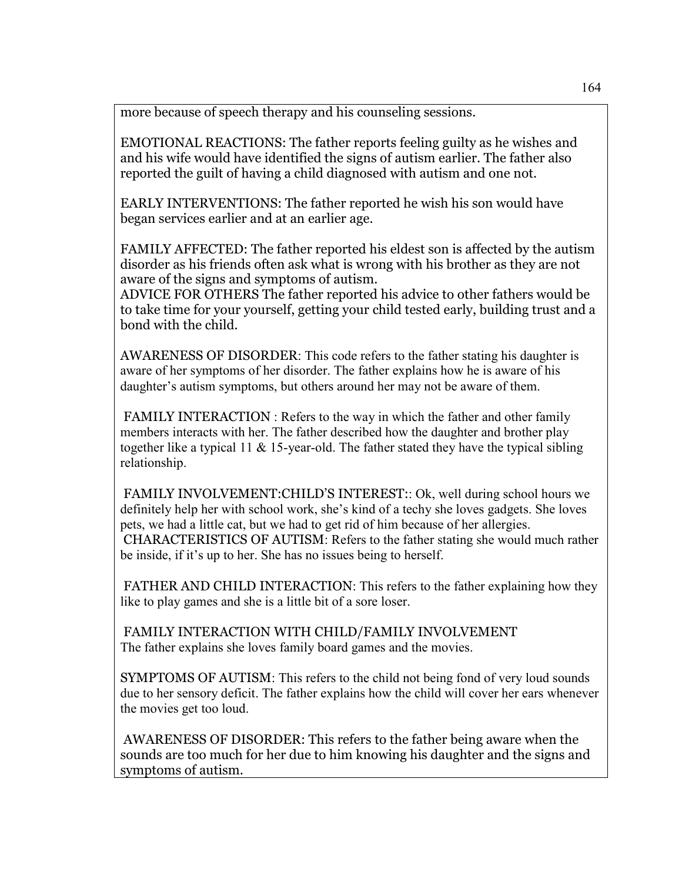more because of speech therapy and his counseling sessions.

EMOTIONAL REACTIONS: The father reports feeling guilty as he wishes and and his wife would have identified the signs of autism earlier. The father also reported the guilt of having a child diagnosed with autism and one not.

EARLY INTERVENTIONS: The father reported he wish his son would have began services earlier and at an earlier age.

FAMILY AFFECTED: The father reported his eldest son is affected by the autism disorder as his friends often ask what is wrong with his brother as they are not aware of the signs and symptoms of autism.

ADVICE FOR OTHERS The father reported his advice to other fathers would be to take time for your yourself, getting your child tested early, building trust and a bond with the child.

AWARENESS OF DISORDER: This code refers to the father stating his daughter is aware of her symptoms of her disorder. The father explains how he is aware of his daughter's autism symptoms, but others around her may not be aware of them.

FAMILY INTERACTION : Refers to the way in which the father and other family members interacts with her. The father described how the daughter and brother play together like a typical 11  $\&$  15-year-old. The father stated they have the typical sibling relationship.

FAMILY INVOLVEMENT:CHILD'S INTEREST:: Ok, well during school hours we definitely help her with school work, she's kind of a techy she loves gadgets. She loves pets, we had a little cat, but we had to get rid of him because of her allergies. CHARACTERISTICS OF AUTISM: Refers to the father stating she would much rather be inside, if it's up to her. She has no issues being to herself.

FATHER AND CHILD INTERACTION: This refers to the father explaining how they like to play games and she is a little bit of a sore loser.

FAMILY INTERACTION WITH CHILD/FAMILY INVOLVEMENT The father explains she loves family board games and the movies.

SYMPTOMS OF AUTISM: This refers to the child not being fond of very loud sounds due to her sensory deficit. The father explains how the child will cover her ears whenever the movies get too loud.

AWARENESS OF DISORDER: This refers to the father being aware when the sounds are too much for her due to him knowing his daughter and the signs and symptoms of autism.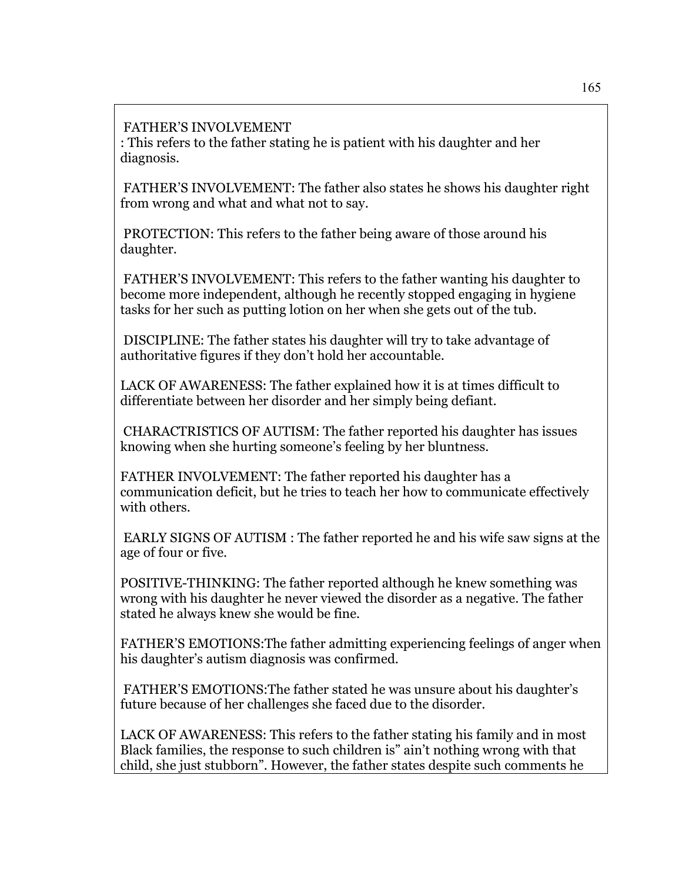## FATHER'S INVOLVEMENT

: This refers to the father stating he is patient with his daughter and her diagnosis.

 FATHER'S INVOLVEMENT: The father also states he shows his daughter right from wrong and what and what not to say.

 PROTECTION: This refers to the father being aware of those around his daughter.

 FATHER'S INVOLVEMENT: This refers to the father wanting his daughter to become more independent, although he recently stopped engaging in hygiene tasks for her such as putting lotion on her when she gets out of the tub.

 DISCIPLINE: The father states his daughter will try to take advantage of authoritative figures if they don't hold her accountable.

LACK OF AWARENESS: The father explained how it is at times difficult to differentiate between her disorder and her simply being defiant.

 CHARACTRISTICS OF AUTISM: The father reported his daughter has issues knowing when she hurting someone's feeling by her bluntness.

FATHER INVOLVEMENT: The father reported his daughter has a communication deficit, but he tries to teach her how to communicate effectively with others.

 EARLY SIGNS OF AUTISM : The father reported he and his wife saw signs at the age of four or five.

POSITIVE-THINKING: The father reported although he knew something was wrong with his daughter he never viewed the disorder as a negative. The father stated he always knew she would be fine.

FATHER'S EMOTIONS:The father admitting experiencing feelings of anger when his daughter's autism diagnosis was confirmed.

 FATHER'S EMOTIONS:The father stated he was unsure about his daughter's future because of her challenges she faced due to the disorder.

LACK OF AWARENESS: This refers to the father stating his family and in most Black families, the response to such children is" ain't nothing wrong with that child, she just stubborn". However, the father states despite such comments he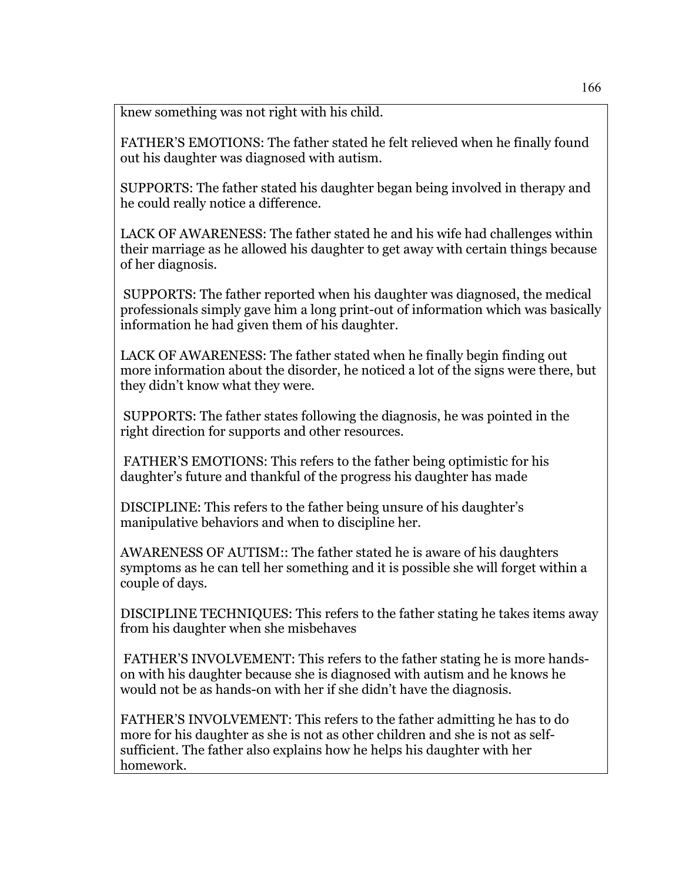knew something was not right with his child.

FATHER'S EMOTIONS: The father stated he felt relieved when he finally found out his daughter was diagnosed with autism.

SUPPORTS: The father stated his daughter began being involved in therapy and he could really notice a difference.

LACK OF AWARENESS: The father stated he and his wife had challenges within their marriage as he allowed his daughter to get away with certain things because of her diagnosis.

 SUPPORTS: The father reported when his daughter was diagnosed, the medical professionals simply gave him a long print-out of information which was basically information he had given them of his daughter.

LACK OF AWARENESS: The father stated when he finally begin finding out more information about the disorder, he noticed a lot of the signs were there, but they didn't know what they were.

 SUPPORTS: The father states following the diagnosis, he was pointed in the right direction for supports and other resources.

 FATHER'S EMOTIONS: This refers to the father being optimistic for his daughter's future and thankful of the progress his daughter has made

DISCIPLINE: This refers to the father being unsure of his daughter's manipulative behaviors and when to discipline her.

AWARENESS OF AUTISM:: The father stated he is aware of his daughters symptoms as he can tell her something and it is possible she will forget within a couple of days.

DISCIPLINE TECHNIQUES: This refers to the father stating he takes items away from his daughter when she misbehaves

 FATHER'S INVOLVEMENT: This refers to the father stating he is more handson with his daughter because she is diagnosed with autism and he knows he would not be as hands-on with her if she didn't have the diagnosis.

FATHER'S INVOLVEMENT: This refers to the father admitting he has to do more for his daughter as she is not as other children and she is not as selfsufficient. The father also explains how he helps his daughter with her homework.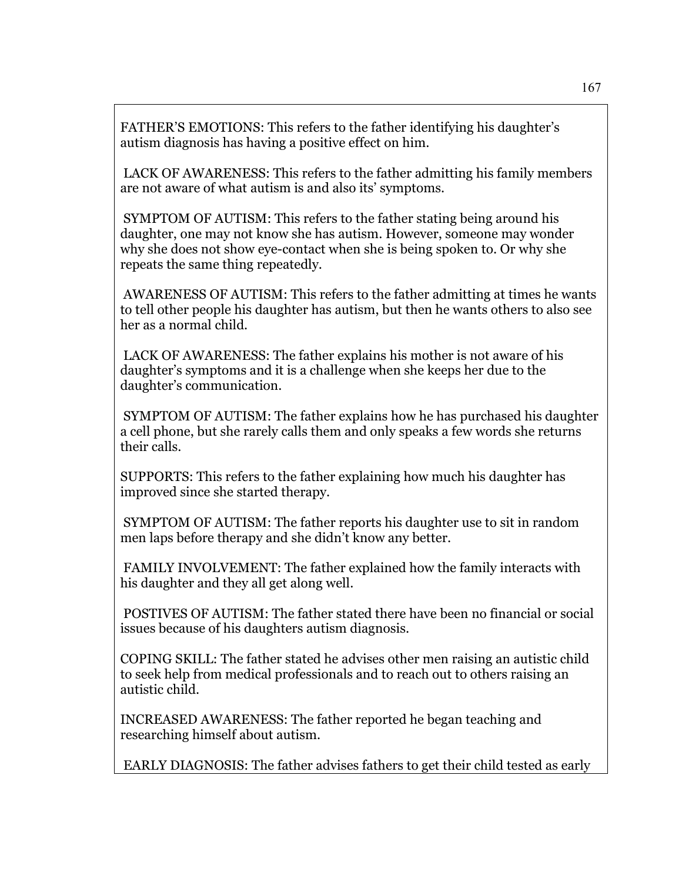FATHER'S EMOTIONS: This refers to the father identifying his daughter's autism diagnosis has having a positive effect on him.

 LACK OF AWARENESS: This refers to the father admitting his family members are not aware of what autism is and also its' symptoms.

 SYMPTOM OF AUTISM: This refers to the father stating being around his daughter, one may not know she has autism. However, someone may wonder why she does not show eye-contact when she is being spoken to. Or why she repeats the same thing repeatedly.

 AWARENESS OF AUTISM: This refers to the father admitting at times he wants to tell other people his daughter has autism, but then he wants others to also see her as a normal child.

 LACK OF AWARENESS: The father explains his mother is not aware of his daughter's symptoms and it is a challenge when she keeps her due to the daughter's communication.

 SYMPTOM OF AUTISM: The father explains how he has purchased his daughter a cell phone, but she rarely calls them and only speaks a few words she returns their calls.

SUPPORTS: This refers to the father explaining how much his daughter has improved since she started therapy.

 SYMPTOM OF AUTISM: The father reports his daughter use to sit in random men laps before therapy and she didn't know any better.

 FAMILY INVOLVEMENT: The father explained how the family interacts with his daughter and they all get along well.

 POSTIVES OF AUTISM: The father stated there have been no financial or social issues because of his daughters autism diagnosis.

COPING SKILL: The father stated he advises other men raising an autistic child to seek help from medical professionals and to reach out to others raising an autistic child.

INCREASED AWARENESS: The father reported he began teaching and researching himself about autism.

EARLY DIAGNOSIS: The father advises fathers to get their child tested as early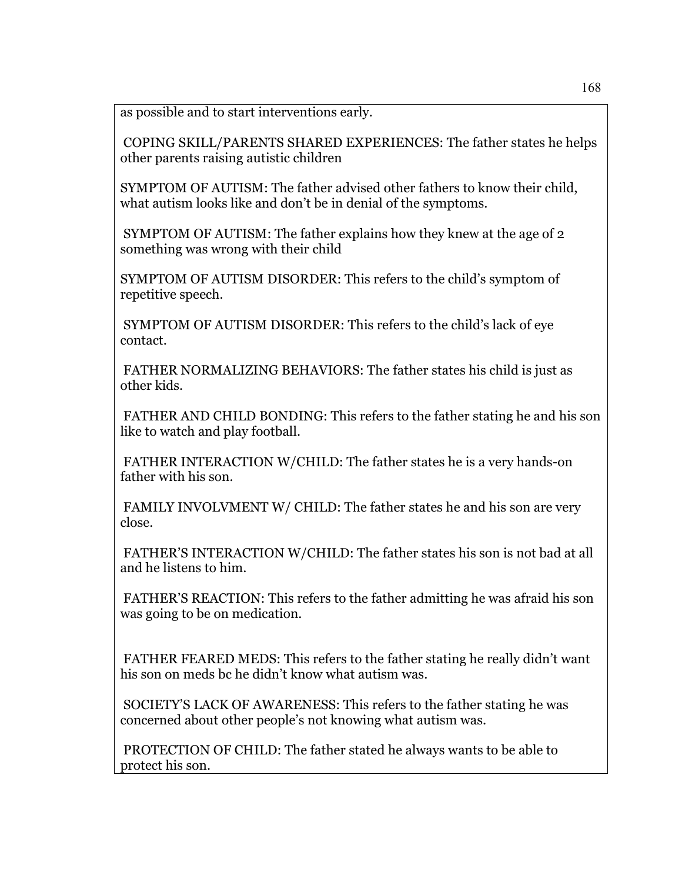as possible and to start interventions early.

 COPING SKILL/PARENTS SHARED EXPERIENCES: The father states he helps other parents raising autistic children

SYMPTOM OF AUTISM: The father advised other fathers to know their child, what autism looks like and don't be in denial of the symptoms.

 SYMPTOM OF AUTISM: The father explains how they knew at the age of 2 something was wrong with their child

SYMPTOM OF AUTISM DISORDER: This refers to the child's symptom of repetitive speech.

 SYMPTOM OF AUTISM DISORDER: This refers to the child's lack of eye contact.

 FATHER NORMALIZING BEHAVIORS: The father states his child is just as other kids.

 FATHER AND CHILD BONDING: This refers to the father stating he and his son like to watch and play football.

 FATHER INTERACTION W/CHILD: The father states he is a very hands-on father with his son.

 FAMILY INVOLVMENT W/ CHILD: The father states he and his son are very close.

 FATHER'S INTERACTION W/CHILD: The father states his son is not bad at all and he listens to him.

 FATHER'S REACTION: This refers to the father admitting he was afraid his son was going to be on medication.

 FATHER FEARED MEDS: This refers to the father stating he really didn't want his son on meds bc he didn't know what autism was.

 SOCIETY'S LACK OF AWARENESS: This refers to the father stating he was concerned about other people's not knowing what autism was.

 PROTECTION OF CHILD: The father stated he always wants to be able to protect his son.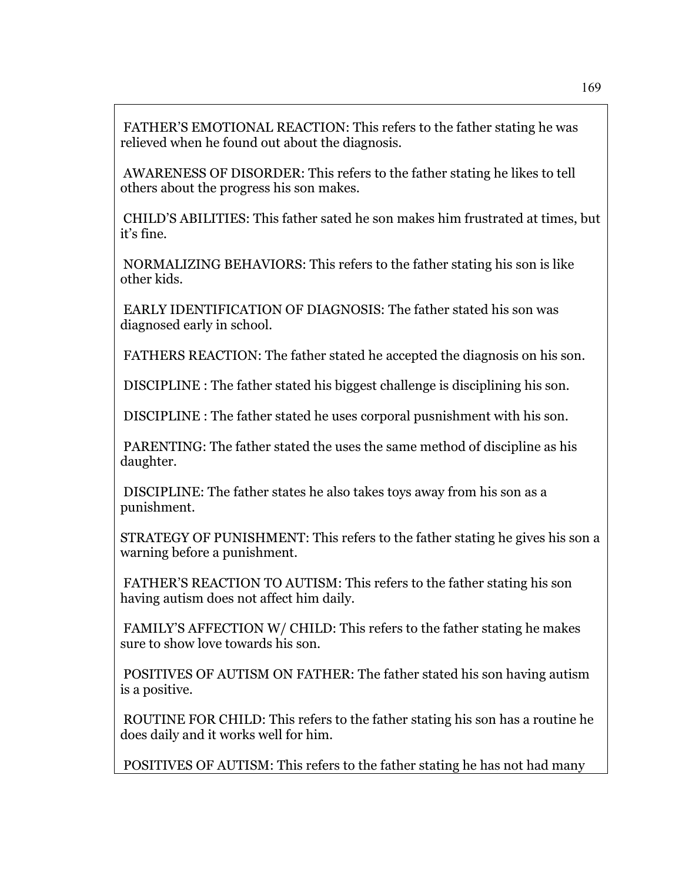FATHER'S EMOTIONAL REACTION: This refers to the father stating he was relieved when he found out about the diagnosis.

 AWARENESS OF DISORDER: This refers to the father stating he likes to tell others about the progress his son makes.

 CHILD'S ABILITIES: This father sated he son makes him frustrated at times, but it's fine.

 NORMALIZING BEHAVIORS: This refers to the father stating his son is like other kids.

 EARLY IDENTIFICATION OF DIAGNOSIS: The father stated his son was diagnosed early in school.

FATHERS REACTION: The father stated he accepted the diagnosis on his son.

DISCIPLINE : The father stated his biggest challenge is disciplining his son.

DISCIPLINE : The father stated he uses corporal pusnishment with his son.

 PARENTING: The father stated the uses the same method of discipline as his daughter.

 DISCIPLINE: The father states he also takes toys away from his son as a punishment.

STRATEGY OF PUNISHMENT: This refers to the father stating he gives his son a warning before a punishment.

 FATHER'S REACTION TO AUTISM: This refers to the father stating his son having autism does not affect him daily.

 FAMILY'S AFFECTION W/ CHILD: This refers to the father stating he makes sure to show love towards his son.

 POSITIVES OF AUTISM ON FATHER: The father stated his son having autism is a positive.

 ROUTINE FOR CHILD: This refers to the father stating his son has a routine he does daily and it works well for him.

POSITIVES OF AUTISM: This refers to the father stating he has not had many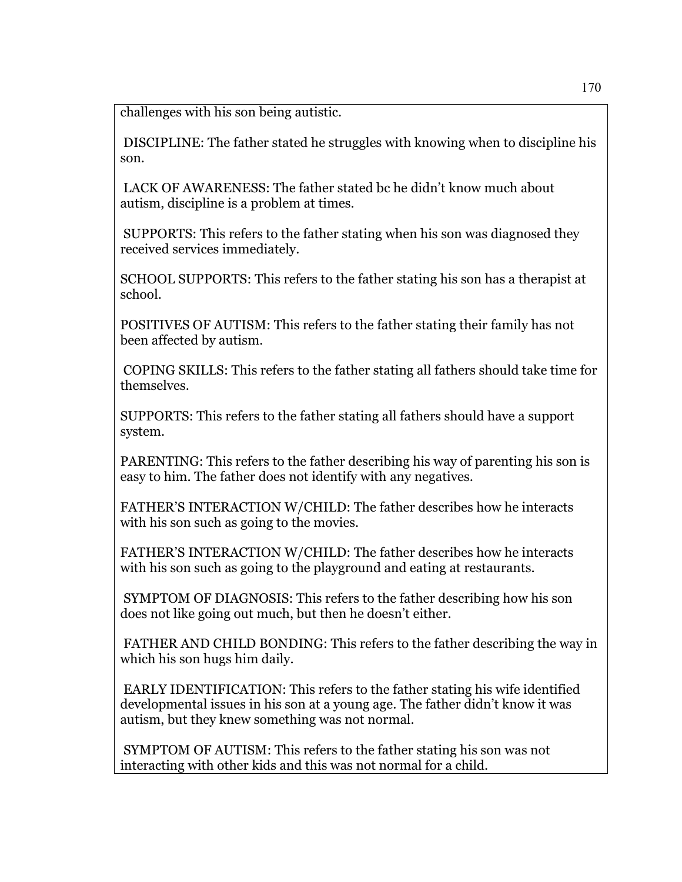challenges with his son being autistic.

 DISCIPLINE: The father stated he struggles with knowing when to discipline his son.

 LACK OF AWARENESS: The father stated bc he didn't know much about autism, discipline is a problem at times.

 SUPPORTS: This refers to the father stating when his son was diagnosed they received services immediately.

SCHOOL SUPPORTS: This refers to the father stating his son has a therapist at school.

POSITIVES OF AUTISM: This refers to the father stating their family has not been affected by autism.

 COPING SKILLS: This refers to the father stating all fathers should take time for themselves.

SUPPORTS: This refers to the father stating all fathers should have a support system.

PARENTING: This refers to the father describing his way of parenting his son is easy to him. The father does not identify with any negatives.

FATHER'S INTERACTION W/CHILD: The father describes how he interacts with his son such as going to the movies.

FATHER'S INTERACTION W/CHILD: The father describes how he interacts with his son such as going to the playground and eating at restaurants.

 SYMPTOM OF DIAGNOSIS: This refers to the father describing how his son does not like going out much, but then he doesn't either.

 FATHER AND CHILD BONDING: This refers to the father describing the way in which his son hugs him daily.

 EARLY IDENTIFICATION: This refers to the father stating his wife identified developmental issues in his son at a young age. The father didn't know it was autism, but they knew something was not normal.

 SYMPTOM OF AUTISM: This refers to the father stating his son was not interacting with other kids and this was not normal for a child.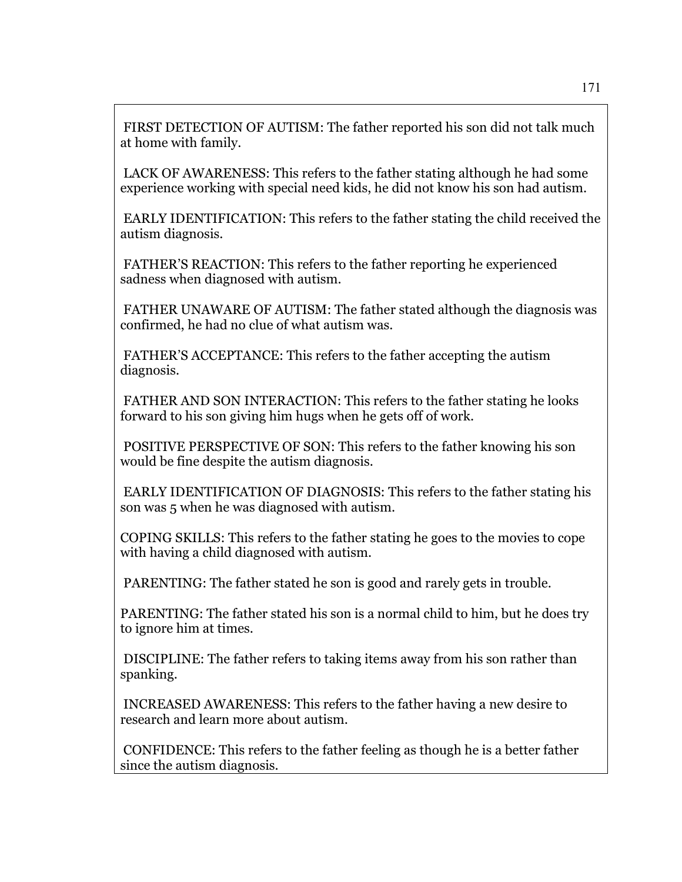FIRST DETECTION OF AUTISM: The father reported his son did not talk much at home with family.

 LACK OF AWARENESS: This refers to the father stating although he had some experience working with special need kids, he did not know his son had autism.

 EARLY IDENTIFICATION: This refers to the father stating the child received the autism diagnosis.

 FATHER'S REACTION: This refers to the father reporting he experienced sadness when diagnosed with autism.

 FATHER UNAWARE OF AUTISM: The father stated although the diagnosis was confirmed, he had no clue of what autism was.

 FATHER'S ACCEPTANCE: This refers to the father accepting the autism diagnosis.

 FATHER AND SON INTERACTION: This refers to the father stating he looks forward to his son giving him hugs when he gets off of work.

 POSITIVE PERSPECTIVE OF SON: This refers to the father knowing his son would be fine despite the autism diagnosis.

 EARLY IDENTIFICATION OF DIAGNOSIS: This refers to the father stating his son was 5 when he was diagnosed with autism.

COPING SKILLS: This refers to the father stating he goes to the movies to cope with having a child diagnosed with autism.

PARENTING: The father stated he son is good and rarely gets in trouble.

PARENTING: The father stated his son is a normal child to him, but he does try to ignore him at times.

 DISCIPLINE: The father refers to taking items away from his son rather than spanking.

 INCREASED AWARENESS: This refers to the father having a new desire to research and learn more about autism.

 CONFIDENCE: This refers to the father feeling as though he is a better father since the autism diagnosis.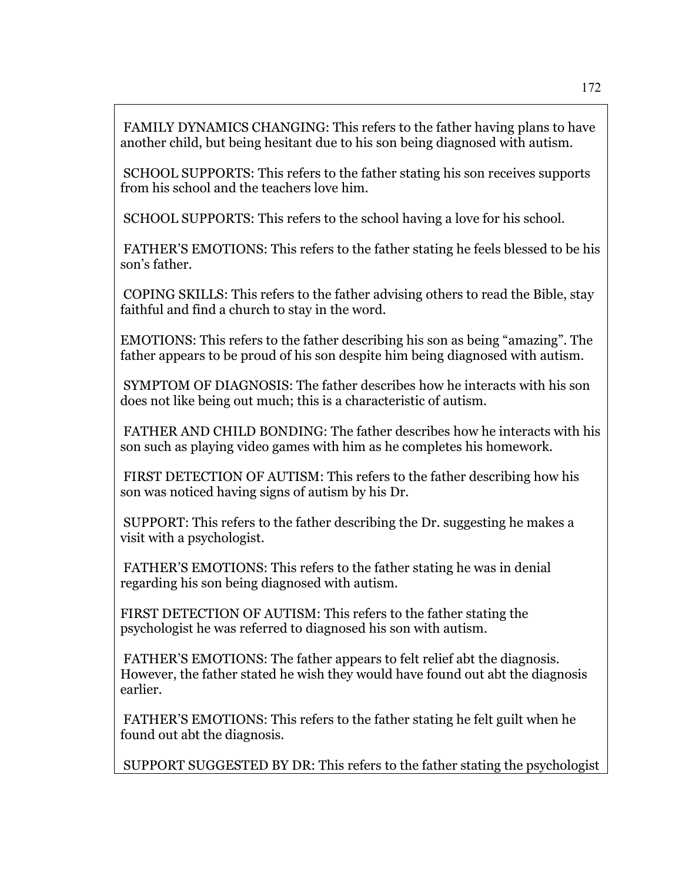FAMILY DYNAMICS CHANGING: This refers to the father having plans to have another child, but being hesitant due to his son being diagnosed with autism.

 SCHOOL SUPPORTS: This refers to the father stating his son receives supports from his school and the teachers love him.

SCHOOL SUPPORTS: This refers to the school having a love for his school.

 FATHER'S EMOTIONS: This refers to the father stating he feels blessed to be his son's father.

 COPING SKILLS: This refers to the father advising others to read the Bible, stay faithful and find a church to stay in the word.

EMOTIONS: This refers to the father describing his son as being "amazing". The father appears to be proud of his son despite him being diagnosed with autism.

 SYMPTOM OF DIAGNOSIS: The father describes how he interacts with his son does not like being out much; this is a characteristic of autism.

 FATHER AND CHILD BONDING: The father describes how he interacts with his son such as playing video games with him as he completes his homework.

 FIRST DETECTION OF AUTISM: This refers to the father describing how his son was noticed having signs of autism by his Dr.

 SUPPORT: This refers to the father describing the Dr. suggesting he makes a visit with a psychologist.

 FATHER'S EMOTIONS: This refers to the father stating he was in denial regarding his son being diagnosed with autism.

FIRST DETECTION OF AUTISM: This refers to the father stating the psychologist he was referred to diagnosed his son with autism.

 FATHER'S EMOTIONS: The father appears to felt relief abt the diagnosis. However, the father stated he wish they would have found out abt the diagnosis earlier.

 FATHER'S EMOTIONS: This refers to the father stating he felt guilt when he found out abt the diagnosis.

SUPPORT SUGGESTED BY DR: This refers to the father stating the psychologist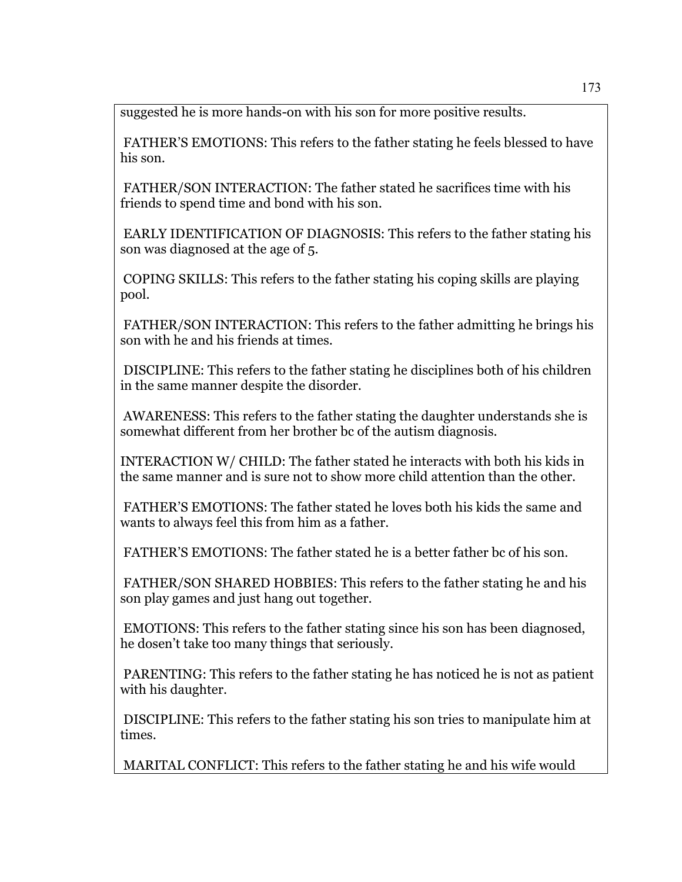suggested he is more hands-on with his son for more positive results.

 FATHER'S EMOTIONS: This refers to the father stating he feels blessed to have his son.

 FATHER/SON INTERACTION: The father stated he sacrifices time with his friends to spend time and bond with his son.

 EARLY IDENTIFICATION OF DIAGNOSIS: This refers to the father stating his son was diagnosed at the age of 5.

 COPING SKILLS: This refers to the father stating his coping skills are playing pool.

 FATHER/SON INTERACTION: This refers to the father admitting he brings his son with he and his friends at times.

 DISCIPLINE: This refers to the father stating he disciplines both of his children in the same manner despite the disorder.

 AWARENESS: This refers to the father stating the daughter understands she is somewhat different from her brother bc of the autism diagnosis.

INTERACTION W/ CHILD: The father stated he interacts with both his kids in the same manner and is sure not to show more child attention than the other.

 FATHER'S EMOTIONS: The father stated he loves both his kids the same and wants to always feel this from him as a father.

FATHER'S EMOTIONS: The father stated he is a better father bc of his son.

 FATHER/SON SHARED HOBBIES: This refers to the father stating he and his son play games and just hang out together.

 EMOTIONS: This refers to the father stating since his son has been diagnosed, he dosen't take too many things that seriously.

 PARENTING: This refers to the father stating he has noticed he is not as patient with his daughter.

 DISCIPLINE: This refers to the father stating his son tries to manipulate him at times.

MARITAL CONFLICT: This refers to the father stating he and his wife would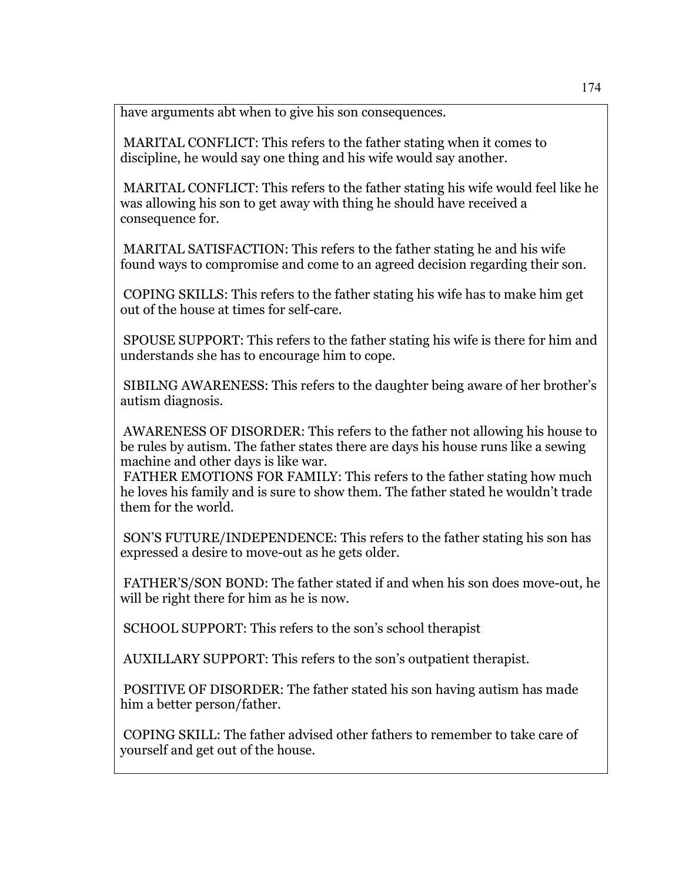have arguments abt when to give his son consequences.

 MARITAL CONFLICT: This refers to the father stating when it comes to discipline, he would say one thing and his wife would say another.

 MARITAL CONFLICT: This refers to the father stating his wife would feel like he was allowing his son to get away with thing he should have received a consequence for.

 MARITAL SATISFACTION: This refers to the father stating he and his wife found ways to compromise and come to an agreed decision regarding their son.

 COPING SKILLS: This refers to the father stating his wife has to make him get out of the house at times for self-care.

 SPOUSE SUPPORT: This refers to the father stating his wife is there for him and understands she has to encourage him to cope.

 SIBILNG AWARENESS: This refers to the daughter being aware of her brother's autism diagnosis.

 AWARENESS OF DISORDER: This refers to the father not allowing his house to be rules by autism. The father states there are days his house runs like a sewing machine and other days is like war.

 FATHER EMOTIONS FOR FAMILY: This refers to the father stating how much he loves his family and is sure to show them. The father stated he wouldn't trade them for the world.

 SON'S FUTURE/INDEPENDENCE: This refers to the father stating his son has expressed a desire to move-out as he gets older.

 FATHER'S/SON BOND: The father stated if and when his son does move-out, he will be right there for him as he is now.

SCHOOL SUPPORT: This refers to the son's school therapist

AUXILLARY SUPPORT: This refers to the son's outpatient therapist.

 POSITIVE OF DISORDER: The father stated his son having autism has made him a better person/father.

 COPING SKILL: The father advised other fathers to remember to take care of yourself and get out of the house.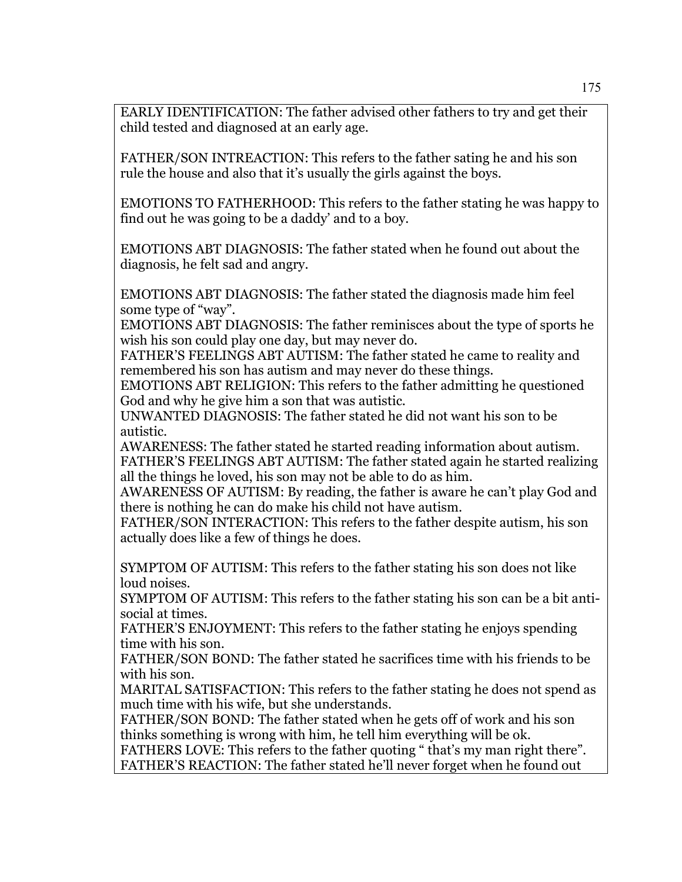EARLY IDENTIFICATION: The father advised other fathers to try and get their child tested and diagnosed at an early age.

FATHER/SON INTREACTION: This refers to the father sating he and his son rule the house and also that it's usually the girls against the boys.

EMOTIONS TO FATHERHOOD: This refers to the father stating he was happy to find out he was going to be a daddy' and to a boy.

EMOTIONS ABT DIAGNOSIS: The father stated when he found out about the diagnosis, he felt sad and angry.

EMOTIONS ABT DIAGNOSIS: The father stated the diagnosis made him feel some type of "way".

EMOTIONS ABT DIAGNOSIS: The father reminisces about the type of sports he wish his son could play one day, but may never do.

FATHER'S FEELINGS ABT AUTISM: The father stated he came to reality and remembered his son has autism and may never do these things.

EMOTIONS ABT RELIGION: This refers to the father admitting he questioned God and why he give him a son that was autistic.

UNWANTED DIAGNOSIS: The father stated he did not want his son to be autistic.

AWARENESS: The father stated he started reading information about autism. FATHER'S FEELINGS ABT AUTISM: The father stated again he started realizing all the things he loved, his son may not be able to do as him.

AWARENESS OF AUTISM: By reading, the father is aware he can't play God and there is nothing he can do make his child not have autism.

FATHER/SON INTERACTION: This refers to the father despite autism, his son actually does like a few of things he does.

SYMPTOM OF AUTISM: This refers to the father stating his son does not like loud noises.

SYMPTOM OF AUTISM: This refers to the father stating his son can be a bit antisocial at times.

FATHER'S ENJOYMENT: This refers to the father stating he enjoys spending time with his son.

FATHER/SON BOND: The father stated he sacrifices time with his friends to be with his son.

MARITAL SATISFACTION: This refers to the father stating he does not spend as much time with his wife, but she understands.

FATHER/SON BOND: The father stated when he gets off of work and his son thinks something is wrong with him, he tell him everything will be ok.

FATHERS LOVE: This refers to the father quoting " that's my man right there". FATHER'S REACTION: The father stated he'll never forget when he found out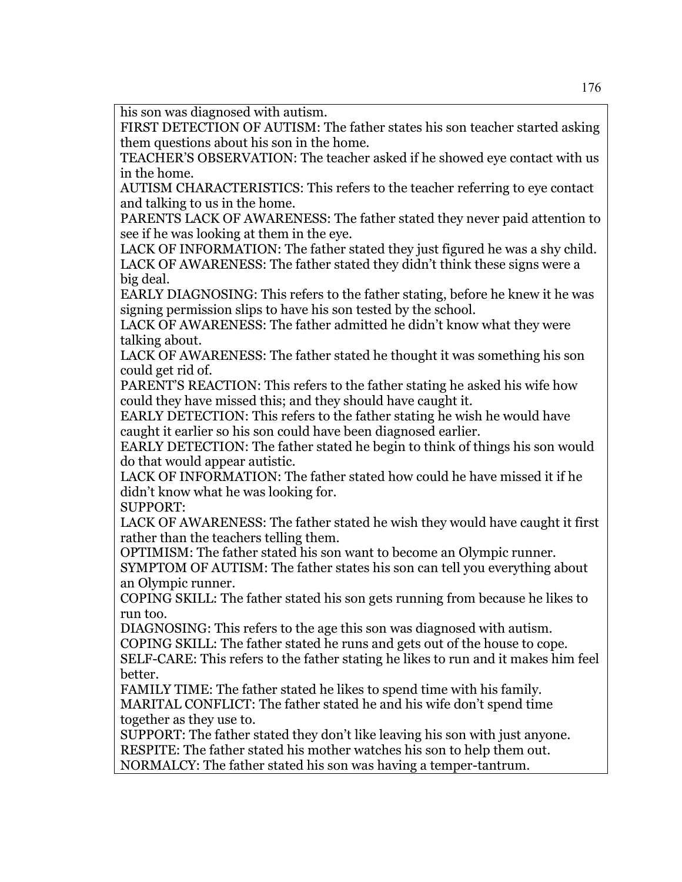his son was diagnosed with autism.

FIRST DETECTION OF AUTISM: The father states his son teacher started asking them questions about his son in the home.

TEACHER'S OBSERVATION: The teacher asked if he showed eye contact with us in the home.

AUTISM CHARACTERISTICS: This refers to the teacher referring to eye contact and talking to us in the home.

PARENTS LACK OF AWARENESS: The father stated they never paid attention to see if he was looking at them in the eye.

LACK OF INFORMATION: The father stated they just figured he was a shy child. LACK OF AWARENESS: The father stated they didn't think these signs were a big deal.

EARLY DIAGNOSING: This refers to the father stating, before he knew it he was signing permission slips to have his son tested by the school.

LACK OF AWARENESS: The father admitted he didn't know what they were talking about.

LACK OF AWARENESS: The father stated he thought it was something his son could get rid of.

PARENT'S REACTION: This refers to the father stating he asked his wife how could they have missed this; and they should have caught it.

EARLY DETECTION: This refers to the father stating he wish he would have caught it earlier so his son could have been diagnosed earlier.

EARLY DETECTION: The father stated he begin to think of things his son would do that would appear autistic.

LACK OF INFORMATION: The father stated how could he have missed it if he didn't know what he was looking for.

SUPPORT:

LACK OF AWARENESS: The father stated he wish they would have caught it first rather than the teachers telling them.

OPTIMISM: The father stated his son want to become an Olympic runner.

SYMPTOM OF AUTISM: The father states his son can tell you everything about an Olympic runner.

COPING SKILL: The father stated his son gets running from because he likes to run too.

DIAGNOSING: This refers to the age this son was diagnosed with autism.

COPING SKILL: The father stated he runs and gets out of the house to cope. SELF-CARE: This refers to the father stating he likes to run and it makes him feel

better.

FAMILY TIME: The father stated he likes to spend time with his family. MARITAL CONFLICT: The father stated he and his wife don't spend time together as they use to.

SUPPORT: The father stated they don't like leaving his son with just anyone. RESPITE: The father stated his mother watches his son to help them out. NORMALCY: The father stated his son was having a temper-tantrum.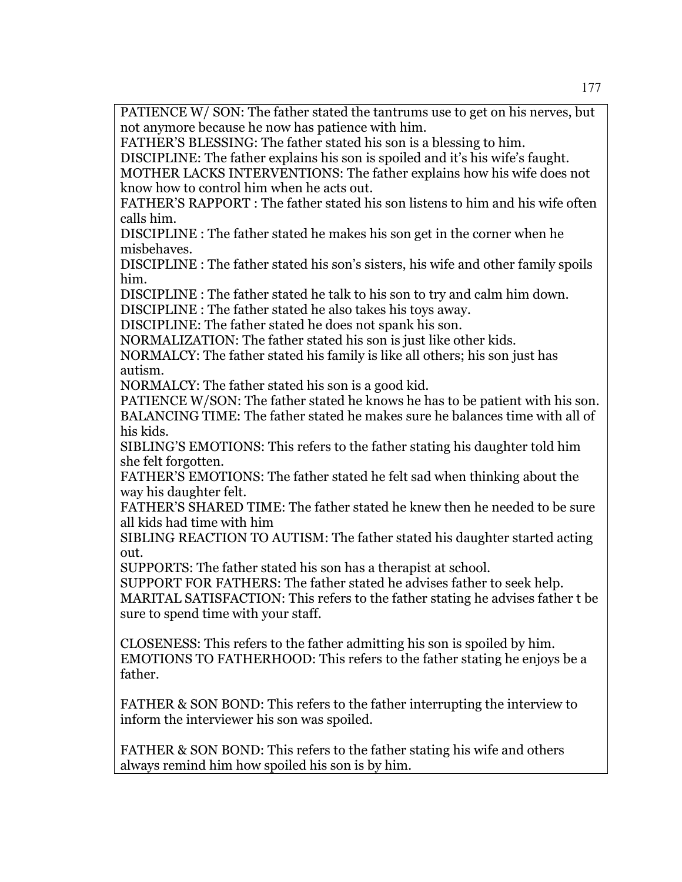PATIENCE W/ SON: The father stated the tantrums use to get on his nerves, but not anymore because he now has patience with him.

FATHER'S BLESSING: The father stated his son is a blessing to him.

DISCIPLINE: The father explains his son is spoiled and it's his wife's faught. MOTHER LACKS INTERVENTIONS: The father explains how his wife does not know how to control him when he acts out.

FATHER'S RAPPORT : The father stated his son listens to him and his wife often calls him.

DISCIPLINE : The father stated he makes his son get in the corner when he misbehaves.

DISCIPLINE : The father stated his son's sisters, his wife and other family spoils him.

DISCIPLINE : The father stated he talk to his son to try and calm him down.

DISCIPLINE : The father stated he also takes his toys away.

DISCIPLINE: The father stated he does not spank his son.

NORMALIZATION: The father stated his son is just like other kids.

NORMALCY: The father stated his family is like all others; his son just has autism.

NORMALCY: The father stated his son is a good kid.

PATIENCE W/SON: The father stated he knows he has to be patient with his son. BALANCING TIME: The father stated he makes sure he balances time with all of his kids.

SIBLING'S EMOTIONS: This refers to the father stating his daughter told him she felt forgotten.

FATHER'S EMOTIONS: The father stated he felt sad when thinking about the way his daughter felt.

FATHER'S SHARED TIME: The father stated he knew then he needed to be sure all kids had time with him

SIBLING REACTION TO AUTISM: The father stated his daughter started acting out.

SUPPORTS: The father stated his son has a therapist at school.

SUPPORT FOR FATHERS: The father stated he advises father to seek help. MARITAL SATISFACTION: This refers to the father stating he advises father t be sure to spend time with your staff.

CLOSENESS: This refers to the father admitting his son is spoiled by him. EMOTIONS TO FATHERHOOD: This refers to the father stating he enjoys be a father.

FATHER & SON BOND: This refers to the father interrupting the interview to inform the interviewer his son was spoiled.

FATHER & SON BOND: This refers to the father stating his wife and others always remind him how spoiled his son is by him.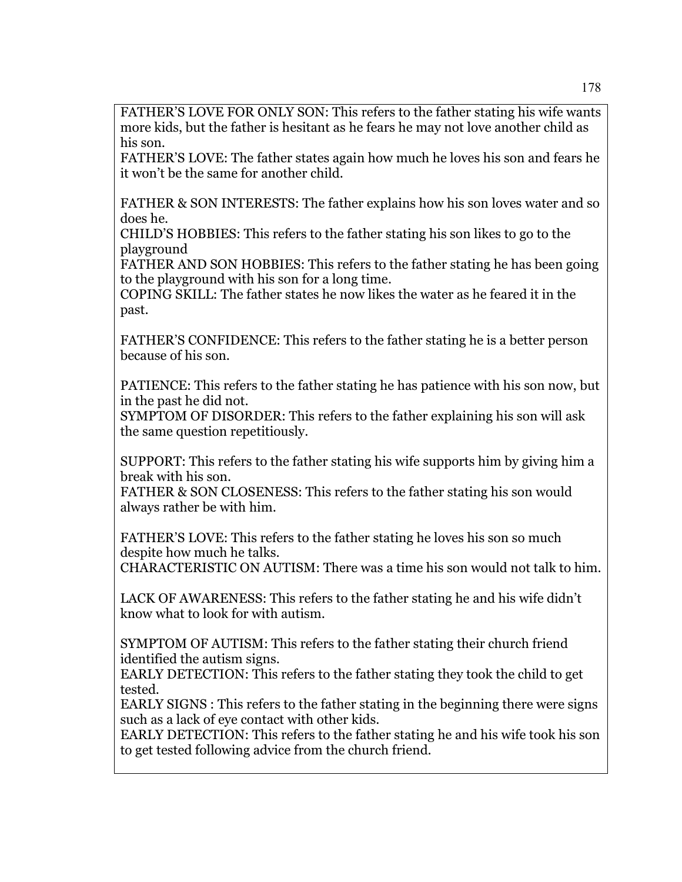FATHER'S LOVE FOR ONLY SON: This refers to the father stating his wife wants more kids, but the father is hesitant as he fears he may not love another child as his son.

FATHER'S LOVE: The father states again how much he loves his son and fears he it won't be the same for another child.

FATHER & SON INTERESTS: The father explains how his son loves water and so does he.

CHILD'S HOBBIES: This refers to the father stating his son likes to go to the playground

FATHER AND SON HOBBIES: This refers to the father stating he has been going to the playground with his son for a long time.

COPING SKILL: The father states he now likes the water as he feared it in the past.

FATHER'S CONFIDENCE: This refers to the father stating he is a better person because of his son.

PATIENCE: This refers to the father stating he has patience with his son now, but in the past he did not.

SYMPTOM OF DISORDER: This refers to the father explaining his son will ask the same question repetitiously.

SUPPORT: This refers to the father stating his wife supports him by giving him a break with his son.

FATHER & SON CLOSENESS: This refers to the father stating his son would always rather be with him.

FATHER'S LOVE: This refers to the father stating he loves his son so much despite how much he talks.

CHARACTERISTIC ON AUTISM: There was a time his son would not talk to him.

LACK OF AWARENESS: This refers to the father stating he and his wife didn't know what to look for with autism.

SYMPTOM OF AUTISM: This refers to the father stating their church friend identified the autism signs.

EARLY DETECTION: This refers to the father stating they took the child to get tested.

EARLY SIGNS : This refers to the father stating in the beginning there were signs such as a lack of eye contact with other kids.

EARLY DETECTION: This refers to the father stating he and his wife took his son to get tested following advice from the church friend.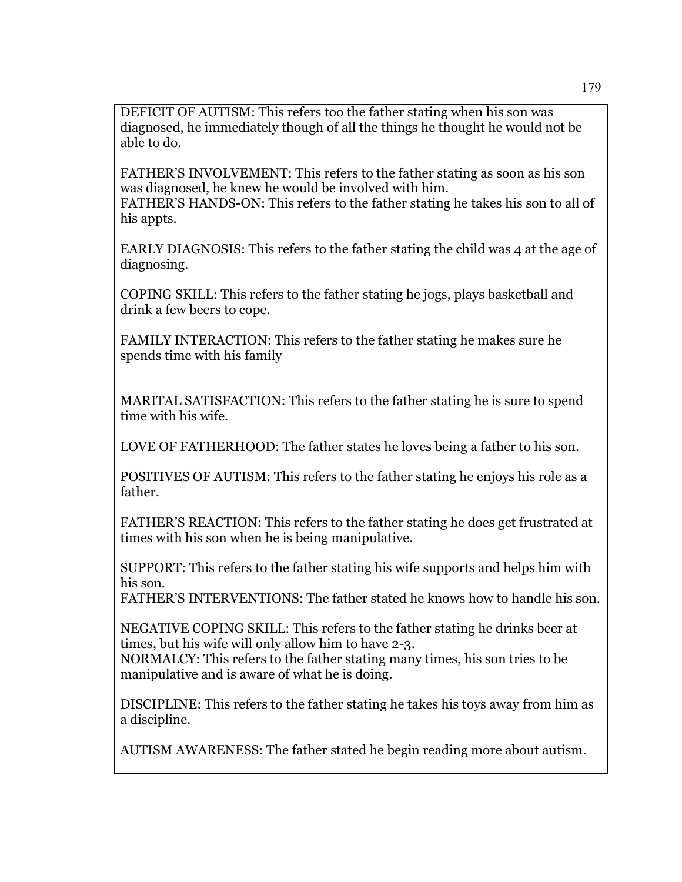DEFICIT OF AUTISM: This refers too the father stating when his son was diagnosed, he immediately though of all the things he thought he would not be able to do.

FATHER'S INVOLVEMENT: This refers to the father stating as soon as his son was diagnosed, he knew he would be involved with him. FATHER'S HANDS-ON: This refers to the father stating he takes his son to all of his appts.

EARLY DIAGNOSIS: This refers to the father stating the child was 4 at the age of diagnosing.

COPING SKILL: This refers to the father stating he jogs, plays basketball and drink a few beers to cope.

FAMILY INTERACTION: This refers to the father stating he makes sure he spends time with his family

MARITAL SATISFACTION: This refers to the father stating he is sure to spend time with his wife.

LOVE OF FATHERHOOD: The father states he loves being a father to his son.

POSITIVES OF AUTISM: This refers to the father stating he enjoys his role as a father.

FATHER'S REACTION: This refers to the father stating he does get frustrated at times with his son when he is being manipulative.

SUPPORT: This refers to the father stating his wife supports and helps him with his son.

FATHER'S INTERVENTIONS: The father stated he knows how to handle his son.

NEGATIVE COPING SKILL: This refers to the father stating he drinks beer at times, but his wife will only allow him to have 2-3.

NORMALCY: This refers to the father stating many times, his son tries to be manipulative and is aware of what he is doing.

DISCIPLINE: This refers to the father stating he takes his toys away from him as a discipline.

AUTISM AWARENESS: The father stated he begin reading more about autism.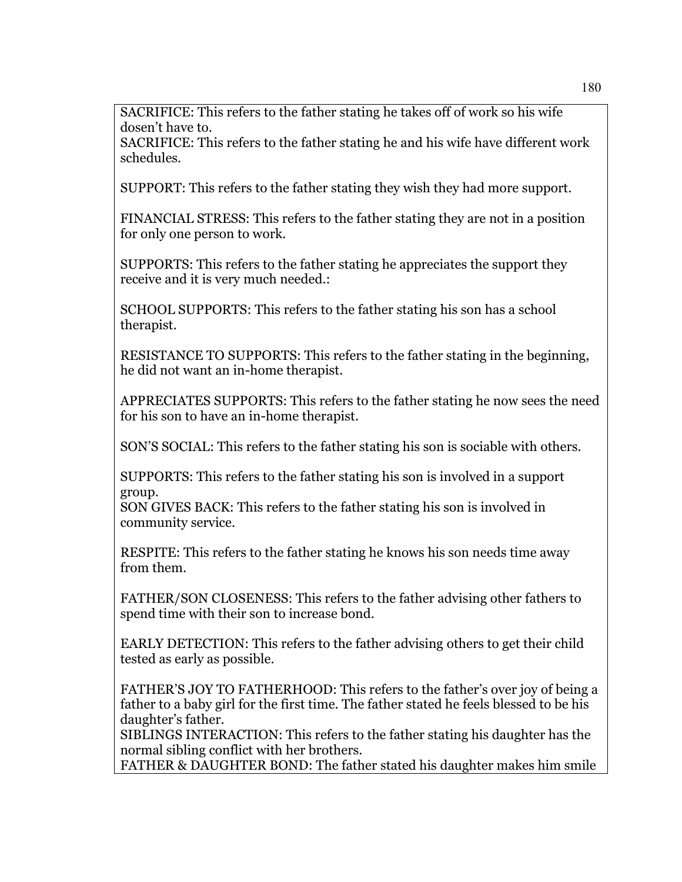SACRIFICE: This refers to the father stating he takes off of work so his wife dosen't have to.

SACRIFICE: This refers to the father stating he and his wife have different work schedules.

SUPPORT: This refers to the father stating they wish they had more support.

FINANCIAL STRESS: This refers to the father stating they are not in a position for only one person to work.

SUPPORTS: This refers to the father stating he appreciates the support they receive and it is very much needed.:

SCHOOL SUPPORTS: This refers to the father stating his son has a school therapist.

RESISTANCE TO SUPPORTS: This refers to the father stating in the beginning, he did not want an in-home therapist.

APPRECIATES SUPPORTS: This refers to the father stating he now sees the need for his son to have an in-home therapist.

SON'S SOCIAL: This refers to the father stating his son is sociable with others.

SUPPORTS: This refers to the father stating his son is involved in a support group.

SON GIVES BACK: This refers to the father stating his son is involved in community service.

RESPITE: This refers to the father stating he knows his son needs time away from them.

FATHER/SON CLOSENESS: This refers to the father advising other fathers to spend time with their son to increase bond.

EARLY DETECTION: This refers to the father advising others to get their child tested as early as possible.

FATHER'S JOY TO FATHERHOOD: This refers to the father's over joy of being a father to a baby girl for the first time. The father stated he feels blessed to be his daughter's father.

SIBLINGS INTERACTION: This refers to the father stating his daughter has the normal sibling conflict with her brothers.

FATHER & DAUGHTER BOND: The father stated his daughter makes him smile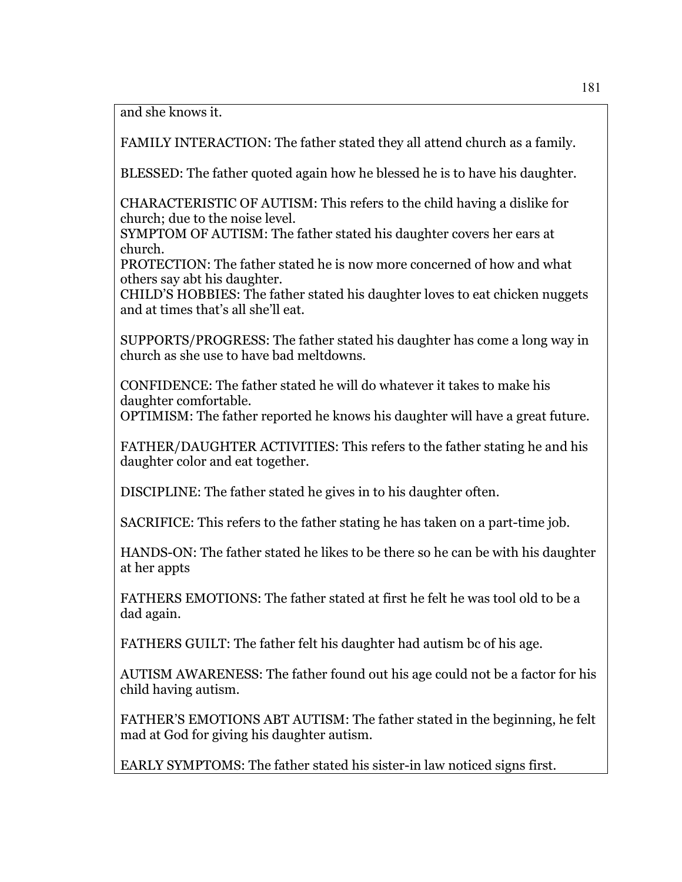and she knows it.

FAMILY INTERACTION: The father stated they all attend church as a family.

BLESSED: The father quoted again how he blessed he is to have his daughter.

CHARACTERISTIC OF AUTISM: This refers to the child having a dislike for church; due to the noise level.

SYMPTOM OF AUTISM: The father stated his daughter covers her ears at church.

PROTECTION: The father stated he is now more concerned of how and what others say abt his daughter.

CHILD'S HOBBIES: The father stated his daughter loves to eat chicken nuggets and at times that's all she'll eat.

SUPPORTS/PROGRESS: The father stated his daughter has come a long way in church as she use to have bad meltdowns.

CONFIDENCE: The father stated he will do whatever it takes to make his daughter comfortable.

OPTIMISM: The father reported he knows his daughter will have a great future.

FATHER/DAUGHTER ACTIVITIES: This refers to the father stating he and his daughter color and eat together.

DISCIPLINE: The father stated he gives in to his daughter often.

SACRIFICE: This refers to the father stating he has taken on a part-time job.

HANDS-ON: The father stated he likes to be there so he can be with his daughter at her appts

FATHERS EMOTIONS: The father stated at first he felt he was tool old to be a dad again.

FATHERS GUILT: The father felt his daughter had autism bc of his age.

AUTISM AWARENESS: The father found out his age could not be a factor for his child having autism.

FATHER'S EMOTIONS ABT AUTISM: The father stated in the beginning, he felt mad at God for giving his daughter autism.

EARLY SYMPTOMS: The father stated his sister-in law noticed signs first.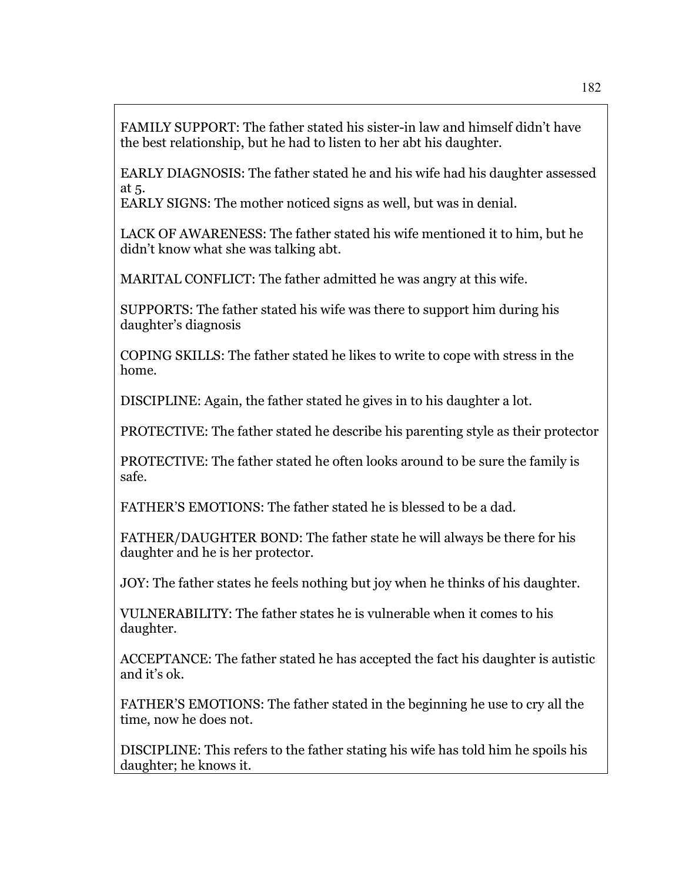FAMILY SUPPORT: The father stated his sister-in law and himself didn't have the best relationship, but he had to listen to her abt his daughter.

EARLY DIAGNOSIS: The father stated he and his wife had his daughter assessed at 5.

EARLY SIGNS: The mother noticed signs as well, but was in denial.

LACK OF AWARENESS: The father stated his wife mentioned it to him, but he didn't know what she was talking abt.

MARITAL CONFLICT: The father admitted he was angry at this wife.

SUPPORTS: The father stated his wife was there to support him during his daughter's diagnosis

COPING SKILLS: The father stated he likes to write to cope with stress in the home.

DISCIPLINE: Again, the father stated he gives in to his daughter a lot.

PROTECTIVE: The father stated he describe his parenting style as their protector

PROTECTIVE: The father stated he often looks around to be sure the family is safe.

FATHER'S EMOTIONS: The father stated he is blessed to be a dad.

FATHER/DAUGHTER BOND: The father state he will always be there for his daughter and he is her protector.

JOY: The father states he feels nothing but joy when he thinks of his daughter.

VULNERABILITY: The father states he is vulnerable when it comes to his daughter.

ACCEPTANCE: The father stated he has accepted the fact his daughter is autistic and it's ok.

FATHER'S EMOTIONS: The father stated in the beginning he use to cry all the time, now he does not.

DISCIPLINE: This refers to the father stating his wife has told him he spoils his daughter; he knows it.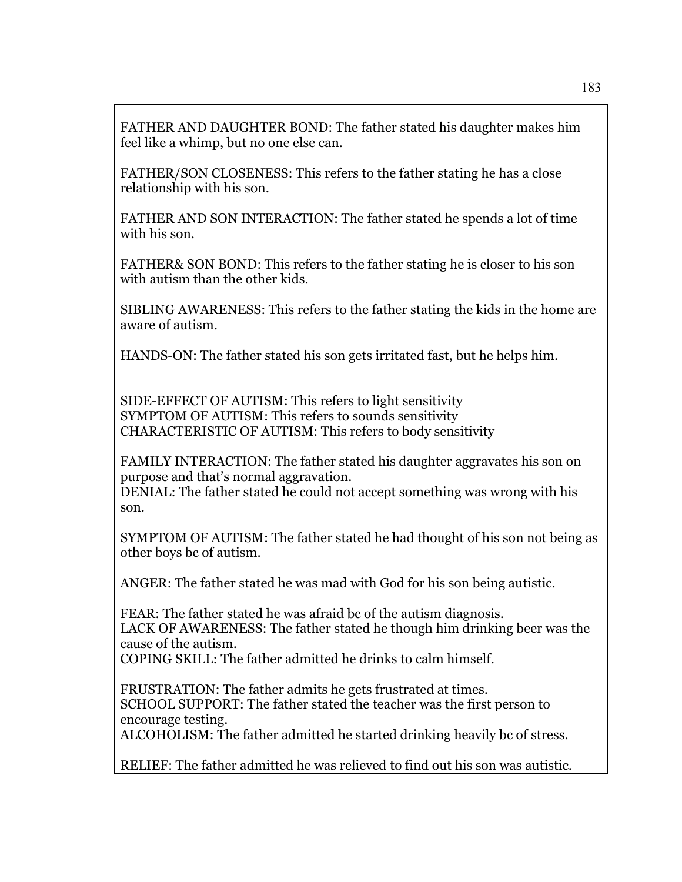FATHER AND DAUGHTER BOND: The father stated his daughter makes him feel like a whimp, but no one else can.

FATHER/SON CLOSENESS: This refers to the father stating he has a close relationship with his son.

FATHER AND SON INTERACTION: The father stated he spends a lot of time with his son.

FATHER& SON BOND: This refers to the father stating he is closer to his son with autism than the other kids.

SIBLING AWARENESS: This refers to the father stating the kids in the home are aware of autism.

HANDS-ON: The father stated his son gets irritated fast, but he helps him.

SIDE-EFFECT OF AUTISM: This refers to light sensitivity SYMPTOM OF AUTISM: This refers to sounds sensitivity CHARACTERISTIC OF AUTISM: This refers to body sensitivity

FAMILY INTERACTION: The father stated his daughter aggravates his son on purpose and that's normal aggravation.

DENIAL: The father stated he could not accept something was wrong with his son.

SYMPTOM OF AUTISM: The father stated he had thought of his son not being as other boys bc of autism.

ANGER: The father stated he was mad with God for his son being autistic.

FEAR: The father stated he was afraid bc of the autism diagnosis. LACK OF AWARENESS: The father stated he though him drinking beer was the cause of the autism.

COPING SKILL: The father admitted he drinks to calm himself.

FRUSTRATION: The father admits he gets frustrated at times. SCHOOL SUPPORT: The father stated the teacher was the first person to encourage testing.

ALCOHOLISM: The father admitted he started drinking heavily bc of stress.

RELIEF: The father admitted he was relieved to find out his son was autistic.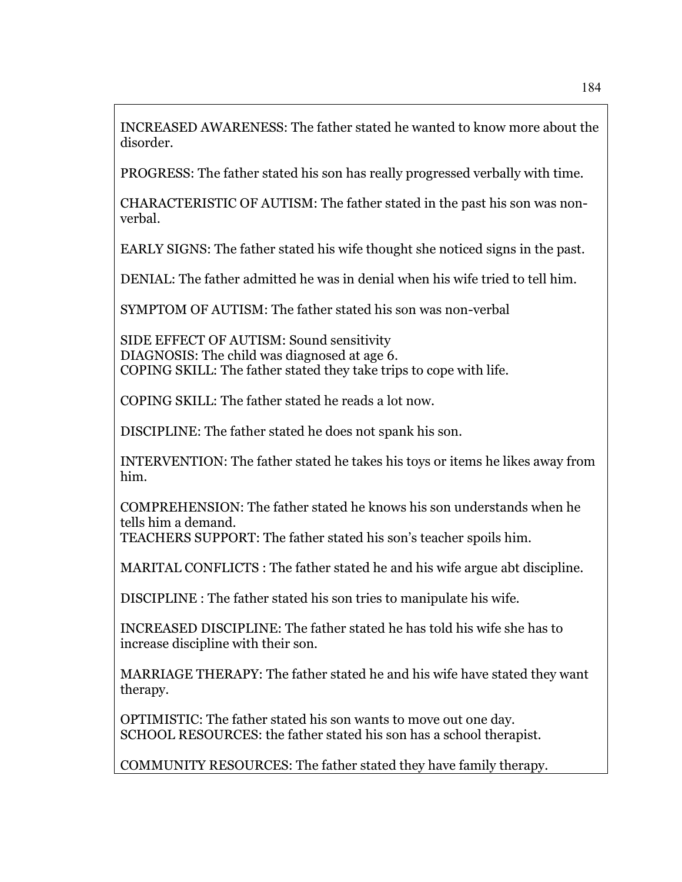INCREASED AWARENESS: The father stated he wanted to know more about the disorder.

PROGRESS: The father stated his son has really progressed verbally with time.

CHARACTERISTIC OF AUTISM: The father stated in the past his son was nonverbal.

EARLY SIGNS: The father stated his wife thought she noticed signs in the past.

DENIAL: The father admitted he was in denial when his wife tried to tell him.

SYMPTOM OF AUTISM: The father stated his son was non-verbal

SIDE EFFECT OF AUTISM: Sound sensitivity DIAGNOSIS: The child was diagnosed at age 6. COPING SKILL: The father stated they take trips to cope with life.

COPING SKILL: The father stated he reads a lot now.

DISCIPLINE: The father stated he does not spank his son.

INTERVENTION: The father stated he takes his toys or items he likes away from him.

COMPREHENSION: The father stated he knows his son understands when he tells him a demand.

TEACHERS SUPPORT: The father stated his son's teacher spoils him.

MARITAL CONFLICTS : The father stated he and his wife argue abt discipline.

DISCIPLINE : The father stated his son tries to manipulate his wife.

INCREASED DISCIPLINE: The father stated he has told his wife she has to increase discipline with their son.

MARRIAGE THERAPY: The father stated he and his wife have stated they want therapy.

OPTIMISTIC: The father stated his son wants to move out one day. SCHOOL RESOURCES: the father stated his son has a school therapist.

COMMUNITY RESOURCES: The father stated they have family therapy.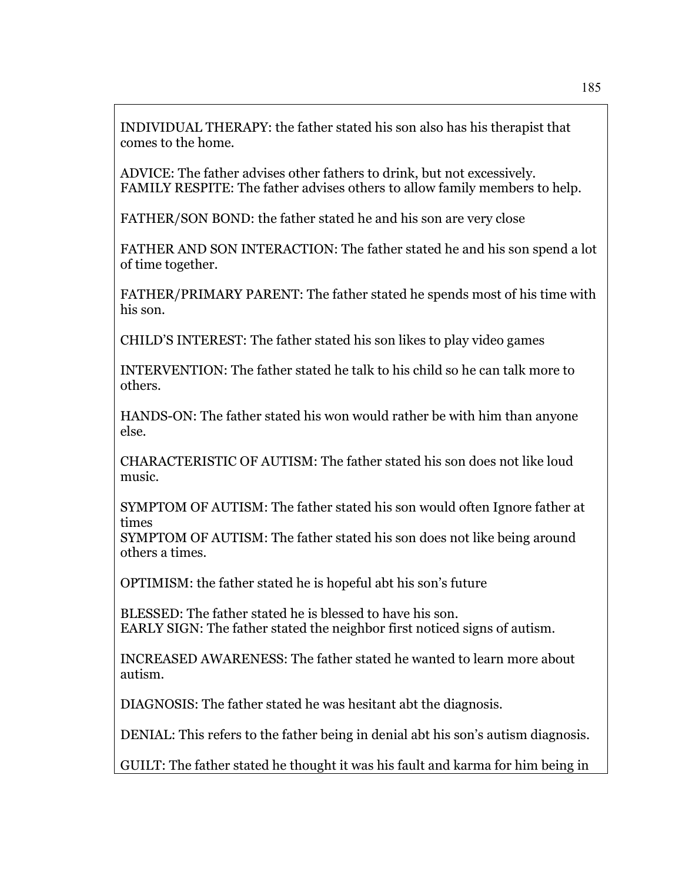INDIVIDUAL THERAPY: the father stated his son also has his therapist that comes to the home.

ADVICE: The father advises other fathers to drink, but not excessively. FAMILY RESPITE: The father advises others to allow family members to help.

FATHER/SON BOND: the father stated he and his son are very close

FATHER AND SON INTERACTION: The father stated he and his son spend a lot of time together.

FATHER/PRIMARY PARENT: The father stated he spends most of his time with his son.

CHILD'S INTEREST: The father stated his son likes to play video games

INTERVENTION: The father stated he talk to his child so he can talk more to others.

HANDS-ON: The father stated his won would rather be with him than anyone else.

CHARACTERISTIC OF AUTISM: The father stated his son does not like loud music.

SYMPTOM OF AUTISM: The father stated his son would often Ignore father at times

SYMPTOM OF AUTISM: The father stated his son does not like being around others a times.

OPTIMISM: the father stated he is hopeful abt his son's future

BLESSED: The father stated he is blessed to have his son. EARLY SIGN: The father stated the neighbor first noticed signs of autism.

INCREASED AWARENESS: The father stated he wanted to learn more about autism.

DIAGNOSIS: The father stated he was hesitant abt the diagnosis.

DENIAL: This refers to the father being in denial abt his son's autism diagnosis.

GUILT: The father stated he thought it was his fault and karma for him being in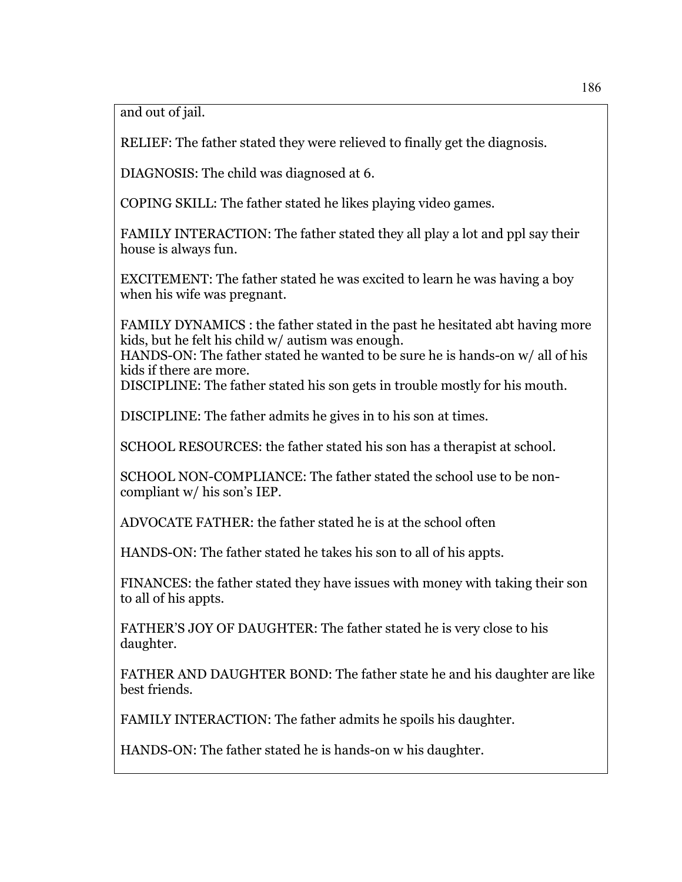and out of jail.

RELIEF: The father stated they were relieved to finally get the diagnosis.

DIAGNOSIS: The child was diagnosed at 6.

COPING SKILL: The father stated he likes playing video games.

FAMILY INTERACTION: The father stated they all play a lot and ppl say their house is always fun.

EXCITEMENT: The father stated he was excited to learn he was having a boy when his wife was pregnant.

FAMILY DYNAMICS : the father stated in the past he hesitated abt having more kids, but he felt his child w/ autism was enough.

HANDS-ON: The father stated he wanted to be sure he is hands-on w/ all of his kids if there are more.

DISCIPLINE: The father stated his son gets in trouble mostly for his mouth.

DISCIPLINE: The father admits he gives in to his son at times.

SCHOOL RESOURCES: the father stated his son has a therapist at school.

SCHOOL NON-COMPLIANCE: The father stated the school use to be noncompliant w/ his son's IEP.

ADVOCATE FATHER: the father stated he is at the school often

HANDS-ON: The father stated he takes his son to all of his appts.

FINANCES: the father stated they have issues with money with taking their son to all of his appts.

FATHER'S JOY OF DAUGHTER: The father stated he is very close to his daughter.

FATHER AND DAUGHTER BOND: The father state he and his daughter are like best friends.

FAMILY INTERACTION: The father admits he spoils his daughter.

HANDS-ON: The father stated he is hands-on w his daughter.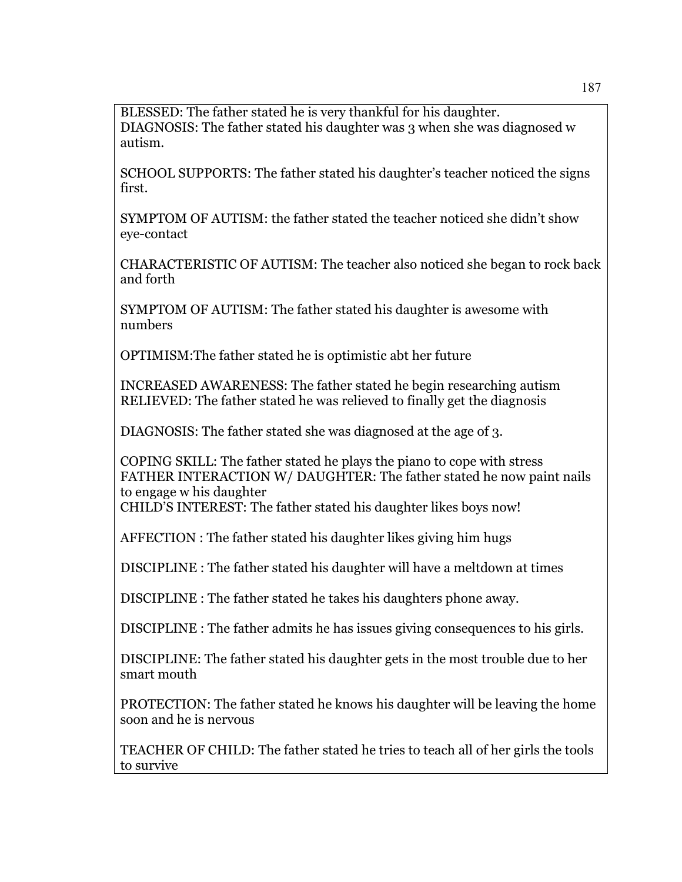BLESSED: The father stated he is very thankful for his daughter. DIAGNOSIS: The father stated his daughter was 3 when she was diagnosed w autism.

SCHOOL SUPPORTS: The father stated his daughter's teacher noticed the signs first.

SYMPTOM OF AUTISM: the father stated the teacher noticed she didn't show eye-contact

CHARACTERISTIC OF AUTISM: The teacher also noticed she began to rock back and forth

SYMPTOM OF AUTISM: The father stated his daughter is awesome with numbers

OPTIMISM:The father stated he is optimistic abt her future

INCREASED AWARENESS: The father stated he begin researching autism RELIEVED: The father stated he was relieved to finally get the diagnosis

DIAGNOSIS: The father stated she was diagnosed at the age of 3.

COPING SKILL: The father stated he plays the piano to cope with stress FATHER INTERACTION W/ DAUGHTER: The father stated he now paint nails to engage w his daughter

CHILD'S INTEREST: The father stated his daughter likes boys now!

AFFECTION : The father stated his daughter likes giving him hugs

DISCIPLINE : The father stated his daughter will have a meltdown at times

DISCIPLINE : The father stated he takes his daughters phone away.

DISCIPLINE : The father admits he has issues giving consequences to his girls.

DISCIPLINE: The father stated his daughter gets in the most trouble due to her smart mouth

PROTECTION: The father stated he knows his daughter will be leaving the home soon and he is nervous

TEACHER OF CHILD: The father stated he tries to teach all of her girls the tools to survive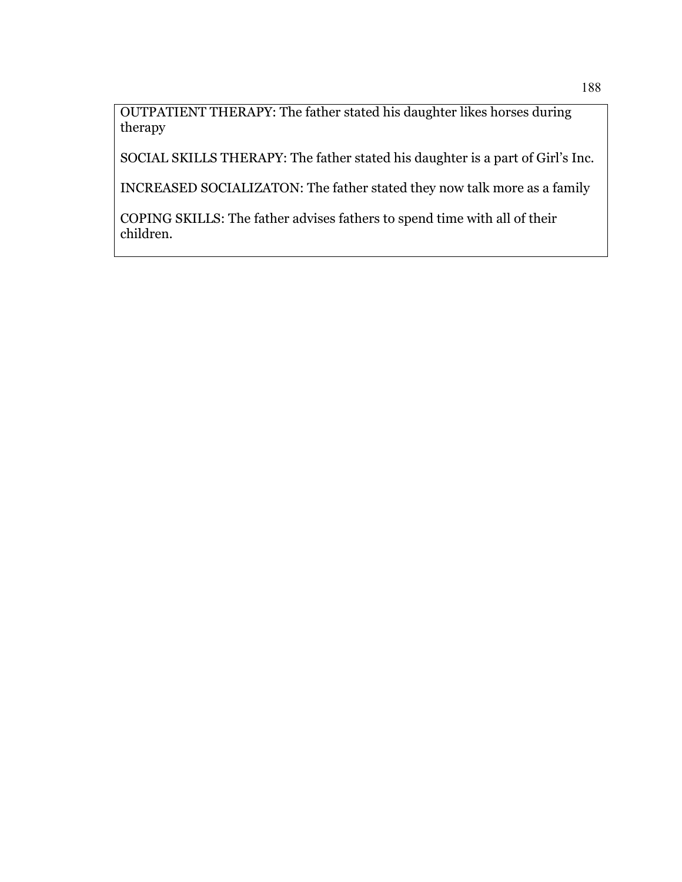OUTPATIENT THERAPY: The father stated his daughter likes horses during therapy

SOCIAL SKILLS THERAPY: The father stated his daughter is a part of Girl's Inc.

INCREASED SOCIALIZATON: The father stated they now talk more as a family

COPING SKILLS: The father advises fathers to spend time with all of their children.